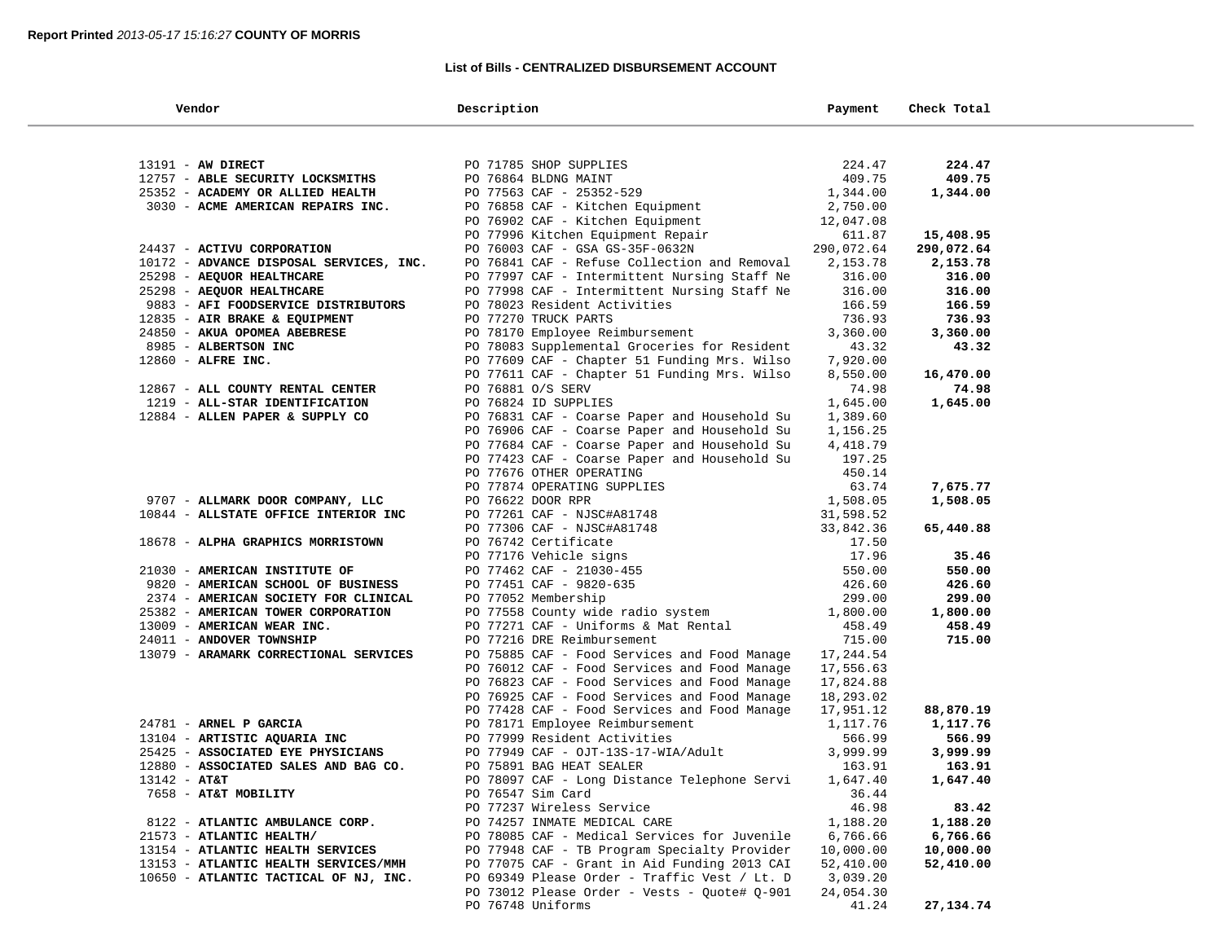## **List of Bills - CENTRALIZED DISBURSEMENT ACCOUNT**

| Vendor                                  | Description                                  | Payment    | Check Total |  |
|-----------------------------------------|----------------------------------------------|------------|-------------|--|
|                                         |                                              |            |             |  |
| 13191 - AW DIRECT                       | PO 71785 SHOP SUPPLIES                       | 224.47     | 224.47      |  |
| 12757 - ABLE SECURITY LOCKSMITHS        | PO 76864 BLDNG MAINT                         | 409.75     | 409.75      |  |
| 25352 - ACADEMY OR ALLIED HEALTH        | PO 77563 CAF - 25352-529                     | 1,344.00   | 1,344.00    |  |
| 3030 - ACME AMERICAN REPAIRS INC.       | PO 76858 CAF - Kitchen Equipment             | 2,750.00   |             |  |
|                                         | PO 76902 CAF - Kitchen Equipment             | 12,047.08  |             |  |
|                                         | PO 77996 Kitchen Equipment Repair            | 611.87     | 15,408.95   |  |
| 24437 - ACTIVU CORPORATION              | PO 76003 CAF - GSA GS-35F-0632N              | 290,072.64 | 290,072.64  |  |
| 10172 - ADVANCE DISPOSAL SERVICES, INC. | PO 76841 CAF - Refuse Collection and Removal | 2,153.78   | 2,153.78    |  |
| 25298 - AEQUOR HEALTHCARE               | PO 77997 CAF - Intermittent Nursing Staff Ne | 316.00     | 316.00      |  |
| 25298 - AEQUOR HEALTHCARE               | PO 77998 CAF - Intermittent Nursing Staff Ne | 316.00     | 316.00      |  |
| 9883 - AFI FOODSERVICE DISTRIBUTORS     | PO 78023 Resident Activities                 | 166.59     | 166.59      |  |
| 12835 - AIR BRAKE & EQUIPMENT           | PO 77270 TRUCK PARTS                         | 736.93     | 736.93      |  |
| 24850 - AKUA OPOMEA ABEBRESE            | PO 78170 Employee Reimbursement              | 3,360.00   | 3,360.00    |  |
| 8985 - ALBERTSON INC                    | PO 78083 Supplemental Groceries for Resident | 43.32      | 43.32       |  |
| 12860 - ALFRE INC.                      | PO 77609 CAF - Chapter 51 Funding Mrs. Wilso | 7,920.00   |             |  |
|                                         | PO 77611 CAF - Chapter 51 Funding Mrs. Wilso | 8,550.00   | 16,470.00   |  |
| 12867 - ALL COUNTY RENTAL CENTER        | PO 76881 O/S SERV                            | 74.98      | 74.98       |  |
| 1219 - ALL-STAR IDENTIFICATION          | PO 76824 ID SUPPLIES                         | 1,645.00   | 1,645.00    |  |
| 12884 - ALLEN PAPER & SUPPLY CO         | PO 76831 CAF - Coarse Paper and Household Su | 1,389.60   |             |  |
|                                         | PO 76906 CAF - Coarse Paper and Household Su | 1,156.25   |             |  |
|                                         | PO 77684 CAF - Coarse Paper and Household Su | 4,418.79   |             |  |
|                                         | PO 77423 CAF - Coarse Paper and Household Su | 197.25     |             |  |
|                                         | PO 77676 OTHER OPERATING                     | 450.14     |             |  |
|                                         | PO 77874 OPERATING SUPPLIES                  | 63.74      | 7,675.77    |  |
| 9707 - ALLMARK DOOR COMPANY, LLC        | PO 76622 DOOR RPR                            | 1,508.05   | 1,508.05    |  |
| 10844 - ALLSTATE OFFICE INTERIOR INC    | PO 77261 CAF - NJSC#A81748                   | 31,598.52  |             |  |
|                                         | PO 77306 CAF - NJSC#A81748                   | 33,842.36  | 65,440.88   |  |
| 18678 - ALPHA GRAPHICS MORRISTOWN       | PO 76742 Certificate                         | 17.50      |             |  |
|                                         | PO 77176 Vehicle signs                       | 17.96      | 35.46       |  |
| 21030 - AMERICAN INSTITUTE OF           | PO 77462 CAF - 21030-455                     | 550.00     | 550.00      |  |
| 9820 - AMERICAN SCHOOL OF BUSINESS      | PO 77451 CAF - 9820-635                      | 426.60     | 426.60      |  |
| 2374 - AMERICAN SOCIETY FOR CLINICAL    | PO 77052 Membership                          | 299.00     | 299.00      |  |
| 25382 - AMERICAN TOWER CORPORATION      | PO 77558 County wide radio system            | 1,800.00   | 1,800.00    |  |
| 13009 - AMERICAN WEAR INC.              | PO 77271 CAF - Uniforms & Mat Rental         | 458.49     | 458.49      |  |
| 24011 - ANDOVER TOWNSHIP                | PO 77216 DRE Reimbursement                   | 715.00     | 715.00      |  |
| 13079 - ARAMARK CORRECTIONAL SERVICES   | PO 75885 CAF - Food Services and Food Manage | 17,244.54  |             |  |
|                                         | PO 76012 CAF - Food Services and Food Manage | 17,556.63  |             |  |
|                                         | PO 76823 CAF - Food Services and Food Manage | 17,824.88  |             |  |
|                                         | PO 76925 CAF - Food Services and Food Manage | 18,293.02  |             |  |
|                                         | PO 77428 CAF - Food Services and Food Manage | 17,951.12  | 88,870.19   |  |
| 24781 - ARNEL P GARCIA                  | PO 78171 Employee Reimbursement              | 1,117.76   | 1,117.76    |  |
| 13104 - ARTISTIC AQUARIA INC            | PO 77999 Resident Activities                 | 566.99     | 566.99      |  |
| 25425 - ASSOCIATED EYE PHYSICIANS       | PO 77949 CAF - OJT-13S-17-WIA/Adult          | 3,999.99   | 3,999.99    |  |
| 12880 - ASSOCIATED SALES AND BAG CO.    | PO 75891 BAG HEAT SEALER                     | 163.91     | 163.91      |  |
| $13142 - AT&T$                          | PO 78097 CAF - Long Distance Telephone Servi | 1,647.40   | 1,647.40    |  |
| 7658 - AT&T MOBILITY                    | PO 76547 Sim Card                            | 36.44      |             |  |
|                                         | PO 77237 Wireless Service                    | 46.98      | 83.42       |  |
| 8122 - ATLANTIC AMBULANCE CORP.         | PO 74257 INMATE MEDICAL CARE                 | 1,188.20   | 1,188.20    |  |
| 21573 - ATLANTIC HEALTH/                | PO 78085 CAF - Medical Services for Juvenile | 6,766.66   | 6,766.66    |  |
| 13154 - ATLANTIC HEALTH SERVICES        | PO 77948 CAF - TB Program Specialty Provider | 10,000.00  | 10,000.00   |  |
| 13153 - ATLANTIC HEALTH SERVICES/MMH    | PO 77075 CAF - Grant in Aid Funding 2013 CAI | 52,410.00  | 52,410.00   |  |
| 10650 - ATLANTIC TACTICAL OF NJ, INC.   | PO 69349 Please Order - Traffic Vest / Lt. D | 3,039.20   |             |  |
|                                         | PO 73012 Please Order - Vests - Quote# Q-901 | 24,054.30  |             |  |
|                                         | PO 76748 Uniforms                            | 41.24      | 27, 134. 74 |  |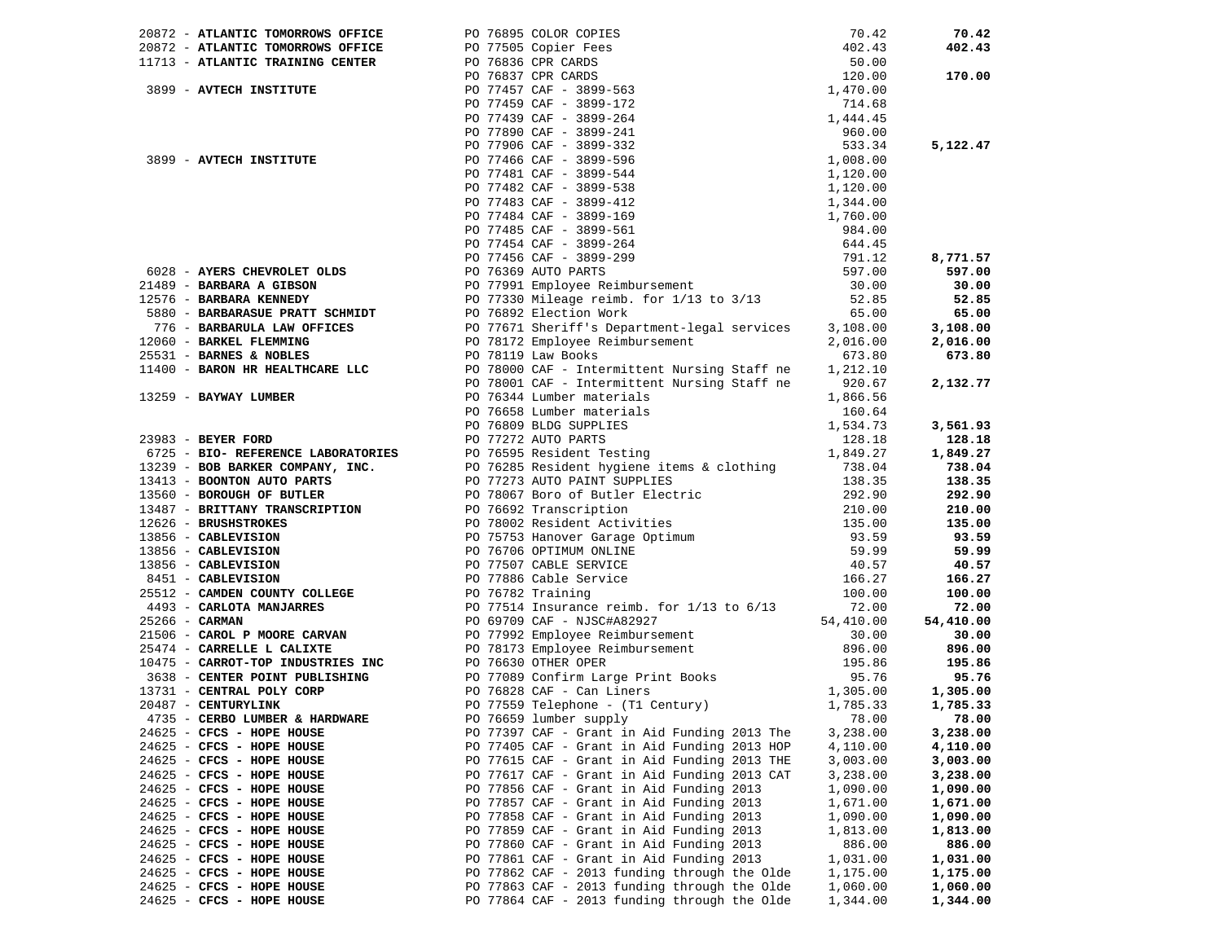|                           |                                                                                                                                                                                                                                 |          | 70.42              |
|---------------------------|---------------------------------------------------------------------------------------------------------------------------------------------------------------------------------------------------------------------------------|----------|--------------------|
|                           |                                                                                                                                                                                                                                 |          | 402.43             |
|                           |                                                                                                                                                                                                                                 |          |                    |
|                           |                                                                                                                                                                                                                                 |          | 170.00             |
|                           |                                                                                                                                                                                                                                 |          |                    |
|                           |                                                                                                                                                                                                                                 |          |                    |
|                           |                                                                                                                                                                                                                                 |          |                    |
|                           |                                                                                                                                                                                                                                 |          |                    |
|                           |                                                                                                                                                                                                                                 |          | 5,122.47           |
|                           |                                                                                                                                                                                                                                 |          |                    |
|                           |                                                                                                                                                                                                                                 |          |                    |
|                           |                                                                                                                                                                                                                                 |          |                    |
|                           |                                                                                                                                                                                                                                 |          |                    |
|                           |                                                                                                                                                                                                                                 |          |                    |
|                           |                                                                                                                                                                                                                                 |          |                    |
|                           |                                                                                                                                                                                                                                 |          |                    |
|                           |                                                                                                                                                                                                                                 |          |                    |
|                           |                                                                                                                                                                                                                                 |          | 8,771.57           |
|                           |                                                                                                                                                                                                                                 |          | 597.00             |
|                           |                                                                                                                                                                                                                                 |          | 30.00              |
|                           |                                                                                                                                                                                                                                 |          | 52.85              |
|                           |                                                                                                                                                                                                                                 |          | 65.00              |
|                           |                                                                                                                                                                                                                                 |          | 3,108.00           |
|                           |                                                                                                                                                                                                                                 |          | 2,016.00           |
|                           |                                                                                                                                                                                                                                 |          | 673.80             |
|                           |                                                                                                                                                                                                                                 |          |                    |
|                           |                                                                                                                                                                                                                                 |          | 2,132.77           |
|                           |                                                                                                                                                                                                                                 |          |                    |
|                           |                                                                                                                                                                                                                                 |          |                    |
|                           |                                                                                                                                                                                                                                 |          | 3,561.93           |
|                           |                                                                                                                                                                                                                                 |          | 128.18             |
|                           |                                                                                                                                                                                                                                 |          | 1,849.27           |
|                           |                                                                                                                                                                                                                                 |          | 738.04             |
|                           |                                                                                                                                                                                                                                 |          | 138.35             |
|                           |                                                                                                                                                                                                                                 |          |                    |
|                           |                                                                                                                                                                                                                                 |          | 292.90             |
|                           |                                                                                                                                                                                                                                 |          | 210.00             |
|                           |                                                                                                                                                                                                                                 |          | 135.00             |
|                           |                                                                                                                                                                                                                                 |          | 93.59              |
|                           |                                                                                                                                                                                                                                 |          | 59.99              |
|                           |                                                                                                                                                                                                                                 |          | 40.57              |
|                           |                                                                                                                                                                                                                                 |          | 166.27             |
|                           |                                                                                                                                                                                                                                 |          | 100.00             |
|                           |                                                                                                                                                                                                                                 |          | 72.00              |
|                           |                                                                                                                                                                                                                                 |          | 54,410.00          |
|                           |                                                                                                                                                                                                                                 |          | 30.00              |
|                           | 2007: ATACHIT CHOMBROON OFFICE PO POSICOL COMMISSIONS (2012)<br>1972: ATACHIT CHAIRPENT (2012) 2007: A CHOICH CHOIC COMMISSION COMMISSION COMMISSION COMMISSION COMMISSION COMMISSION COMMISSION COMMISSION COMMISSION COMMISSI |          | 896.00             |
|                           |                                                                                                                                                                                                                                 |          | 195.86             |
|                           |                                                                                                                                                                                                                                 |          | 95.76              |
|                           |                                                                                                                                                                                                                                 |          | 1,305.00           |
|                           |                                                                                                                                                                                                                                 |          | 1,785.33           |
|                           |                                                                                                                                                                                                                                 |          | 78.00              |
| 24625 - CFCS - HOPE HOUSE | PO 77397 CAF - Grant in Aid Funding 2013 The                                                                                                                                                                                    | 3,238.00 | 3,238.00           |
| 24625 - CFCS - HOPE HOUSE | PO 77405 CAF - Grant in Aid Funding 2013 HOP                                                                                                                                                                                    | 4,110.00 | 4,110.00           |
| 24625 - CFCS - HOPE HOUSE | PO 77615 CAF - Grant in Aid Funding 2013 THE                                                                                                                                                                                    | 3,003.00 | 3,003.00           |
| 24625 - CFCS - HOPE HOUSE | PO 77617 CAF - Grant in Aid Funding 2013 CAT                                                                                                                                                                                    | 3,238.00 | 3,238.00           |
| 24625 - CFCS - HOPE HOUSE | PO 77856 CAF - Grant in Aid Funding 2013                                                                                                                                                                                        | 1,090.00 | 1,090.00           |
| 24625 - CFCS - HOPE HOUSE | PO 77857 CAF - Grant in Aid Funding 2013                                                                                                                                                                                        | 1,671.00 | 1,671.00           |
| 24625 - CFCS - HOPE HOUSE | PO 77858 CAF - Grant in Aid Funding 2013                                                                                                                                                                                        | 1,090.00 | 1,090.00           |
| 24625 - CFCS - HOPE HOUSE | PO 77859 CAF - Grant in Aid Funding 2013                                                                                                                                                                                        | 1,813.00 | 1,813.00           |
| 24625 - CFCS - HOPE HOUSE |                                                                                                                                                                                                                                 |          |                    |
|                           | PO 77860 CAF - Grant in Aid Funding 2013<br>PO 77861 CAF - Grant in Aid Funding 2013                                                                                                                                            | 886.00   | 886.00<br>1,031.00 |
| 24625 - CFCS - HOPE HOUSE |                                                                                                                                                                                                                                 | 1,031.00 |                    |
| 24625 - CFCS - HOPE HOUSE | PO 77862 CAF - 2013 funding through the Olde                                                                                                                                                                                    | 1,175.00 | 1,175.00           |
| 24625 - CFCS - HOPE HOUSE | PO 77863 CAF - 2013 funding through the Olde                                                                                                                                                                                    | 1,060.00 | 1,060.00           |
| 24625 - CFCS - HOPE HOUSE | PO 77864 CAF - 2013 funding through the Olde                                                                                                                                                                                    | 1,344.00 | 1,344.00           |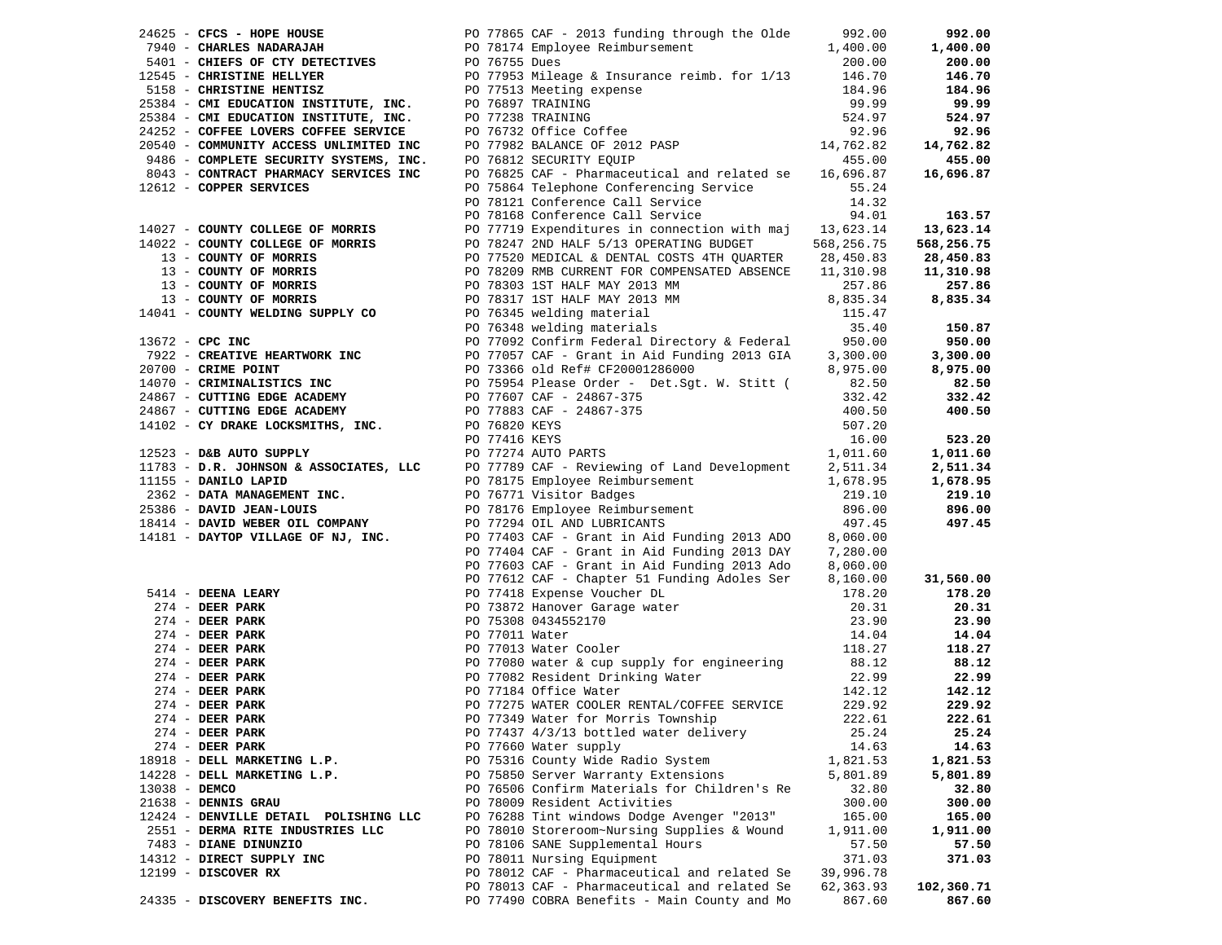|               |                                                                                             |                                                                                                                                                                                                                                                                                                                                                          |                 | 992.00           |
|---------------|---------------------------------------------------------------------------------------------|----------------------------------------------------------------------------------------------------------------------------------------------------------------------------------------------------------------------------------------------------------------------------------------------------------------------------------------------------------|-----------------|------------------|
|               |                                                                                             |                                                                                                                                                                                                                                                                                                                                                          |                 | 1,400.00         |
|               |                                                                                             |                                                                                                                                                                                                                                                                                                                                                          |                 | 200.00           |
|               |                                                                                             |                                                                                                                                                                                                                                                                                                                                                          |                 | 146.70<br>184.96 |
|               |                                                                                             |                                                                                                                                                                                                                                                                                                                                                          |                 | 99.99            |
|               |                                                                                             |                                                                                                                                                                                                                                                                                                                                                          |                 | 524.97           |
|               |                                                                                             |                                                                                                                                                                                                                                                                                                                                                          |                 | 92.96            |
|               |                                                                                             |                                                                                                                                                                                                                                                                                                                                                          |                 | 14,762.82        |
|               |                                                                                             |                                                                                                                                                                                                                                                                                                                                                          |                 | 455.00           |
|               |                                                                                             | PO 76825 CAF - Pharmaceutical and related se 16,696.87                                                                                                                                                                                                                                                                                                   |                 | 16,696.87        |
|               | 8043 - CONTRACT PHARMACY SERVICES INC<br>12612 - COPPER SERVICES<br>12612 - COPPER SERVICES |                                                                                                                                                                                                                                                                                                                                                          |                 |                  |
|               |                                                                                             |                                                                                                                                                                                                                                                                                                                                                          |                 |                  |
|               |                                                                                             | PO 75864 Telephone Conferencing Service 55.24<br>PO 78121 Conference Call Service 14.32<br>PO 78168 Conference Call Service 94.01                                                                                                                                                                                                                        |                 | 163.57           |
|               |                                                                                             |                                                                                                                                                                                                                                                                                                                                                          |                 | 13,623.14        |
|               |                                                                                             |                                                                                                                                                                                                                                                                                                                                                          |                 | 568,256.75       |
|               |                                                                                             |                                                                                                                                                                                                                                                                                                                                                          |                 | 28,450.83        |
|               |                                                                                             |                                                                                                                                                                                                                                                                                                                                                          |                 | 11,310.98        |
|               |                                                                                             |                                                                                                                                                                                                                                                                                                                                                          |                 | 257.86           |
|               |                                                                                             |                                                                                                                                                                                                                                                                                                                                                          |                 | 8,835.34         |
|               |                                                                                             |                                                                                                                                                                                                                                                                                                                                                          |                 |                  |
|               |                                                                                             |                                                                                                                                                                                                                                                                                                                                                          |                 | 150.87           |
|               |                                                                                             |                                                                                                                                                                                                                                                                                                                                                          |                 | 950.00           |
|               |                                                                                             |                                                                                                                                                                                                                                                                                                                                                          |                 | 3,300.00         |
|               |                                                                                             |                                                                                                                                                                                                                                                                                                                                                          |                 | 8,975.00         |
|               |                                                                                             |                                                                                                                                                                                                                                                                                                                                                          |                 | 82.50<br>332.42  |
|               |                                                                                             |                                                                                                                                                                                                                                                                                                                                                          |                 | 400.50           |
|               |                                                                                             |                                                                                                                                                                                                                                                                                                                                                          |                 |                  |
|               |                                                                                             |                                                                                                                                                                                                                                                                                                                                                          |                 | 523.20           |
|               |                                                                                             | $\begin{tabular}{cccc} 14027 - \textbf{COMNT COLL50R OF MOREIS} & 14027 - \textbf{COMNT COLL50R OF MOREIS} & 94 & 94 & 14027 \\ 14022 - \textbf{COMNT COLL50R OF MOREIS} & 107 & 14027 & 200 & 14027 \\ 14022 - \textbf{COMNT CIVL50R OF MOREIS} & 107 & 14027 & 200 & 14027 \\ 13 - \textbf{COMNT CIV DORIS RIS} & 107 & 7520 & 14027 & 200 & 14027 \\$ |                 | 1,011.60         |
|               |                                                                                             |                                                                                                                                                                                                                                                                                                                                                          |                 | 2,511.34         |
|               |                                                                                             |                                                                                                                                                                                                                                                                                                                                                          |                 | 1,678.95         |
|               |                                                                                             |                                                                                                                                                                                                                                                                                                                                                          |                 | 219.10           |
|               |                                                                                             |                                                                                                                                                                                                                                                                                                                                                          |                 | 896.00<br>497.45 |
|               |                                                                                             |                                                                                                                                                                                                                                                                                                                                                          |                 |                  |
|               |                                                                                             | 14181 - DAYTOP VILLAGE OF NJ, INC.<br>PO 77403 CAF - Grant in Aid Funding 2013 ADO 8,060.00<br>PO 77404 CAF - Grant in Aid Funding 2013 DAY 7,280.00                                                                                                                                                                                                     |                 |                  |
|               |                                                                                             |                                                                                                                                                                                                                                                                                                                                                          |                 |                  |
|               |                                                                                             | PO 77603 CAF - Grant in Aid Funding 2013 Ado 8,060.00                                                                                                                                                                                                                                                                                                    |                 |                  |
|               |                                                                                             | PO 77612 CAF - Chapter 51 Funding Adoles Ser                                                                                                                                                                                                                                                                                                             | 8,160.00        | 31,560.00        |
|               |                                                                                             |                                                                                                                                                                                                                                                                                                                                                          | 178.20          | 178.20           |
|               |                                                                                             |                                                                                                                                                                                                                                                                                                                                                          | 20.31           | 20.31            |
|               |                                                                                             |                                                                                                                                                                                                                                                                                                                                                          | 23.90<br>14.04  | 23.90<br>14.04   |
|               |                                                                                             |                                                                                                                                                                                                                                                                                                                                                          | 118.27          | 118.27           |
|               |                                                                                             | 90 77612 CAF - Chapter 51 Funding Adoles Ser<br>274 - DEER PARK<br>274 - DEER PARK<br>274 - DEER PARK<br>274 - DEER PARK<br>274 - DEER PARK<br>274 - DEER PARK<br>274 - DEER PARK<br>274 - DEER PARK<br>274 - DEER PARK<br>274 - DEER PARK<br>274 -                                                                                                      | 88.12           | 88.12            |
|               |                                                                                             |                                                                                                                                                                                                                                                                                                                                                          | 22.99           | 22.99            |
|               |                                                                                             |                                                                                                                                                                                                                                                                                                                                                          | 142.12          | 142.12           |
|               | 274 - DEER PARK                                                                             |                                                                                                                                                                                                                                                                                                                                                          | 229.92          | 229.92           |
|               | $274$ - DEER PARK                                                                           | PO 77349 Water for Morris Township                                                                                                                                                                                                                                                                                                                       | 222.61          | 222.61           |
|               | $274$ - DEER PARK                                                                           | PO 77437 4/3/13 bottled water delivery                                                                                                                                                                                                                                                                                                                   | 25.24           | 25.24            |
|               | $274$ - DEER PARK                                                                           | PO 77660 Water supply                                                                                                                                                                                                                                                                                                                                    | 14.63           | 14.63            |
|               | 18918 - DELL MARKETING L.P.                                                                 | PO 75316 County Wide Radio System                                                                                                                                                                                                                                                                                                                        | 1,821.53        | 1,821.53         |
|               | 14228 - DELL MARKETING L.P.                                                                 | PO 75850 Server Warranty Extensions                                                                                                                                                                                                                                                                                                                      | 5,801.89        | 5,801.89         |
| 13038 - DEMCO |                                                                                             | PO 76506 Confirm Materials for Children's Re                                                                                                                                                                                                                                                                                                             | 32.80           | 32.80            |
|               | 21638 - DENNIS GRAU                                                                         | PO 78009 Resident Activities                                                                                                                                                                                                                                                                                                                             | 300.00          | 300.00           |
|               | 12424 - DENVILLE DETAIL POLISHING LLC                                                       | PO 76288 Tint windows Dodge Avenger "2013"                                                                                                                                                                                                                                                                                                               | 165.00          | 165.00           |
|               | 2551 - DERMA RITE INDUSTRIES LLC                                                            | PO 78010 Storeroom~Nursing Supplies & Wound                                                                                                                                                                                                                                                                                                              | 1,911.00        | 1,911.00         |
|               | 7483 - DIANE DINUNZIO<br>14312 - DIRECT SUPPLY INC                                          | PO 78106 SANE Supplemental Hours<br>PO 78011 Nursing Equipment                                                                                                                                                                                                                                                                                           | 57.50<br>371.03 | 57.50<br>371.03  |
|               | $12199$ - DISCOVER RX                                                                       | PO 78012 CAF - Pharmaceutical and related Se                                                                                                                                                                                                                                                                                                             | 39,996.78       |                  |
|               |                                                                                             | PO 78013 CAF - Pharmaceutical and related Se                                                                                                                                                                                                                                                                                                             | 62,363.93       | 102,360.71       |
|               | 24335 - DISCOVERY BENEFITS INC.                                                             | PO 77490 COBRA Benefits - Main County and Mo                                                                                                                                                                                                                                                                                                             | 867.60          | 867.60           |
|               |                                                                                             |                                                                                                                                                                                                                                                                                                                                                          |                 |                  |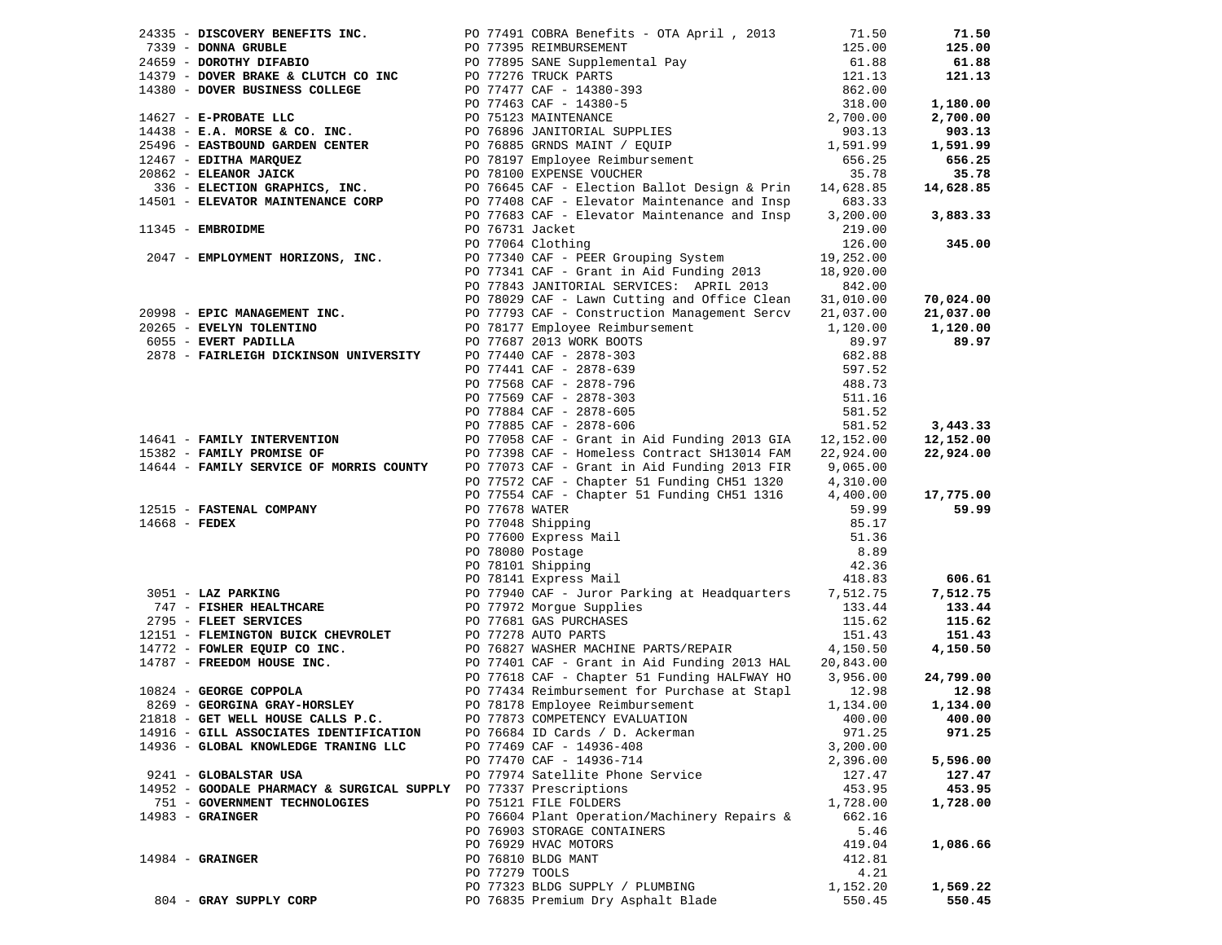|                                                                   | 24335 - DISCOVERY BENEFITS INC. PO 77491 COBRA Benefits - OTA April , 2013                                                                                                                                                                        | 71.50     | 71.50     |
|-------------------------------------------------------------------|---------------------------------------------------------------------------------------------------------------------------------------------------------------------------------------------------------------------------------------------------|-----------|-----------|
|                                                                   | 24335 - DISCOVERY BENEFITS INC.<br>24659 - DONNA GRUBLE<br>24659 - DONNA GUBLERING PO 77395 SANE Supplemental Pay<br>24659 - DONCHIV DIFABIO<br>25.00<br>261.88<br>25.00<br>27.00<br>27.000 DOVER BUSINESS COLLEGE<br>2017463 CAF - 14380-5<br>27 |           | 125.00    |
|                                                                   |                                                                                                                                                                                                                                                   |           | 61.88     |
|                                                                   |                                                                                                                                                                                                                                                   |           | 121.13    |
|                                                                   |                                                                                                                                                                                                                                                   |           |           |
|                                                                   |                                                                                                                                                                                                                                                   |           | 1,180.00  |
|                                                                   |                                                                                                                                                                                                                                                   |           | 2,700.00  |
|                                                                   |                                                                                                                                                                                                                                                   |           | 903.13    |
|                                                                   |                                                                                                                                                                                                                                                   |           | 1,591.99  |
|                                                                   |                                                                                                                                                                                                                                                   |           | 656.25    |
|                                                                   |                                                                                                                                                                                                                                                   |           | 35.78     |
|                                                                   | 336 - ELECTION GRAPHICS, INC.                   PO 76645 CAF - Election Ballot Design & Prin 14,628.85<br>14501 - ELEVATOR MAINTENANCE CORP             PO 77408 CAF - Elevator Maintenance and Insp       683.33                                 |           | 14,628.85 |
|                                                                   |                                                                                                                                                                                                                                                   |           |           |
|                                                                   | PO 77683 CAF - Elevator Maintenance and Insp 3,200.00                                                                                                                                                                                             |           | 3,883.33  |
| 11345 - EMBROIDME                                                 | PO 76731 Jacket                                                                                                                                                                                                                                   | 219.00    |           |
|                                                                   | PO 77064 Clothing                                                                                                                                                                                                                                 | 126.00    | 345.00    |
| 2047 - EMPLOYMENT HORIZONS, INC.                                  | PO 77340 CAF - PEER Grouping System                                                                                                                                                                                                               | 19,252.00 |           |
|                                                                   | PO 77341 CAF - Grant in Aid Funding 2013                                                                                                                                                                                                          | 18,920.00 |           |
|                                                                   | PO 77843 JANITORIAL SERVICES: APRIL 2013                                                                                                                                                                                                          | 842.00    |           |
|                                                                   | PO 78029 CAF - Lawn Cutting and Office Clean                                                                                                                                                                                                      | 31,010.00 | 70,024.00 |
| 20998 - EPIC MANAGEMENT INC.                                      | PO 77793 CAF - Construction Management Sercv 21,037.00                                                                                                                                                                                            |           | 21,037.00 |
| 20265 - EVELYN TOLENTINO                                          | PO 78177 Employee Reimbursement                                                                                                                                                                                                                   | 1,120.00  | 1,120.00  |
| 6055 - EVERT PADILLA                                              |                                                                                                                                                                                                                                                   | 89.97     | 89.97     |
| 2878 - FAIRLEIGH DICKINSON UNIVERSITY                             |                                                                                                                                                                                                                                                   | 682.88    |           |
|                                                                   |                                                                                                                                                                                                                                                   | 597.52    |           |
|                                                                   | PO 77687 2013 WORK BOOTS<br>PO 77687 2013 WORK BOOTS<br>PO 77440 CAF - 2878-303<br>PO 77568 CAF - 2878-539<br>PO 77568 CAF - 2878-796<br>PO 77569 CAF - 2878-605<br>PO 77884 CAF - 2878-605<br>PO 77885 CAF - 2878-605                            | 488.73    |           |
|                                                                   |                                                                                                                                                                                                                                                   | 511.16    |           |
|                                                                   |                                                                                                                                                                                                                                                   | 581.52    |           |
|                                                                   | PO 77885 CAF - 2878-606                                                                                                                                                                                                                           | 581.52    | 3,443.33  |
| 14641 - FAMILY INTERVENTION<br>--------- OF                       | PO 77058 CAF - Grant in Aid Funding 2013 GIA $12,152.00$                                                                                                                                                                                          |           | 12,152.00 |
|                                                                   | PO 77398 CAF - Homeless Contract SH13014 FAM                                                                                                                                                                                                      | 22,924.00 | 22,924.00 |
|                                                                   | 14644 - FAMILY SERVICE OF MORRIS COUNTY PO 77073 CAF - Grant in Aid Funding 2013 FIR 9,065.00                                                                                                                                                     |           |           |
|                                                                   | PO 77572 CAF - Chapter 51 Funding CH51 1320                                                                                                                                                                                                       | 4,310.00  |           |
|                                                                   | PO 77554 CAF - Chapter 51 Funding CH51 1316 4,400.00                                                                                                                                                                                              |           | 17,775.00 |
|                                                                   | PO 77678 WATER                                                                                                                                                                                                                                    | 59.99     | 59.99     |
| 12515 - FASTENAL COMPANY<br>14668 - FEDEX                         | PO 77048 Shipping<br>PO 77608 Express Mail<br>PO 78080 Postage<br>PO 78101 Shipping<br>Co 79141 Express Mail                                                                                                                                      | 85.17     |           |
|                                                                   |                                                                                                                                                                                                                                                   | 51.36     |           |
|                                                                   |                                                                                                                                                                                                                                                   | 8.89      |           |
|                                                                   |                                                                                                                                                                                                                                                   | 42.36     |           |
|                                                                   |                                                                                                                                                                                                                                                   | 418.83    | 606.61    |
| 3051 - LAZ PARKING                                                | PO 78141 Express Mail<br>PO 77940 CAF - Juror Park<br>PO 77972 Morgue Supplies<br>PO 77940 CAF - Juror Parking at Headquarters 7,512.75                                                                                                           |           | 7,512.75  |
| 747 - FISHER HEALTHCARE                                           |                                                                                                                                                                                                                                                   | 133.44    | 133.44    |
| 2795 - FLEET SERVICES                                             | PO 77681 GAS PURCHASES                                                                                                                                                                                                                            | 115.62    | 115.62    |
| 12151 - FLEMINGTON BUICK CHEVROLET PO 77278 AUTO PARTS            |                                                                                                                                                                                                                                                   | 151.43    | 151.43    |
|                                                                   |                                                                                                                                                                                                                                                   |           | 4,150.50  |
|                                                                   | 14772 - FOWLER EQUIP CO INC.<br>14787 - FREEDOM HOUSE INC.<br>16824 - GEORGE COPPOLA<br>16824 - GEORGE COPPOLA<br>16824 - GEORGE COPPOLA<br>16824 - GEORGE COPPOLA<br>16824 - GEORGE COPPOLA<br>16824 - GEORGE COPPOLA<br>16824 - GEORGE COPPO    |           |           |
|                                                                   |                                                                                                                                                                                                                                                   |           | 24,799.00 |
|                                                                   |                                                                                                                                                                                                                                                   |           | 12.98     |
| 8269 - GEORGINA GRAY-HORSLEY                                      | PO 78178 Employee Reimbursement                                                                                                                                                                                                                   | 1,134.00  | 1,134.00  |
| 21818 - GET WELL HOUSE CALLS P.C.                                 | PO 77873 COMPETENCY EVALUATION                                                                                                                                                                                                                    | 400.00    | 400.00    |
| 14916 - GILL ASSOCIATES IDENTIFICATION                            | PO 76684 ID Cards / D. Ackerman                                                                                                                                                                                                                   | 971.25    | 971.25    |
| 14936 - GLOBAL KNOWLEDGE TRANING LLC                              | PO 77469 CAF - 14936-408                                                                                                                                                                                                                          | 3,200.00  |           |
|                                                                   | PO 77470 CAF - 14936-714                                                                                                                                                                                                                          | 2,396.00  | 5,596.00  |
| 9241 - GLOBALSTAR USA                                             | PO 77974 Satellite Phone Service                                                                                                                                                                                                                  | 127.47    | 127.47    |
| 14952 - GOODALE PHARMACY & SURGICAL SUPPLY PO 77337 Prescriptions |                                                                                                                                                                                                                                                   | 453.95    | 453.95    |
| 751 - GOVERNMENT TECHNOLOGIES                                     |                                                                                                                                                                                                                                                   |           |           |
|                                                                   | PO 75121 FILE FOLDERS                                                                                                                                                                                                                             | 1,728.00  | 1,728.00  |
| $14983$ - GRAINGER                                                | PO 76604 Plant Operation/Machinery Repairs &                                                                                                                                                                                                      | 662.16    |           |
|                                                                   | PO 76903 STORAGE CONTAINERS                                                                                                                                                                                                                       | 5.46      |           |
|                                                                   | PO 76929 HVAC MOTORS                                                                                                                                                                                                                              | 419.04    | 1,086.66  |
| $14984$ - GRAINGER                                                | PO 76810 BLDG MANT                                                                                                                                                                                                                                | 412.81    |           |
|                                                                   | PO 77279 TOOLS                                                                                                                                                                                                                                    | 4.21      |           |
|                                                                   | PO 77323 BLDG SUPPLY / PLUMBING                                                                                                                                                                                                                   | 1,152.20  | 1,569.22  |
| 804 - GRAY SUPPLY CORP                                            | PO 76835 Premium Dry Asphalt Blade                                                                                                                                                                                                                | 550.45    | 550.45    |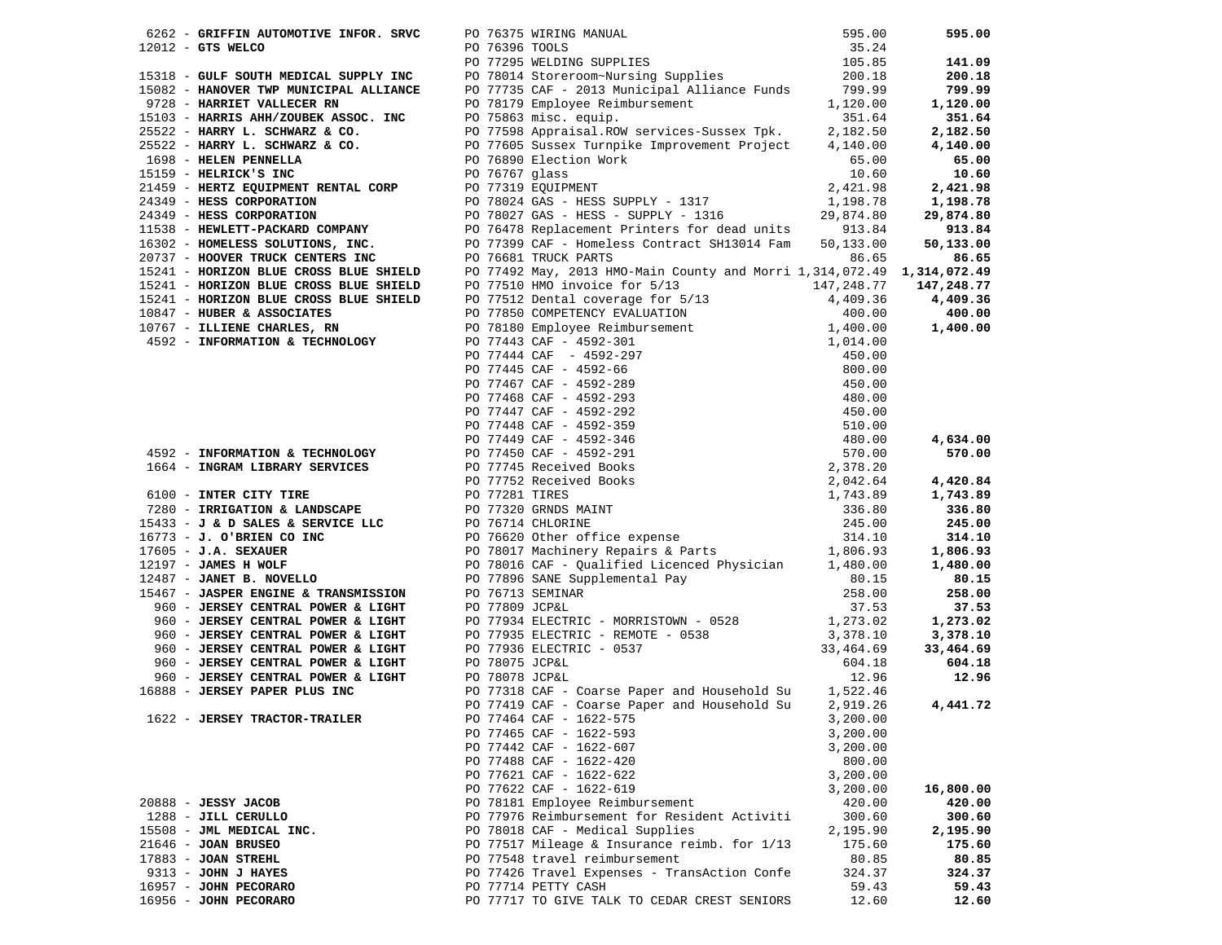|                                                                                                                                          |                | 6262 - GRIFFIN AUTOMOTIVE INFOR. SRVC PO 76375 WIRING MANUAL 595.00<br>12012 - GTS WELCO PO 76396 TOOLS 35.24<br>PO 77295 WELDING SUPPLIES 105.85<br>15318 - GULF SOUTH MEDICAL SUPPLY INC PO 78014 Storeroom~Nursing Supplies 200.18<br>1 |                      | 595.00               |
|------------------------------------------------------------------------------------------------------------------------------------------|----------------|--------------------------------------------------------------------------------------------------------------------------------------------------------------------------------------------------------------------------------------------|----------------------|----------------------|
|                                                                                                                                          |                |                                                                                                                                                                                                                                            |                      |                      |
|                                                                                                                                          |                |                                                                                                                                                                                                                                            |                      | 141.09               |
|                                                                                                                                          |                |                                                                                                                                                                                                                                            |                      | 200.18               |
|                                                                                                                                          |                |                                                                                                                                                                                                                                            |                      | 799.99               |
| 9728 - HARRIET VALLECER RN                                                                                                               |                | PO 78179 Employee Reimbursement                                                                                                                                                                                                            | 1,120.00             | 1,120.00             |
| 15103 - HARRIS AHH/ZOUBEK ASSOC. INC                                                                                                     |                | PO 75863 misc. equip.                                                                                                                                                                                                                      | 351.64               | 351.64               |
| 25522 - HARRY L. SCHWARZ & CO.<br>25522 - HARRY L. SCHWARZ & CO.                                                                         |                | PO 77598 Appraisal.ROW services-Sussex Tpk.<br>PO 77605 Sussex Turnpike Improvement Project                                                                                                                                                | 2,182.50             | 2,182.50             |
| 25522 - HARRY L. SCHWARZ & CO.                                                                                                           |                |                                                                                                                                                                                                                                            | 4,140.00             | 4,140.00             |
| 1698 - HELEN PENNELLA<br>15159 - HELRICK'S INC                                                                                           |                | PO 76890 Election Work                                                                                                                                                                                                                     | 65.00                | 65.00                |
|                                                                                                                                          | PO 76767 glass |                                                                                                                                                                                                                                            | 10.60                | 10.60                |
| 21459 - HERTZ EQUIPMENT RENTAL CORP<br>24349 - HERTZ EQUIPMENT RENTAL CORP<br>24349 - HESS CORPORATION PO 78024 GAS - HESS SUPPLY - 1317 |                |                                                                                                                                                                                                                                            | 2,421.98             | 2,421.98             |
|                                                                                                                                          |                |                                                                                                                                                                                                                                            | 1,198.78             | 1,198.78             |
| 24349 - HESS CORPORATION                                                                                                                 |                | PO 78027 GAS - HESS - SUPPLY - 1310<br>PO 76478 Replacement Printers for dead units 913.84<br>The Microsoftheory Contract SH13014 Fam 50,133.00                                                                                            |                      | 29,874.80            |
| 11538 - HEWLETT-PACKARD COMPANY                                                                                                          |                |                                                                                                                                                                                                                                            |                      | 913.84               |
| 16302 - HOMELESS SOLUTIONS, INC.                                                                                                         |                | - נושא של המשפח המשפח המשפח ה-PO 77399 CAF - Homeless Contract SH13014 Fam<br>PO 76681 TRUCK המפגם ה                                                                                                                                       |                      | 50,133.00            |
| 20737 - HOOVER TRUCK CENTERS INC                                                                                                         |                | PO 76681 TRUCK PARTS                                                                                                                                                                                                                       | 86.65                | 86.65                |
| 15241 - HORIZON BLUE CROSS BLUE SHIELD<br>15241 - HORIZON BLUE CROSS BLUE SHIELD                                                         |                | PO 77492 May, 2013 HMO-Main County and Morri 1,314,072.49 1,314,072.49                                                                                                                                                                     |                      |                      |
|                                                                                                                                          |                | PO 77510 HMO invoice for 5/13                                                                                                                                                                                                              | 147,248.77           | 147,248.77           |
|                                                                                                                                          |                |                                                                                                                                                                                                                                            |                      | 4,409.36             |
|                                                                                                                                          |                |                                                                                                                                                                                                                                            |                      | 400.00               |
|                                                                                                                                          |                |                                                                                                                                                                                                                                            |                      | 1,400.00             |
|                                                                                                                                          |                |                                                                                                                                                                                                                                            |                      |                      |
|                                                                                                                                          |                |                                                                                                                                                                                                                                            |                      |                      |
|                                                                                                                                          |                |                                                                                                                                                                                                                                            |                      |                      |
|                                                                                                                                          |                |                                                                                                                                                                                                                                            |                      |                      |
|                                                                                                                                          |                |                                                                                                                                                                                                                                            |                      |                      |
|                                                                                                                                          |                |                                                                                                                                                                                                                                            |                      |                      |
|                                                                                                                                          |                |                                                                                                                                                                                                                                            |                      |                      |
|                                                                                                                                          |                |                                                                                                                                                                                                                                            |                      | 4,634.00             |
|                                                                                                                                          |                |                                                                                                                                                                                                                                            |                      | 570.00               |
|                                                                                                                                          |                | 19241 - HORIZON BLUE CROSS BLUE SHELD FO 77510 HNO invoice for 5/13<br>19241 - HORIZON BLUE CROSS BLUE SHELD FO 77510 HNO invoice for 5/13<br>19241 - HORIZON BLUE CROSS BLUE SHELD FO 77510 HNO invoice for 5/13<br>19241 - HORIZ         |                      |                      |
|                                                                                                                                          |                |                                                                                                                                                                                                                                            |                      | 4,420.84             |
|                                                                                                                                          |                |                                                                                                                                                                                                                                            |                      | 1,743.89             |
|                                                                                                                                          |                |                                                                                                                                                                                                                                            |                      | 336.80               |
|                                                                                                                                          |                |                                                                                                                                                                                                                                            |                      | 245.00               |
|                                                                                                                                          |                |                                                                                                                                                                                                                                            |                      | 314.10               |
| 12197 - JAMES H WOLF                                                                                                                     |                |                                                                                                                                                                                                                                            |                      | 1,806.93             |
|                                                                                                                                          |                | PO 78016 CAF - Qualified Licenced Physician 1,480.00                                                                                                                                                                                       |                      | 1,480.00             |
| 12487 - JANET B. NOVELLO                                                                                                                 |                | PO 77896 SANE Supplemental Pay<br>PO 76713 SEMINAR<br>PO 77809 JCP&L                                                                                                                                                                       | 80.15                | 80.15                |
| 15467 - JASPER ENGINE & TRANSMISSION                                                                                                     |                |                                                                                                                                                                                                                                            | 258.00               | 258.00               |
| 960 - JERSEY CENTRAL POWER & LIGHT                                                                                                       |                | PO 77809 JCP&L                                                                                                                                                                                                                             | 37.53                | 37.53                |
| 960 - JERSEY CENTRAL POWER & LIGHT<br>960 - JERSEY CENTRAL POWER & LIGHT                                                                 |                | PO 77934 ELECTRIC - MORRISTOWN - 0528<br>PO 77933 ELECTRIC - REMOTE - vood<br>PO 77935 ELECTRIC - 0537<br>20 77936 ELECTRIC - 0537                                                                                                         | 1,273.02<br>3,378.10 | 1,273.02<br>3,378.10 |
| 960 - JERSEY CENTRAL POWER & LIGHT                                                                                                       |                |                                                                                                                                                                                                                                            | 33,464.69            | 33,464.69            |
| 960 - JERSEY CENTRAL POWER & LIGHT                                                                                                       |                |                                                                                                                                                                                                                                            | 604.18               | 604.18               |
|                                                                                                                                          |                |                                                                                                                                                                                                                                            | 12.96                | 12.96                |
| 960 - JERSEY CENTRAL POWER & LIGHT<br>5888 - JERSEY PAPER PLUS INC<br>16888 - JERSEY PAPER PLUS INC                                      |                | PO 77318 CAF - Coarse Paper and Household Su 1,522.46                                                                                                                                                                                      |                      |                      |
|                                                                                                                                          |                | PO 77419 CAF - Coarse Paper and Household Su                                                                                                                                                                                               | 2,919.26             | 4,441.72             |
| 1622 - JERSEY TRACTOR-TRAILER                                                                                                            |                | PO 77464 CAF - 1622-575                                                                                                                                                                                                                    | 3,200.00             |                      |
|                                                                                                                                          |                | PO 77465 CAF - 1622-593                                                                                                                                                                                                                    | 3,200.00             |                      |
|                                                                                                                                          |                | PO 77442 CAF - 1622-607                                                                                                                                                                                                                    | 3,200.00             |                      |
|                                                                                                                                          |                | PO 77488 CAF - 1622-420                                                                                                                                                                                                                    | 800.00               |                      |
|                                                                                                                                          |                | PO 77621 CAF - 1622-622                                                                                                                                                                                                                    | 3,200.00             |                      |
|                                                                                                                                          |                | PO 77622 CAF - 1622-619                                                                                                                                                                                                                    | 3,200.00             | 16,800.00            |
| 20888 - JESSY JACOB                                                                                                                      |                | PO 78181 Employee Reimbursement                                                                                                                                                                                                            | 420.00               | 420.00               |
| 1288 - JILL CERULLO                                                                                                                      |                | PO 77976 Reimbursement for Resident Activiti                                                                                                                                                                                               | 300.60               | 300.60               |
| 15508 - JML MEDICAL INC.                                                                                                                 |                | PO 78018 CAF - Medical Supplies                                                                                                                                                                                                            | 2,195.90             | 2,195.90             |
| 21646 - JOAN BRUSEO                                                                                                                      |                | PO 77517 Mileage & Insurance reimb. for 1/13                                                                                                                                                                                               | 175.60               | 175.60               |
| $17883 - JOAN$ STREHL                                                                                                                    |                | PO 77548 travel reimbursement                                                                                                                                                                                                              | 80.85                | 80.85                |
| $9313 - JOHN J HAYES$                                                                                                                    |                | PO 77426 Travel Expenses - TransAction Confe                                                                                                                                                                                               | 324.37               | 324.37               |
| 16957 - JOHN PECORARO                                                                                                                    |                | PO 77714 PETTY CASH                                                                                                                                                                                                                        | 59.43                | 59.43                |
| 16956 - JOHN PECORARO                                                                                                                    |                | PO 77717 TO GIVE TALK TO CEDAR CREST SENIORS                                                                                                                                                                                               | 12.60                | 12.60                |
|                                                                                                                                          |                |                                                                                                                                                                                                                                            |                      |                      |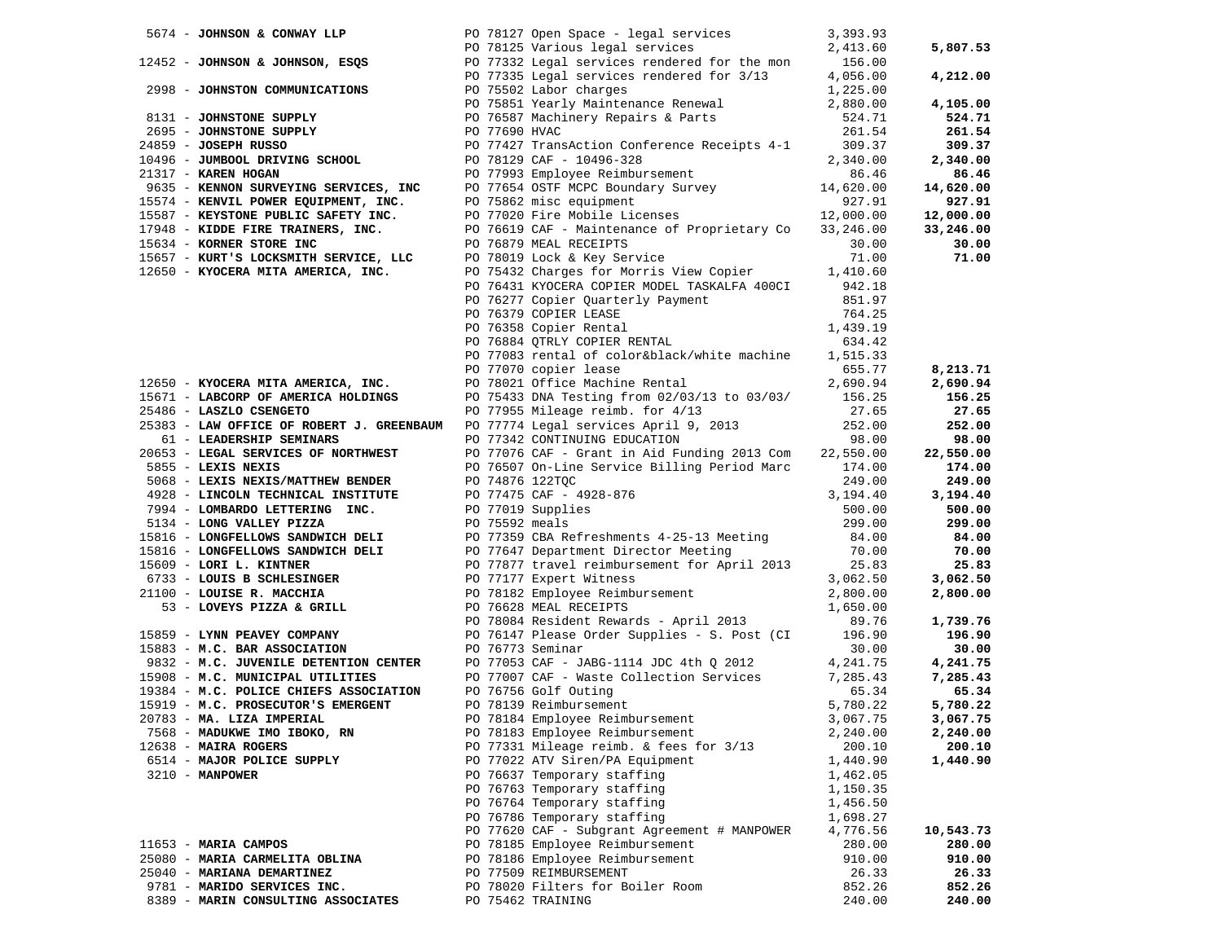| 5674 - JOHNSON & CONWAY LLP                                                  |               | PO 78127 Open Space - legal services                                                   | 3,393.93  |           |
|------------------------------------------------------------------------------|---------------|----------------------------------------------------------------------------------------|-----------|-----------|
|                                                                              |               | PO 78125 Various legal services                                                        | 2,413.60  | 5,807.53  |
| 12452 - JOHNSON & JOHNSON, ESQS PO 77332 Legal services rendered for the mon |               |                                                                                        | 156.00    |           |
|                                                                              |               | PO 77335 Legal services rendered for 3/13                                              | 4,056.00  | 4,212.00  |
| 2998 - JOHNSTON COMMUNICATIONS                                               |               | PO 75502 Labor charges                                                                 | 1,225.00  |           |
|                                                                              |               |                                                                                        |           |           |
|                                                                              |               | PO 75851 Yearly Maintenance Renewal                                                    | 2,880.00  | 4,105.00  |
| 8131 - JOHNSTONE SUPPLY                                                      |               | PO 76587 Machinery Repairs & Parts                                                     | 524.71    | 524.71    |
| 2695 - JOHNSTONE SUPPLY                                                      | PO 77690 HVAC |                                                                                        | 261.54    | 261.54    |
| 24859 - JOSEPH RUSSO                                                         |               | PO 77427 TransAction Conference Receipts 4-1                                           | 309.37    | 309.37    |
| 10496 - JUMBOOL DRIVING SCHOOL                                               |               | PO 78129 CAF - 10496-328                                                               | 2,340.00  | 2,340.00  |
| 21317 - KAREN HOGAN                                                          |               | PO 77993 Employee Reimbursement                                                        | 86.46     | 86.46     |
| 9635 - KENNON SURVEYING SERVICES, INC                                        |               | PO 77654 OSTF MCPC Boundary Survey                                                     | 14,620.00 | 14,620.00 |
| 15574 - KENVIL POWER EQUIPMENT, INC.                                         |               |                                                                                        | 927.91    | 927.91    |
| 15587 - KEYSTONE PUBLIC SAFETY INC.                                          |               | PO 75862 misc equipment<br>PO 77020 Fire Mobile Licenses                               | 12,000.00 | 12,000.00 |
| 17948 - KIDDE FIRE TRAINERS, INC.                                            |               | PO 76619 CAF - Maintenance of Proprietary Co 33,246.00                                 |           | 33,246.00 |
| 15634 - KORNER STORE INC                                                     |               | PO 76879 MEAL RECEIPTS                                                                 | 30.00     | 30.00     |
|                                                                              |               | PO 78019 Lock & Key Service                                                            |           |           |
| 15657 - KURT'S LOCKSMITH SERVICE, LLC                                        |               |                                                                                        | 71.00     | 71.00     |
| 12650 - KYOCERA MITA AMERICA, INC.                                           |               | PO 75432 Charges for Morris View Copier                                                | 1,410.60  |           |
|                                                                              |               | PO 76431 KYOCERA COPIER MODEL TASKALFA 400CI                                           | 942.18    |           |
|                                                                              |               | PO 76277 Copier Quarterly Payment                                                      | 851.97    |           |
|                                                                              |               | PO 76379 COPIER LEASE                                                                  | 764.25    |           |
|                                                                              |               | PO 76358 Copier Rental                                                                 | 1,439.19  |           |
|                                                                              |               | PO 76884 QTRLY COPIER RENTAL                                                           | 634.42    |           |
|                                                                              |               | PO 77083 rental of color&black/white machine                                           | 1,515.33  |           |
|                                                                              |               | PO 77070 copier lease                                                                  | 655.77    | 8,213.71  |
| 12650 - KYOCERA MITA AMERICA, INC.                                           |               | PO 78021 Office Machine Rental                                                         | 2,690.94  | 2,690.94  |
| 15671 - LABCORP OF AMERICA HOLDINGS                                          |               | PO 75433 DNA Testing from 02/03/13 to 03/03/                                           | 156.25    | 156.25    |
| 25486 - LASZLO CSENGETO                                                      |               | PO 77955 Mileage reimb. for 4/13                                                       | 27.65     | 27.65     |
| 25383 - LAW OFFICE OF ROBERT J. GREENBAUM                                    |               | PO 77774 Legal services April 9, 2013                                                  | 252.00    | 252.00    |
| 61 - LEADERSHIP SEMINARS                                                     |               | PO 77342 CONTINUING EDUCATION                                                          | 98.00     | 98.00     |
| 20653 - LEGAL SERVICES OF NORTHWEST                                          |               | PO 77076 CAF - Grant in Aid Funding 2013 Com 22,550.00                                 |           | 22,550.00 |
| 5855 - LEXIS NEXIS                                                           |               | PO 76507 On-Line Service Billing Period Marc                                           | 174.00    | 174.00    |
| 5068 - LEXIS NEXIS/MATTHEW BENDER                                            |               | PO 74876 122TQC                                                                        | 249.00    | 249.00    |
| 4928 - LINCOLN TECHNICAL INSTITUTE                                           |               | PO 77475 CAF - 4928-876                                                                | 3,194.40  | 3,194.40  |
| 7994 - LOMBARDO LETTERING INC.                                               |               | PO 77019 Supplies                                                                      | 500.00    | 500.00    |
|                                                                              |               |                                                                                        |           | 299.00    |
| 5134 - LONG VALLEY PIZZA                                                     |               |                                                                                        | 299.00    |           |
| 15816 - LONGFELLOWS SANDWICH DELI                                            |               | PO 75592 meals<br>PO 77359 CBA Refreshments 4-25-13 Meeting<br>Little Director Meeting | 84.00     | 84.00     |
| 15816 - LONGFELLOWS SANDWICH DELI PO 77647 Department Director Meeting       |               |                                                                                        | 70.00     | 70.00     |
| 15609 - LORI L. KINTNER                                                      |               | PO 77877 travel reimbursement for April 2013                                           | 25.83     | 25.83     |
| 6733 - LOUIS B SCHLESINGER                                                   |               | PO 77177 Expert Witness                                                                | 3,062.50  | 3,062.50  |
| 21100 - LOUISE R. MACCHIA                                                    |               | PO 78182 Employee Reimbursement<br>po 76628 MEAL RECEIPTS                              | 2,800.00  | 2,800.00  |
| 53 - LOVEYS PIZZA & GRILL                                                    |               | PO 76628 MEAL RECEIPTS                                                                 | 1,650.00  |           |
|                                                                              |               | PO 78084 Resident Rewards - April 2013                                                 | 89.76     | 1,739.76  |
| 15859 - LYNN PEAVEY COMPANY                                                  |               | PO 76147 Please Order Supplies - S. Post (CI                                           | 196.90    | 196.90    |
| 15883 - M.C. BAR ASSOCIATION                                                 |               | PO 76773 Seminar                                                                       | 30.00     | 30.00     |
| 9832 - M.C. JUVENILE DETENTION CENTER<br>15908 - M.C. MUNICIPAL UTILITIES    |               | PO 77053 CAF - JABG-1114 JDC 4th Q 2012                                                | 4,241.75  | 4,241.75  |
| 15908 - M.C. MUNICIPAL UTILITIES                                             |               | PO 77007 CAF - Waste Collection Services                                               | 7,285.43  | 7,285.43  |
| 19384 - M.C. POLICE CHIEFS ASSOCIATION                                       |               | PO 76756 Golf Outing                                                                   | 65.34     | 65.34     |
| 15919 - M.C. PROSECUTOR'S EMERGENT                                           |               | PO 78139 Reimbursement                                                                 | 5,780.22  | 5,780.22  |
| 20783 - MA. LIZA IMPERIAL                                                    |               | PO 78184 Employee Reimbursement                                                        | 3,067.75  | 3,067.75  |
| 7568 - MADUKWE IMO IBOKO, RN                                                 |               | PO 78183 Employee Reimbursement                                                        | 2,240.00  | 2,240.00  |
| 12638 - MAIRA ROGERS                                                         |               | PO 77331 Mileage reimb. & fees for 3/13                                                | 200.10    | 200.10    |
| 6514 - MAJOR POLICE SUPPLY                                                   |               | PO 77022 ATV Siren/PA Equipment                                                        | 1,440.90  | 1,440.90  |
| $3210 - MANPOWER$                                                            |               | PO 76637 Temporary staffing                                                            | 1,462.05  |           |
|                                                                              |               | PO 76763 Temporary staffing                                                            | 1,150.35  |           |
|                                                                              |               | PO 76764 Temporary staffing                                                            | 1,456.50  |           |
|                                                                              |               | PO 76786 Temporary staffing                                                            |           |           |
|                                                                              |               |                                                                                        | 1,698.27  |           |
|                                                                              |               | PO 77620 CAF - Subgrant Agreement # MANPOWER                                           | 4,776.56  | 10,543.73 |
| 11653 - MARIA CAMPOS                                                         |               | PO 78185 Employee Reimbursement                                                        | 280.00    | 280.00    |
| 25080 - MARIA CARMELITA OBLINA                                               |               | PO 78186 Employee Reimbursement                                                        | 910.00    | 910.00    |
| 25040 - MARIANA DEMARTINEZ                                                   |               | PO 77509 REIMBURSEMENT                                                                 | 26.33     | 26.33     |
| 9781 - MARIDO SERVICES INC.                                                  |               | PO 78020 Filters for Boiler Room                                                       | 852.26    | 852.26    |
| 8389 - MARIN CONSULTING ASSOCIATES                                           |               | PO 75462 TRAINING                                                                      | 240.00    | 240.00    |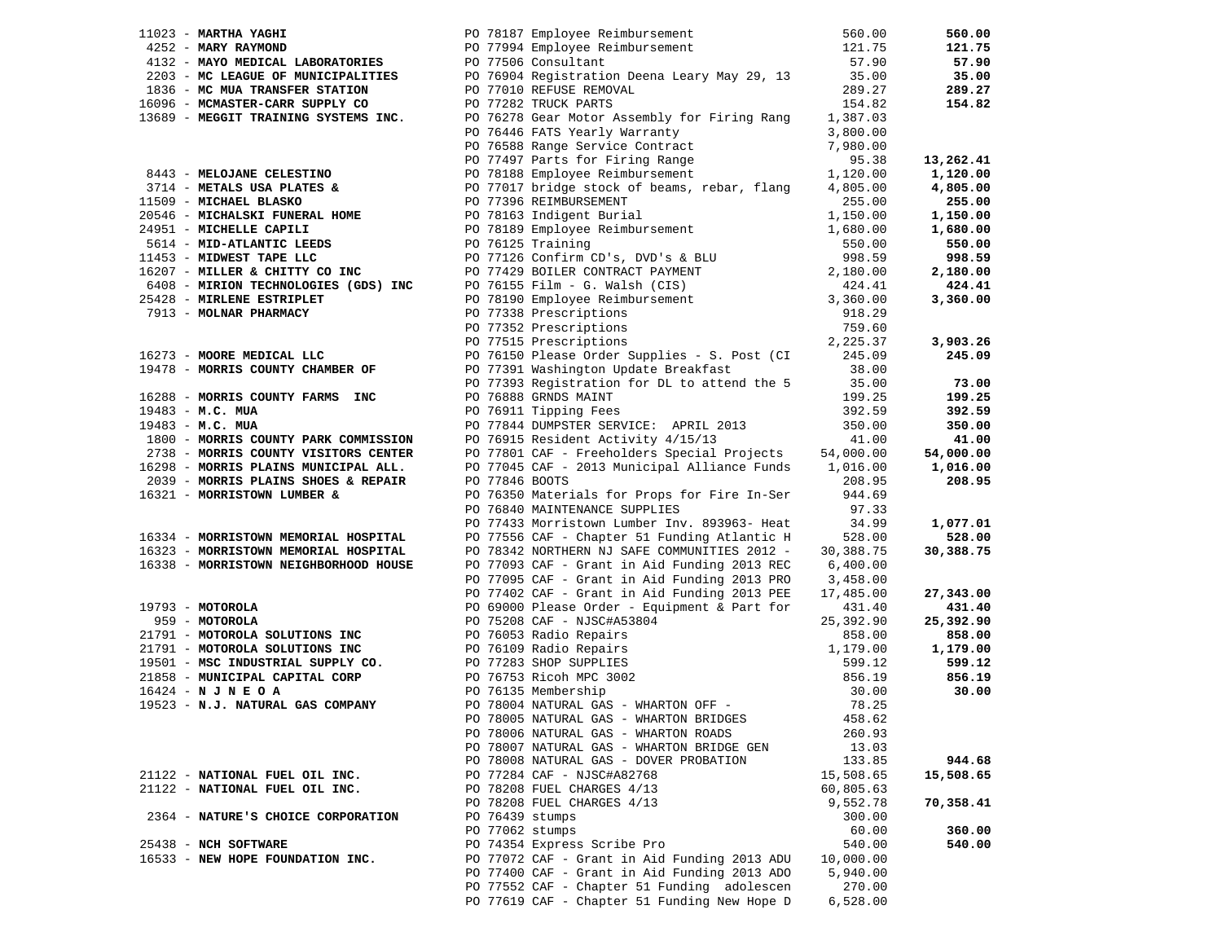| $11023$ - MARTHA YAGHI                               | PO 78187 Employee Reimbursement                                                                                                                                                                                                                | 560.00    | 560.00    |
|------------------------------------------------------|------------------------------------------------------------------------------------------------------------------------------------------------------------------------------------------------------------------------------------------------|-----------|-----------|
| 4252 - MARY RAYMOND                                  | PO 77994 Employee Reimbursement                                                                                                                                                                                                                | 121.75    | 121.75    |
| 4132 - MAYO MEDICAL LABORATORIES                     | PO 77506 Consultant                                                                                                                                                                                                                            | 57.90     | 57.90     |
| 2203 - MC LEAGUE OF MUNICIPALITIES                   | PO 76904 Registration Deena Leary May 29, 13                                                                                                                                                                                                   | 35.00     | 35.00     |
| 1836 - MC MUA TRANSFER STATION                       | PO 77010 REFUSE REMOVAL                                                                                                                                                                                                                        | 289.27    | 289.27    |
| 16096 - MCMASTER-CARR SUPPLY CO                      | PO 77282 TRUCK PARTS                                                                                                                                                                                                                           | 154.82    | 154.82    |
| 13689 - MEGGIT TRAINING SYSTEMS INC.                 | PO 76278 Gear Motor Assembly for Firing Rang                                                                                                                                                                                                   | 1,387.03  |           |
|                                                      | PO 76446 FATS Yearly Warranty                                                                                                                                                                                                                  | 3,800.00  |           |
|                                                      | PO 76588 Range Service Contract                                                                                                                                                                                                                | 7,980.00  |           |
|                                                      |                                                                                                                                                                                                                                                | 95.38     | 13,262.41 |
| 8443 - MELOJANE CELESTINO                            | PO 77497 Parts for Firing Range<br>PO 78188 Employee Reimbursement                                                                                                                                                                             | 1,120.00  | 1,120.00  |
| 3714 - METALS USA PLATES &                           | PO 77017 bridge stock of beams, rebar, flang                                                                                                                                                                                                   | 4,805.00  | 4,805.00  |
| 11509 - MICHAEL BLASKO                               | PO 77396 REIMBURSEMENT                                                                                                                                                                                                                         | 255.00    | 255.00    |
| 20546 - MICHALSKI FUNERAL HOME                       | PO 78163 Indigent Burial                                                                                                                                                                                                                       |           |           |
| 24951 - MICHELLE CAPILI                              |                                                                                                                                                                                                                                                | 1,150.00  | 1,150.00  |
|                                                      | PO 78189 Employee Reimbursement                                                                                                                                                                                                                | 1,680.00  | 1,680.00  |
| 5614 - MID-ATLANTIC LEEDS<br>1453 - MIDWEST TAPE LLC | PO 76125 Training                                                                                                                                                                                                                              | 550.00    | 550.00    |
| 11453 - MIDWEST TAPE LLC                             |                                                                                                                                                                                                                                                | 998.59    | 998.59    |
| 16207 - MILLER & CHITTY CO INC                       | PO 70125 Iraining<br>PO 77126 Confirm CD's, DVD's & BLU<br>PO 77129 BOILER CONTRACT PAYMENT<br>PO 76155 Film - G. Walsh (CIS)<br>PO 78190 Employee Reimbursement<br>PO 77338 Prescriptions<br>PO 77352 Prescriptions<br>PO 77515 Prescriptions | 2,180.00  | 2,180.00  |
| 6408 - MIRION TECHNOLOGIES (GDS) INC                 |                                                                                                                                                                                                                                                | 424.41    | 424.41    |
| 25428 - MIRLENE ESTRIPLET                            |                                                                                                                                                                                                                                                | 3,360.00  | 3,360.00  |
| 7913 - MOLNAR PHARMACY                               |                                                                                                                                                                                                                                                | 918.29    |           |
|                                                      |                                                                                                                                                                                                                                                | 759.60    |           |
|                                                      |                                                                                                                                                                                                                                                | 2,225.37  | 3,903.26  |
| 16273 - MOORE MEDICAL LLC                            | PO 76150 Please Order Supplies - S. Post (CI                                                                                                                                                                                                   | 245.09    | 245.09    |
| 19478 - MORRIS COUNTY CHAMBER OF                     | PO 77391 Washington Update Breakfast                                                                                                                                                                                                           | 38.00     |           |
|                                                      | PO 77393 Registration for DL to attend the 5                                                                                                                                                                                                   | 35.00     | 73.00     |
| 16288 - MORRIS COUNTY FARMS INC                      | PO 76888 GRNDS MAINT                                                                                                                                                                                                                           | 199.25    | 199.25    |
| 19483 - M.C. MUA                                     | PO 76911 Tipping Fees                                                                                                                                                                                                                          | 392.59    | 392.59    |
| $19483 - M.C. MUA$                                   | PO 77844 DUMPSTER SERVICE: APRIL 2013                                                                                                                                                                                                          | 350.00    | 350.00    |
| 1800 - MORRIS COUNTY PARK COMMISSION                 | PO 76915 Resident Activity 4/15/13                                                                                                                                                                                                             | 41.00     | 41.00     |
| 2738 - MORRIS COUNTY VISITORS CENTER                 | PO 77801 CAF - Freeholders Special Projects                                                                                                                                                                                                    | 54,000.00 | 54,000.00 |
| 16298 - MORRIS PLAINS MUNICIPAL ALL.                 | PO 77045 CAF - 2013 Municipal Alliance Funds 1,016.00                                                                                                                                                                                          |           | 1,016.00  |
| 2039 - MORRIS PLAINS SHOES & REPAIR                  | PO 77846 BOOTS                                                                                                                                                                                                                                 | 208.95    | 208.95    |
| 16321 - MORRISTOWN LUMBER &                          | PO 76350 Materials for Props for Fire In-Ser                                                                                                                                                                                                   | 944.69    |           |
|                                                      |                                                                                                                                                                                                                                                |           |           |
|                                                      | PO 76840 MAINTENANCE SUPPLIES                                                                                                                                                                                                                  | 97.33     |           |
|                                                      | PO 77433 Morristown Lumber Inv. 893963- Heat                                                                                                                                                                                                   | 34.99     | 1,077.01  |
| 16334 - MORRISTOWN MEMORIAL HOSPITAL                 | PO 77556 CAF - Chapter 51 Funding Atlantic H                                                                                                                                                                                                   | 528.00    | 528.00    |
| 16323 - MORRISTOWN MEMORIAL HOSPITAL                 | PO 78342 NORTHERN NJ SAFE COMMUNITIES 2012 -                                                                                                                                                                                                   | 30,388.75 | 30,388.75 |
| 16338 - MORRISTOWN NEIGHBORHOOD HOUSE                | PO 77093 CAF - Grant in Aid Funding 2013 REC                                                                                                                                                                                                   | 6,400.00  |           |
|                                                      | PO 77095 CAF - Grant in Aid Funding 2013 PRO                                                                                                                                                                                                   | 3,458.00  |           |
|                                                      | PO 77402 CAF - Grant in Aid Funding 2013 PEE                                                                                                                                                                                                   | 17,485.00 | 27,343.00 |
| 19793 - MOTOROLA                                     | PO 69000 Please Order - Equipment & Part for                                                                                                                                                                                                   | 431.40    | 431.40    |
| 959 - MOTOROLA                                       | PO 75208 CAF - NJSC#A53804<br>PO 75208 CAF - NJSC#A53804<br>PO 76053 Radio Repairs<br>PO 76109 Radio Repairs<br>PO 76753 Ricoh MPC 3002<br>PO 76135 Membership                                                                                 | 25,392.90 | 25,392.90 |
| 21791 - MOTOROLA SOLUTIONS INC                       |                                                                                                                                                                                                                                                | 858.00    | 858.00    |
| 21791 - MOTOROLA SOLUTIONS INC                       |                                                                                                                                                                                                                                                | 1,179.00  | 1,179.00  |
| 19501 - MSC INDUSTRIAL SUPPLY CO.                    |                                                                                                                                                                                                                                                | 599.12    | 599.12    |
| 21858 - MUNICIPAL CAPITAL CORP                       |                                                                                                                                                                                                                                                | 856.19    | 856.19    |
| $16424 - N J N E O A$                                |                                                                                                                                                                                                                                                | 30.00     | 30.00     |
| 19523 - N.J. NATURAL GAS COMPANY                     | PO 78004 NATURAL GAS - WHARTON OFF -                                                                                                                                                                                                           | 78.25     |           |
|                                                      | PO 78005 NATURAL GAS - WHARTON BRIDGES                                                                                                                                                                                                         | 458.62    |           |
|                                                      | PO 78006 NATURAL GAS - WHARTON ROADS                                                                                                                                                                                                           | 260.93    |           |
|                                                      | PO 78007 NATURAL GAS - WHARTON BRIDGE GEN                                                                                                                                                                                                      | 13.03     |           |
|                                                      | PO 78008 NATURAL GAS - DOVER PROBATION                                                                                                                                                                                                         | 133.85    | 944.68    |
| 21122 - NATIONAL FUEL OIL INC.                       | PO 77284 CAF - NJSC#A82768                                                                                                                                                                                                                     | 15,508.65 | 15,508.65 |
| 21122 - NATIONAL FUEL OIL INC.                       | PO 78208 FUEL CHARGES 4/13                                                                                                                                                                                                                     | 60,805.63 |           |
|                                                      | PO 78208 FUEL CHARGES 4/13                                                                                                                                                                                                                     | 9,552.78  | 70,358.41 |
| 2364 - NATURE'S CHOICE CORPORATION                   | PO 76439 stumps                                                                                                                                                                                                                                | 300.00    |           |
|                                                      | PO 77062 stumps                                                                                                                                                                                                                                | 60.00     | 360.00    |
| 25438 - NCH SOFTWARE                                 | PO 74354 Express Scribe Pro                                                                                                                                                                                                                    | 540.00    | 540.00    |
|                                                      | PO 77072 CAF - Grant in Aid Funding 2013 ADU                                                                                                                                                                                                   |           |           |
| 16533 - NEW HOPE FOUNDATION INC.                     |                                                                                                                                                                                                                                                | 10,000.00 |           |
|                                                      | PO 77400 CAF - Grant in Aid Funding 2013 ADO                                                                                                                                                                                                   | 5,940.00  |           |
|                                                      | PO 77552 CAF - Chapter 51 Funding adolescen                                                                                                                                                                                                    | 270.00    |           |
|                                                      | PO 77619 CAF - Chapter 51 Funding New Hope D                                                                                                                                                                                                   | 6,528.00  |           |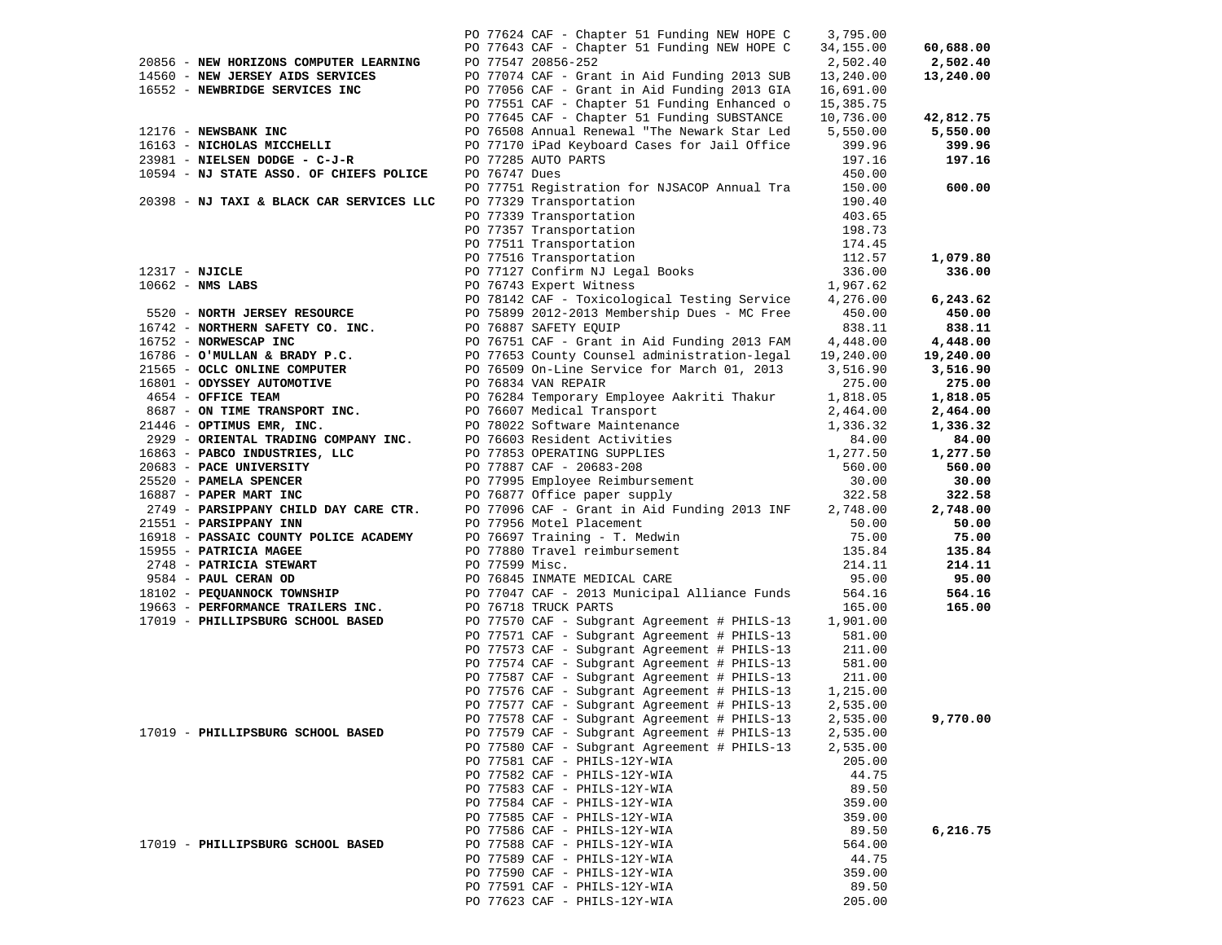|                |                                          |                | PO 77624 CAF - Chapter 51 Funding NEW HOPE C                                                                                                | 3,795.00  |           |
|----------------|------------------------------------------|----------------|---------------------------------------------------------------------------------------------------------------------------------------------|-----------|-----------|
|                |                                          |                | PO 77643 CAF - Chapter 51 Funding NEW HOPE C                                                                                                | 34,155.00 | 60,688.00 |
|                | 20856 - NEW HORIZONS COMPUTER LEARNING   |                | PO 77547 20856-252                                                                                                                          | 2,502.40  | 2,502.40  |
|                | 14560 - NEW JERSEY AIDS SERVICES         |                | PO 77074 CAF - Grant in Aid Funding 2013 SUB                                                                                                | 13,240.00 | 13,240.00 |
|                | 16552 - NEWBRIDGE SERVICES INC           |                | PO 77056 CAF - Grant in Aid Funding 2013 GIA                                                                                                | 16,691.00 |           |
|                |                                          |                | PO 77551 CAF - Chapter 51 Funding Enhanced o                                                                                                | 15,385.75 |           |
|                |                                          |                | PO 77645 CAF - Chapter 51 Funding SUBSTANCE                                                                                                 | 10,736.00 | 42,812.75 |
|                |                                          |                |                                                                                                                                             |           |           |
|                | 12176 - NEWSBANK INC                     |                | PO 76508 Annual Renewal "The Newark Star Led                                                                                                | 5,550.00  | 5,550.00  |
|                | 16163 - NICHOLAS MICCHELLI               |                | PO 77170 iPad Keyboard Cases for Jail Office                                                                                                | 399.96    | 399.96    |
|                | 23981 - NIELSEN DODGE - C-J-R            |                | PO 77285 AUTO PARTS                                                                                                                         | 197.16    | 197.16    |
|                | 10594 - NJ STATE ASSO. OF CHIEFS POLICE  | PO 76747 Dues  |                                                                                                                                             | 450.00    |           |
|                |                                          |                | PO 77751 Registration for NJSACOP Annual Tra                                                                                                | 150.00    | 600.00    |
|                | 20398 - NJ TAXI & BLACK CAR SERVICES LLC |                | PO 77329 Transportation                                                                                                                     | 190.40    |           |
|                |                                          |                | PO 77339 Transportation                                                                                                                     | 403.65    |           |
|                |                                          |                |                                                                                                                                             | 198.73    |           |
|                |                                          |                |                                                                                                                                             |           |           |
|                |                                          |                |                                                                                                                                             | 174.45    |           |
|                |                                          |                |                                                                                                                                             | 112.57    | 1,079.80  |
| 12317 - NJICLE |                                          |                | PO 77339 Transportation<br>PO 77357 Transportation<br>PO 77511 Transportation<br>PO 77516 Transportation<br>PO 77127 Confirm NJ Legal Books | 336.00    | 336.00    |
|                | $10662$ - NMS LABS                       |                | PO 76743 Expert Witness                                                                                                                     | 1,967.62  |           |
|                |                                          |                | PO 78142 CAF - Toxicological Testing Service                                                                                                | 4,276.00  | 6,243.62  |
|                | 5520 - NORTH JERSEY RESOURCE             |                | PO 75899 2012-2013 Membership Dues - MC Free                                                                                                | 450.00    | 450.00    |
|                | 16742 - NORTHERN SAFETY CO. INC.         |                | PO 76887 SAFETY EQUIP                                                                                                                       | 838.11    | 838.11    |
|                | 16752 - NORWESCAP INC                    |                | PO 76751 CAF - Grant in Aid Funding 2013 FAM                                                                                                | 4,448.00  | 4,448.00  |
|                | $16786 -$ O'MULLAN & BRADY P.C.          |                | PO 77653 County Counsel administration-legal                                                                                                | 19,240.00 | 19,240.00 |
|                |                                          |                |                                                                                                                                             |           |           |
|                | 21565 - OCLC ONLINE COMPUTER             |                | PO 76509 On-Line Service for March 01, 2013                                                                                                 | 3,516.90  | 3,516.90  |
|                | 16801 - ODYSSEY AUTOMOTIVE               |                | PO 76834 VAN REPAIR                                                                                                                         | 275.00    | 275.00    |
|                | 4654 - OFFICE TEAM                       |                | PO 76284 Temporary Employee Aakriti Thakur                                                                                                  | 1,818.05  | 1,818.05  |
|                | 8687 - ON TIME TRANSPORT INC.            |                | PO 76607 Medical Transport                                                                                                                  | 2,464.00  | 2,464.00  |
|                | 21446 - OPTIMUS EMR, INC.                |                | PO 78022 Software Maintenance                                                                                                               | 1,336.32  | 1,336.32  |
|                | 2929 - ORIENTAL TRADING COMPANY INC.     |                | PO 76603 Resident Activities                                                                                                                | 84.00     | 84.00     |
|                | 16863 - PABCO INDUSTRIES, LLC            |                |                                                                                                                                             | 1,277.50  | 1,277.50  |
|                | 20683 - PACE UNIVERSITY                  |                | PO 77853 OPERATING SUPPLIES<br>PO 77887 CAF - 20683-208                                                                                     | 560.00    | 560.00    |
|                | 25520 - PAMELA SPENCER                   |                | Po 77995 Employee Reimbursement<br>Po 77995 Employee Reimbursement<br>Po 76877 Office paper supply                                          | 30.00     | 30.00     |
|                | 16887 - PAPER MART INC                   |                | PO 76877 Office paper supply                                                                                                                | 322.58    | 322.58    |
|                |                                          |                |                                                                                                                                             |           |           |
|                | 2749 - PARSIPPANY CHILD DAY CARE CTR.    |                | PO 77096 CAF - Grant in Aid Funding 2013 INF                                                                                                | 2,748.00  | 2,748.00  |
|                | 21551 - PARSIPPANY INN                   |                | PO 77956 Motel Placement                                                                                                                    | 50.00     | 50.00     |
|                | 16918 - PASSAIC COUNTY POLICE ACADEMY    |                | PO 76697 Training - T. Medwin                                                                                                               | 75.00     | 75.00     |
|                | 15955 - PATRICIA MAGEE                   |                | PO 77880 Travel reimbursement                                                                                                               | 135.84    | 135.84    |
|                | 2748 - PATRICIA STEWART                  | PO 77599 Misc. |                                                                                                                                             | 214.11    | 214.11    |
|                | 9584 - PAUL CERAN OD                     |                | PO 76845 INMATE MEDICAL CARE                                                                                                                | 95.00     | 95.00     |
|                | 18102 - PEQUANNOCK TOWNSHIP              |                | PO 77047 CAF - 2013 Municipal Alliance Funds                                                                                                | 564.16    | 564.16    |
|                | 19663 - PERFORMANCE TRAILERS INC.        |                | PO 76718 TRUCK PARTS                                                                                                                        | 165.00    | 165.00    |
|                | 17019 - PHILLIPSBURG SCHOOL BASED        |                | PO 77570 CAF - Subgrant Agreement # PHILS-13                                                                                                | 1,901.00  |           |
|                |                                          |                | PO 77571 CAF - Subgrant Agreement # PHILS-13                                                                                                | 581.00    |           |
|                |                                          |                | PO 77573 CAF - Subgrant Agreement # PHILS-13                                                                                                | 211.00    |           |
|                |                                          |                |                                                                                                                                             |           |           |
|                |                                          |                | PO 77574 CAF - Subgrant Agreement # PHILS-13                                                                                                | 581.00    |           |
|                |                                          |                | PO 77587 CAF - Subgrant Agreement # PHILS-13                                                                                                | 211.00    |           |
|                |                                          |                | PO 77576 CAF - Subgrant Agreement # PHILS-13                                                                                                | 1,215.00  |           |
|                |                                          |                | PO 77577 CAF - Subgrant Agreement # PHILS-13                                                                                                | 2,535.00  |           |
|                |                                          |                | PO 77578 CAF - Subgrant Agreement # PHILS-13                                                                                                | 2,535.00  | 9,770.00  |
|                | 17019 - PHILLIPSBURG SCHOOL BASED        |                | PO 77579 CAF - Subgrant Agreement # PHILS-13                                                                                                | 2,535.00  |           |
|                |                                          |                | PO 77580 CAF - Subgrant Agreement # PHILS-13                                                                                                | 2,535.00  |           |
|                |                                          |                | PO 77581 CAF - PHILS-12Y-WIA                                                                                                                | 205.00    |           |
|                |                                          |                | PO 77582 CAF - PHILS-12Y-WIA                                                                                                                | 44.75     |           |
|                |                                          |                | PO 77583 CAF - PHILS-12Y-WIA                                                                                                                | 89.50     |           |
|                |                                          |                | PO 77584 CAF - PHILS-12Y-WIA                                                                                                                | 359.00    |           |
|                |                                          |                | PO 77585 CAF - PHILS-12Y-WIA                                                                                                                | 359.00    |           |
|                |                                          |                | PO 77586 CAF - PHILS-12Y-WIA                                                                                                                | 89.50     | 6,216.75  |
|                | 17019 - PHILLIPSBURG SCHOOL BASED        |                |                                                                                                                                             |           |           |
|                |                                          |                | PO 77588 CAF - PHILS-12Y-WIA                                                                                                                | 564.00    |           |
|                |                                          |                | PO 77589 CAF - PHILS-12Y-WIA                                                                                                                | 44.75     |           |
|                |                                          |                | PO 77590 CAF - PHILS-12Y-WIA                                                                                                                | 359.00    |           |
|                |                                          |                | PO 77591 CAF - PHILS-12Y-WIA                                                                                                                | 89.50     |           |
|                |                                          |                | PO 77623 CAF - PHILS-12Y-WIA                                                                                                                | 205.00    |           |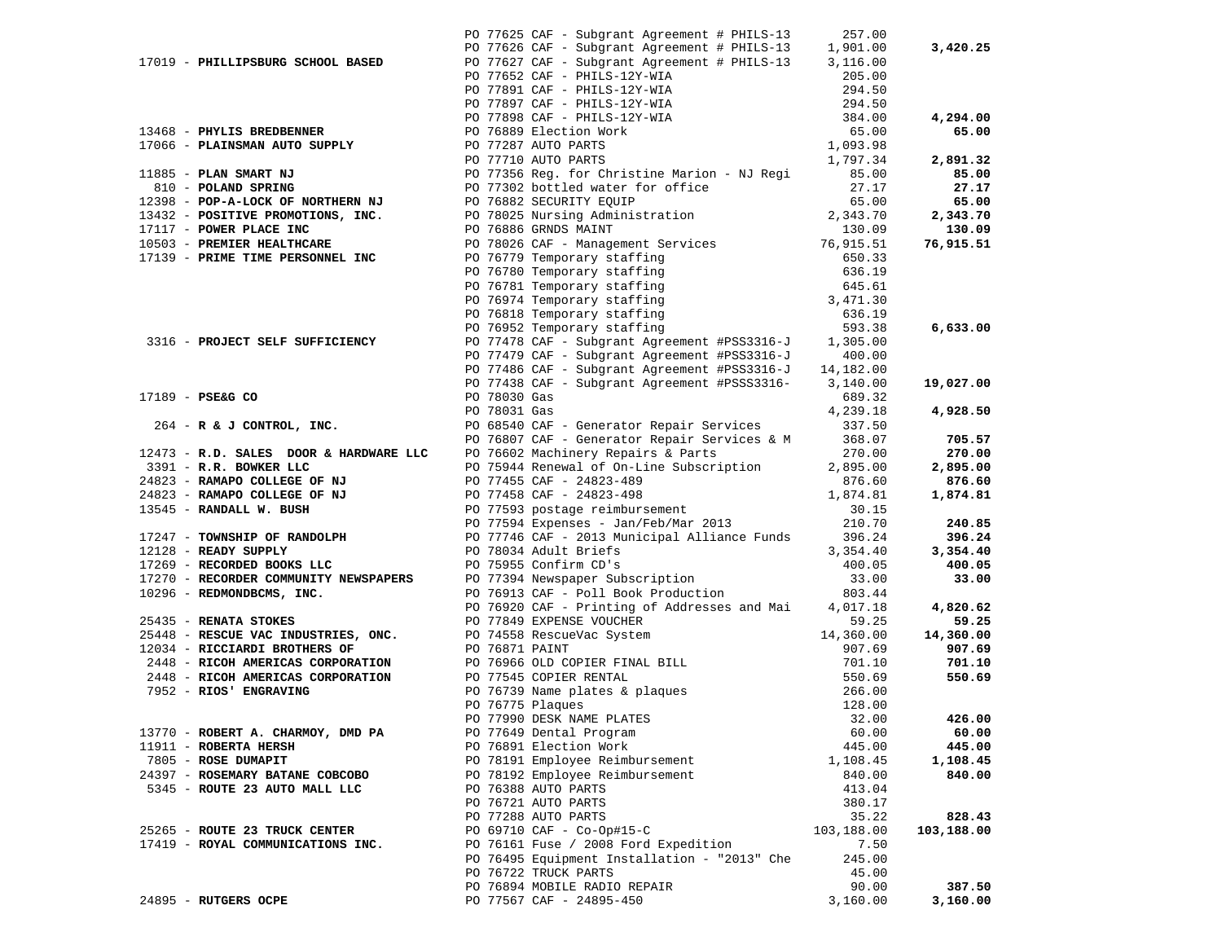|                                   |                                                                                                                                                                                                                                             |                                                                                                                                                                                                                                                                                                                                                                     | 257.00                                                                                                                                                                                                                                                                                                                                                                                                                                                                                                                                                                                                                                                                                                                                                                                              |                                                                                                                                                                                                                                                                                                                                                                                                                                                                                                                                                                                                                                                                                                                                                                                                                                                                                                                                                                                                                                                                                                                                                                                                                                                                                                                                                                                                                                                                                                                                                                                                                                                                                                                                                                                                                                                                                                                                                                                          |
|-----------------------------------|---------------------------------------------------------------------------------------------------------------------------------------------------------------------------------------------------------------------------------------------|---------------------------------------------------------------------------------------------------------------------------------------------------------------------------------------------------------------------------------------------------------------------------------------------------------------------------------------------------------------------|-----------------------------------------------------------------------------------------------------------------------------------------------------------------------------------------------------------------------------------------------------------------------------------------------------------------------------------------------------------------------------------------------------------------------------------------------------------------------------------------------------------------------------------------------------------------------------------------------------------------------------------------------------------------------------------------------------------------------------------------------------------------------------------------------------|------------------------------------------------------------------------------------------------------------------------------------------------------------------------------------------------------------------------------------------------------------------------------------------------------------------------------------------------------------------------------------------------------------------------------------------------------------------------------------------------------------------------------------------------------------------------------------------------------------------------------------------------------------------------------------------------------------------------------------------------------------------------------------------------------------------------------------------------------------------------------------------------------------------------------------------------------------------------------------------------------------------------------------------------------------------------------------------------------------------------------------------------------------------------------------------------------------------------------------------------------------------------------------------------------------------------------------------------------------------------------------------------------------------------------------------------------------------------------------------------------------------------------------------------------------------------------------------------------------------------------------------------------------------------------------------------------------------------------------------------------------------------------------------------------------------------------------------------------------------------------------------------------------------------------------------------------------------------------------------|
|                                   |                                                                                                                                                                                                                                             |                                                                                                                                                                                                                                                                                                                                                                     | 1,901.00                                                                                                                                                                                                                                                                                                                                                                                                                                                                                                                                                                                                                                                                                                                                                                                            | 3,420.25                                                                                                                                                                                                                                                                                                                                                                                                                                                                                                                                                                                                                                                                                                                                                                                                                                                                                                                                                                                                                                                                                                                                                                                                                                                                                                                                                                                                                                                                                                                                                                                                                                                                                                                                                                                                                                                                                                                                                                                 |
|                                   |                                                                                                                                                                                                                                             |                                                                                                                                                                                                                                                                                                                                                                     |                                                                                                                                                                                                                                                                                                                                                                                                                                                                                                                                                                                                                                                                                                                                                                                                     |                                                                                                                                                                                                                                                                                                                                                                                                                                                                                                                                                                                                                                                                                                                                                                                                                                                                                                                                                                                                                                                                                                                                                                                                                                                                                                                                                                                                                                                                                                                                                                                                                                                                                                                                                                                                                                                                                                                                                                                          |
|                                   |                                                                                                                                                                                                                                             |                                                                                                                                                                                                                                                                                                                                                                     |                                                                                                                                                                                                                                                                                                                                                                                                                                                                                                                                                                                                                                                                                                                                                                                                     |                                                                                                                                                                                                                                                                                                                                                                                                                                                                                                                                                                                                                                                                                                                                                                                                                                                                                                                                                                                                                                                                                                                                                                                                                                                                                                                                                                                                                                                                                                                                                                                                                                                                                                                                                                                                                                                                                                                                                                                          |
|                                   |                                                                                                                                                                                                                                             |                                                                                                                                                                                                                                                                                                                                                                     |                                                                                                                                                                                                                                                                                                                                                                                                                                                                                                                                                                                                                                                                                                                                                                                                     |                                                                                                                                                                                                                                                                                                                                                                                                                                                                                                                                                                                                                                                                                                                                                                                                                                                                                                                                                                                                                                                                                                                                                                                                                                                                                                                                                                                                                                                                                                                                                                                                                                                                                                                                                                                                                                                                                                                                                                                          |
|                                   |                                                                                                                                                                                                                                             |                                                                                                                                                                                                                                                                                                                                                                     |                                                                                                                                                                                                                                                                                                                                                                                                                                                                                                                                                                                                                                                                                                                                                                                                     |                                                                                                                                                                                                                                                                                                                                                                                                                                                                                                                                                                                                                                                                                                                                                                                                                                                                                                                                                                                                                                                                                                                                                                                                                                                                                                                                                                                                                                                                                                                                                                                                                                                                                                                                                                                                                                                                                                                                                                                          |
|                                   |                                                                                                                                                                                                                                             |                                                                                                                                                                                                                                                                                                                                                                     |                                                                                                                                                                                                                                                                                                                                                                                                                                                                                                                                                                                                                                                                                                                                                                                                     | 4,294.00                                                                                                                                                                                                                                                                                                                                                                                                                                                                                                                                                                                                                                                                                                                                                                                                                                                                                                                                                                                                                                                                                                                                                                                                                                                                                                                                                                                                                                                                                                                                                                                                                                                                                                                                                                                                                                                                                                                                                                                 |
|                                   |                                                                                                                                                                                                                                             |                                                                                                                                                                                                                                                                                                                                                                     |                                                                                                                                                                                                                                                                                                                                                                                                                                                                                                                                                                                                                                                                                                                                                                                                     | 65.00                                                                                                                                                                                                                                                                                                                                                                                                                                                                                                                                                                                                                                                                                                                                                                                                                                                                                                                                                                                                                                                                                                                                                                                                                                                                                                                                                                                                                                                                                                                                                                                                                                                                                                                                                                                                                                                                                                                                                                                    |
|                                   |                                                                                                                                                                                                                                             |                                                                                                                                                                                                                                                                                                                                                                     |                                                                                                                                                                                                                                                                                                                                                                                                                                                                                                                                                                                                                                                                                                                                                                                                     |                                                                                                                                                                                                                                                                                                                                                                                                                                                                                                                                                                                                                                                                                                                                                                                                                                                                                                                                                                                                                                                                                                                                                                                                                                                                                                                                                                                                                                                                                                                                                                                                                                                                                                                                                                                                                                                                                                                                                                                          |
|                                   |                                                                                                                                                                                                                                             |                                                                                                                                                                                                                                                                                                                                                                     |                                                                                                                                                                                                                                                                                                                                                                                                                                                                                                                                                                                                                                                                                                                                                                                                     | 2,891.32                                                                                                                                                                                                                                                                                                                                                                                                                                                                                                                                                                                                                                                                                                                                                                                                                                                                                                                                                                                                                                                                                                                                                                                                                                                                                                                                                                                                                                                                                                                                                                                                                                                                                                                                                                                                                                                                                                                                                                                 |
|                                   |                                                                                                                                                                                                                                             |                                                                                                                                                                                                                                                                                                                                                                     |                                                                                                                                                                                                                                                                                                                                                                                                                                                                                                                                                                                                                                                                                                                                                                                                     | 85.00                                                                                                                                                                                                                                                                                                                                                                                                                                                                                                                                                                                                                                                                                                                                                                                                                                                                                                                                                                                                                                                                                                                                                                                                                                                                                                                                                                                                                                                                                                                                                                                                                                                                                                                                                                                                                                                                                                                                                                                    |
|                                   |                                                                                                                                                                                                                                             |                                                                                                                                                                                                                                                                                                                                                                     |                                                                                                                                                                                                                                                                                                                                                                                                                                                                                                                                                                                                                                                                                                                                                                                                     | 27.17                                                                                                                                                                                                                                                                                                                                                                                                                                                                                                                                                                                                                                                                                                                                                                                                                                                                                                                                                                                                                                                                                                                                                                                                                                                                                                                                                                                                                                                                                                                                                                                                                                                                                                                                                                                                                                                                                                                                                                                    |
|                                   |                                                                                                                                                                                                                                             |                                                                                                                                                                                                                                                                                                                                                                     |                                                                                                                                                                                                                                                                                                                                                                                                                                                                                                                                                                                                                                                                                                                                                                                                     | 65.00                                                                                                                                                                                                                                                                                                                                                                                                                                                                                                                                                                                                                                                                                                                                                                                                                                                                                                                                                                                                                                                                                                                                                                                                                                                                                                                                                                                                                                                                                                                                                                                                                                                                                                                                                                                                                                                                                                                                                                                    |
|                                   |                                                                                                                                                                                                                                             |                                                                                                                                                                                                                                                                                                                                                                     |                                                                                                                                                                                                                                                                                                                                                                                                                                                                                                                                                                                                                                                                                                                                                                                                     | 2,343.70                                                                                                                                                                                                                                                                                                                                                                                                                                                                                                                                                                                                                                                                                                                                                                                                                                                                                                                                                                                                                                                                                                                                                                                                                                                                                                                                                                                                                                                                                                                                                                                                                                                                                                                                                                                                                                                                                                                                                                                 |
|                                   |                                                                                                                                                                                                                                             |                                                                                                                                                                                                                                                                                                                                                                     |                                                                                                                                                                                                                                                                                                                                                                                                                                                                                                                                                                                                                                                                                                                                                                                                     | 130.09                                                                                                                                                                                                                                                                                                                                                                                                                                                                                                                                                                                                                                                                                                                                                                                                                                                                                                                                                                                                                                                                                                                                                                                                                                                                                                                                                                                                                                                                                                                                                                                                                                                                                                                                                                                                                                                                                                                                                                                   |
|                                   |                                                                                                                                                                                                                                             |                                                                                                                                                                                                                                                                                                                                                                     |                                                                                                                                                                                                                                                                                                                                                                                                                                                                                                                                                                                                                                                                                                                                                                                                     | 76,915.51                                                                                                                                                                                                                                                                                                                                                                                                                                                                                                                                                                                                                                                                                                                                                                                                                                                                                                                                                                                                                                                                                                                                                                                                                                                                                                                                                                                                                                                                                                                                                                                                                                                                                                                                                                                                                                                                                                                                                                                |
|                                   |                                                                                                                                                                                                                                             |                                                                                                                                                                                                                                                                                                                                                                     |                                                                                                                                                                                                                                                                                                                                                                                                                                                                                                                                                                                                                                                                                                                                                                                                     |                                                                                                                                                                                                                                                                                                                                                                                                                                                                                                                                                                                                                                                                                                                                                                                                                                                                                                                                                                                                                                                                                                                                                                                                                                                                                                                                                                                                                                                                                                                                                                                                                                                                                                                                                                                                                                                                                                                                                                                          |
|                                   |                                                                                                                                                                                                                                             |                                                                                                                                                                                                                                                                                                                                                                     |                                                                                                                                                                                                                                                                                                                                                                                                                                                                                                                                                                                                                                                                                                                                                                                                     |                                                                                                                                                                                                                                                                                                                                                                                                                                                                                                                                                                                                                                                                                                                                                                                                                                                                                                                                                                                                                                                                                                                                                                                                                                                                                                                                                                                                                                                                                                                                                                                                                                                                                                                                                                                                                                                                                                                                                                                          |
|                                   |                                                                                                                                                                                                                                             |                                                                                                                                                                                                                                                                                                                                                                     |                                                                                                                                                                                                                                                                                                                                                                                                                                                                                                                                                                                                                                                                                                                                                                                                     |                                                                                                                                                                                                                                                                                                                                                                                                                                                                                                                                                                                                                                                                                                                                                                                                                                                                                                                                                                                                                                                                                                                                                                                                                                                                                                                                                                                                                                                                                                                                                                                                                                                                                                                                                                                                                                                                                                                                                                                          |
|                                   |                                                                                                                                                                                                                                             |                                                                                                                                                                                                                                                                                                                                                                     |                                                                                                                                                                                                                                                                                                                                                                                                                                                                                                                                                                                                                                                                                                                                                                                                     |                                                                                                                                                                                                                                                                                                                                                                                                                                                                                                                                                                                                                                                                                                                                                                                                                                                                                                                                                                                                                                                                                                                                                                                                                                                                                                                                                                                                                                                                                                                                                                                                                                                                                                                                                                                                                                                                                                                                                                                          |
|                                   |                                                                                                                                                                                                                                             |                                                                                                                                                                                                                                                                                                                                                                     |                                                                                                                                                                                                                                                                                                                                                                                                                                                                                                                                                                                                                                                                                                                                                                                                     |                                                                                                                                                                                                                                                                                                                                                                                                                                                                                                                                                                                                                                                                                                                                                                                                                                                                                                                                                                                                                                                                                                                                                                                                                                                                                                                                                                                                                                                                                                                                                                                                                                                                                                                                                                                                                                                                                                                                                                                          |
|                                   |                                                                                                                                                                                                                                             |                                                                                                                                                                                                                                                                                                                                                                     |                                                                                                                                                                                                                                                                                                                                                                                                                                                                                                                                                                                                                                                                                                                                                                                                     |                                                                                                                                                                                                                                                                                                                                                                                                                                                                                                                                                                                                                                                                                                                                                                                                                                                                                                                                                                                                                                                                                                                                                                                                                                                                                                                                                                                                                                                                                                                                                                                                                                                                                                                                                                                                                                                                                                                                                                                          |
|                                   |                                                                                                                                                                                                                                             |                                                                                                                                                                                                                                                                                                                                                                     |                                                                                                                                                                                                                                                                                                                                                                                                                                                                                                                                                                                                                                                                                                                                                                                                     | 6,633.00                                                                                                                                                                                                                                                                                                                                                                                                                                                                                                                                                                                                                                                                                                                                                                                                                                                                                                                                                                                                                                                                                                                                                                                                                                                                                                                                                                                                                                                                                                                                                                                                                                                                                                                                                                                                                                                                                                                                                                                 |
|                                   |                                                                                                                                                                                                                                             |                                                                                                                                                                                                                                                                                                                                                                     |                                                                                                                                                                                                                                                                                                                                                                                                                                                                                                                                                                                                                                                                                                                                                                                                     |                                                                                                                                                                                                                                                                                                                                                                                                                                                                                                                                                                                                                                                                                                                                                                                                                                                                                                                                                                                                                                                                                                                                                                                                                                                                                                                                                                                                                                                                                                                                                                                                                                                                                                                                                                                                                                                                                                                                                                                          |
|                                   |                                                                                                                                                                                                                                             |                                                                                                                                                                                                                                                                                                                                                                     |                                                                                                                                                                                                                                                                                                                                                                                                                                                                                                                                                                                                                                                                                                                                                                                                     |                                                                                                                                                                                                                                                                                                                                                                                                                                                                                                                                                                                                                                                                                                                                                                                                                                                                                                                                                                                                                                                                                                                                                                                                                                                                                                                                                                                                                                                                                                                                                                                                                                                                                                                                                                                                                                                                                                                                                                                          |
|                                   |                                                                                                                                                                                                                                             |                                                                                                                                                                                                                                                                                                                                                                     |                                                                                                                                                                                                                                                                                                                                                                                                                                                                                                                                                                                                                                                                                                                                                                                                     |                                                                                                                                                                                                                                                                                                                                                                                                                                                                                                                                                                                                                                                                                                                                                                                                                                                                                                                                                                                                                                                                                                                                                                                                                                                                                                                                                                                                                                                                                                                                                                                                                                                                                                                                                                                                                                                                                                                                                                                          |
|                                   |                                                                                                                                                                                                                                             |                                                                                                                                                                                                                                                                                                                                                                     |                                                                                                                                                                                                                                                                                                                                                                                                                                                                                                                                                                                                                                                                                                                                                                                                     | 19,027.00                                                                                                                                                                                                                                                                                                                                                                                                                                                                                                                                                                                                                                                                                                                                                                                                                                                                                                                                                                                                                                                                                                                                                                                                                                                                                                                                                                                                                                                                                                                                                                                                                                                                                                                                                                                                                                                                                                                                                                                |
|                                   |                                                                                                                                                                                                                                             |                                                                                                                                                                                                                                                                                                                                                                     |                                                                                                                                                                                                                                                                                                                                                                                                                                                                                                                                                                                                                                                                                                                                                                                                     |                                                                                                                                                                                                                                                                                                                                                                                                                                                                                                                                                                                                                                                                                                                                                                                                                                                                                                                                                                                                                                                                                                                                                                                                                                                                                                                                                                                                                                                                                                                                                                                                                                                                                                                                                                                                                                                                                                                                                                                          |
|                                   |                                                                                                                                                                                                                                             |                                                                                                                                                                                                                                                                                                                                                                     |                                                                                                                                                                                                                                                                                                                                                                                                                                                                                                                                                                                                                                                                                                                                                                                                     | 4,928.50                                                                                                                                                                                                                                                                                                                                                                                                                                                                                                                                                                                                                                                                                                                                                                                                                                                                                                                                                                                                                                                                                                                                                                                                                                                                                                                                                                                                                                                                                                                                                                                                                                                                                                                                                                                                                                                                                                                                                                                 |
|                                   |                                                                                                                                                                                                                                             |                                                                                                                                                                                                                                                                                                                                                                     |                                                                                                                                                                                                                                                                                                                                                                                                                                                                                                                                                                                                                                                                                                                                                                                                     |                                                                                                                                                                                                                                                                                                                                                                                                                                                                                                                                                                                                                                                                                                                                                                                                                                                                                                                                                                                                                                                                                                                                                                                                                                                                                                                                                                                                                                                                                                                                                                                                                                                                                                                                                                                                                                                                                                                                                                                          |
|                                   |                                                                                                                                                                                                                                             |                                                                                                                                                                                                                                                                                                                                                                     |                                                                                                                                                                                                                                                                                                                                                                                                                                                                                                                                                                                                                                                                                                                                                                                                     | 705.57                                                                                                                                                                                                                                                                                                                                                                                                                                                                                                                                                                                                                                                                                                                                                                                                                                                                                                                                                                                                                                                                                                                                                                                                                                                                                                                                                                                                                                                                                                                                                                                                                                                                                                                                                                                                                                                                                                                                                                                   |
|                                   |                                                                                                                                                                                                                                             |                                                                                                                                                                                                                                                                                                                                                                     |                                                                                                                                                                                                                                                                                                                                                                                                                                                                                                                                                                                                                                                                                                                                                                                                     | 270.00                                                                                                                                                                                                                                                                                                                                                                                                                                                                                                                                                                                                                                                                                                                                                                                                                                                                                                                                                                                                                                                                                                                                                                                                                                                                                                                                                                                                                                                                                                                                                                                                                                                                                                                                                                                                                                                                                                                                                                                   |
|                                   |                                                                                                                                                                                                                                             |                                                                                                                                                                                                                                                                                                                                                                     |                                                                                                                                                                                                                                                                                                                                                                                                                                                                                                                                                                                                                                                                                                                                                                                                     | 2,895.00                                                                                                                                                                                                                                                                                                                                                                                                                                                                                                                                                                                                                                                                                                                                                                                                                                                                                                                                                                                                                                                                                                                                                                                                                                                                                                                                                                                                                                                                                                                                                                                                                                                                                                                                                                                                                                                                                                                                                                                 |
|                                   |                                                                                                                                                                                                                                             |                                                                                                                                                                                                                                                                                                                                                                     |                                                                                                                                                                                                                                                                                                                                                                                                                                                                                                                                                                                                                                                                                                                                                                                                     | 876.60                                                                                                                                                                                                                                                                                                                                                                                                                                                                                                                                                                                                                                                                                                                                                                                                                                                                                                                                                                                                                                                                                                                                                                                                                                                                                                                                                                                                                                                                                                                                                                                                                                                                                                                                                                                                                                                                                                                                                                                   |
|                                   |                                                                                                                                                                                                                                             |                                                                                                                                                                                                                                                                                                                                                                     |                                                                                                                                                                                                                                                                                                                                                                                                                                                                                                                                                                                                                                                                                                                                                                                                     | 1,874.81                                                                                                                                                                                                                                                                                                                                                                                                                                                                                                                                                                                                                                                                                                                                                                                                                                                                                                                                                                                                                                                                                                                                                                                                                                                                                                                                                                                                                                                                                                                                                                                                                                                                                                                                                                                                                                                                                                                                                                                 |
|                                   |                                                                                                                                                                                                                                             |                                                                                                                                                                                                                                                                                                                                                                     |                                                                                                                                                                                                                                                                                                                                                                                                                                                                                                                                                                                                                                                                                                                                                                                                     |                                                                                                                                                                                                                                                                                                                                                                                                                                                                                                                                                                                                                                                                                                                                                                                                                                                                                                                                                                                                                                                                                                                                                                                                                                                                                                                                                                                                                                                                                                                                                                                                                                                                                                                                                                                                                                                                                                                                                                                          |
|                                   |                                                                                                                                                                                                                                             |                                                                                                                                                                                                                                                                                                                                                                     |                                                                                                                                                                                                                                                                                                                                                                                                                                                                                                                                                                                                                                                                                                                                                                                                     | 240.85                                                                                                                                                                                                                                                                                                                                                                                                                                                                                                                                                                                                                                                                                                                                                                                                                                                                                                                                                                                                                                                                                                                                                                                                                                                                                                                                                                                                                                                                                                                                                                                                                                                                                                                                                                                                                                                                                                                                                                                   |
|                                   |                                                                                                                                                                                                                                             |                                                                                                                                                                                                                                                                                                                                                                     |                                                                                                                                                                                                                                                                                                                                                                                                                                                                                                                                                                                                                                                                                                                                                                                                     | 396.24                                                                                                                                                                                                                                                                                                                                                                                                                                                                                                                                                                                                                                                                                                                                                                                                                                                                                                                                                                                                                                                                                                                                                                                                                                                                                                                                                                                                                                                                                                                                                                                                                                                                                                                                                                                                                                                                                                                                                                                   |
| 12128 - READY SUPPLY              |                                                                                                                                                                                                                                             |                                                                                                                                                                                                                                                                                                                                                                     | 3,354.40                                                                                                                                                                                                                                                                                                                                                                                                                                                                                                                                                                                                                                                                                                                                                                                            | 3,354.40                                                                                                                                                                                                                                                                                                                                                                                                                                                                                                                                                                                                                                                                                                                                                                                                                                                                                                                                                                                                                                                                                                                                                                                                                                                                                                                                                                                                                                                                                                                                                                                                                                                                                                                                                                                                                                                                                                                                                                                 |
| 17269 - RECORDED BOOKS LLC        |                                                                                                                                                                                                                                             |                                                                                                                                                                                                                                                                                                                                                                     | 400.05                                                                                                                                                                                                                                                                                                                                                                                                                                                                                                                                                                                                                                                                                                                                                                                              | 400.05                                                                                                                                                                                                                                                                                                                                                                                                                                                                                                                                                                                                                                                                                                                                                                                                                                                                                                                                                                                                                                                                                                                                                                                                                                                                                                                                                                                                                                                                                                                                                                                                                                                                                                                                                                                                                                                                                                                                                                                   |
|                                   |                                                                                                                                                                                                                                             |                                                                                                                                                                                                                                                                                                                                                                     | 33.00                                                                                                                                                                                                                                                                                                                                                                                                                                                                                                                                                                                                                                                                                                                                                                                               | 33.00                                                                                                                                                                                                                                                                                                                                                                                                                                                                                                                                                                                                                                                                                                                                                                                                                                                                                                                                                                                                                                                                                                                                                                                                                                                                                                                                                                                                                                                                                                                                                                                                                                                                                                                                                                                                                                                                                                                                                                                    |
|                                   |                                                                                                                                                                                                                                             |                                                                                                                                                                                                                                                                                                                                                                     | 803.44                                                                                                                                                                                                                                                                                                                                                                                                                                                                                                                                                                                                                                                                                                                                                                                              |                                                                                                                                                                                                                                                                                                                                                                                                                                                                                                                                                                                                                                                                                                                                                                                                                                                                                                                                                                                                                                                                                                                                                                                                                                                                                                                                                                                                                                                                                                                                                                                                                                                                                                                                                                                                                                                                                                                                                                                          |
|                                   |                                                                                                                                                                                                                                             |                                                                                                                                                                                                                                                                                                                                                                     |                                                                                                                                                                                                                                                                                                                                                                                                                                                                                                                                                                                                                                                                                                                                                                                                     | 4,820.62                                                                                                                                                                                                                                                                                                                                                                                                                                                                                                                                                                                                                                                                                                                                                                                                                                                                                                                                                                                                                                                                                                                                                                                                                                                                                                                                                                                                                                                                                                                                                                                                                                                                                                                                                                                                                                                                                                                                                                                 |
|                                   |                                                                                                                                                                                                                                             |                                                                                                                                                                                                                                                                                                                                                                     | 59.25                                                                                                                                                                                                                                                                                                                                                                                                                                                                                                                                                                                                                                                                                                                                                                                               | 59.25                                                                                                                                                                                                                                                                                                                                                                                                                                                                                                                                                                                                                                                                                                                                                                                                                                                                                                                                                                                                                                                                                                                                                                                                                                                                                                                                                                                                                                                                                                                                                                                                                                                                                                                                                                                                                                                                                                                                                                                    |
|                                   |                                                                                                                                                                                                                                             |                                                                                                                                                                                                                                                                                                                                                                     |                                                                                                                                                                                                                                                                                                                                                                                                                                                                                                                                                                                                                                                                                                                                                                                                     | 14,360.00                                                                                                                                                                                                                                                                                                                                                                                                                                                                                                                                                                                                                                                                                                                                                                                                                                                                                                                                                                                                                                                                                                                                                                                                                                                                                                                                                                                                                                                                                                                                                                                                                                                                                                                                                                                                                                                                                                                                                                                |
| 12034 - RICCIARDI BROTHERS OF     |                                                                                                                                                                                                                                             |                                                                                                                                                                                                                                                                                                                                                                     | 907.69                                                                                                                                                                                                                                                                                                                                                                                                                                                                                                                                                                                                                                                                                                                                                                                              | 907.69                                                                                                                                                                                                                                                                                                                                                                                                                                                                                                                                                                                                                                                                                                                                                                                                                                                                                                                                                                                                                                                                                                                                                                                                                                                                                                                                                                                                                                                                                                                                                                                                                                                                                                                                                                                                                                                                                                                                                                                   |
|                                   |                                                                                                                                                                                                                                             |                                                                                                                                                                                                                                                                                                                                                                     | 701.10                                                                                                                                                                                                                                                                                                                                                                                                                                                                                                                                                                                                                                                                                                                                                                                              | 701.10                                                                                                                                                                                                                                                                                                                                                                                                                                                                                                                                                                                                                                                                                                                                                                                                                                                                                                                                                                                                                                                                                                                                                                                                                                                                                                                                                                                                                                                                                                                                                                                                                                                                                                                                                                                                                                                                                                                                                                                   |
| 2448 - RICOH AMERICAS CORPORATION |                                                                                                                                                                                                                                             |                                                                                                                                                                                                                                                                                                                                                                     | 550.69                                                                                                                                                                                                                                                                                                                                                                                                                                                                                                                                                                                                                                                                                                                                                                                              | 550.69                                                                                                                                                                                                                                                                                                                                                                                                                                                                                                                                                                                                                                                                                                                                                                                                                                                                                                                                                                                                                                                                                                                                                                                                                                                                                                                                                                                                                                                                                                                                                                                                                                                                                                                                                                                                                                                                                                                                                                                   |
| 7952 - RIOS' ENGRAVING            |                                                                                                                                                                                                                                             |                                                                                                                                                                                                                                                                                                                                                                     | 266.00                                                                                                                                                                                                                                                                                                                                                                                                                                                                                                                                                                                                                                                                                                                                                                                              |                                                                                                                                                                                                                                                                                                                                                                                                                                                                                                                                                                                                                                                                                                                                                                                                                                                                                                                                                                                                                                                                                                                                                                                                                                                                                                                                                                                                                                                                                                                                                                                                                                                                                                                                                                                                                                                                                                                                                                                          |
|                                   |                                                                                                                                                                                                                                             |                                                                                                                                                                                                                                                                                                                                                                     | 128.00                                                                                                                                                                                                                                                                                                                                                                                                                                                                                                                                                                                                                                                                                                                                                                                              |                                                                                                                                                                                                                                                                                                                                                                                                                                                                                                                                                                                                                                                                                                                                                                                                                                                                                                                                                                                                                                                                                                                                                                                                                                                                                                                                                                                                                                                                                                                                                                                                                                                                                                                                                                                                                                                                                                                                                                                          |
|                                   |                                                                                                                                                                                                                                             |                                                                                                                                                                                                                                                                                                                                                                     | 32.00                                                                                                                                                                                                                                                                                                                                                                                                                                                                                                                                                                                                                                                                                                                                                                                               | 426.00                                                                                                                                                                                                                                                                                                                                                                                                                                                                                                                                                                                                                                                                                                                                                                                                                                                                                                                                                                                                                                                                                                                                                                                                                                                                                                                                                                                                                                                                                                                                                                                                                                                                                                                                                                                                                                                                                                                                                                                   |
| 13770 - ROBERT A. CHARMOY, DMD PA |                                                                                                                                                                                                                                             |                                                                                                                                                                                                                                                                                                                                                                     | 60.00                                                                                                                                                                                                                                                                                                                                                                                                                                                                                                                                                                                                                                                                                                                                                                                               | 60.00                                                                                                                                                                                                                                                                                                                                                                                                                                                                                                                                                                                                                                                                                                                                                                                                                                                                                                                                                                                                                                                                                                                                                                                                                                                                                                                                                                                                                                                                                                                                                                                                                                                                                                                                                                                                                                                                                                                                                                                    |
| 11911 - ROBERTA HERSH             |                                                                                                                                                                                                                                             |                                                                                                                                                                                                                                                                                                                                                                     | 445.00                                                                                                                                                                                                                                                                                                                                                                                                                                                                                                                                                                                                                                                                                                                                                                                              | 445.00                                                                                                                                                                                                                                                                                                                                                                                                                                                                                                                                                                                                                                                                                                                                                                                                                                                                                                                                                                                                                                                                                                                                                                                                                                                                                                                                                                                                                                                                                                                                                                                                                                                                                                                                                                                                                                                                                                                                                                                   |
| 7805 - ROSE DUMAPIT               |                                                                                                                                                                                                                                             |                                                                                                                                                                                                                                                                                                                                                                     | 1,108.45                                                                                                                                                                                                                                                                                                                                                                                                                                                                                                                                                                                                                                                                                                                                                                                            | 1,108.45                                                                                                                                                                                                                                                                                                                                                                                                                                                                                                                                                                                                                                                                                                                                                                                                                                                                                                                                                                                                                                                                                                                                                                                                                                                                                                                                                                                                                                                                                                                                                                                                                                                                                                                                                                                                                                                                                                                                                                                 |
| 24397 - ROSEMARY BATANE COBCOBO   |                                                                                                                                                                                                                                             |                                                                                                                                                                                                                                                                                                                                                                     | 840.00                                                                                                                                                                                                                                                                                                                                                                                                                                                                                                                                                                                                                                                                                                                                                                                              | 840.00                                                                                                                                                                                                                                                                                                                                                                                                                                                                                                                                                                                                                                                                                                                                                                                                                                                                                                                                                                                                                                                                                                                                                                                                                                                                                                                                                                                                                                                                                                                                                                                                                                                                                                                                                                                                                                                                                                                                                                                   |
| 5345 - ROUTE 23 AUTO MALL LLC     |                                                                                                                                                                                                                                             |                                                                                                                                                                                                                                                                                                                                                                     | 413.04                                                                                                                                                                                                                                                                                                                                                                                                                                                                                                                                                                                                                                                                                                                                                                                              |                                                                                                                                                                                                                                                                                                                                                                                                                                                                                                                                                                                                                                                                                                                                                                                                                                                                                                                                                                                                                                                                                                                                                                                                                                                                                                                                                                                                                                                                                                                                                                                                                                                                                                                                                                                                                                                                                                                                                                                          |
|                                   |                                                                                                                                                                                                                                             |                                                                                                                                                                                                                                                                                                                                                                     | 380.17                                                                                                                                                                                                                                                                                                                                                                                                                                                                                                                                                                                                                                                                                                                                                                                              |                                                                                                                                                                                                                                                                                                                                                                                                                                                                                                                                                                                                                                                                                                                                                                                                                                                                                                                                                                                                                                                                                                                                                                                                                                                                                                                                                                                                                                                                                                                                                                                                                                                                                                                                                                                                                                                                                                                                                                                          |
|                                   |                                                                                                                                                                                                                                             |                                                                                                                                                                                                                                                                                                                                                                     | 35.22                                                                                                                                                                                                                                                                                                                                                                                                                                                                                                                                                                                                                                                                                                                                                                                               | 828.43                                                                                                                                                                                                                                                                                                                                                                                                                                                                                                                                                                                                                                                                                                                                                                                                                                                                                                                                                                                                                                                                                                                                                                                                                                                                                                                                                                                                                                                                                                                                                                                                                                                                                                                                                                                                                                                                                                                                                                                   |
| 25265 - ROUTE 23 TRUCK CENTER     |                                                                                                                                                                                                                                             |                                                                                                                                                                                                                                                                                                                                                                     | 103,188.00                                                                                                                                                                                                                                                                                                                                                                                                                                                                                                                                                                                                                                                                                                                                                                                          | 103,188.00                                                                                                                                                                                                                                                                                                                                                                                                                                                                                                                                                                                                                                                                                                                                                                                                                                                                                                                                                                                                                                                                                                                                                                                                                                                                                                                                                                                                                                                                                                                                                                                                                                                                                                                                                                                                                                                                                                                                                                               |
| 17419 - ROYAL COMMUNICATIONS INC. |                                                                                                                                                                                                                                             |                                                                                                                                                                                                                                                                                                                                                                     | 7.50                                                                                                                                                                                                                                                                                                                                                                                                                                                                                                                                                                                                                                                                                                                                                                                                |                                                                                                                                                                                                                                                                                                                                                                                                                                                                                                                                                                                                                                                                                                                                                                                                                                                                                                                                                                                                                                                                                                                                                                                                                                                                                                                                                                                                                                                                                                                                                                                                                                                                                                                                                                                                                                                                                                                                                                                          |
|                                   |                                                                                                                                                                                                                                             |                                                                                                                                                                                                                                                                                                                                                                     | 245.00                                                                                                                                                                                                                                                                                                                                                                                                                                                                                                                                                                                                                                                                                                                                                                                              |                                                                                                                                                                                                                                                                                                                                                                                                                                                                                                                                                                                                                                                                                                                                                                                                                                                                                                                                                                                                                                                                                                                                                                                                                                                                                                                                                                                                                                                                                                                                                                                                                                                                                                                                                                                                                                                                                                                                                                                          |
|                                   |                                                                                                                                                                                                                                             |                                                                                                                                                                                                                                                                                                                                                                     | 45.00                                                                                                                                                                                                                                                                                                                                                                                                                                                                                                                                                                                                                                                                                                                                                                                               |                                                                                                                                                                                                                                                                                                                                                                                                                                                                                                                                                                                                                                                                                                                                                                                                                                                                                                                                                                                                                                                                                                                                                                                                                                                                                                                                                                                                                                                                                                                                                                                                                                                                                                                                                                                                                                                                                                                                                                                          |
|                                   |                                                                                                                                                                                                                                             |                                                                                                                                                                                                                                                                                                                                                                     |                                                                                                                                                                                                                                                                                                                                                                                                                                                                                                                                                                                                                                                                                                                                                                                                     | 387.50                                                                                                                                                                                                                                                                                                                                                                                                                                                                                                                                                                                                                                                                                                                                                                                                                                                                                                                                                                                                                                                                                                                                                                                                                                                                                                                                                                                                                                                                                                                                                                                                                                                                                                                                                                                                                                                                                                                                                                                   |
| 24895 - RUTGERS OCPE              |                                                                                                                                                                                                                                             | PO 77567 CAF - 24895-450                                                                                                                                                                                                                                                                                                                                            | 3,160.00                                                                                                                                                                                                                                                                                                                                                                                                                                                                                                                                                                                                                                                                                                                                                                                            | 3,160.00                                                                                                                                                                                                                                                                                                                                                                                                                                                                                                                                                                                                                                                                                                                                                                                                                                                                                                                                                                                                                                                                                                                                                                                                                                                                                                                                                                                                                                                                                                                                                                                                                                                                                                                                                                                                                                                                                                                                                                                 |
|                                   | 13432 - POSITIVE PROMOTIONS, INC.<br>17117 - POWER PLACE INC<br>10503 - PREMIER HEALTHCARE<br>17139 - PRIME TIME PERSONNEL INC<br>3316 - PROJECT SELF SUFFICIENCY<br>17189 - PSE&G CO<br>10296 - REDMONDBCMS, INC.<br>25435 - RENATA STOKES | 17019 - PHILLIPSBURG SCHOOL BASED<br>$264$ - R & J CONTROL, INC.<br>3391 - R.R. BOWKER LLC<br>24823 - RAMAPO COLLEGE OF NJ<br>24823 - RAMAPO COLLEGE OF NJ<br>13545 - RANDALL W. BUSH<br>17247 - TOWNSHIP OF RANDOLPH<br>17270 - RECORDER COMMUNITY NEWSPAPERS<br>25435 - RENATA STOKES<br>25448 - RESCUE VAC INDUSTRIES, ONC.<br>2448 - RICOH AMERICAS CORPORATION | 810 - POLAND SPRING<br>12398 - POP-A-LOCK OF NORTHERN NJ PO 76882 SECURITY EQUIP<br>PO 77438 CAF - Subgrant Agreement #PSSS3316-<br>PO 78030 Gas<br>PO 78031 Gas<br>PO 68540 CAF - Generator Repair Services<br>12473 - R.D. SALES DOOR & HARDWARE LLC PO 76602 Machinery Repairs & Parts<br>PO 78034 Adult Briefs<br>PO 75955 Confirm CD's<br>PO 77849 EXPENSE VOUCHER<br>PO 76871 PAINT<br>PO 77990 DESK NAME PLATES<br>PO 77649 Dental Program<br>PO 76891 Election Work<br>PO 78191 Employee Reimbursement<br>PO 78192 Employee Reimbursement<br>PO 76388 AUTO PARTS<br>PO 76721 AUTO PARTS<br>PO 77288 AUTO PARTS<br>PO 69710 CAF - Co-Op#15-C<br>PO 76161 Fuse / 2008 Ford Expedition<br>PO 76495 Equipment Installation - "2013" Che<br>PO 76722 TRUCK PARTS<br>PO 76894 MOBILE RADIO REPAIR | PO 77625 CAF - Subgrant Agreement # PHILS-13<br>PO 77626 CAF - Subgrant Agreement # PHILS-13<br>PO 77627 CAF - Subgrant Agreement # PHILS-13 3,116.00<br>PO 77652 CAF - Bubyrunt Ayrechant Marco 77652 CAF - PHILS-12Y-WIA<br>PO 77897 CAF - PHILS-12Y-WIA<br>PO 77897 CAF - PHILS-12Y-WIA<br>PO 77898 CAF - PHILS-12Y-WIA<br>PO 76889 Election Work<br>PO 77287 AUTO PARTS<br>PO 77710 AUTO PARTS<br>205.00<br>294.50<br>294.50<br>13468 - <b>PHYLIS BREDBENNER</b><br>13468 - <b>PHYLIS BREDBENNER</b><br>17066 - <b>PLAINSMAN AUTO SUPPLY</b><br>17066 - <b>PLAINSMAN AUTO SUPPLY</b><br>16885 - <b>PLAINSMAN AUTO SUPPLY</b><br>1797.34<br>294.50<br>294.50<br>294.50<br>294.50<br>294.50<br>294.50<br>294.50<br><br>PO 77302 bottled water for office<br>no 76000 emetratry pours<br>65.00<br>95.00 65.00<br>PO 78025 Nursing Administration 2,343.70<br>PO 76886 GRNDS MAINT<br>130.09<br>PO 78026 CAF - Management Services<br>PO 76779 Temporary staffing<br>PO 76780 Temporary staffing<br>PO 76781 Temporary staffing<br>PO 76974 Temporary staffing<br>PO 769818 Temporary staffing<br>PO 76922 Temporary staffing<br>PO<br>PO 77478 CAF - Subgrant Agreement #PSS3316-J $1,305.00$<br>PO 77479 CAF - Subgrant Agreement #PSS3316-J<br>400.00<br>PO 77486 CAF - Subgrant Agreement #PSS3316-J 14,182.00<br>3,140.00<br>689.32<br>4,239.18<br>337.50<br>PO 76807 CAF - Generator Repair Services & M 368.07<br>270.00<br>PO 75944 Renewal of On-Line Subscription<br>2,895.00<br>PO 77455 CAF - 24823-489<br>PO 77458 CAF - 24823-498<br>PO 77593 postage reimbursement<br>PO 77594 Expenses - Jan/Feb/Mar 2013<br>PO 77746 CAF - 2013 Municipal Alliance Funds<br>396.24<br>PO 77394 Newspaper Subscription<br>PO 76913 CAF - Poll Book Production<br>PO 76920 CAF - Printing of Addresses and Mai 4,017.18<br>PO 74558 RescueVac System 14,360.00<br>PO 76966 OLD COPIER FINAL BILL<br>PO 77545 COPIER RENTAL<br>PO 76739 Name plates & plaques<br>PO 76775 Plaques<br>90.00 |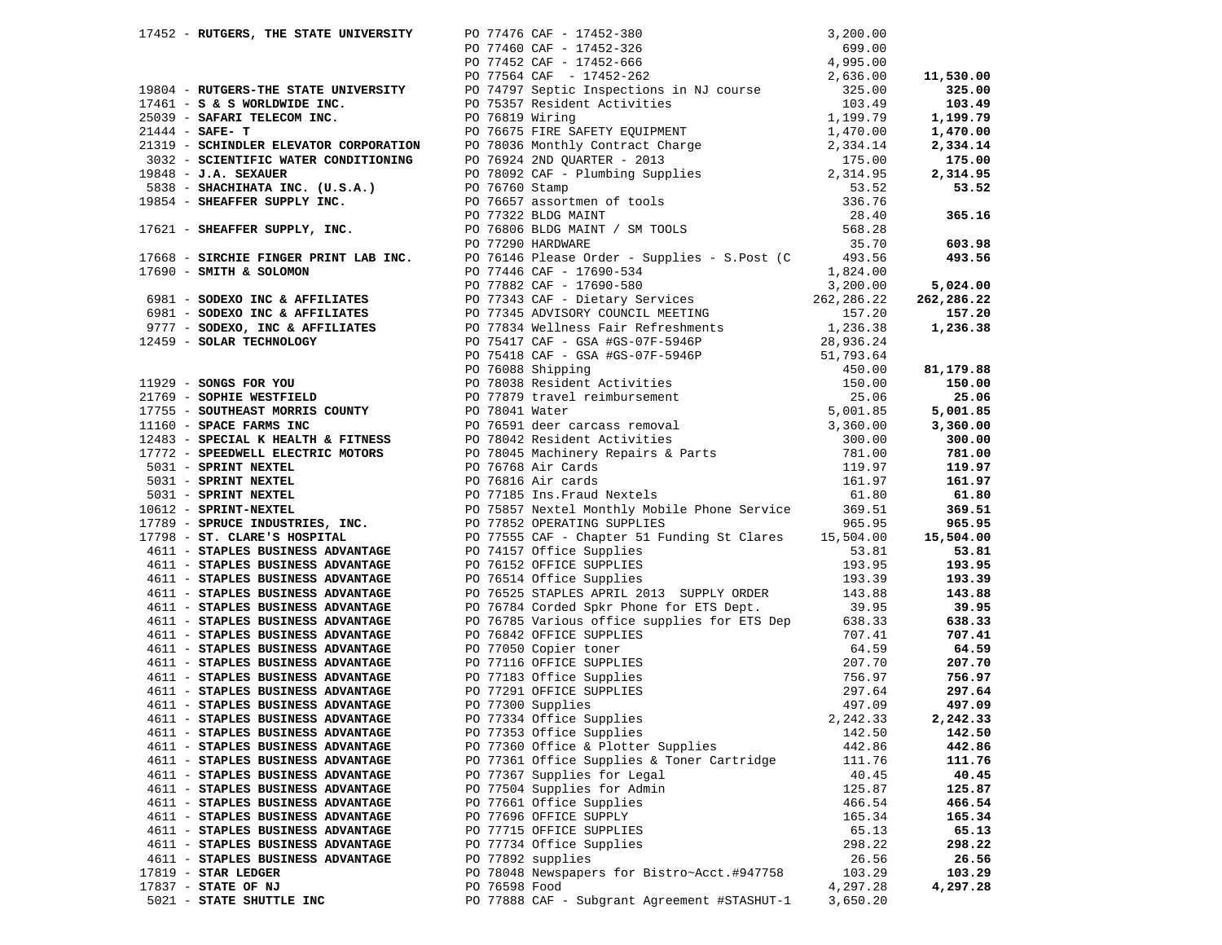|  |                                                                                                                       |               | 17453 MOTORSE, THE STATE ENTREMENT POPPER OF 17416-0021-1812<br>17453 MOTORSEA THE STATE CONTENT POPPER OF THE STATE IN THE STATE IN THE STATE IN A 1815-1912<br>1741-1812 MOTORSEA THE STATE IN THE STATE IN THE STATE IN THE ST          |          |          |
|--|-----------------------------------------------------------------------------------------------------------------------|---------------|--------------------------------------------------------------------------------------------------------------------------------------------------------------------------------------------------------------------------------------------|----------|----------|
|  |                                                                                                                       |               |                                                                                                                                                                                                                                            |          |          |
|  |                                                                                                                       |               |                                                                                                                                                                                                                                            |          |          |
|  |                                                                                                                       |               |                                                                                                                                                                                                                                            |          |          |
|  |                                                                                                                       |               |                                                                                                                                                                                                                                            |          |          |
|  |                                                                                                                       |               |                                                                                                                                                                                                                                            |          |          |
|  |                                                                                                                       |               |                                                                                                                                                                                                                                            |          |          |
|  |                                                                                                                       |               |                                                                                                                                                                                                                                            |          |          |
|  |                                                                                                                       |               |                                                                                                                                                                                                                                            |          |          |
|  |                                                                                                                       |               |                                                                                                                                                                                                                                            |          |          |
|  |                                                                                                                       |               |                                                                                                                                                                                                                                            |          |          |
|  |                                                                                                                       |               |                                                                                                                                                                                                                                            |          |          |
|  |                                                                                                                       |               |                                                                                                                                                                                                                                            |          |          |
|  |                                                                                                                       |               |                                                                                                                                                                                                                                            |          |          |
|  |                                                                                                                       |               |                                                                                                                                                                                                                                            |          |          |
|  |                                                                                                                       |               |                                                                                                                                                                                                                                            |          |          |
|  |                                                                                                                       |               | 4611 - STAPLES BUSINESS ADVANTAGE<br>4611 - STAPLES BUSINESS ADVANTAGE<br>4611 - STAPLES BUSINESS ADVANTAGE<br>4611 - STAPLES BUSINESS ADVANTAGE<br>4611 - STAPLES BUSINESS ADVANTAGE<br>4611 - STAPLES BUSINESS ADVANTAGE<br>4611 - STAPL |          |          |
|  |                                                                                                                       |               |                                                                                                                                                                                                                                            |          |          |
|  |                                                                                                                       |               |                                                                                                                                                                                                                                            |          |          |
|  |                                                                                                                       |               |                                                                                                                                                                                                                                            |          | 143.88   |
|  |                                                                                                                       |               |                                                                                                                                                                                                                                            |          | 39.95    |
|  |                                                                                                                       |               |                                                                                                                                                                                                                                            |          | 638.33   |
|  |                                                                                                                       |               |                                                                                                                                                                                                                                            |          | 707.41   |
|  | 4611 - STAPLES BUSINESS ADVANTAGE PO 76842 OFFICE SUPPLIES<br>4611 - STAPLES BUSINESS ADVANTAGE PO 77050 Copier toner |               |                                                                                                                                                                                                                                            |          | 64.59    |
|  |                                                                                                                       |               |                                                                                                                                                                                                                                            |          | 207.70   |
|  |                                                                                                                       |               |                                                                                                                                                                                                                                            |          | 756.97   |
|  |                                                                                                                       |               |                                                                                                                                                                                                                                            |          | 297.64   |
|  |                                                                                                                       |               |                                                                                                                                                                                                                                            |          | 497.09   |
|  |                                                                                                                       |               | 4611 - STAPLES BUSINESS ADVANTAGE<br>4611 - STAPLES BUSINESS ADVANTAGE<br>4611 - STAPLES BUSINESS ADVANTAGE<br>4611 - STAPLES BUSINESS ADVANTAGE<br>4611 - STAPLES BUSINESS ADVANTAGE<br>4611 - STAPLES BUSINESS ADVANTAGE<br>4611 - STAPL |          | 2,242.33 |
|  |                                                                                                                       |               |                                                                                                                                                                                                                                            |          |          |
|  | 4611 - STAPLES BUSINESS ADVANTAGE                                                                                     |               | PO 77353 Office Supplies                                                                                                                                                                                                                   | 142.50   | 142.50   |
|  | 4611 - STAPLES BUSINESS ADVANTAGE                                                                                     |               | PO 77360 Office & Plotter Supplies                                                                                                                                                                                                         | 442.86   | 442.86   |
|  | 4611 - STAPLES BUSINESS ADVANTAGE                                                                                     |               | PO 77361 Office Supplies & Toner Cartridge                                                                                                                                                                                                 | 111.76   | 111.76   |
|  | 4611 - STAPLES BUSINESS ADVANTAGE                                                                                     |               | PO 77367 Supplies for Legal                                                                                                                                                                                                                | 40.45    | 40.45    |
|  | 4611 - STAPLES BUSINESS ADVANTAGE                                                                                     |               | PO 77504 Supplies for Admin                                                                                                                                                                                                                | 125.87   | 125.87   |
|  | 4611 - STAPLES BUSINESS ADVANTAGE                                                                                     |               | PO 77661 Office Supplies                                                                                                                                                                                                                   | 466.54   | 466.54   |
|  | 4611 - STAPLES BUSINESS ADVANTAGE                                                                                     |               | PO 77696 OFFICE SUPPLY                                                                                                                                                                                                                     | 165.34   | 165.34   |
|  | 4611 - STAPLES BUSINESS ADVANTAGE                                                                                     |               | PO 77715 OFFICE SUPPLIES                                                                                                                                                                                                                   | 65.13    | 65.13    |
|  | 4611 - STAPLES BUSINESS ADVANTAGE                                                                                     |               | PO 77734 Office Supplies                                                                                                                                                                                                                   | 298.22   | 298.22   |
|  | 4611 - STAPLES BUSINESS ADVANTAGE                                                                                     |               | PO 77892 supplies                                                                                                                                                                                                                          | 26.56    | 26.56    |
|  | $17819$ - STAR LEDGER                                                                                                 |               | PO 78048 Newspapers for Bistro~Acct.#947758                                                                                                                                                                                                | 103.29   | 103.29   |
|  | 17837 - STATE OF NJ                                                                                                   | PO 76598 Food |                                                                                                                                                                                                                                            | 4,297.28 | 4,297.28 |
|  | 5021 - STATE SHUTTLE INC                                                                                              |               | PO 77888 CAF - Subgrant Agreement #STASHUT-1                                                                                                                                                                                               | 3,650.20 |          |
|  |                                                                                                                       |               |                                                                                                                                                                                                                                            |          |          |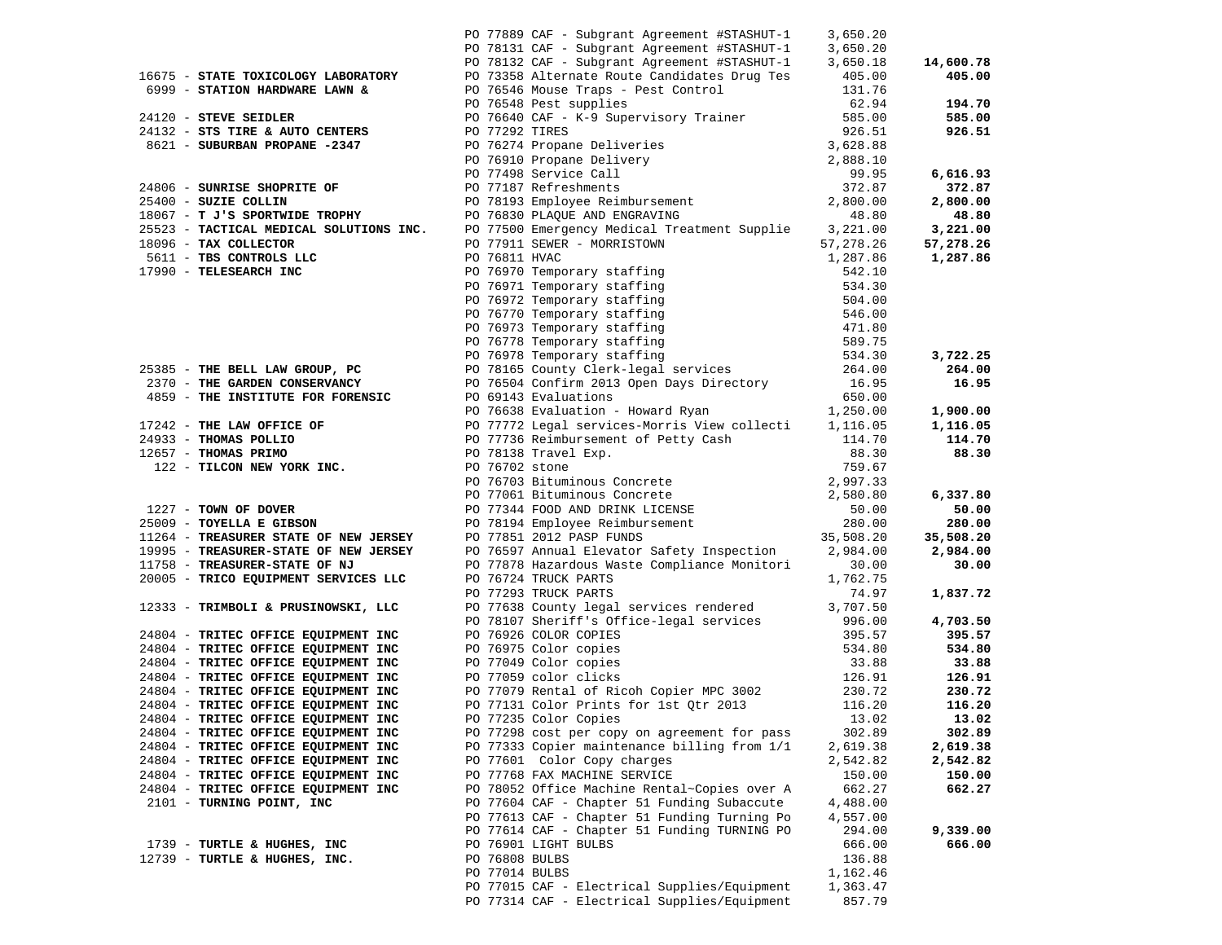|                                                                                                                                                                                                                                                      |                | PO 77889 CAF - Subgrant Agreement #STASHUT-1                                                                                                                                                                                                     | 3,650.20         |                   |
|------------------------------------------------------------------------------------------------------------------------------------------------------------------------------------------------------------------------------------------------------|----------------|--------------------------------------------------------------------------------------------------------------------------------------------------------------------------------------------------------------------------------------------------|------------------|-------------------|
|                                                                                                                                                                                                                                                      |                | PO 778131 CAF - Subgrant Agreement #STASHUT-1<br>PO 78131 CAF - Subgrant Agreement #STASHUT-1<br>PO 78132 CAF - Subgrant Agreement #STASHUT-1<br>PO 73358 Alternate Route Candidates Drug Tes<br>405.00                                          |                  |                   |
|                                                                                                                                                                                                                                                      |                |                                                                                                                                                                                                                                                  |                  | 14,600.78         |
| 16675 - STATE TOXICOLOGY LABORATORY                                                                                                                                                                                                                  |                |                                                                                                                                                                                                                                                  |                  | 405.00            |
| 6999 - STATION HARDWARE LAWN &                                                                                                                                                                                                                       |                | PO 76546 Mouse Traps - Pest Control<br>PO 76548 Pest supplies<br>PO 76640 CAF - K-9 Supervisory Trainer                                                                                                                                          | 131.76           |                   |
|                                                                                                                                                                                                                                                      |                |                                                                                                                                                                                                                                                  | 62.94            | 194.70            |
| 24120 - STEVE SEIDLER                                                                                                                                                                                                                                |                |                                                                                                                                                                                                                                                  | 585.00           | 585.00            |
| 24132 - STS TIRE & AUTO CENTERS PO 77292 TIRES                                                                                                                                                                                                       |                |                                                                                                                                                                                                                                                  | 926.51           | 926.51            |
| 3621 - SUBURBAN PROPANE -2347<br>24806 - SUBURBAN PROPANE -2347<br>24806 - SUNRISE SHOPRITE OF PO 76274 Propane Deliveries<br>26.51 PO 76274 Propane Deliveries<br>26.51 92.651<br>26.51 92.87<br>26.51 - SUZIE COLLIN PO 77198 Service Ca           |                |                                                                                                                                                                                                                                                  |                  |                   |
|                                                                                                                                                                                                                                                      |                |                                                                                                                                                                                                                                                  |                  |                   |
|                                                                                                                                                                                                                                                      |                |                                                                                                                                                                                                                                                  |                  | 6,616.93          |
|                                                                                                                                                                                                                                                      |                |                                                                                                                                                                                                                                                  |                  | 372.87            |
|                                                                                                                                                                                                                                                      |                |                                                                                                                                                                                                                                                  |                  | 2,800.00          |
|                                                                                                                                                                                                                                                      |                |                                                                                                                                                                                                                                                  |                  | 48.80             |
|                                                                                                                                                                                                                                                      |                |                                                                                                                                                                                                                                                  |                  | 3,221.00          |
|                                                                                                                                                                                                                                                      |                |                                                                                                                                                                                                                                                  |                  | 57,278.26         |
|                                                                                                                                                                                                                                                      |                |                                                                                                                                                                                                                                                  |                  | 1,287.86          |
|                                                                                                                                                                                                                                                      |                |                                                                                                                                                                                                                                                  |                  |                   |
|                                                                                                                                                                                                                                                      |                |                                                                                                                                                                                                                                                  |                  |                   |
|                                                                                                                                                                                                                                                      |                |                                                                                                                                                                                                                                                  |                  |                   |
|                                                                                                                                                                                                                                                      |                |                                                                                                                                                                                                                                                  |                  |                   |
|                                                                                                                                                                                                                                                      |                |                                                                                                                                                                                                                                                  |                  |                   |
|                                                                                                                                                                                                                                                      |                |                                                                                                                                                                                                                                                  |                  |                   |
|                                                                                                                                                                                                                                                      |                |                                                                                                                                                                                                                                                  |                  | 3,722.25          |
|                                                                                                                                                                                                                                                      |                |                                                                                                                                                                                                                                                  |                  | 264.00            |
| 25338 - TAX COLECTOR INC. THE SOLUTIONS INC. PO 77500 Emergency Medical Treatment Supplie $\begin{array}{r} 5.421.00066-7740110008 \text{ K}^2 \end{array}$ 5611 - TBS CONTROLS LLC po 77911 SEWER - MORRISTOWN 57, 278.26<br>17990 - TELESEARCH INC |                |                                                                                                                                                                                                                                                  |                  | 16.95             |
|                                                                                                                                                                                                                                                      |                | PO 69143 Evaluations                                                                                                                                                                                                                             | 650.00           |                   |
| 2330<br>2370 - THE GARDEN CONSERVANCI<br>4859 - THE INSTITUTE FOR FORENSIC<br>17242 - THE LAW OFFICE OF<br>THE LAW OFFICE OF                                                                                                                         |                | PO 69143 Evaluations 650.00<br>PO 76638 Evaluation - Howard Ryan 1,250.00<br>PO 77772 Legal services-Morris View collecti 1,116.05<br>PO 77736 Reimbursement of Petty Cash 114.70<br>PO 78138 Travel Exp. 88.30<br>PO 76702 stone 759.67         |                  | 1,900.00          |
|                                                                                                                                                                                                                                                      |                |                                                                                                                                                                                                                                                  |                  | 1,116.05          |
|                                                                                                                                                                                                                                                      |                |                                                                                                                                                                                                                                                  |                  | 114.70            |
|                                                                                                                                                                                                                                                      |                |                                                                                                                                                                                                                                                  |                  |                   |
| 12657 - THOMAS PRIMO<br>122 - TILCON NEW YORK INC.<br>PO 76702 stone<br>PO 76702 stone                                                                                                                                                               |                |                                                                                                                                                                                                                                                  |                  | 88.30             |
|                                                                                                                                                                                                                                                      |                |                                                                                                                                                                                                                                                  |                  |                   |
|                                                                                                                                                                                                                                                      |                | 88.30<br>PO 76702 stone<br>PO 76702 stone<br>PO 7703 Bituminous Concrete<br>PO 77061 Bituminous Concrete<br>PO 77061 Bituminous Concrete<br>2,997.33<br>PO 77851 2012 PASP FUNDS<br>PO 78597 Annual Elevator Safety Inspection<br>PO 76597 Annua |                  |                   |
|                                                                                                                                                                                                                                                      |                |                                                                                                                                                                                                                                                  |                  | 6,337.80<br>50.00 |
| $25009$ - TOYELLA E GIBSON                                                                                                                                                                                                                           |                |                                                                                                                                                                                                                                                  |                  | 280.00            |
|                                                                                                                                                                                                                                                      |                |                                                                                                                                                                                                                                                  |                  |                   |
| 25009 - TOIELLA & GILLON<br>11264 - TREASURER STATE OF NEW JERSEY<br>11265 - The Summer Genare Of NEW JERSEY                                                                                                                                         |                |                                                                                                                                                                                                                                                  |                  | 35,508.20         |
| 19995 - TREASURER-STATE OF NEW JERSEY                                                                                                                                                                                                                |                |                                                                                                                                                                                                                                                  |                  | 2,984.00          |
| 11758 - TREASURER-STATE OF NJ                                                                                                                                                                                                                        |                | PO 77878 Hazardous Waste Compliance Monitori<br>PO 76724 TRUCK PARTS                                                                                                                                                                             | 30.00            | 30.00             |
| 20005 - TRICO EQUIPMENT SERVICES LLC                                                                                                                                                                                                                 |                | PO 76724 TRUCK PARTS                                                                                                                                                                                                                             | 1,762.75         |                   |
| 12333 - TRIMBOLI & PRUSINOWSKI, LLC                                                                                                                                                                                                                  |                | PO 77293 TRUCK PARTS<br>PO 77638 County legal services rendered 3,707.50                                                                                                                                                                         | 74.97            | 1,837.72          |
|                                                                                                                                                                                                                                                      |                |                                                                                                                                                                                                                                                  |                  |                   |
|                                                                                                                                                                                                                                                      |                | PO 78107 Sheriff's Office-legal services 996.00                                                                                                                                                                                                  |                  | 4,703.50          |
| 24804 - TRITEC OFFICE EQUIPMENT INC                                                                                                                                                                                                                  |                | PO 76926 COLOR COPIES                                                                                                                                                                                                                            | 395.57           | 395.57            |
| 24804 - TRITEC OFFICE EQUIPMENT INC                                                                                                                                                                                                                  |                | PO 76975 Color copies<br>PO 77049 Color copies                                                                                                                                                                                                   | 534.80           | 534.80            |
| 24804 - TRITEC OFFICE EQUIPMENT INC                                                                                                                                                                                                                  |                |                                                                                                                                                                                                                                                  | 33.88            | 33.88             |
| 24804 - TRITEC OFFICE EQUIPMENT INC                                                                                                                                                                                                                  |                | PO 77059 color clicks<br>PO 77079 Rental of Ricoh Copier MPC 3002                                                                                                                                                                                | 126.91<br>230.72 | 126.91            |
| 24804 - TRITEC OFFICE EQUIPMENT INC                                                                                                                                                                                                                  |                |                                                                                                                                                                                                                                                  |                  | 230.72            |
| 24804 - TRITEC OFFICE EQUIPMENT INC                                                                                                                                                                                                                  |                | PO 77131 Color Prints for 1st Qtr 2013                                                                                                                                                                                                           | 116.20           | 116.20            |
| 24804 - TRITEC OFFICE EQUIPMENT INC                                                                                                                                                                                                                  |                | PO 77235 Color Copies                                                                                                                                                                                                                            | 13.02            | 13.02             |
| 24804 - TRITEC OFFICE EQUIPMENT INC                                                                                                                                                                                                                  |                | PO 77298 cost per copy on agreement for pass                                                                                                                                                                                                     | 302.89           | 302.89            |
| 24804 - TRITEC OFFICE EQUIPMENT INC                                                                                                                                                                                                                  |                | PO 77333 Copier maintenance billing from 1/1                                                                                                                                                                                                     | 2,619.38         | 2,619.38          |
| 24804 - TRITEC OFFICE EQUIPMENT INC                                                                                                                                                                                                                  |                | PO 77601 Color Copy charges                                                                                                                                                                                                                      | 2,542.82         | 2,542.82          |
| 24804 - TRITEC OFFICE EQUIPMENT INC                                                                                                                                                                                                                  |                | PO 77768 FAX MACHINE SERVICE                                                                                                                                                                                                                     | 150.00           | 150.00            |
| 24804 - TRITEC OFFICE EQUIPMENT INC                                                                                                                                                                                                                  |                | PO 78052 Office Machine Rental~Copies over A                                                                                                                                                                                                     | 662.27           | 662.27            |
| 2101 - TURNING POINT, INC                                                                                                                                                                                                                            |                | PO 77604 CAF - Chapter 51 Funding Subaccute                                                                                                                                                                                                      | 4,488.00         |                   |
|                                                                                                                                                                                                                                                      |                | PO 77613 CAF - Chapter 51 Funding Turning Po                                                                                                                                                                                                     | 4,557.00         |                   |
|                                                                                                                                                                                                                                                      |                | PO 77614 CAF - Chapter 51 Funding TURNING PO                                                                                                                                                                                                     | 294.00           | 9,339.00          |
| 1739 - TURTLE & HUGHES, INC                                                                                                                                                                                                                          |                | PO 76901 LIGHT BULBS                                                                                                                                                                                                                             | 666.00           | 666.00            |
| 12739 - TURTLE & HUGHES, INC.                                                                                                                                                                                                                        | PO 76808 BULBS |                                                                                                                                                                                                                                                  | 136.88           |                   |
|                                                                                                                                                                                                                                                      | PO 77014 BULBS |                                                                                                                                                                                                                                                  | 1,162.46         |                   |
|                                                                                                                                                                                                                                                      |                | PO 77015 CAF - Electrical Supplies/Equipment                                                                                                                                                                                                     | 1,363.47         |                   |
|                                                                                                                                                                                                                                                      |                | PO 77314 CAF - Electrical Supplies/Equipment                                                                                                                                                                                                     | 857.79           |                   |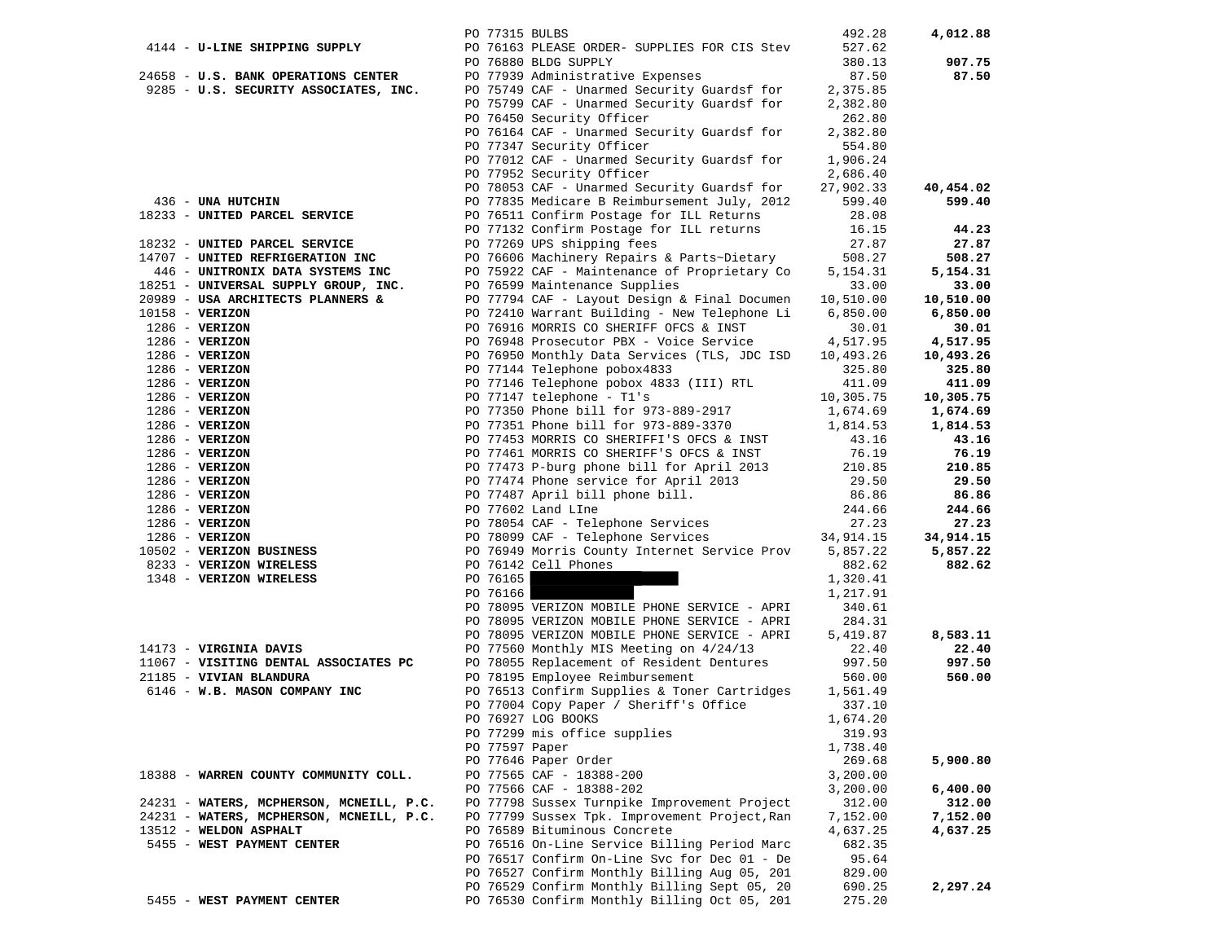|                   |                                          | PO 77315 BULBS |                                               | 492.28     | 4,012.88  |
|-------------------|------------------------------------------|----------------|-----------------------------------------------|------------|-----------|
|                   | 4144 - U-LINE SHIPPING SUPPLY            |                | PO 76163 PLEASE ORDER- SUPPLIES FOR CIS Stev  | 527.62     |           |
|                   |                                          |                | PO 76880 BLDG SUPPLY                          | 380.13     | 907.75    |
|                   | 24658 - U.S. BANK OPERATIONS CENTER      |                | PO 77939 Administrative Expenses              | 87.50      | 87.50     |
|                   | 9285 - U.S. SECURITY ASSOCIATES, INC.    |                | PO 75749 CAF - Unarmed Security Guardsf for   | 2,375.85   |           |
|                   |                                          |                | PO 75799 CAF - Unarmed Security Guardsf for   | 2,382.80   |           |
|                   |                                          |                |                                               |            |           |
|                   |                                          |                | PO 76450 Security Officer                     | 262.80     |           |
|                   |                                          |                | PO 76164 CAF - Unarmed Security Guardsf for   | 2,382.80   |           |
|                   |                                          |                | PO 77347 Security Officer                     | 554.80     |           |
|                   |                                          |                | PO 77012 CAF - Unarmed Security Guardsf for   | 1,906.24   |           |
|                   |                                          |                | PO 77952 Security Officer                     | 2,686.40   |           |
|                   |                                          |                | PO 78053 CAF - Unarmed Security Guardsf for   | 27,902.33  | 40,454.02 |
|                   | 436 - UNA HUTCHIN                        |                | PO 77835 Medicare B Reimbursement July, 2012  | 599.40     | 599.40    |
|                   | 18233 - UNITED PARCEL SERVICE            |                | PO 76511 Confirm Postage for ILL Returns      | 28.08      |           |
|                   |                                          |                | PO 77132 Confirm Postage for ILL returns      | 16.15      | 44.23     |
|                   | 18232 - UNITED PARCEL SERVICE            |                | PO 77269 UPS shipping fees                    | 27.87      | 27.87     |
|                   | 14707 - UNITED REFRIGERATION INC         |                | PO 76606 Machinery Repairs & Parts~Dietary    | 508.27     | 508.27    |
|                   | 446 - UNITRONIX DATA SYSTEMS INC         |                | PO 75922 CAF - Maintenance of Proprietary Co  | 5, 154. 31 | 5,154.31  |
|                   |                                          |                |                                               |            |           |
|                   | 18251 - UNIVERSAL SUPPLY GROUP, INC.     |                | PO 76599 Maintenance Supplies                 | 33.00      | 33.00     |
|                   | 20989 - USA ARCHITECTS PLANNERS &        |                | PO 77794 CAF - Layout Design & Final Documen  | 10,510.00  | 10,510.00 |
| $10158 - VERIZON$ |                                          |                | PO 72410 Warrant Building - New Telephone Li  | 6,850.00   | 6,850.00  |
|                   | $1286 - VERIZON$                         |                | PO 76916 MORRIS CO SHERIFF OFCS & INST        | 30.01      | 30.01     |
|                   | $1286 - VERIZON$                         |                | PO 76948 Prosecutor PBX - Voice Service       | 4,517.95   | 4,517.95  |
|                   | $1286 - VERIZON$                         |                | PO 76950 Monthly Data Services (TLS, JDC ISD  | 10,493.26  | 10,493.26 |
|                   | $1286 - VERIZON$                         |                | PO 77144 Telephone pobox4833                  | 325.80     | 325.80    |
|                   | $1286 - VERIZON$                         |                | PO 77146 Telephone pobox 4833 (III) RTL       | 411.09     | 411.09    |
|                   | $1286 - VERIZON$                         |                | PO 77147 telephone - T1's                     | 10,305.75  | 10,305.75 |
|                   | $1286 - VERIZON$                         |                | PO 77350 Phone bill for 973-889-2917          | 1,674.69   | 1,674.69  |
|                   | $1286 - VERIZON$                         |                | PO 77351 Phone bill for 973-889-3370          | 1,814.53   | 1,814.53  |
|                   | $1286 - VERIZON$                         |                | PO 77453 MORRIS CO SHERIFFI'S OFCS & INST     | 43.16      | 43.16     |
|                   | $1286$ - VERIZON                         |                | PO 77461 MORRIS CO SHERIFF'S OFCS & INST      | 76.19      | 76.19     |
|                   | $1286$ - VERIZON                         |                | PO 77473 P-burg phone bill for April 2013     | 210.85     | 210.85    |
|                   |                                          |                |                                               |            |           |
|                   | $1286$ - VERIZON                         |                | PO 77474 Phone service for April 2013         | 29.50      | 29.50     |
|                   | $1286 - VERIZON$                         |                | PO 77487 April bill phone bill.               | 86.86      | 86.86     |
|                   | $1286 - VERIZON$                         |                | PO 77602 Land LIne                            | 244.66     | 244.66    |
|                   | $1286 - VERIZON$                         |                | PO 78054 CAF - Telephone Services             | 27.23      | 27.23     |
|                   | $1286$ - VERIZON                         |                | PO 78099 CAF - Telephone Services             | 34,914.15  | 34,914.15 |
|                   | 10502 - VERIZON BUSINESS                 |                | PO 76949 Morris County Internet Service Prov  | 5,857.22   | 5,857.22  |
|                   | 8233 - VERIZON WIRELESS                  |                | PO 76142 Cell Phones                          | 882.62     | 882.62    |
|                   | 1348 - VERIZON WIRELESS                  | PO 76165       |                                               | 1,320.41   |           |
|                   |                                          | PO 76166       |                                               | 1,217.91   |           |
|                   |                                          |                | PO 78095 VERIZON MOBILE PHONE SERVICE - APRI  | 340.61     |           |
|                   |                                          |                | PO 78095 VERIZON MOBILE PHONE SERVICE - APRI  | 284.31     |           |
|                   |                                          |                | PO 78095 VERIZON MOBILE PHONE SERVICE - APRI  | 5,419.87   | 8,583.11  |
|                   | 14173 - VIRGINIA DAVIS                   |                | PO 77560 Monthly MIS Meeting on 4/24/13       | 22.40      | 22.40     |
|                   | 11067 - VISITING DENTAL ASSOCIATES PC    |                | PO 78055 Replacement of Resident Dentures     | 997.50     | 997.50    |
|                   | 21185 - VIVIAN BLANDURA                  |                | PO 78195 Employee Reimbursement               | 560.00     | 560.00    |
|                   | 6146 - W.B. MASON COMPANY INC            |                | PO 76513 Confirm Supplies & Toner Cartridges  | 1,561.49   |           |
|                   |                                          |                |                                               | 337.10     |           |
|                   |                                          |                | PO 77004 Copy Paper / Sheriff's Office        |            |           |
|                   |                                          |                | PO 76927 LOG BOOKS                            | 1,674.20   |           |
|                   |                                          |                | PO 77299 mis office supplies                  | 319.93     |           |
|                   |                                          | PO 77597 Paper |                                               | 1,738.40   |           |
|                   |                                          |                | PO 77646 Paper Order                          | 269.68     | 5,900.80  |
|                   | 18388 - WARREN COUNTY COMMUNITY COLL.    |                | PO 77565 CAF - 18388-200                      | 3,200.00   |           |
|                   |                                          |                | PO 77566 CAF - 18388-202                      | 3,200.00   | 6,400.00  |
|                   | 24231 - WATERS, MCPHERSON, MCNEILL, P.C. |                | PO 77798 Sussex Turnpike Improvement Project  | 312.00     | 312.00    |
|                   | 24231 - WATERS, MCPHERSON, MCNEILL, P.C. |                | PO 77799 Sussex Tpk. Improvement Project, Ran | 7,152.00   | 7,152.00  |
|                   | 13512 - WELDON ASPHALT                   |                | PO 76589 Bituminous Concrete                  | 4,637.25   | 4,637.25  |
|                   | 5455 - WEST PAYMENT CENTER               |                | PO 76516 On-Line Service Billing Period Marc  | 682.35     |           |
|                   |                                          |                | PO 76517 Confirm On-Line Svc for Dec 01 - De  | 95.64      |           |
|                   |                                          |                | PO 76527 Confirm Monthly Billing Aug 05, 201  | 829.00     |           |
|                   |                                          |                | PO 76529 Confirm Monthly Billing Sept 05, 20  |            | 2,297.24  |
|                   | 5455 - WEST PAYMENT CENTER               |                | PO 76530 Confirm Monthly Billing Oct 05, 201  | 690.25     |           |
|                   |                                          |                |                                               | 275.20     |           |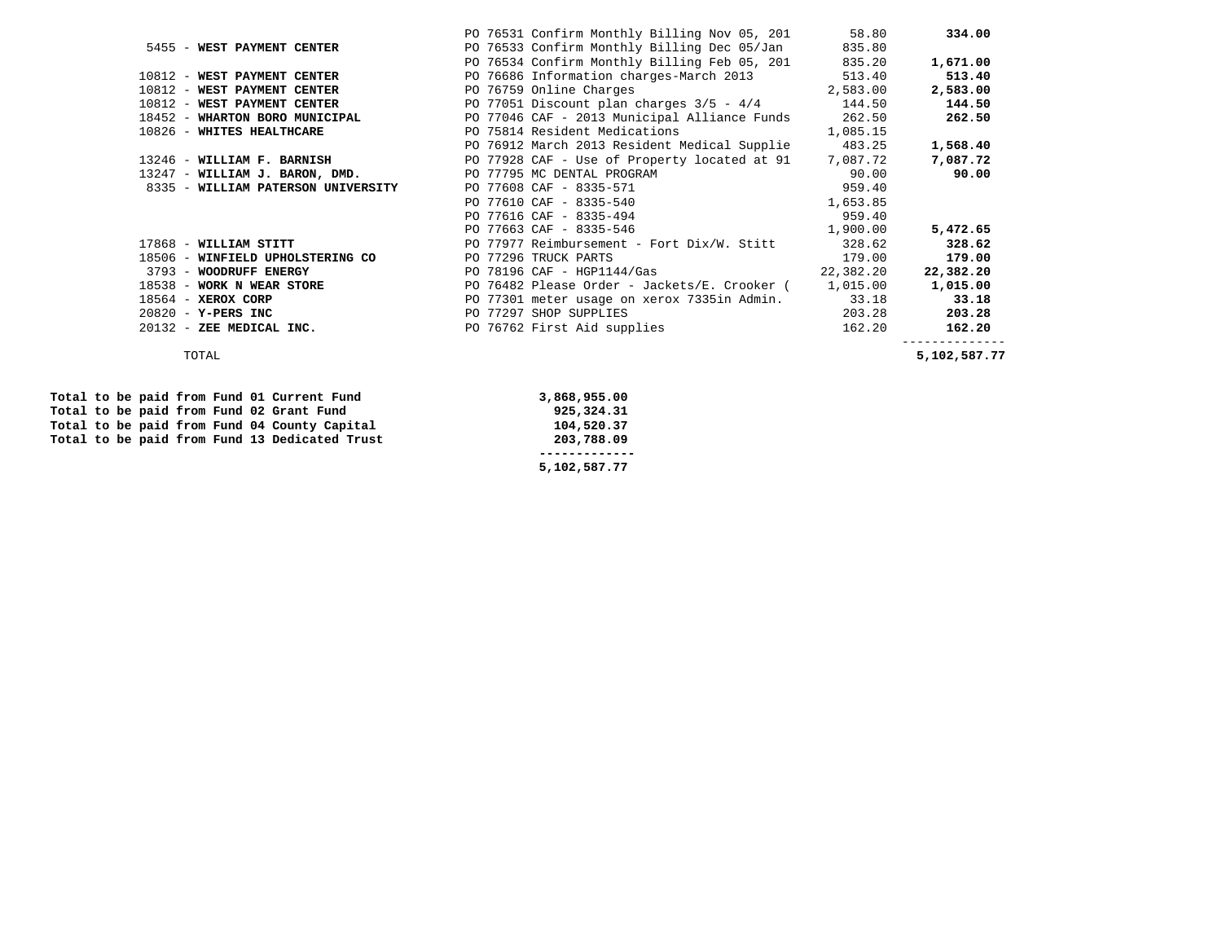|                                    |  | PO 76531 Confirm Monthly Billing Nov 05, 201      | 58.80     | 334.00    |
|------------------------------------|--|---------------------------------------------------|-----------|-----------|
| 5455 - WEST PAYMENT CENTER         |  | PO 76533 Confirm Monthly Billing Dec 05/Jan       | 835.80    |           |
|                                    |  | PO 76534 Confirm Monthly Billing Feb 05, 201      | 835.20    | 1,671.00  |
| 10812 - WEST PAYMENT CENTER        |  | PO 76686 Information charges-March 2013           | 513.40    | 513.40    |
| 10812 - WEST PAYMENT CENTER        |  | PO 76759 Online Charges                           | 2,583.00  | 2,583.00  |
| 10812 - WEST PAYMENT CENTER        |  | PO 77051 Discount plan charges $3/5 - 4/4$        | 144.50    | 144.50    |
| 18452 - WHARTON BORO MUNICIPAL     |  | PO 77046 CAF - 2013 Municipal Alliance Funds      | 262.50    | 262.50    |
| 10826 - WHITES HEALTHCARE          |  | PO 75814 Resident Medications                     | 1,085.15  |           |
|                                    |  | PO 76912 March 2013 Resident Medical Supplie      | 483.25    | 1,568.40  |
| 13246 - WILLIAM F. BARNISH         |  | PO 77928 CAF - Use of Property located at 91      | 7,087.72  | 7,087.72  |
| 13247 - WILLIAM J. BARON, DMD.     |  | PO 77795 MC DENTAL PROGRAM                        | 90.00     | 90.00     |
| 8335 - WILLIAM PATERSON UNIVERSITY |  | PO 77608 CAF - 8335-571                           | 959.40    |           |
|                                    |  | PO 77610 CAF - 8335-540                           | 1,653.85  |           |
|                                    |  | PO 77616 CAF - 8335-494                           | 959.40    |           |
|                                    |  | PO 77663 CAF - 8335-546                           | 1,900.00  | 5,472.65  |
| 17868 - WILLIAM STITT              |  | PO 77977 Reimbursement - Fort Dix/W. Stitt        | 328.62    | 328.62    |
| 18506 - WINFIELD UPHOLSTERING CO   |  | PO 77296 TRUCK PARTS                              | 179.00    | 179.00    |
| 3793 - WOODRUFF ENERGY             |  | PO $78196$ CAF - $HGP1144/Gas$                    | 22,382.20 | 22,382.20 |
| 18538 - WORK N WEAR STORE          |  | PO 76482 Please Order - Jackets/E. Crooker (      | 1,015.00  | 1,015.00  |
| $18564$ - XEROX CORP               |  | PO 77301 meter usage on xerox 7335in Admin. 33.18 |           | 33.18     |
| $20820 - Y - PERS$ INC             |  | PO 77297 SHOP SUPPLIES                            | 203.28    | 203.28    |
| 20132 - ZEE MEDICAL INC.           |  | PO 76762 First Aid supplies                       | 162.20    | 162.20    |
|                                    |  |                                                   |           |           |

 **5,102,587.77** 

5,102,587.77 TOTAL **5,102,587.77** 

|  |  |  |  | Total to be paid from Fund 01 Current Fund    | 3,868,955.00 |
|--|--|--|--|-----------------------------------------------|--------------|
|  |  |  |  | Total to be paid from Fund 02 Grant Fund      | 925,324.31   |
|  |  |  |  | Total to be paid from Fund 04 County Capital  | 104,520.37   |
|  |  |  |  | Total to be paid from Fund 13 Dedicated Trust | 203,788.09   |
|  |  |  |  |                                               |              |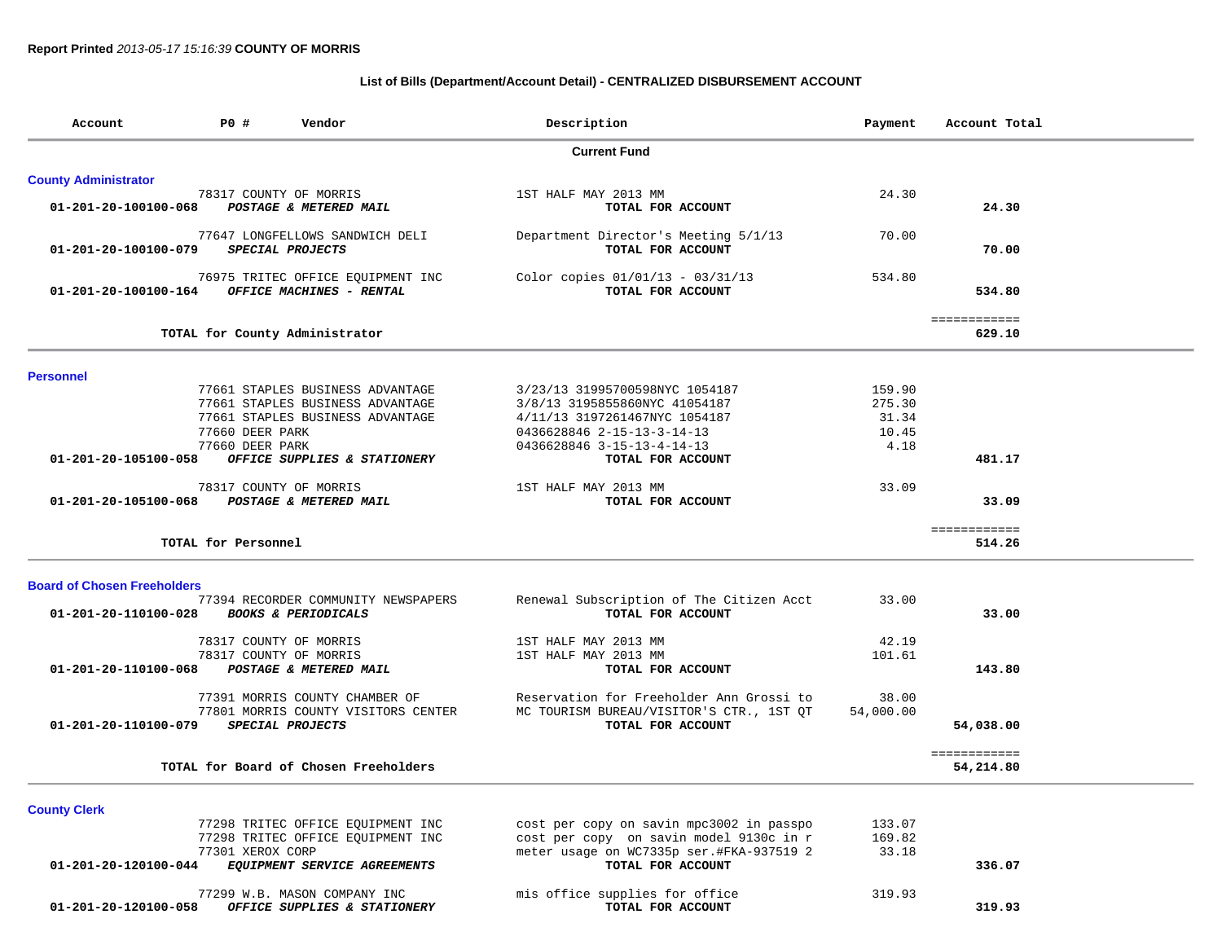# **List of Bills (Department/Account Detail) - CENTRALIZED DISBURSEMENT ACCOUNT**

| Account                            | P0 #                                             | Vendor                                                                                                   | Description                                                                                                                                                  | Payment                                    | Account Total             |
|------------------------------------|--------------------------------------------------|----------------------------------------------------------------------------------------------------------|--------------------------------------------------------------------------------------------------------------------------------------------------------------|--------------------------------------------|---------------------------|
|                                    |                                                  |                                                                                                          | <b>Current Fund</b>                                                                                                                                          |                                            |                           |
| <b>County Administrator</b>        |                                                  |                                                                                                          |                                                                                                                                                              |                                            |                           |
| 01-201-20-100100-068               | 78317 COUNTY OF MORRIS                           | POSTAGE & METERED MAIL                                                                                   | 1ST HALF MAY 2013 MM<br>TOTAL FOR ACCOUNT                                                                                                                    | 24.30                                      | 24.30                     |
| 01-201-20-100100-079               |                                                  | 77647 LONGFELLOWS SANDWICH DELI<br>SPECIAL PROJECTS                                                      | Department Director's Meeting 5/1/13<br>TOTAL FOR ACCOUNT                                                                                                    | 70.00                                      | 70.00                     |
| 01-201-20-100100-164               |                                                  | 76975 TRITEC OFFICE EQUIPMENT INC<br>OFFICE MACHINES - RENTAL                                            | Color copies 01/01/13 - 03/31/13<br>TOTAL FOR ACCOUNT                                                                                                        | 534.80                                     | 534.80                    |
|                                    |                                                  | TOTAL for County Administrator                                                                           |                                                                                                                                                              |                                            | ============<br>629.10    |
| <b>Personnel</b>                   |                                                  |                                                                                                          |                                                                                                                                                              |                                            |                           |
|                                    | 77660 DEER PARK<br>77660 DEER PARK               | 77661 STAPLES BUSINESS ADVANTAGE<br>77661 STAPLES BUSINESS ADVANTAGE<br>77661 STAPLES BUSINESS ADVANTAGE | 3/23/13 31995700598NYC 1054187<br>3/8/13 3195855860NYC 41054187<br>4/11/13 3197261467NYC 1054187<br>0436628846 2-15-13-3-14-13<br>0436628846 3-15-13-4-14-13 | 159.90<br>275.30<br>31.34<br>10.45<br>4.18 |                           |
| 01-201-20-105100-058               |                                                  | OFFICE SUPPLIES & STATIONERY                                                                             | TOTAL FOR ACCOUNT                                                                                                                                            |                                            | 481.17                    |
| 01-201-20-105100-068               | 78317 COUNTY OF MORRIS                           | POSTAGE & METERED MAIL                                                                                   | 1ST HALF MAY 2013 MM<br>TOTAL FOR ACCOUNT                                                                                                                    | 33.09                                      | 33.09                     |
|                                    | TOTAL for Personnel                              |                                                                                                          |                                                                                                                                                              |                                            | ============<br>514.26    |
| <b>Board of Chosen Freeholders</b> |                                                  |                                                                                                          |                                                                                                                                                              |                                            |                           |
| 01-201-20-110100-028               |                                                  | 77394 RECORDER COMMUNITY NEWSPAPERS<br><b>BOOKS &amp; PERIODICALS</b>                                    | Renewal Subscription of The Citizen Acct<br>TOTAL FOR ACCOUNT                                                                                                | 33.00                                      | 33.00                     |
| 01-201-20-110100-068               | 78317 COUNTY OF MORRIS<br>78317 COUNTY OF MORRIS | POSTAGE & METERED MAIL                                                                                   | 1ST HALF MAY 2013 MM<br>1ST HALF MAY 2013 MM<br>TOTAL FOR ACCOUNT                                                                                            | 42.19<br>101.61                            | 143.80                    |
| 01-201-20-110100-079               |                                                  | 77391 MORRIS COUNTY CHAMBER OF<br>77801 MORRIS COUNTY VISITORS CENTER<br>SPECIAL PROJECTS                | Reservation for Freeholder Ann Grossi to<br>MC TOURISM BUREAU/VISITOR'S CTR., 1ST QT<br>TOTAL FOR ACCOUNT                                                    | 38.00<br>54,000.00                         | 54,038.00                 |
|                                    |                                                  | TOTAL for Board of Chosen Freeholders                                                                    |                                                                                                                                                              |                                            | ============<br>54,214.80 |
| <b>County Clerk</b>                |                                                  |                                                                                                          |                                                                                                                                                              |                                            |                           |
| 01-201-20-120100-044               | 77301 XEROX CORP                                 | 77298 TRITEC OFFICE EQUIPMENT INC<br>77298 TRITEC OFFICE EQUIPMENT INC<br>EQUIPMENT SERVICE AGREEMENTS   | cost per copy on savin mpc3002 in passpo<br>cost per copy on savin model 9130c in r<br>meter usage on WC7335p ser.#FKA-937519 2<br>TOTAL FOR ACCOUNT         | 133.07<br>169.82<br>33.18                  | 336.07                    |
| 01-201-20-120100-058               |                                                  | 77299 W.B. MASON COMPANY INC<br>OFFICE SUPPLIES & STATIONERY                                             | mis office supplies for office<br>TOTAL FOR ACCOUNT                                                                                                          | 319.93                                     | 319.93                    |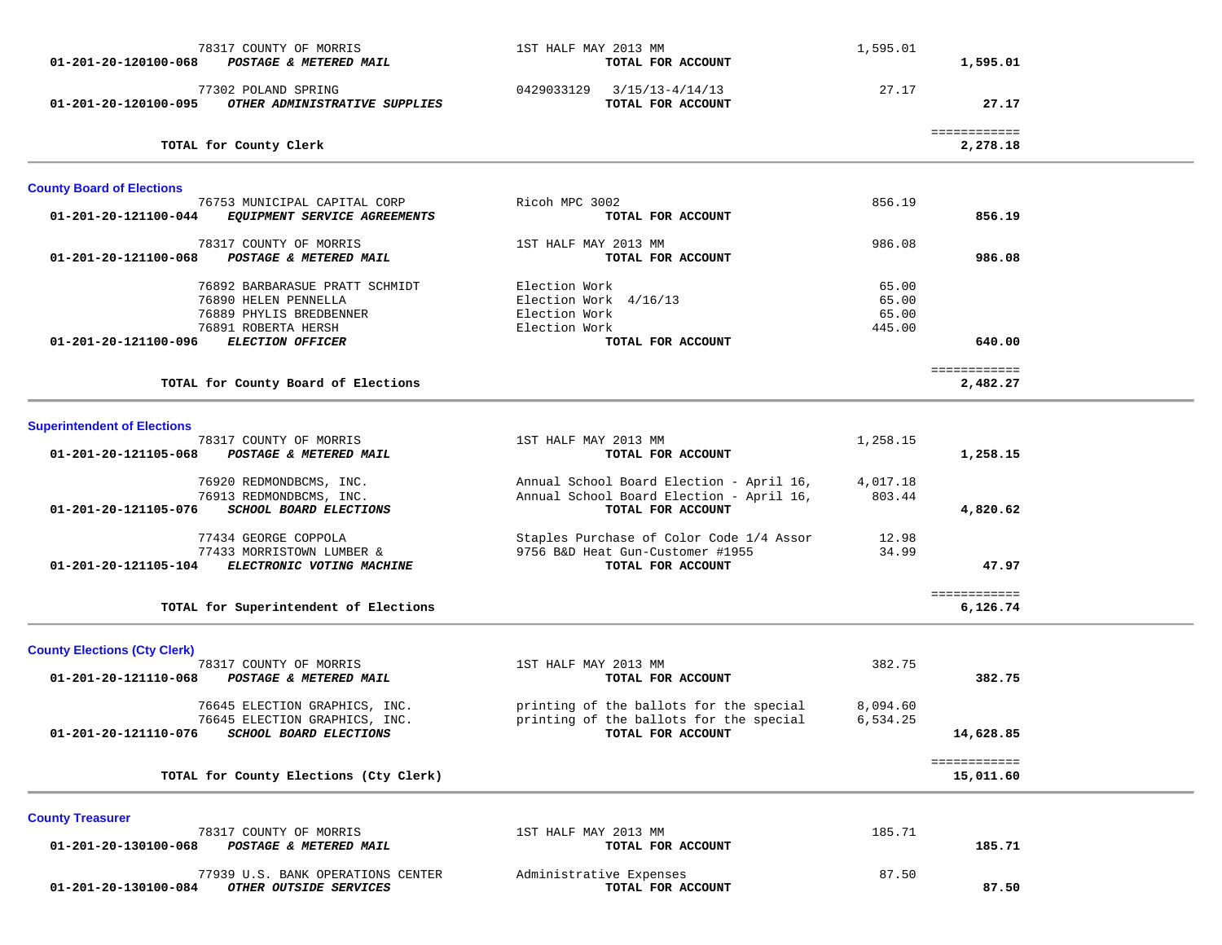| 78317 COUNTY OF MORRIS<br>01-201-20-120100-068<br>POSTAGE & METERED MAIL                                                                                    | 1ST HALF MAY 2013 MM<br>TOTAL FOR ACCOUNT                                                                 | 1,595.01                          | 1,595.01                  |  |
|-------------------------------------------------------------------------------------------------------------------------------------------------------------|-----------------------------------------------------------------------------------------------------------|-----------------------------------|---------------------------|--|
| 77302 POLAND SPRING<br>OTHER ADMINISTRATIVE SUPPLIES<br>01-201-20-120100-095                                                                                | 0429033129 3/15/13-4/14/13<br>TOTAL FOR ACCOUNT                                                           | 27.17                             | 27.17                     |  |
| TOTAL for County Clerk                                                                                                                                      |                                                                                                           |                                   | ============<br>2,278.18  |  |
| <b>County Board of Elections</b>                                                                                                                            |                                                                                                           |                                   |                           |  |
| 76753 MUNICIPAL CAPITAL CORP<br>EQUIPMENT SERVICE AGREEMENTS<br>01-201-20-121100-044                                                                        | Ricoh MPC 3002<br>TOTAL FOR ACCOUNT                                                                       | 856.19                            | 856.19                    |  |
| 78317 COUNTY OF MORRIS<br>POSTAGE & METERED MAIL<br>01-201-20-121100-068                                                                                    | 1ST HALF MAY 2013 MM<br>TOTAL FOR ACCOUNT                                                                 | 986.08                            | 986.08                    |  |
| 76892 BARBARASUE PRATT SCHMIDT<br>76890 HELEN PENNELLA<br>76889 PHYLIS BREDBENNER<br>76891 ROBERTA HERSH<br><b>ELECTION OFFICER</b><br>01-201-20-121100-096 | Election Work<br>Election Work 4/16/13<br>Election Work<br>Election Work<br>TOTAL FOR ACCOUNT             | 65.00<br>65.00<br>65.00<br>445.00 | 640.00                    |  |
| TOTAL for County Board of Elections                                                                                                                         |                                                                                                           |                                   | ============<br>2,482.27  |  |
| <b>Superintendent of Elections</b>                                                                                                                          |                                                                                                           |                                   |                           |  |
| 78317 COUNTY OF MORRIS<br>01-201-20-121105-068<br>POSTAGE & METERED MAIL                                                                                    | 1ST HALF MAY 2013 MM<br>TOTAL FOR ACCOUNT                                                                 | 1,258.15                          | 1,258.15                  |  |
| 76920 REDMONDBCMS, INC.<br>76913 REDMONDBCMS, INC.<br>01-201-20-121105-076<br>SCHOOL BOARD ELECTIONS                                                        | Annual School Board Election - April 16,<br>Annual School Board Election - April 16,<br>TOTAL FOR ACCOUNT | 4,017.18<br>803.44                | 4,820.62                  |  |
| 77434 GEORGE COPPOLA<br>77433 MORRISTOWN LUMBER &<br>01-201-20-121105-104 ELECTRONIC VOTING MACHINE                                                         | Staples Purchase of Color Code 1/4 Assor<br>9756 B&D Heat Gun-Customer #1955<br>TOTAL FOR ACCOUNT         | 12.98<br>34.99                    | 47.97                     |  |
| TOTAL for Superintendent of Elections                                                                                                                       |                                                                                                           |                                   | ============<br>6,126.74  |  |
| <b>County Elections (Cty Clerk)</b>                                                                                                                         |                                                                                                           |                                   |                           |  |
| 78317 COUNTY OF MORRIS<br>01-201-20-121110-068<br>POSTAGE & METERED MAIL                                                                                    | 1ST HALF MAY 2013 MM<br>TOTAL FOR ACCOUNT                                                                 | 382.75                            | 382.75                    |  |
| 76645 ELECTION GRAPHICS, INC.<br>76645 ELECTION GRAPHICS, INC.<br>01-201-20-121110-076<br>SCHOOL BOARD ELECTIONS                                            | printing of the ballots for the special<br>printing of the ballots for the special<br>TOTAL FOR ACCOUNT   | 8,094.60<br>6,534.25              | 14,628.85                 |  |
| TOTAL for County Elections (Cty Clerk)                                                                                                                      |                                                                                                           |                                   | ============<br>15,011.60 |  |
| <b>County Treasurer</b>                                                                                                                                     |                                                                                                           |                                   |                           |  |
| 78317 COUNTY OF MORRIS<br>01-201-20-130100-068<br>POSTAGE & METERED MAIL                                                                                    | 1ST HALF MAY 2013 MM<br>TOTAL FOR ACCOUNT                                                                 | 185.71                            | 185.71                    |  |
| 77939 U.S. BANK OPERATIONS CENTER<br>01-201-20-130100-084<br>OTHER OUTSIDE SERVICES                                                                         | Administrative Expenses<br>TOTAL FOR ACCOUNT                                                              | 87.50                             | 87.50                     |  |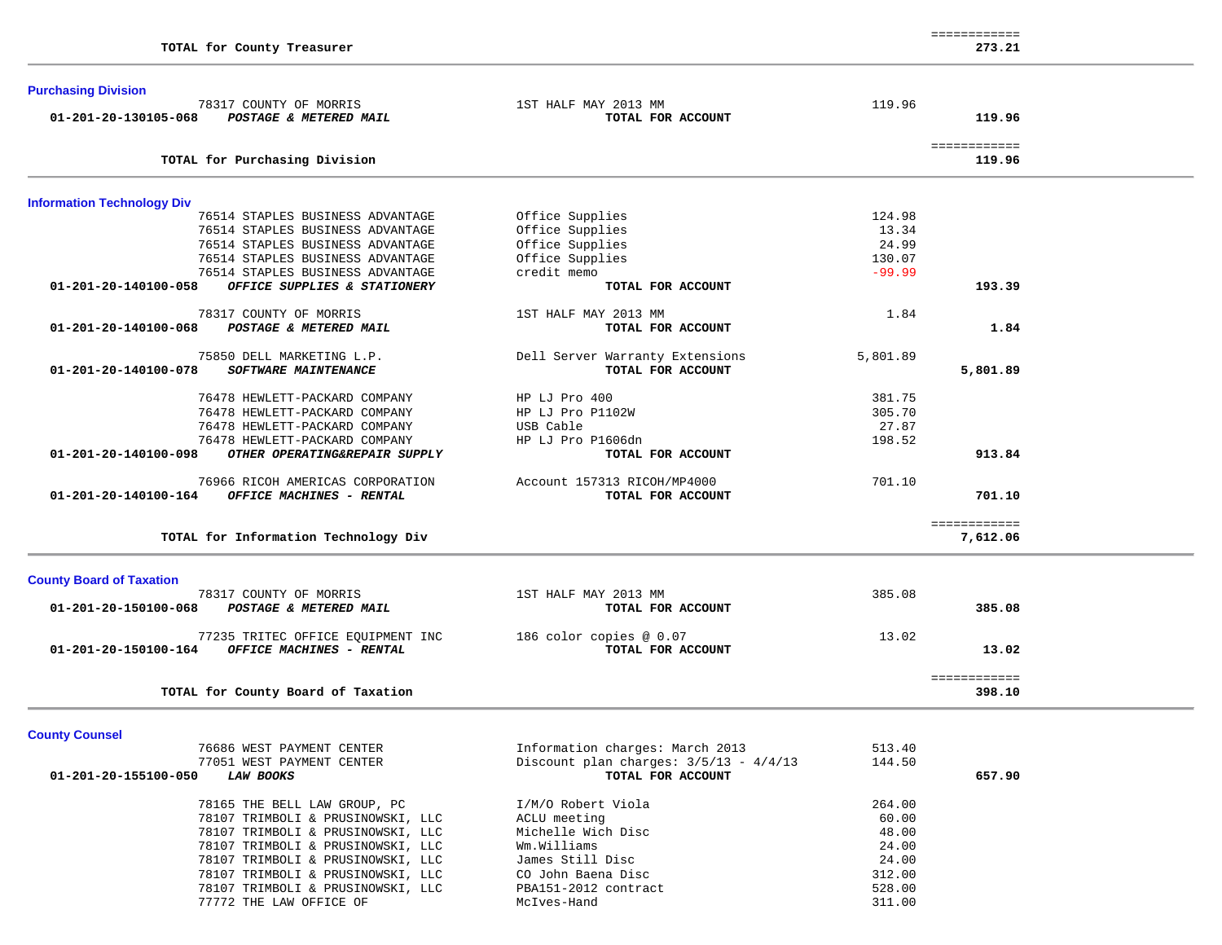|                                                       |                                 | ------------ |  |
|-------------------------------------------------------|---------------------------------|--------------|--|
| TOTAL for County Treasurer                            |                                 | 273.21       |  |
| <b>Purchasing Division</b>                            |                                 |              |  |
| 78317 COUNTY OF MORRIS                                | 1ST HALF MAY 2013 MM            | 119.96       |  |
| 01-201-20-130105-068<br>POSTAGE & METERED MAIL        | TOTAL FOR ACCOUNT               | 119.96       |  |
|                                                       |                                 | ============ |  |
| TOTAL for Purchasing Division                         |                                 | 119.96       |  |
| <b>Information Technology Div</b>                     |                                 |              |  |
| 76514 STAPLES BUSINESS ADVANTAGE                      | Office Supplies                 | 124.98       |  |
| 76514 STAPLES BUSINESS ADVANTAGE                      | Office Supplies                 | 13.34        |  |
| 76514 STAPLES BUSINESS ADVANTAGE                      | Office Supplies                 | 24.99        |  |
| 76514 STAPLES BUSINESS ADVANTAGE                      | Office Supplies                 | 130.07       |  |
| 76514 STAPLES BUSINESS ADVANTAGE                      | credit memo                     | $-99.99$     |  |
| 01-201-20-140100-058<br>OFFICE SUPPLIES & STATIONERY  | TOTAL FOR ACCOUNT               | 193.39       |  |
| 78317 COUNTY OF MORRIS                                | 1ST HALF MAY 2013 MM            | 1.84         |  |
| 01-201-20-140100-068<br>POSTAGE & METERED MAIL        | TOTAL FOR ACCOUNT               | 1.84         |  |
| 75850 DELL MARKETING L.P.                             | Dell Server Warranty Extensions | 5,801.89     |  |
| 01-201-20-140100-078<br>SOFTWARE MAINTENANCE          | TOTAL FOR ACCOUNT               | 5,801.89     |  |
| 76478 HEWLETT-PACKARD COMPANY                         | HP LJ Pro 400                   | 381.75       |  |
| 76478 HEWLETT-PACKARD COMPANY                         | HP LJ Pro P1102W                | 305.70       |  |
| 76478 HEWLETT-PACKARD COMPANY                         | USB Cable                       | 27.87        |  |
| 76478 HEWLETT-PACKARD COMPANY                         | HP LJ Pro P1606dn               | 198.52       |  |
| 01-201-20-140100-098<br>OTHER OPERATING&REPAIR SUPPLY | TOTAL FOR ACCOUNT               | 913.84       |  |
| 76966 RICOH AMERICAS CORPORATION                      | Account 157313 RICOH/MP4000     | 701.10       |  |
| 01-201-20-140100-164<br>OFFICE MACHINES - RENTAL      | TOTAL FOR ACCOUNT               | 701.10       |  |
|                                                       |                                 | ============ |  |
| TOTAL for Information Technology Div                  |                                 | 7,612.06     |  |
| <b>County Board of Taxation</b>                       |                                 |              |  |
| 78317 COUNTY OF MORRIS                                | 1ST HALF MAY 2013 MM            | 385.08       |  |
| 01-201-20-150100-068<br>POSTAGE & METERED MAIL        | TOTAL FOR ACCOUNT               | 385.08       |  |
|                                                       |                                 |              |  |

| 01-201-20-190100-000<br>rvalage & Melenev Maly                                        | 101AB FOR ACCOUNT                             | <u>JUJ.VU</u>  |
|---------------------------------------------------------------------------------------|-----------------------------------------------|----------------|
| 77235 TRITEC OFFICE EQUIPMENT INC<br>01-201-20-150100-164<br>OFFICE MACHINES - RENTAL | 186 color copies $@0.07$<br>TOTAL FOR ACCOUNT | 13.02<br>13.02 |
| TOTAL for County Board of Taxation                                                    |                                               | 398.10         |

**County Counsel** 

| 76686 WEST PAYMENT CENTER                | Information charges: March 2013          | 513.40 |        |
|------------------------------------------|------------------------------------------|--------|--------|
| 77051 WEST PAYMENT CENTER                | Discount plan charges: $3/5/13 - 4/4/13$ | 144.50 |        |
| 01-201-20-155100-050<br><b>LAW BOOKS</b> | TOTAL FOR ACCOUNT                        |        | 657.90 |
| 78165 THE BELL LAW GROUP, PC             | I/M/O Robert Viola                       | 264.00 |        |
| 78107 TRIMBOLI & PRUSINOWSKI, LLC        | ACLU meeting                             | 60.00  |        |
| 78107 TRIMBOLI & PRUSINOWSKI, LLC        | Michelle Wich Disc                       | 48.00  |        |
| 78107 TRIMBOLI & PRUSINOWSKI, LLC        | Wm.Williams                              | 24.00  |        |
| 78107 TRIMBOLI & PRUSINOWSKI, LLC        | James Still Disc                         | 24.00  |        |
| 78107 TRIMBOLI & PRUSINOWSKI, LLC        | CO John Baena Disc                       | 312.00 |        |
| 78107 TRIMBOLI & PRUSINOWSKI, LLC        | PBA151-2012 contract                     | 528.00 |        |
| 77772 THE LAW OFFICE OF                  | McIves-Hand                              | 311.00 |        |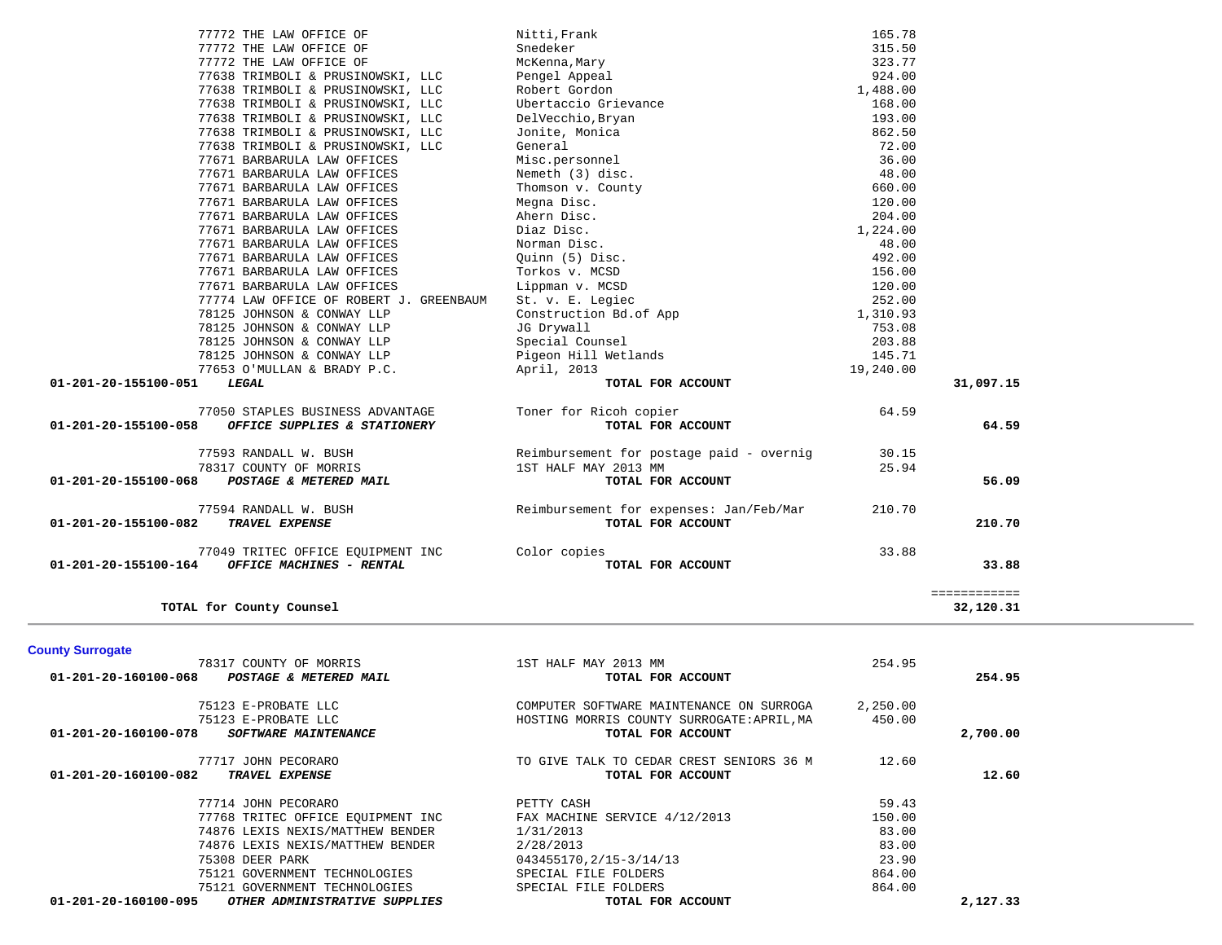| TOTAL for County Counsel                                 |                                            |          | ============<br>32,120.31 |  |
|----------------------------------------------------------|--------------------------------------------|----------|---------------------------|--|
| <b>County Surrogate</b>                                  |                                            |          |                           |  |
| 78317 COUNTY OF MORRIS                                   | 1ST HALF MAY 2013 MM                       | 254.95   |                           |  |
| $01 - 201 - 20 - 160100 - 068$<br>POSTAGE & METERED MAIL | TOTAL FOR ACCOUNT                          |          | 254.95                    |  |
| 75123 E-PROBATE LLC                                      | COMPUTER SOFTWARE MAINTENANCE ON SURROGA   | 2,250.00 |                           |  |
| 75123 E-PROBATE LLC                                      | HOSTING MORRIS COUNTY SURROGATE: APRIL, MA | 450.00   |                           |  |
| 01-201-20-160100-078<br>SOFTWARE MAINTENANCE             | TOTAL FOR ACCOUNT                          |          | 2,700.00                  |  |
| 77717 JOHN PECORARO                                      | TO GIVE TALK TO CEDAR CREST SENIORS 36 M   | 12.60    |                           |  |
| 01-201-20-160100-082<br>TRAVEL EXPENSE                   | TOTAL FOR ACCOUNT                          |          | 12.60                     |  |
| 77714 JOHN PECORARO                                      | PETTY CASH                                 | 59.43    |                           |  |
| 77768 TRITEC OFFICE EQUIPMENT INC                        | FAX MACHINE SERVICE 4/12/2013              | 150.00   |                           |  |
| 74876 LEXIS NEXIS/MATTHEW BENDER                         | 1/31/2013                                  | 83.00    |                           |  |
| 74876 LEXIS NEXIS/MATTHEW BENDER                         | 2/28/2013                                  | 83.00    |                           |  |
| 75308 DEER PARK                                          | 043455170, 2/15-3/14/13                    | 23.90    |                           |  |
| 75121 GOVERNMENT TECHNOLOGIES                            | SPECIAL FILE FOLDERS                       | 864.00   |                           |  |
| 75121 GOVERNMENT TECHNOLOGIES                            | SPECIAL FILE FOLDERS                       | 864.00   |                           |  |
| 01-201-20-160100-095<br>OTHER ADMINISTRATIVE SUPPLIES    | TOTAL FOR ACCOUNT                          |          | 2,127.33                  |  |

 $\overline{\phantom{a}}$ 

| 77772 THE LAW OFFICE OF                              | Snedeker                                 | 315.50    |              |
|------------------------------------------------------|------------------------------------------|-----------|--------------|
| 77772 THE LAW OFFICE OF                              | McKenna, Mary                            | 323.77    |              |
| 77638 TRIMBOLI & PRUSINOWSKI, LLC                    | Pengel Appeal                            | 924.00    |              |
| 77638 TRIMBOLI & PRUSINOWSKI, LLC                    | Robert Gordon                            | 1,488.00  |              |
| 77638 TRIMBOLI & PRUSINOWSKI, LLC                    | Ubertaccio Grievance                     | 168.00    |              |
| 77638 TRIMBOLI & PRUSINOWSKI, LLC                    | DelVecchio, Bryan                        | 193.00    |              |
| 77638 TRIMBOLI & PRUSINOWSKI, LLC                    | Jonite, Monica                           | 862.50    |              |
| 77638 TRIMBOLI & PRUSINOWSKI, LLC                    | General                                  | 72.00     |              |
| 77671 BARBARULA LAW OFFICES                          | Misc.personnel                           | 36.00     |              |
| 77671 BARBARULA LAW OFFICES                          | Nemeth (3) disc.                         | 48.00     |              |
| 77671 BARBARULA LAW OFFICES                          | Thomson v. County                        | 660.00    |              |
| 77671 BARBARULA LAW OFFICES                          | Megna Disc.                              | 120.00    |              |
| 77671 BARBARULA LAW OFFICES                          | Ahern Disc.                              | 204.00    |              |
| 77671 BARBARULA LAW OFFICES                          | Diaz Disc.                               | 1,224.00  |              |
| 77671 BARBARULA LAW OFFICES                          | Norman Disc.                             | 48.00     |              |
| 77671 BARBARULA LAW OFFICES                          | Ouinn (5) Disc.                          | 492.00    |              |
| 77671 BARBARULA LAW OFFICES                          | Torkos v. MCSD                           | 156.00    |              |
| 77671 BARBARULA LAW OFFICES                          | Lippman v. MCSD                          | 120.00    |              |
| 77774 LAW OFFICE OF ROBERT J. GREENBAUM              | St. v. E. Legiec                         | 252.00    |              |
| 78125 JOHNSON & CONWAY LLP                           | Construction Bd.of App                   | 1,310.93  |              |
| 78125 JOHNSON & CONWAY LLP                           | JG Drywall                               | 753.08    |              |
| 78125 JOHNSON & CONWAY LLP                           | Special Counsel                          | 203.88    |              |
| 78125 JOHNSON & CONWAY LLP                           | Pigeon Hill Wetlands                     | 145.71    |              |
| 77653 O'MULLAN & BRADY P.C.                          | April, 2013                              | 19,240.00 |              |
| 01-201-20-155100-051<br>LEGAL                        | TOTAL FOR ACCOUNT                        |           | 31,097.15    |
| 77050 STAPLES BUSINESS ADVANTAGE                     | Toner for Ricoh copier                   | 64.59     |              |
| 01-201-20-155100-058<br>OFFICE SUPPLIES & STATIONERY | TOTAL FOR ACCOUNT                        |           | 64.59        |
| 77593 RANDALL W. BUSH                                | Reimbursement for postage paid - overnig | 30.15     |              |
| 78317 COUNTY OF MORRIS                               | 1ST HALF MAY 2013 MM                     | 25.94     |              |
| 01-201-20-155100-068<br>POSTAGE & METERED MAIL       | TOTAL FOR ACCOUNT                        |           | 56.09        |
| 77594 RANDALL W. BUSH                                | Reimbursement for expenses: Jan/Feb/Mar  | 210.70    |              |
| 01-201-20-155100-082<br>TRAVEL EXPENSE               | TOTAL FOR ACCOUNT                        |           | 210.70       |
| 77049 TRITEC OFFICE EQUIPMENT INC                    | Color copies                             | 33.88     |              |
| 01-201-20-155100-164<br>OFFICE MACHINES - RENTAL     | TOTAL FOR ACCOUNT                        |           | 33.88        |
|                                                      |                                          |           | ============ |

77772 THE LAW OFFICE OF Nitti, Frank 165.78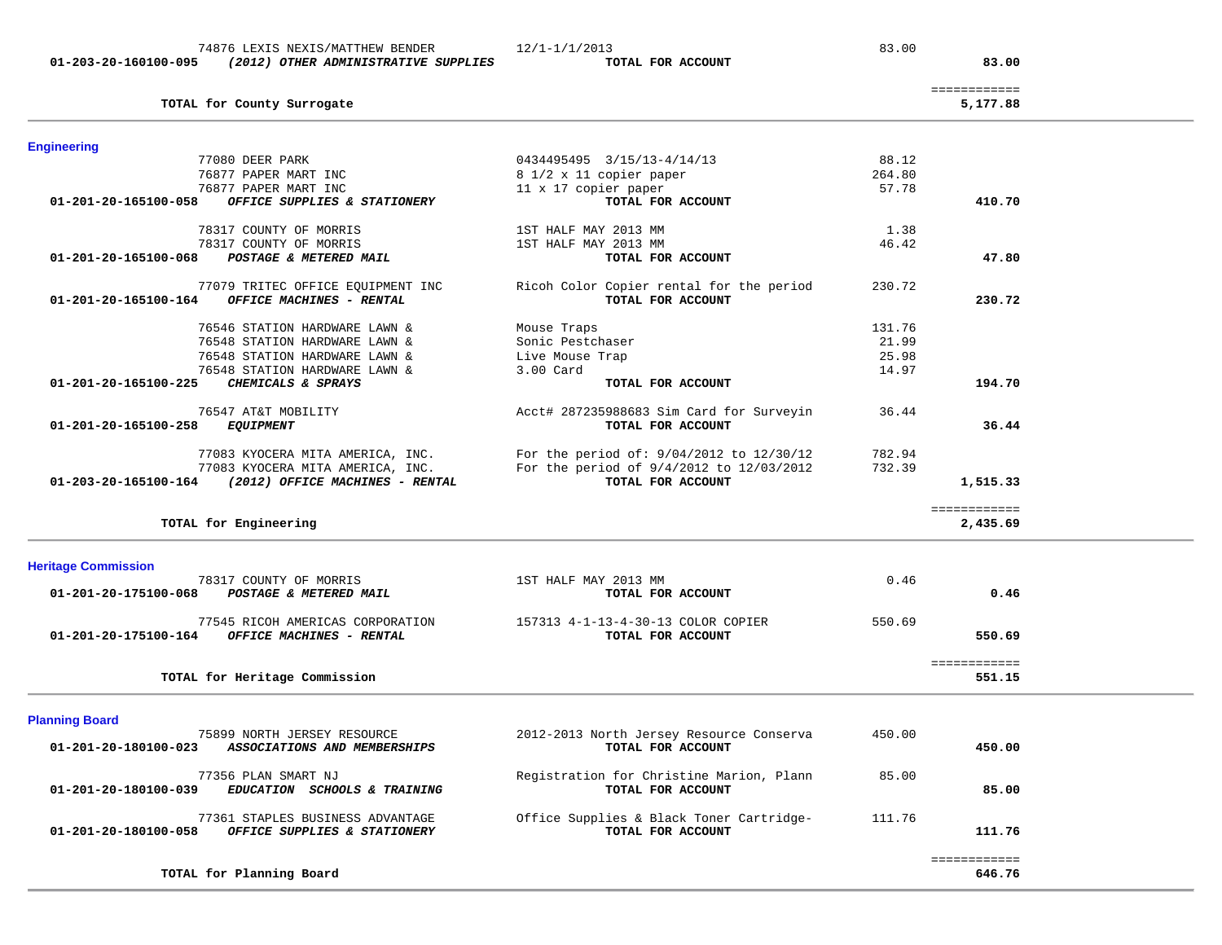| 77080 DEER PARK                                                                          | 0434495495 3/15/13-4/14/13                                    | 88.12  |                          |
|------------------------------------------------------------------------------------------|---------------------------------------------------------------|--------|--------------------------|
| 76877 PAPER MART INC                                                                     | 8 1/2 x 11 copier paper                                       | 264.80 |                          |
| 76877 PAPER MART INC                                                                     | 11 x 17 copier paper                                          | 57.78  |                          |
| 01-201-20-165100-058<br>OFFICE SUPPLIES & STATIONERY                                     | TOTAL FOR ACCOUNT                                             |        | 410.70                   |
| 78317 COUNTY OF MORRIS                                                                   | 1ST HALF MAY 2013 MM                                          | 1.38   |                          |
| 78317 COUNTY OF MORRIS                                                                   | 1ST HALF MAY 2013 MM                                          | 46.42  |                          |
| 01-201-20-165100-068<br>POSTAGE & METERED MAIL                                           | TOTAL FOR ACCOUNT                                             |        | 47.80                    |
| 77079 TRITEC OFFICE EQUIPMENT INC<br>OFFICE MACHINES - RENTAL<br>01-201-20-165100-164    | Ricoh Color Copier rental for the period<br>TOTAL FOR ACCOUNT | 230.72 | 230.72                   |
| 76546 STATION HARDWARE LAWN &                                                            | Mouse Traps                                                   | 131.76 |                          |
| 76548 STATION HARDWARE LAWN &                                                            | Sonic Pestchaser                                              | 21.99  |                          |
| 76548 STATION HARDWARE LAWN &                                                            | Live Mouse Trap                                               | 25.98  |                          |
| 76548 STATION HARDWARE LAWN &                                                            | 3.00 Card                                                     | 14.97  |                          |
| CHEMICALS & SPRAYS<br>01-201-20-165100-225                                               | TOTAL FOR ACCOUNT                                             |        | 194.70                   |
| 76547 AT&T MOBILITY<br>01-201-20-165100-258<br>EQUIPMENT                                 | Acct# 287235988683 Sim Card for Surveyin<br>TOTAL FOR ACCOUNT | 36.44  | 36.44                    |
| 77083 KYOCERA MITA AMERICA, INC.                                                         | For the period of: 9/04/2012 to 12/30/12                      | 782.94 |                          |
| 77083 KYOCERA MITA AMERICA, INC.                                                         | For the period of 9/4/2012 to 12/03/2012                      | 732.39 |                          |
| 01-203-20-165100-164 (2012) OFFICE MACHINES - RENTAL                                     | TOTAL FOR ACCOUNT                                             |        | 1,515.33                 |
| TOTAL for Engineering                                                                    |                                                               |        | ============<br>2,435.69 |
| <b>Heritage Commission</b>                                                               |                                                               |        |                          |
| 78317 COUNTY OF MORRIS<br>POSTAGE & METERED MAIL<br>01-201-20-175100-068                 | 1ST HALF MAY 2013 MM<br>TOTAL FOR ACCOUNT                     | 0.46   | 0.46                     |
| 77545 RICOH AMERICAS CORPORATION<br>OFFICE MACHINES - RENTAL<br>01-201-20-175100-164     | 157313 4-1-13-4-30-13 COLOR COPIER<br>TOTAL FOR ACCOUNT       | 550.69 | 550.69                   |
| TOTAL for Heritage Commission                                                            |                                                               |        | ============<br>551.15   |
| <b>Planning Board</b>                                                                    |                                                               |        |                          |
| 75899 NORTH JERSEY RESOURCE<br>01-201-20-180100-023<br>ASSOCIATIONS AND MEMBERSHIPS      | 2012-2013 North Jersey Resource Conserva<br>TOTAL FOR ACCOUNT | 450.00 | 450.00                   |
| 77356 PLAN SMART NJ<br>01-201-20-180100-039<br>EDUCATION SCHOOLS & TRAINING              | Registration for Christine Marion, Plann<br>TOTAL FOR ACCOUNT | 85.00  | 85.00                    |
| 77361 STAPLES BUSINESS ADVANTAGE<br>01-201-20-180100-058<br>OFFICE SUPPLIES & STATIONERY | Office Supplies & Black Toner Cartridge-<br>TOTAL FOR ACCOUNT | 111.76 | 111.76                   |
| TOTAL for Planning Board                                                                 |                                                               |        | ============<br>646.76   |

TOTAL for County Surrogate

**Engineering** 

============

5,177.88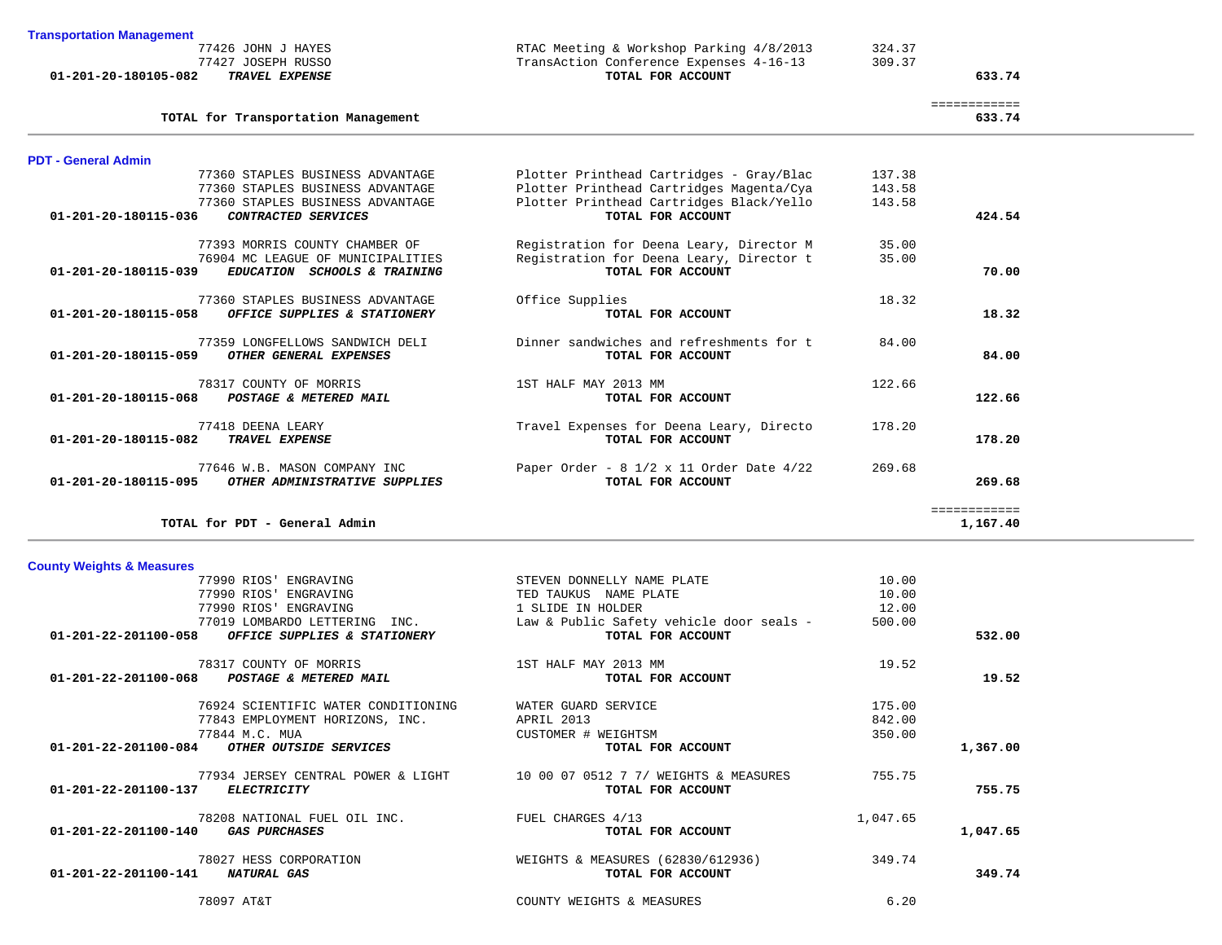| <b>County Weights &amp; Measures</b>                 |                                          |          |          |
|------------------------------------------------------|------------------------------------------|----------|----------|
| 77990 RIOS' ENGRAVING                                | STEVEN DONNELLY NAME PLATE               | 10.00    |          |
| 77990 RIOS' ENGRAVING                                | TED TAUKUS<br>NAME PLATE                 | 10.00    |          |
| 77990 RIOS' ENGRAVING                                | 1 SLIDE IN HOLDER                        | 12.00    |          |
| 77019 LOMBARDO LETTERING<br>INC.                     | Law & Public Safety vehicle door seals - | 500.00   |          |
| 01-201-22-201100-058<br>OFFICE SUPPLIES & STATIONERY | TOTAL FOR ACCOUNT                        |          | 532.00   |
| 78317 COUNTY OF MORRIS                               | 1ST HALF MAY 2013 MM                     | 19.52    |          |
| 01-201-22-201100-068 POSTAGE & METERED MAIL          | TOTAL FOR ACCOUNT                        |          | 19.52    |
| 76924 SCIENTIFIC WATER CONDITIONING                  | WATER GUARD SERVICE                      | 175.00   |          |
| 77843 EMPLOYMENT HORIZONS, INC.                      | APRIL 2013                               | 842.00   |          |
| 77844 M.C. MUA                                       | CUSTOMER # WEIGHTSM                      | 350.00   |          |
| 01-201-22-201100-084<br>OTHER OUTSIDE SERVICES       | TOTAL FOR ACCOUNT                        |          | 1,367.00 |
| 77934 JERSEY CENTRAL POWER & LIGHT                   | 10 00 07 0512 7 7/ WEIGHTS & MEASURES    | 755.75   |          |
| 01-201-22-201100-137<br><i>ELECTRICITY</i>           | TOTAL FOR ACCOUNT                        |          | 755.75   |
| 78208 NATIONAL FUEL OIL INC.                         | FUEL CHARGES 4/13                        | 1,047.65 |          |
| 01-201-22-201100-140<br><b>GAS PURCHASES</b>         | TOTAL FOR ACCOUNT                        |          | 1,047.65 |
| 78027 HESS CORPORATION                               | WEIGHTS & MEASURES (62830/612936)        | 349.74   |          |
| 01-201-22-201100-141<br>NATURAL GAS                  | TOTAL FOR ACCOUNT                        |          | 349.74   |
| 78097 AT&T                                           | COUNTY WEIGHTS & MEASURES                | 6.20     |          |
|                                                      |                                          |          |          |

| 77360 STAPLES BUSINESS ADVANTAGE                      | Plotter Printhead Cartridges Magenta/Cya                  | 143.58 |              |
|-------------------------------------------------------|-----------------------------------------------------------|--------|--------------|
| 77360 STAPLES BUSINESS ADVANTAGE                      | Plotter Printhead Cartridges Black/Yello                  | 143.58 |              |
| 01-201-20-180115-036<br>CONTRACTED SERVICES           | TOTAL FOR ACCOUNT                                         |        | 424.54       |
| 77393 MORRIS COUNTY CHAMBER OF                        | Registration for Deena Leary, Director M                  | 35.00  |              |
| 76904 MC LEAGUE OF MUNICIPALITIES                     | Registration for Deena Leary, Director t                  | 35.00  |              |
| 01-201-20-180115-039<br>EDUCATION SCHOOLS & TRAINING  | TOTAL FOR ACCOUNT                                         |        | 70.00        |
| 77360 STAPLES BUSINESS ADVANTAGE                      | Office Supplies                                           | 18.32  |              |
| 01-201-20-180115-058<br>OFFICE SUPPLIES & STATIONERY  | TOTAL FOR ACCOUNT                                         |        | 18.32        |
| 77359 LONGFELLOWS SANDWICH DELI                       | Dinner sandwiches and refreshments for t                  | 84.00  |              |
| 01-201-20-180115-059<br>OTHER GENERAL EXPENSES        | TOTAL FOR ACCOUNT                                         |        | 84.00        |
| 78317 COUNTY OF MORRIS                                | 1ST HALF MAY 2013 MM                                      | 122.66 |              |
| 01-201-20-180115-068<br>POSTAGE & METERED MAIL        | TOTAL FOR ACCOUNT                                         |        | 122.66       |
| 77418 DEENA LEARY                                     | Travel Expenses for Deena Leary, Directo                  | 178.20 |              |
| 01-201-20-180115-082<br>TRAVEL EXPENSE                | TOTAL FOR ACCOUNT                                         |        | 178.20       |
| 77646 W.B. MASON COMPANY INC                          | Paper Order - $8 \frac{1}{2} \times 11$ Order Date $4/22$ | 269.68 |              |
| 01-201-20-180115-095<br>OTHER ADMINISTRATIVE SUPPLIES | TOTAL FOR ACCOUNT                                         |        | 269.68       |
|                                                       |                                                           |        | ============ |
| TOTAL for PDT - General Admin                         |                                                           |        | 1,167.40     |

============

77360 STAPLES BUSINESS ADVANTAGE Plotter Printhead Cartridges - Gray/Blac 137.38<br>77360 STAPLES BUSINESS ADVANTAGE Plotter Printhead Cartridges Magenta/Cya 143.58

**PDT - General Admin**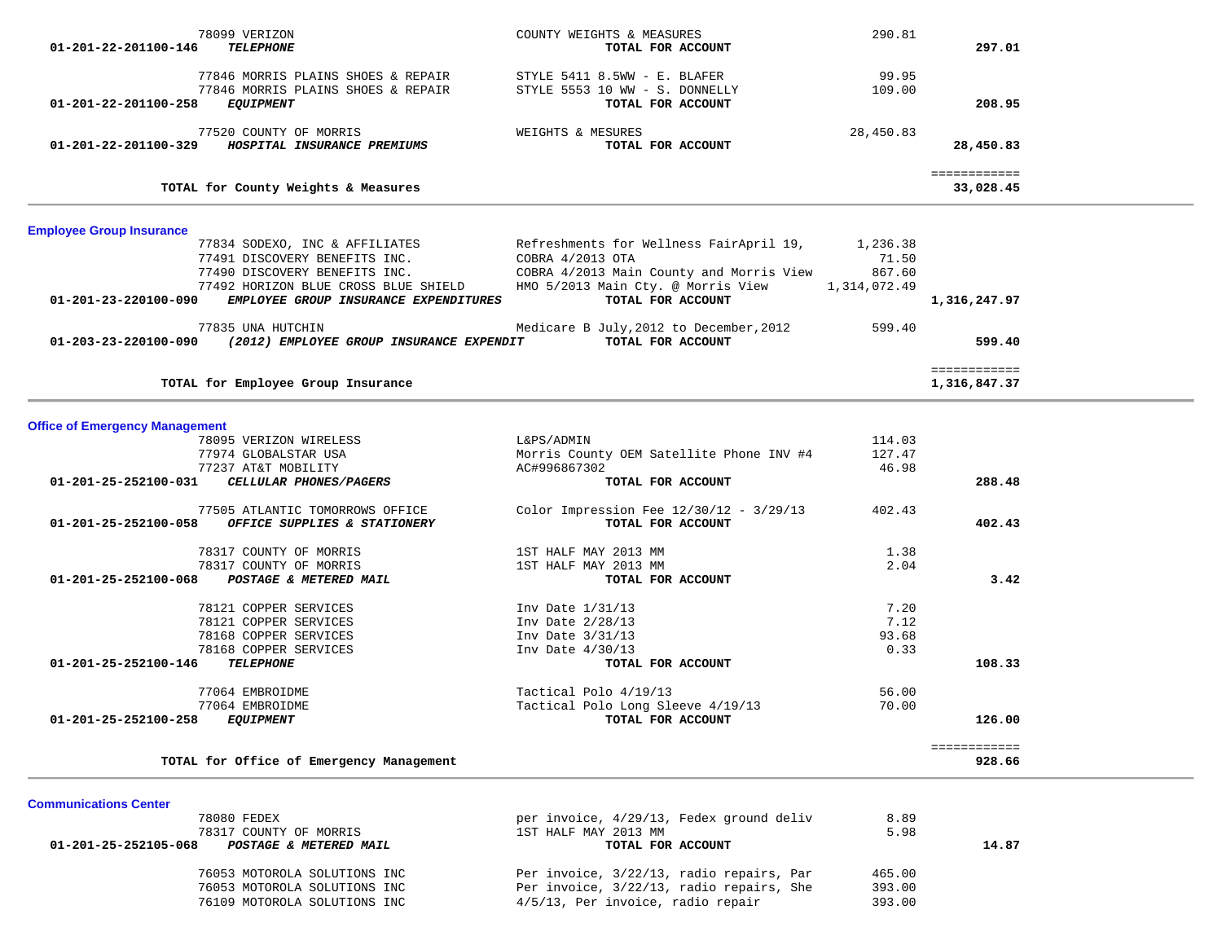|                                       | 78099 VERIZON                                    | COUNTY WEIGHTS & MEASURES                       | 290.81    |              |  |
|---------------------------------------|--------------------------------------------------|-------------------------------------------------|-----------|--------------|--|
| 01-201-22-201100-146                  | <b>TELEPHONE</b>                                 | TOTAL FOR ACCOUNT                               |           | 297.01       |  |
|                                       | 77846 MORRIS PLAINS SHOES & REPAIR               | STYLE 5411 8.5WW - E. BLAFER                    | 99.95     |              |  |
|                                       | 77846 MORRIS PLAINS SHOES & REPAIR               | STYLE 5553 10 WW - S. DONNELLY                  | 109.00    |              |  |
| 01-201-22-201100-258                  | <i>EQUIPMENT</i>                                 | TOTAL FOR ACCOUNT                               |           | 208.95       |  |
|                                       | 77520 COUNTY OF MORRIS                           | WEIGHTS & MESURES                               | 28,450.83 |              |  |
|                                       | 01-201-22-201100-329 HOSPITAL INSURANCE PREMIUMS | TOTAL FOR ACCOUNT                               |           | 28,450.83    |  |
|                                       |                                                  |                                                 |           | ============ |  |
|                                       | TOTAL for County Weights & Measures              |                                                 |           | 33,028.45    |  |
| <b>Employee Group Insurance</b>       |                                                  |                                                 |           |              |  |
|                                       | 77834 SODEXO, INC & AFFILIATES                   | Refreshments for Wellness FairApril 19,         | 1,236.38  |              |  |
|                                       | 77491 DISCOVERY BENEFITS INC.                    | COBRA 4/2013 OTA                                | 71.50     |              |  |
|                                       | 77490 DISCOVERY BENEFITS INC.                    | COBRA 4/2013 Main County and Morris View        | 867.60    |              |  |
|                                       | 77492 HORIZON BLUE CROSS BLUE SHIELD             | HMO 5/2013 Main Cty. @ Morris View 1,314,072.49 |           |              |  |
| 01-201-23-220100-090                  | EMPLOYEE GROUP INSURANCE EXPENDITURES            | TOTAL FOR ACCOUNT                               |           | 1,316,247.97 |  |
|                                       | 77835 UNA HUTCHIN                                | Medicare B July, 2012 to December, 2012         | 599.40    |              |  |
| 01-203-23-220100-090                  | (2012) EMPLOYEE GROUP INSURANCE EXPENDIT         | TOTAL FOR ACCOUNT                               |           | 599.40       |  |
|                                       |                                                  |                                                 |           | ============ |  |
|                                       | TOTAL for Employee Group Insurance               |                                                 |           | 1,316,847.37 |  |
|                                       |                                                  |                                                 |           |              |  |
| <b>Office of Emergency Management</b> |                                                  |                                                 |           |              |  |
|                                       | 78095 VERIZON WIRELESS                           | L&PS/ADMIN                                      | 114.03    |              |  |
|                                       | 77974 GLOBALSTAR USA                             | Morris County OEM Satellite Phone INV #4        | 127.47    |              |  |
|                                       | 77237 AT&T MOBILITY                              | AC#996867302                                    | 46.98     | 288.48       |  |
| 01-201-25-252100-031                  | CELLULAR PHONES/PAGERS                           | TOTAL FOR ACCOUNT                               |           |              |  |
|                                       | 77505 ATLANTIC TOMORROWS OFFICE                  | Color Impression Fee $12/30/12 - 3/29/13$       | 402.43    |              |  |
| 01-201-25-252100-058                  | OFFICE SUPPLIES & STATIONERY                     | TOTAL FOR ACCOUNT                               |           | 402.43       |  |
|                                       | 78317 COUNTY OF MORRIS                           | 1ST HALF MAY 2013 MM                            | 1.38      |              |  |
|                                       | 78317 COUNTY OF MORRIS                           | 1ST HALF MAY 2013 MM                            | 2.04      |              |  |
| 01-201-25-252100-068                  | POSTAGE & METERED MAIL                           | TOTAL FOR ACCOUNT                               |           | 3.42         |  |
|                                       | 78121 COPPER SERVICES                            | Inv Date 1/31/13                                | 7.20      |              |  |
|                                       | 78121 COPPER SERVICES                            | Inv Date 2/28/13                                | 7.12      |              |  |
|                                       | 78168 COPPER SERVICES                            | Inv Date 3/31/13                                | 93.68     |              |  |
|                                       | 78168 COPPER SERVICES                            | Inv Date $4/30/13$                              | 0.33      |              |  |
| 01-201-25-252100-146                  | <b>TELEPHONE</b>                                 | TOTAL FOR ACCOUNT                               |           | 108.33       |  |
|                                       | 77064 EMBROIDME                                  | Tactical Polo 4/19/13                           | 56.00     |              |  |
|                                       | 77064 EMBROIDME                                  | Tactical Polo Long Sleeve 4/19/13               | 70.00     |              |  |
| 01-201-25-252100-258                  | <b>EQUIPMENT</b>                                 | TOTAL FOR ACCOUNT                               |           | 126.00       |  |
|                                       |                                                  |                                                 |           | ============ |  |
|                                       | TOTAL for Office of Emergency Management         |                                                 |           | 928.66       |  |

 $\overline{\phantom{0}}$ 

**Communications Center** 

| 78080 FEDEX                                    | per invoice, 4/29/13, Fedex ground deliv | 8.89   |       |
|------------------------------------------------|------------------------------------------|--------|-------|
| 78317 COUNTY OF MORRIS                         | 1ST HALF MAY 2013 MM                     | 5.98   |       |
| 01-201-25-252105-068<br>POSTAGE & METERED MAIL | TOTAL FOR ACCOUNT                        |        | 14.87 |
| 76053 MOTOROLA SOLUTIONS INC                   | Per invoice, 3/22/13, radio repairs, Par | 465.00 |       |
| 76053 MOTOROLA SOLUTIONS INC                   | Per invoice, 3/22/13, radio repairs, She | 393.00 |       |
| 76109 MOTOROLA SOLUTIONS INC                   | 4/5/13, Per invoice, radio repair        | 393.00 |       |
|                                                |                                          |        |       |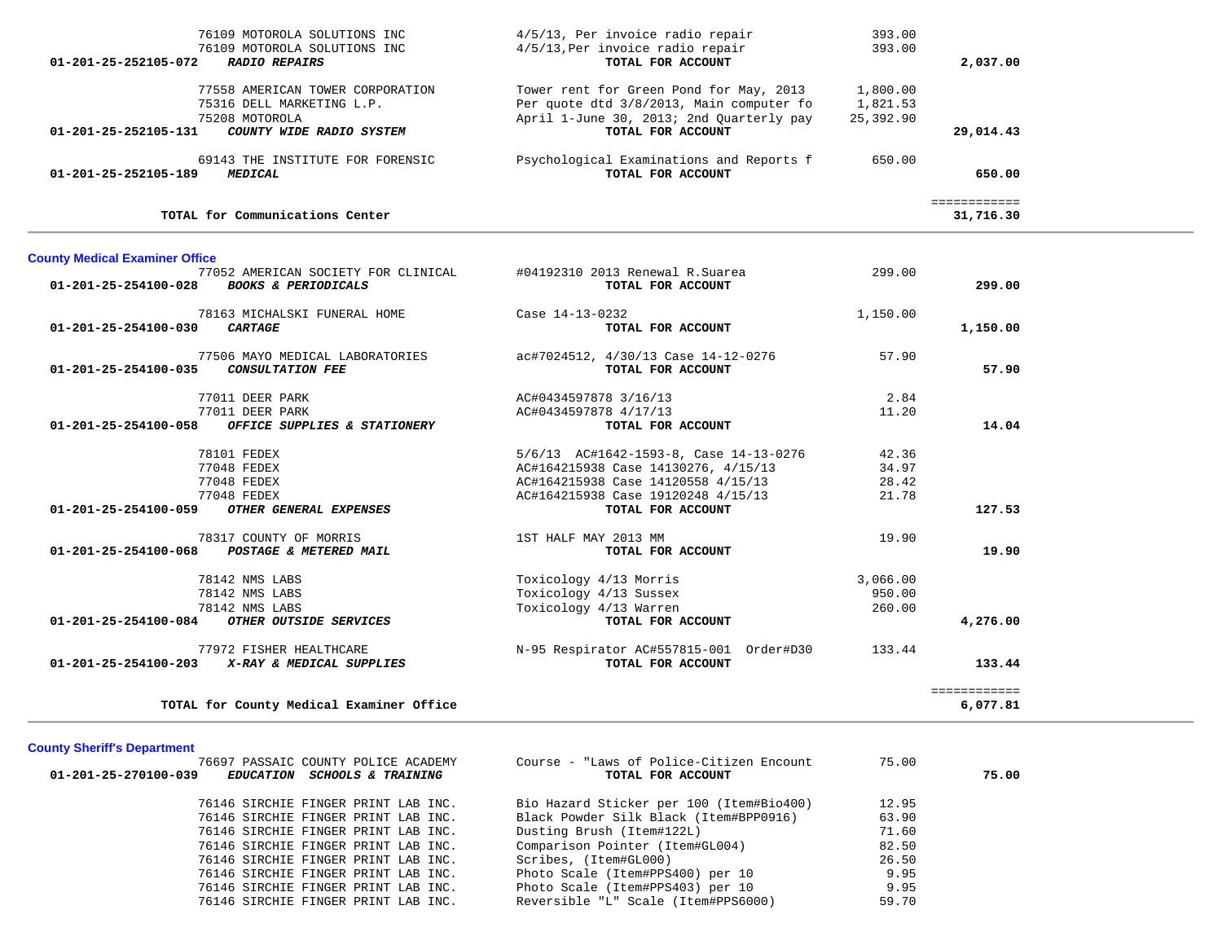| 76109 MOTOROLA SOLUTIONS INC<br>76109 MOTOROLA SOLUTIONS INC<br>01-201-25-252105-072<br><b>RADIO REPAIRS</b>                        | 4/5/13, Per invoice radio repair<br>4/5/13, Per invoice radio repair<br>TOTAL FOR ACCOUNT                                                                                      | 393.00<br>393.00                  | 2,037.00                  |
|-------------------------------------------------------------------------------------------------------------------------------------|--------------------------------------------------------------------------------------------------------------------------------------------------------------------------------|-----------------------------------|---------------------------|
| 77558 AMERICAN TOWER CORPORATION<br>75316 DELL MARKETING L.P.<br>75208 MOTOROLA<br>COUNTY WIDE RADIO SYSTEM<br>01-201-25-252105-131 | Tower rent for Green Pond for May, 2013<br>Per quote dtd 3/8/2013, Main computer fo<br>April 1-June 30, 2013; 2nd Quarterly pay<br>TOTAL FOR ACCOUNT                           | 1,800.00<br>1,821.53<br>25,392.90 | 29,014.43                 |
| 69143 THE INSTITUTE FOR FORENSIC<br>$01 - 201 - 25 - 252105 - 189$<br><b>MEDICAL</b>                                                | Psychological Examinations and Reports f<br>TOTAL FOR ACCOUNT                                                                                                                  | 650.00                            | 650.00                    |
| TOTAL for Communications Center                                                                                                     |                                                                                                                                                                                |                                   | ============<br>31,716.30 |
| <b>County Medical Examiner Office</b>                                                                                               |                                                                                                                                                                                |                                   |                           |
| 77052 AMERICAN SOCIETY FOR CLINICAL<br>01-201-25-254100-028<br><b>BOOKS &amp; PERIODICALS</b>                                       | #04192310 2013 Renewal R.Suarea<br>TOTAL FOR ACCOUNT                                                                                                                           | 299.00                            | 299.00                    |
| 78163 MICHALSKI FUNERAL HOME<br>01-201-25-254100-030<br><b>CARTAGE</b>                                                              | Case 14-13-0232<br>TOTAL FOR ACCOUNT                                                                                                                                           | 1,150.00                          | 1,150.00                  |
| 77506 MAYO MEDICAL LABORATORIES<br>CONSULTATION FEE<br>01-201-25-254100-035                                                         | ac#7024512, 4/30/13 Case 14-12-0276<br>TOTAL FOR ACCOUNT                                                                                                                       | 57.90                             | 57.90                     |
| 77011 DEER PARK<br>77011 DEER PARK<br>01-201-25-254100-058<br>OFFICE SUPPLIES & STATIONERY                                          | AC#0434597878 3/16/13<br>AC#0434597878 4/17/13<br>TOTAL FOR ACCOUNT                                                                                                            | 2.84<br>11.20                     | 14.04                     |
| 78101 FEDEX<br>77048 FEDEX<br>77048 FEDEX<br>77048 FEDEX<br>01-201-25-254100-059<br>OTHER GENERAL EXPENSES                          | 5/6/13 AC#1642-1593-8, Case 14-13-0276<br>AC#164215938 Case 14130276, 4/15/13<br>AC#164215938 Case 14120558 4/15/13<br>AC#164215938 Case 19120248 4/15/13<br>TOTAL FOR ACCOUNT | 42.36<br>34.97<br>28.42<br>21.78  | 127.53                    |
| 78317 COUNTY OF MORRIS<br>01-201-25-254100-068<br>POSTAGE & METERED MAIL                                                            | 1ST HALF MAY 2013 MM<br>TOTAL FOR ACCOUNT                                                                                                                                      | 19.90                             | 19.90                     |
| 78142 NMS LABS<br>78142 NMS LABS<br>78142 NMS LABS<br>OTHER OUTSIDE SERVICES<br>01-201-25-254100-084                                | Toxicology 4/13 Morris<br>Toxicology 4/13 Sussex<br>Toxicology 4/13 Warren<br>TOTAL FOR ACCOUNT                                                                                | 3,066.00<br>950.00<br>260.00      | 4,276.00                  |
| 77972 FISHER HEALTHCARE<br>X-RAY & MEDICAL SUPPLIES<br>01-201-25-254100-203                                                         | N-95 Respirator AC#557815-001 Order#D30<br>TOTAL FOR ACCOUNT                                                                                                                   | 133.44                            | 133.44                    |
| TOTAL for County Medical Examiner Office                                                                                            |                                                                                                                                                                                |                                   | ============<br>6,077.81  |

# **County Sheriff's Department**

| 01-201-25-270100-039 | 76697 PASSAIC COUNTY POLICE ACADEMY<br>EDUCATION SCHOOLS & TRAINING | Course - "Laws of Police-Citizen Encount<br>TOTAL FOR ACCOUNT | 75.00 | 75.00 |
|----------------------|---------------------------------------------------------------------|---------------------------------------------------------------|-------|-------|
|                      | 76146 SIRCHIE FINGER PRINT LAB INC.                                 | Bio Hazard Sticker per 100 (Item#Bio400)                      | 12.95 |       |
|                      | 76146 SIRCHIE FINGER PRINT LAB INC.                                 | Black Powder Silk Black (Item#BPP0916)                        | 63.90 |       |
|                      | 76146 SIRCHIE FINGER PRINT LAB INC.                                 | Dusting Brush (Item#122L)                                     | 71.60 |       |
|                      | 76146 SIRCHIE FINGER PRINT LAB INC.                                 | Comparison Pointer (Item#GL004)                               | 82.50 |       |
|                      | 76146 SIRCHIE FINGER PRINT LAB INC.                                 | Scribes, (Item#GL000)                                         | 26.50 |       |
|                      | 76146 SIRCHIE FINGER PRINT LAB INC.                                 | Photo Scale (Item#PPS400) per 10                              | 9.95  |       |
|                      | 76146 SIRCHIE FINGER PRINT LAB INC.                                 | Photo Scale (Item#PPS403) per 10                              | 9.95  |       |
|                      | 76146 SIRCHIE FINGER PRINT LAB INC.                                 | Reversible "L" Scale (Item#PPS6000)                           | 59.70 |       |
|                      |                                                                     |                                                               |       |       |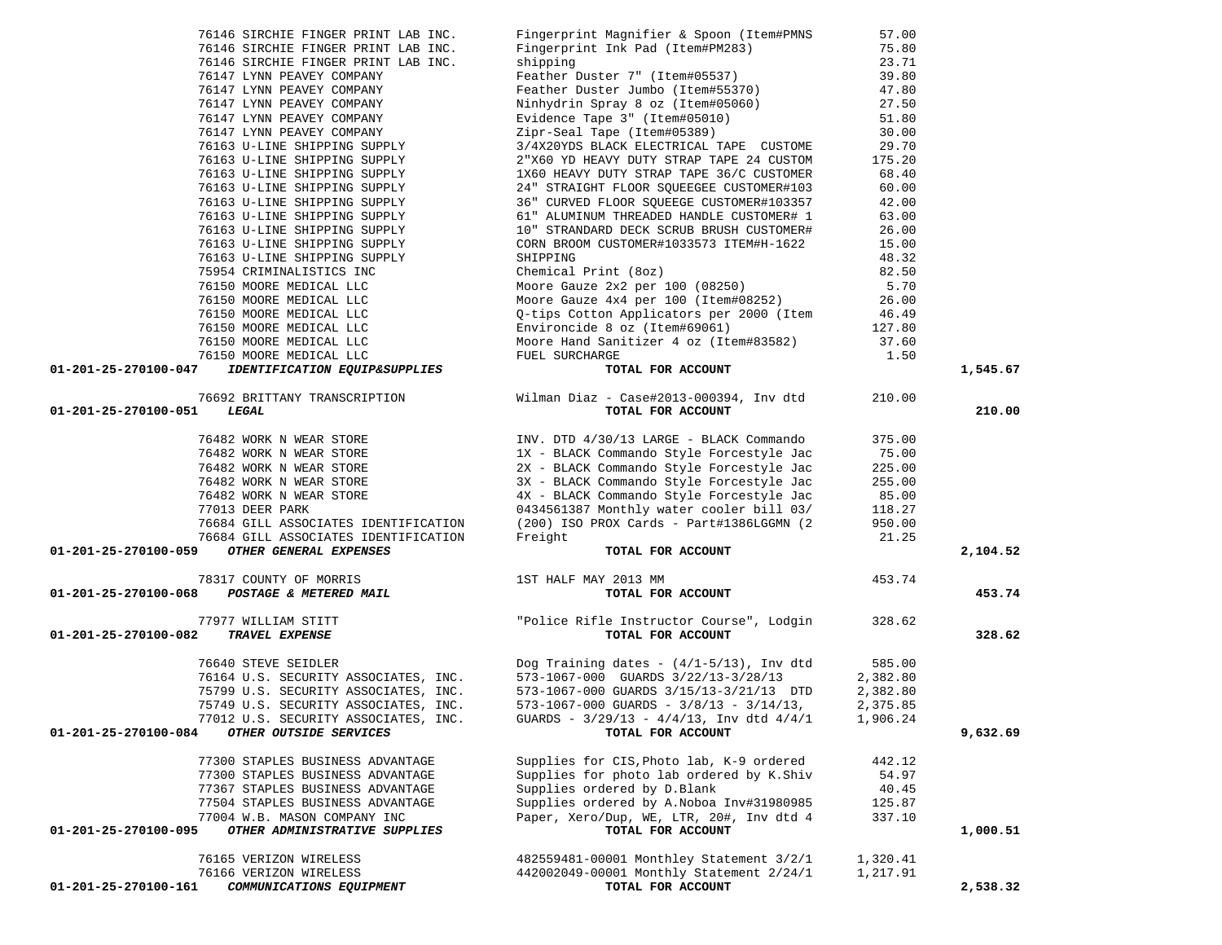| 76146 SIRCHIE FINGER PRINT LAB INC.                                                                      | Fingerprint Magnifier & Spoon (Item#PMNS                                                                                                                          | 57.00    |          |
|----------------------------------------------------------------------------------------------------------|-------------------------------------------------------------------------------------------------------------------------------------------------------------------|----------|----------|
|                                                                                                          |                                                                                                                                                                   |          |          |
| 76146 SIRCHIE FINGER PRINT LAB INC.                                                                      | Fingerprint Ink Pad (Item#PM283)                                                                                                                                  | 75.80    |          |
| 76146 SIRCHIE FINGER PRINT LAB INC.                                                                      | shipping                                                                                                                                                          | 23.71    |          |
| 76147 LYNN PEAVEY COMPANY                                                                                |                                                                                                                                                                   |          |          |
| 76147 LYNN PEAVEY COMPANY                                                                                |                                                                                                                                                                   |          |          |
| 76147 LYNN PEAVEY COMPANY                                                                                |                                                                                                                                                                   |          |          |
| 76147 LYNN PEAVEY COMPANY                                                                                | Feather Duster 7" (Item#05537) 39.80<br>Feather Duster Jumbo (Item#55370) 47.80<br>Ninhydrin Spray 8 oz (Item#05060) 27.50<br>Evidence Tape 3" (Item#05010) 51.80 |          |          |
|                                                                                                          |                                                                                                                                                                   |          |          |
| 76147 LYNN PEAVEY COMPANY                                                                                | Zipr-Seal Tape (Item#05389)                                                                                                                                       | 30.00    |          |
| 76163 U-LINE SHIPPING SUPPLY                                                                             | 3/4X20YDS BLACK ELECTRICAL TAPE CUSTOME                                                                                                                           | 29.70    |          |
| 76163 U-LINE SHIPPING SUPPLY                                                                             | 2"X60 YD HEAVY DUTY STRAP TAPE 24 CUSTOM                                                                                                                          | 175.20   |          |
| 76163 U-LINE SHIPPING SUPPLY                                                                             | 1X60 HEAVY DUTY STRAP TAPE 36/C CUSTOMER                                                                                                                          | 68.40    |          |
| 76163 U-LINE SHIPPING SUPPLY                                                                             | 24" STRAIGHT FLOOR SQUEEGEE CUSTOMER#103                                                                                                                          | 60.00    |          |
| 76163 U-LINE SHIPPING SUPPLY                                                                             | 36" CURVED FLOOR SQUEEGE CUSTOMER#103357                                                                                                                          | 42.00    |          |
|                                                                                                          |                                                                                                                                                                   |          |          |
| 76163 U-LINE SHIPPING SUPPLY                                                                             | 61" ALUMINUM THREADED HANDLE CUSTOMER# 1                                                                                                                          | 63.00    |          |
| 76163 U-LINE SHIPPING SUPPLY                                                                             | 10" STRANDARD DECK SCRUB BRUSH CUSTOMER#                                                                                                                          | 26.00    |          |
| 76163 U-LINE SHIPPING SUPPLY                                                                             | CORN BROOM CUSTOMER#1033573 ITEM#H-1622                                                                                                                           | 15.00    |          |
| 76163 U-LINE SHIPPING SUPPLY                                                                             | SHIPPING                                                                                                                                                          | 48.32    |          |
| 75954 CRIMINALISTICS INC                                                                                 | Chemical Print (80z)                                                                                                                                              | 82.50    |          |
| 76150 MOORE MEDICAL LLC                                                                                  | Moore Gauze $2x2$ per 100 (08250)                                                                                                                                 | 5.70     |          |
|                                                                                                          |                                                                                                                                                                   |          |          |
| 76150 MOORE MEDICAL LLC<br>76150 MOORE MEDICAL LLC                                                       | Moore Gauze $4x4$ per 100 (Item#08252)                                                                                                                            | 26.00    |          |
|                                                                                                          | Q-tips Cotton Applicators per 2000 (Item                                                                                                                          | 46.49    |          |
| 76150 MOORE MEDICAL LLC                                                                                  | Environcide 8 oz (Item#69061)                                                                                                                                     | 127.80   |          |
| 76150 MOORE MEDICAL LLC                                                                                  | Moore Hand Sanitizer 4 oz (Item#83582)                                                                                                                            | 37.60    |          |
| 76150 MOORE MEDICAL LLC                                                                                  | FUEL SURCHARGE                                                                                                                                                    | 1.50     |          |
| 01-201-25-270100-047<br><i>IDENTIFICATION EQUIP&amp;SUPPLIES</i>                                         | RGE<br>TOTAL FOR ACCOUNT                                                                                                                                          |          | 1,545.67 |
|                                                                                                          |                                                                                                                                                                   |          |          |
|                                                                                                          |                                                                                                                                                                   |          |          |
|                                                                                                          | 76692 BRITTANY TRANSCRIPTION Wilman Diaz - Case#2013-000394, Inv dtd                                                                                              | 210.00   |          |
| 01-201-25-270100-051<br>LEGAL                                                                            | TOTAL FOR ACCOUNT                                                                                                                                                 |          | 210.00   |
|                                                                                                          |                                                                                                                                                                   |          |          |
|                                                                                                          | INV. DTD 4/30/13 LARGE - BLACK Commando                                                                                                                           | 375.00   |          |
|                                                                                                          | 1X - BLACK Commando Style Forcestyle Jac                                                                                                                          | 75.00    |          |
| 76482 WORK N WEAR STORE<br>76482 WORK N WEAR STORE<br>76482 WORK N WEAR STORE<br>76482 WORK N WEAR STORE | 2X - BLACK Commando Style Forcestyle Jac                                                                                                                          | 225.00   |          |
|                                                                                                          | 3X - BLACK Commando Style Forcestyle Jac                                                                                                                          | 255.00   |          |
|                                                                                                          | 4X - BLACK Commando Style Forcestyle Jac                                                                                                                          |          |          |
| 76482 WORK N WEAR STORE                                                                                  |                                                                                                                                                                   | 85.00    |          |
| 77013 DEER PARK                                                                                          | 0434561387 Monthly water cooler bill 03/                                                                                                                          | 118.27   |          |
|                                                                                                          | (200) ISO PROX Cards - Part#1386LGGMN (2                                                                                                                          | 950.00   |          |
| 76684 GILL ASSOCIATES IDENTIFICATION<br>76684 GILL ASSOCIATES IDENTIFICATION                             | Freight                                                                                                                                                           | 21.25    |          |
| OTHER GENERAL EXPENSES<br>01-201-25-270100-059                                                           | TOTAL FOR ACCOUNT                                                                                                                                                 |          | 2,104.52 |
|                                                                                                          |                                                                                                                                                                   |          |          |
|                                                                                                          | 78317 COUNTY OF MORRIS<br><b>B</b> POSTAGE & METERED MAIL<br>TOTAL FOR ACCOUNT<br>TOTAL FOR ACCOUNT<br>TRAVEL EXPENSE<br>TRAVEL EXPENSE                           | 453.74   |          |
| 01-201-25-270100-068                                                                                     |                                                                                                                                                                   |          | 453.74   |
|                                                                                                          |                                                                                                                                                                   |          |          |
|                                                                                                          |                                                                                                                                                                   |          |          |
|                                                                                                          |                                                                                                                                                                   | 328.62   |          |
| 01-201-25-270100-082                                                                                     |                                                                                                                                                                   |          | 328.62   |
|                                                                                                          |                                                                                                                                                                   |          |          |
|                                                                                                          |                                                                                                                                                                   |          |          |
|                                                                                                          | Dog Training dates - $(4/1-5/13)$ , Inv dtd                                                                                                                       | 585.00   |          |
|                                                                                                          | 573-1067-000 GUARDS 3/22/13-3/28/13                                                                                                                               | 2,382.80 |          |
|                                                                                                          |                                                                                                                                                                   |          |          |
| 76640 STEVE SEIDLER<br>76164 U.S. SECURITY ASSOCIATES, INC.<br>75799 U.S. SECURITY ASSOCIATES, INC.      | 573-1067-000 GUARDS 3/15/13-3/21/13 DTD                                                                                                                           | 2,382.80 |          |
| 75749 U.S. SECURITY ASSOCIATES, INC.                                                                     | $573-1067-000$ GUARDS - $3/8/13$ - $3/14/13$ ,                                                                                                                    | 2,375.85 |          |
| 77012 U.S. SECURITY ASSOCIATES, INC.                                                                     | GUARDS - $3/29/13$ - $4/4/13$ , Inv dtd $4/4/1$                                                                                                                   | 1,906.24 |          |
| 01-201-25-270100-084<br>OTHER OUTSIDE SERVICES                                                           | TOTAL FOR ACCOUNT                                                                                                                                                 |          | 9,632.69 |
|                                                                                                          |                                                                                                                                                                   |          |          |
| 77300 STAPLES BUSINESS ADVANTAGE                                                                         | Supplies for CIS, Photo lab, K-9 ordered                                                                                                                          | 442.12   |          |
| 77300 STAPLES BUSINESS ADVANTAGE                                                                         | Supplies for photo lab ordered by K.Shiv                                                                                                                          | 54.97    |          |
| 77367 STAPLES BUSINESS ADVANTAGE                                                                         | Supplies ordered by D.Blank                                                                                                                                       | 40.45    |          |
| 77504 STAPLES BUSINESS ADVANTAGE                                                                         | Supplies ordered by A.Noboa Inv#31980985                                                                                                                          | 125.87   |          |
|                                                                                                          |                                                                                                                                                                   |          |          |
| 77004 W.B. MASON COMPANY INC                                                                             | Paper, Xero/Dup, WE, LTR, 20#, Inv dtd 4                                                                                                                          | 337.10   |          |
| 01-201-25-270100-095<br>OTHER ADMINISTRATIVE SUPPLIES                                                    | TOTAL FOR ACCOUNT                                                                                                                                                 |          | 1,000.51 |
|                                                                                                          |                                                                                                                                                                   |          |          |
| 76165 VERIZON WIRELESS                                                                                   | 482559481-00001 Monthley Statement 3/2/1                                                                                                                          | 1,320.41 |          |
| 76166 VERIZON WIRELESS<br>COMMUNICATIONS EQUIPMENT<br>01-201-25-270100-161                               | 442002049-00001 Monthly Statement 2/24/1<br>TOTAL FOR ACCOUNT                                                                                                     | 1,217.91 | 2,538.32 |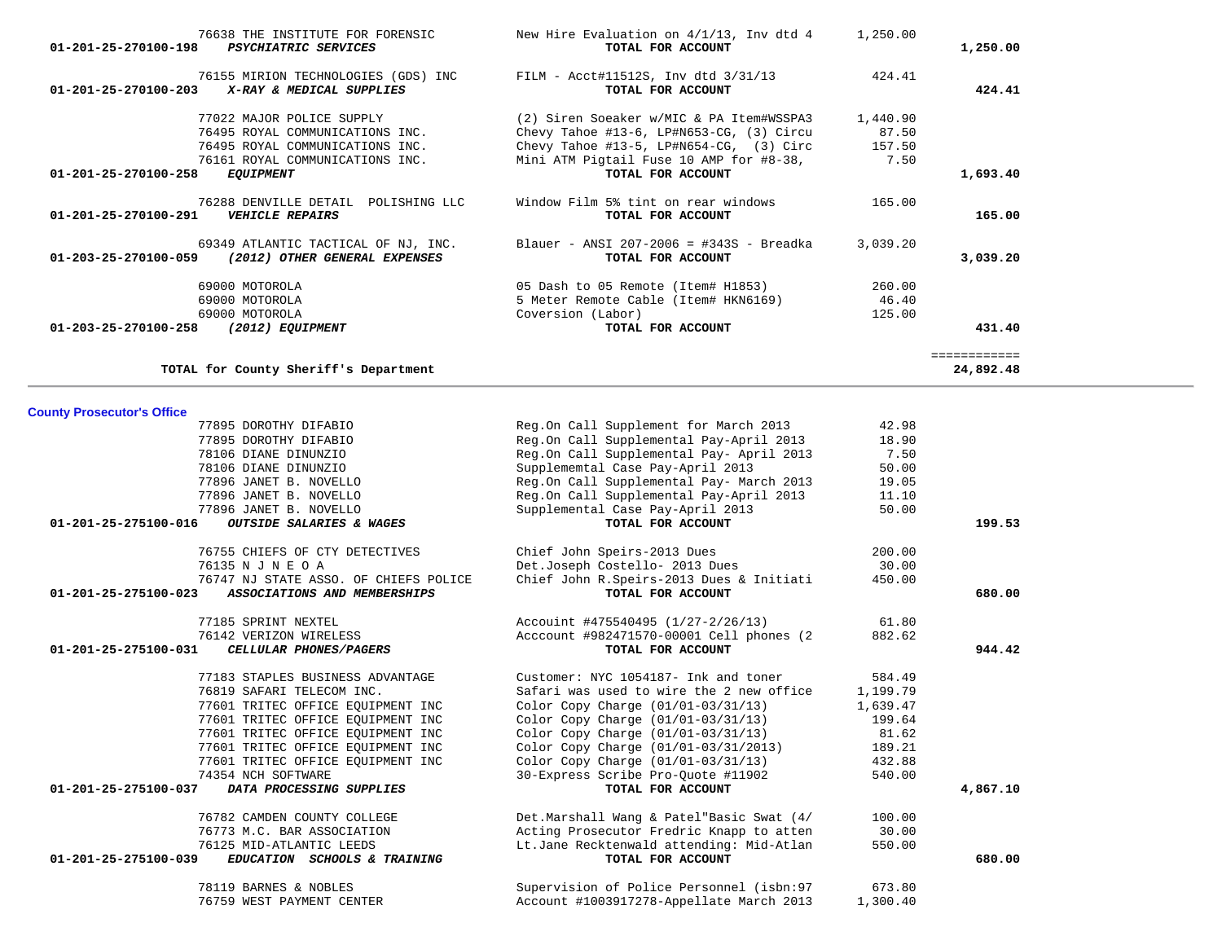| TOTAL for County Sheriff's Department                                  |                                                         |          | 24,892.48 |
|------------------------------------------------------------------------|---------------------------------------------------------|----------|-----------|
| <b>County Prosecutor's Office</b>                                      |                                                         |          |           |
| 77895 DOROTHY DIFABIO                                                  | Reg.On Call Supplement for March 2013                   | 42.98    |           |
| 77895 DOROTHY DIFABIO                                                  | Reg.On Call Supplemental Pay-April 2013                 | 18.90    |           |
| 78106 DIANE DINUNZIO                                                   | Reg.On Call Supplemental Pay- April 2013                | 7.50     |           |
| 78106 DIANE DINUNZIO                                                   | Supplememtal Case Pay-April 2013                        | 50.00    |           |
| 77896 JANET B. NOVELLO                                                 | Reg.On Call Supplemental Pay- March 2013                | 19.05    |           |
| 77896 JANET B. NOVELLO                                                 | Reg.On Call Supplemental Pay-April 2013                 | 11.10    |           |
| 77896 JANET B. NOVELLO                                                 | Supplemental Case Pay-April 2013                        | 50.00    |           |
| OUTSIDE SALARIES & WAGES<br>01-201-25-275100-016                       | TOTAL FOR ACCOUNT                                       |          | 199.53    |
| 76755 CHIEFS OF CTY DETECTIVES                                         | Chief John Speirs-2013 Dues                             | 200.00   |           |
| 76135 N J N E O A                                                      | Det.Joseph Costello- 2013 Dues                          | 30.00    |           |
| 76747 NJ STATE ASSO. OF CHIEFS POLICE                                  | Chief John R. Speirs-2013 Dues & Initiati               | 450.00   |           |
| 01-201-25-275100-023<br>ASSOCIATIONS AND MEMBERSHIPS                   | TOTAL FOR ACCOUNT                                       |          | 680.00    |
| 77185 SPRINT NEXTEL                                                    | Accouint #475540495 (1/27-2/26/13)                      | 61.80    |           |
| 76142 VERIZON WIRELESS                                                 | Acccount #982471570-00001 Cell phones (2                | 882.62   |           |
| 01-201-25-275100-031<br>CELLULAR PHONES/PAGERS                         | TOTAL FOR ACCOUNT                                       |          | 944.42    |
| 77183 STAPLES BUSINESS ADVANTAGE                                       | Customer: NYC 1054187- Ink and toner                    | 584.49   |           |
| 76819 SAFARI TELECOM INC.                                              | Safari was used to wire the 2 new office                | 1,199.79 |           |
| 77601 TRITEC OFFICE EOUIPMENT INC                                      | Color Copy Charge $(01/01-03/31/13)$                    | 1,639.47 |           |
| 77601 TRITEC OFFICE EOUIPMENT INC                                      | Color Copy Charge $(01/01-03/31/13)$                    | 199.64   |           |
| 77601 TRITEC OFFICE EQUIPMENT INC                                      | Color Copy Charge (01/01-03/31/13)                      | 81.62    |           |
| 77601 TRITEC OFFICE EQUIPMENT INC                                      | Color Copy Charge (01/01-03/31/2013)                    | 189.21   |           |
| 77601 TRITEC OFFICE EQUIPMENT INC                                      | Color Copy Charge $(01/01-03/31/13)$                    | 432.88   |           |
| 74354 NCH SOFTWARE<br>01-201-25-275100-037<br>DATA PROCESSING SUPPLIES | 30-Express Scribe Pro-Quote #11902<br>TOTAL FOR ACCOUNT | 540.00   |           |
|                                                                        |                                                         |          | 4,867.10  |
| 76782 CAMDEN COUNTY COLLEGE                                            | Det.Marshall Wang & Patel"Basic Swat (4/                | 100.00   |           |
| 76773 M.C. BAR ASSOCIATION                                             | Acting Prosecutor Fredric Knapp to atten                | 30.00    |           |
| 76125 MID-ATLANTIC LEEDS                                               | Lt.Jane Recktenwald attending: Mid-Atlan                | 550.00   |           |
| 01-201-25-275100-039<br>EDUCATION SCHOOLS & TRAINING                   | TOTAL FOR ACCOUNT                                       |          | 680.00    |
| 78119 BARNES & NOBLES                                                  | Supervision of Police Personnel (isbn:97                | 673.80   |           |
| 76759 WEST PAYMENT CENTER                                              | Account #1003917278-Appellate March 2013                | 1,300.40 |           |
|                                                                        |                                                         |          |           |

| 76638 THE INSTITUTE FOR FORENSIC<br>01-201-25-270100-198<br><b>PSYCHIATRIC SERVICES</b>                | New Hire Evaluation on 4/1/13, Inv dtd 4<br>TOTAL FOR ACCOUNT | 1,250.00 | 1,250.00 |
|--------------------------------------------------------------------------------------------------------|---------------------------------------------------------------|----------|----------|
| 76155 MIRION TECHNOLOGIES (GDS) INC<br>01-201-25-270100-203<br>X-RAY & MEDICAL SUPPLIES                | FILM - Acct#11512S, Inv dtd 3/31/13<br>TOTAL FOR ACCOUNT      | 424.41   | 424.41   |
| 77022 MAJOR POLICE SUPPLY                                                                              | (2) Siren Soeaker w/MIC & PA Item#WSSPA3                      | 1,440.90 |          |
| 76495 ROYAL COMMUNICATIONS INC.                                                                        | Chevy Tahoe #13-6, LP#N653-CG, $(3)$ Circu                    | 87.50    |          |
| 76495 ROYAL COMMUNICATIONS INC.                                                                        | Chevy Tahoe #13-5, LP#N654-CG, $(3)$ Circ                     | 157.50   |          |
| 76161 ROYAL COMMUNICATIONS INC.                                                                        | Mini ATM Pigtail Fuse 10 AMP for #8-38,                       | 7.50     |          |
| $01 - 201 - 25 - 270100 - 258$<br><b>EQUIPMENT</b>                                                     | TOTAL FOR ACCOUNT                                             |          | 1,693.40 |
| 76288 DENVILLE DETAIL                                                                                  | Window Film 5% tint on rear windows<br>POLISHING LLC          | 165.00   |          |
| 01-201-25-270100-291<br><b>VEHICLE REPAIRS</b>                                                         | TOTAL FOR ACCOUNT                                             |          | 165.00   |
| 69349 ATLANTIC TACTICAL OF NJ, INC.<br>(2012) OTHER GENERAL EXPENSES<br>$01 - 203 - 25 - 270100 - 059$ | Blauer - ANSI 207-2006 = #343S - Breadka<br>TOTAL FOR ACCOUNT | 3,039.20 | 3,039.20 |
|                                                                                                        |                                                               | 260.00   |          |
| 69000 MOTOROLA                                                                                         | 05 Dash to 05 Remote (Item# H1853)                            |          |          |
| 69000 MOTOROLA                                                                                         | 5 Meter Remote Cable (Item# HKN6169)                          | 46.40    |          |
| 69000 MOTOROLA                                                                                         | Coversion (Labor)                                             | 125.00   |          |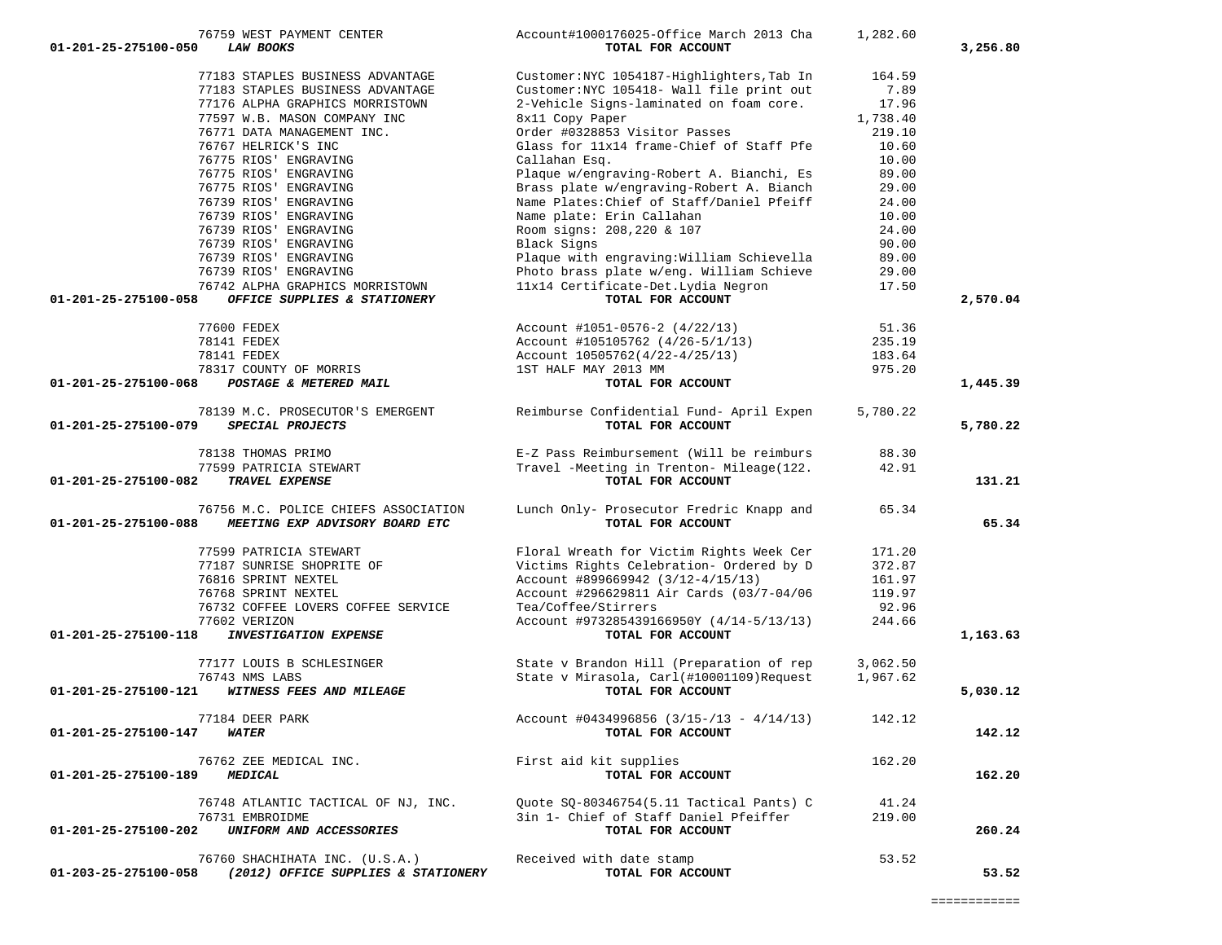|                      | 77183 STAPLES BUSINESS ADVANTAGE                                | Customer: NYC 1054187-Highlighters, Tab In                                            | 164.59         |          |
|----------------------|-----------------------------------------------------------------|---------------------------------------------------------------------------------------|----------------|----------|
|                      | 77183 STAPLES BUSINESS ADVANTAGE                                | Customer: NYC 105418- Wall file print out                                             | 7.89           |          |
|                      | 77176 ALPHA GRAPHICS MORRISTOWN                                 | 2-Vehicle Signs-laminated on foam core.                                               | 17.96          |          |
|                      | 77597 W.B. MASON COMPANY INC                                    | 8x11 Copy Paper                                                                       | 1,738.40       |          |
|                      | 76771 DATA MANAGEMENT INC.                                      | Order #0328853 Visitor Passes                                                         | 219.10         |          |
|                      | 76767 HELRICK'S INC                                             | Glass for 11x14 frame-Chief of Staff Pfe                                              | 10.60          |          |
|                      | 76775 RIOS' ENGRAVING                                           | Callahan Esq.                                                                         | 10.00          |          |
|                      | 76775 RIOS' ENGRAVING                                           | Plaque w/engraving-Robert A. Bianchi, Es                                              | 89.00          |          |
|                      | 76775 RIOS' ENGRAVING                                           | Brass plate w/engraving-Robert A. Bianch                                              | 29.00          |          |
|                      | 76739 RIOS' ENGRAVING                                           | Name Plates: Chief of Staff/Daniel Pfeiff                                             | 24.00          |          |
|                      | 76739 RIOS' ENGRAVING                                           | Name plate: Erin Callahan                                                             | 10.00          |          |
|                      | 76739 RIOS' ENGRAVING                                           | Room signs: 208,220 & 107                                                             | 24.00          |          |
|                      | 76739 RIOS' ENGRAVING                                           | Black Signs                                                                           | 90.00          |          |
|                      | 76739 RIOS' ENGRAVING                                           | Plaque with engraving: William Schievella<br>Photo brass plate w/eng. William Schieve | 89.00          |          |
|                      | 76739 RIOS' ENGRAVING                                           | 11x14 Certificate-Det.Lydia Negron                                                    | 29.00<br>17.50 |          |
| 01-201-25-275100-058 | 76742 ALPHA GRAPHICS MORRISTOWN<br>OFFICE SUPPLIES & STATIONERY | TOTAL FOR ACCOUNT                                                                     |                | 2,570.04 |
|                      |                                                                 |                                                                                       |                |          |
|                      | 77600 FEDEX                                                     | Account $\text{\#1051-0576-2}$ (4/22/13)                                              | 51.36          |          |
|                      | 78141 FEDEX                                                     | Account #105105762 (4/26-5/1/13)                                                      | 235.19         |          |
|                      | 78141 FEDEX                                                     | $Account 10505762(4/22-4/25/13)$                                                      | 183.64         |          |
|                      | 78317 COUNTY OF MORRIS                                          | 1ST HALF MAY 2013 MM                                                                  | 975.20         |          |
| 01-201-25-275100-068 | POSTAGE & METERED MAIL                                          | TOTAL FOR ACCOUNT                                                                     |                | 1,445.39 |
|                      |                                                                 |                                                                                       |                |          |
| 01-201-25-275100-079 | 78139 M.C. PROSECUTOR'S EMERGENT<br>SPECIAL PROJECTS            | Reimburse Confidential Fund- April Expen<br>TOTAL FOR ACCOUNT                         | 5,780.22       | 5,780.22 |
|                      |                                                                 |                                                                                       |                |          |
|                      | 78138 THOMAS PRIMO                                              | E-Z Pass Reimbursement (Will be reimburs                                              | 88.30          |          |
|                      | 77599 PATRICIA STEWART                                          | Travel -Meeting in Trenton- Mileage(122.                                              | 42.91          |          |
| 01-201-25-275100-082 | TRAVEL EXPENSE                                                  | TOTAL FOR ACCOUNT                                                                     |                | 131.21   |
|                      |                                                                 |                                                                                       |                |          |
|                      | 76756 M.C. POLICE CHIEFS ASSOCIATION                            | Lunch Only- Prosecutor Fredric Knapp and                                              | 65.34          |          |
| 01-201-25-275100-088 | MEETING EXP ADVISORY BOARD ETC                                  | TOTAL FOR ACCOUNT                                                                     |                | 65.34    |
|                      | 77599 PATRICIA STEWART                                          | Floral Wreath for Victim Rights Week Cer                                              | 171.20         |          |
|                      | 77187 SUNRISE SHOPRITE OF                                       | Victims Rights Celebration- Ordered by D                                              | 372.87         |          |
|                      | 76816 SPRINT NEXTEL                                             | Account #899669942 (3/12-4/15/13)                                                     | 161.97         |          |
|                      | 76768 SPRINT NEXTEL                                             | Account #296629811 Air Cards (03/7-04/06                                              | 119.97         |          |
|                      | 76732 COFFEE LOVERS COFFEE SERVICE                              | Tea/Coffee/Stirrers                                                                   | 92.96          |          |
|                      | 77602 VERIZON                                                   | Account #973285439166950Y (4/14-5/13/13)                                              | 244.66         |          |
| 01-201-25-275100-118 | <b>INVESTIGATION EXPENSE</b>                                    | TOTAL FOR ACCOUNT                                                                     |                | 1,163.63 |
|                      |                                                                 |                                                                                       |                |          |
|                      | 77177 LOUIS B SCHLESINGER                                       | State v Brandon Hill (Preparation of rep                                              | 3,062.50       |          |
|                      | 76743 NMS LABS                                                  | State v Mirasola, Carl(#10001109) Request                                             | 1,967.62       |          |
| 01-201-25-275100-121 | WITNESS FEES AND MILEAGE                                        | TOTAL FOR ACCOUNT                                                                     |                | 5,030.12 |
|                      |                                                                 |                                                                                       |                |          |
|                      | 77184 DEER PARK                                                 | Account #0434996856 $(3/15-/13 - 4/14/13)$                                            | 142.12         |          |
| 01-201-25-275100-147 | WATER                                                           | TOTAL FOR ACCOUNT                                                                     |                | 142.12   |
|                      | 76762 ZEE MEDICAL INC.                                          | First aid kit supplies                                                                | 162.20         |          |
| 01-201-25-275100-189 | <b>MEDICAL</b>                                                  | TOTAL FOR ACCOUNT                                                                     |                | 162.20   |
|                      |                                                                 |                                                                                       |                |          |
|                      | 76748 ATLANTIC TACTICAL OF NJ, INC.                             | Quote SQ-80346754(5.11 Tactical Pants) C                                              | 41.24          |          |
|                      | 76731 EMBROIDME                                                 | 3in 1- Chief of Staff Daniel Pfeiffer                                                 | 219.00         |          |
| 01-201-25-275100-202 | UNIFORM AND ACCESSORIES                                         | TOTAL FOR ACCOUNT                                                                     |                | 260.24   |
|                      |                                                                 |                                                                                       |                |          |
|                      | 76760 SHACHIHATA INC. (U.S.A.)                                  | Received with date stamp                                                              | 53.52          |          |
| 01-203-25-275100-058 | (2012) OFFICE SUPPLIES & STATIONERY                             | TOTAL FOR ACCOUNT                                                                     |                | 53.52    |

76759 WEST PAYMENT CENTER Account#1000176025-Office March 2013 Cha 1,282.60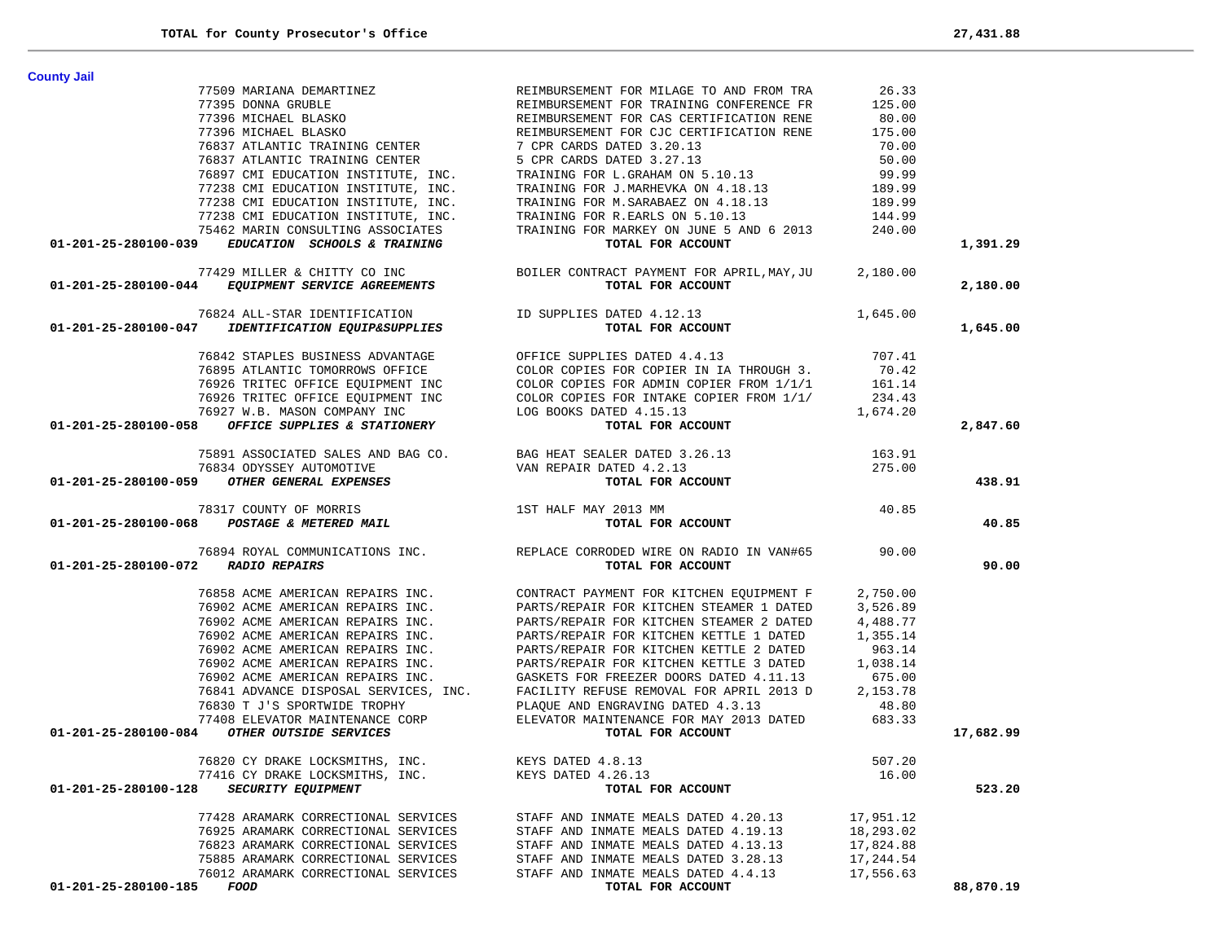| <b>County Jail</b>                                                                                                                                                                                                                                                                                                                                                                                                                  |                                                                                                                                                                                                                                                                                                                                                                                                                                                              |           |           |
|-------------------------------------------------------------------------------------------------------------------------------------------------------------------------------------------------------------------------------------------------------------------------------------------------------------------------------------------------------------------------------------------------------------------------------------|--------------------------------------------------------------------------------------------------------------------------------------------------------------------------------------------------------------------------------------------------------------------------------------------------------------------------------------------------------------------------------------------------------------------------------------------------------------|-----------|-----------|
|                                                                                                                                                                                                                                                                                                                                                                                                                                     |                                                                                                                                                                                                                                                                                                                                                                                                                                                              |           |           |
|                                                                                                                                                                                                                                                                                                                                                                                                                                     |                                                                                                                                                                                                                                                                                                                                                                                                                                                              |           |           |
|                                                                                                                                                                                                                                                                                                                                                                                                                                     |                                                                                                                                                                                                                                                                                                                                                                                                                                                              |           |           |
|                                                                                                                                                                                                                                                                                                                                                                                                                                     |                                                                                                                                                                                                                                                                                                                                                                                                                                                              |           |           |
|                                                                                                                                                                                                                                                                                                                                                                                                                                     |                                                                                                                                                                                                                                                                                                                                                                                                                                                              |           |           |
|                                                                                                                                                                                                                                                                                                                                                                                                                                     |                                                                                                                                                                                                                                                                                                                                                                                                                                                              |           |           |
|                                                                                                                                                                                                                                                                                                                                                                                                                                     |                                                                                                                                                                                                                                                                                                                                                                                                                                                              |           |           |
|                                                                                                                                                                                                                                                                                                                                                                                                                                     |                                                                                                                                                                                                                                                                                                                                                                                                                                                              |           |           |
|                                                                                                                                                                                                                                                                                                                                                                                                                                     |                                                                                                                                                                                                                                                                                                                                                                                                                                                              |           |           |
|                                                                                                                                                                                                                                                                                                                                                                                                                                     |                                                                                                                                                                                                                                                                                                                                                                                                                                                              |           |           |
|                                                                                                                                                                                                                                                                                                                                                                                                                                     |                                                                                                                                                                                                                                                                                                                                                                                                                                                              |           |           |
| 01-201-25-280100-039 EDUCATION SCHOOLS & TRAINING                                                                                                                                                                                                                                                                                                                                                                                   | TOTAL FOR ACCOUNT                                                                                                                                                                                                                                                                                                                                                                                                                                            |           | 1,391.29  |
|                                                                                                                                                                                                                                                                                                                                                                                                                                     |                                                                                                                                                                                                                                                                                                                                                                                                                                                              |           |           |
|                                                                                                                                                                                                                                                                                                                                                                                                                                     |                                                                                                                                                                                                                                                                                                                                                                                                                                                              |           | 2,180.00  |
|                                                                                                                                                                                                                                                                                                                                                                                                                                     |                                                                                                                                                                                                                                                                                                                                                                                                                                                              |           |           |
|                                                                                                                                                                                                                                                                                                                                                                                                                                     |                                                                                                                                                                                                                                                                                                                                                                                                                                                              |           | 1,645.00  |
|                                                                                                                                                                                                                                                                                                                                                                                                                                     |                                                                                                                                                                                                                                                                                                                                                                                                                                                              |           |           |
| $\begin{array}{cccc} \text{76842 STAPLES BUSINES ADVANTAGE} \\\text{76895 ATLANTIC TOMORRONS OFFICE} \\\text{76926 TRTTEC OFFICE EQUIPMENT INC} \\\text{76926 TRTTEC OFFICE EQUIPMENT INC} \\\text{76927 W.B. MASON COMPANY INC} \\\text{01-201-25-280100-058} \end{array} \begin{array}{cccc} \text{707.41} \\\text{707.42} \\\text{70895 ATLANTIC TOMORRONS OFFICE} \\\text{70926 TRTTEC OFFICE EQUIPMENT INC} \\\text{76927 W.B$ |                                                                                                                                                                                                                                                                                                                                                                                                                                                              |           |           |
|                                                                                                                                                                                                                                                                                                                                                                                                                                     |                                                                                                                                                                                                                                                                                                                                                                                                                                                              |           |           |
|                                                                                                                                                                                                                                                                                                                                                                                                                                     |                                                                                                                                                                                                                                                                                                                                                                                                                                                              |           |           |
|                                                                                                                                                                                                                                                                                                                                                                                                                                     |                                                                                                                                                                                                                                                                                                                                                                                                                                                              |           |           |
|                                                                                                                                                                                                                                                                                                                                                                                                                                     |                                                                                                                                                                                                                                                                                                                                                                                                                                                              |           |           |
|                                                                                                                                                                                                                                                                                                                                                                                                                                     |                                                                                                                                                                                                                                                                                                                                                                                                                                                              |           | 2,847.60  |
|                                                                                                                                                                                                                                                                                                                                                                                                                                     |                                                                                                                                                                                                                                                                                                                                                                                                                                                              |           |           |
| 75891 ASSOCIATED SALES AND BAG CO. BAG HEAT SEALER DATED 3.26.13 76834 ODYSSEY AUTOMOTIVE VAN REPAIR DATED 4.2.13 275.00<br>01-201-25-280100-059 OTHER GENERAL EXPENSES TOTAL FOR ACCOUNT                                                                                                                                                                                                                                           |                                                                                                                                                                                                                                                                                                                                                                                                                                                              |           |           |
|                                                                                                                                                                                                                                                                                                                                                                                                                                     |                                                                                                                                                                                                                                                                                                                                                                                                                                                              |           |           |
|                                                                                                                                                                                                                                                                                                                                                                                                                                     |                                                                                                                                                                                                                                                                                                                                                                                                                                                              |           | 438.91    |
|                                                                                                                                                                                                                                                                                                                                                                                                                                     |                                                                                                                                                                                                                                                                                                                                                                                                                                                              |           |           |
|                                                                                                                                                                                                                                                                                                                                                                                                                                     |                                                                                                                                                                                                                                                                                                                                                                                                                                                              |           |           |
| $78317 \text{ COUNTY OF MORRIS}$ $1ST HALE MAY 2013 MM$ $1ST HALE MAY 2013 MM$ $1ST HALE MAY 2013 MM$ $1ST HALE MAY 2013 MM$ $1ST HALE MAY 2013 MM$                                                                                                                                                                                                                                                                                 | $Y$ 2013 MM $40.85$<br><b>TOTAL FOR ACCOUNT</b>                                                                                                                                                                                                                                                                                                                                                                                                              |           | 40.85     |
|                                                                                                                                                                                                                                                                                                                                                                                                                                     | 76894 ROYAL COMMUNICATIONS INC.<br>REPLACE CORRODED WIRE ON RADIO IN VAN#65 90.00                                                                                                                                                                                                                                                                                                                                                                            |           |           |
|                                                                                                                                                                                                                                                                                                                                                                                                                                     |                                                                                                                                                                                                                                                                                                                                                                                                                                                              |           |           |
| $CL11000 + 1000$<br>01-201-25-280100-072 RADIO REPAIRS                                                                                                                                                                                                                                                                                                                                                                              | TOTAL FOR ACCOUNT                                                                                                                                                                                                                                                                                                                                                                                                                                            |           | 90.00     |
|                                                                                                                                                                                                                                                                                                                                                                                                                                     |                                                                                                                                                                                                                                                                                                                                                                                                                                                              |           |           |
|                                                                                                                                                                                                                                                                                                                                                                                                                                     |                                                                                                                                                                                                                                                                                                                                                                                                                                                              |           |           |
|                                                                                                                                                                                                                                                                                                                                                                                                                                     | 76858 ACME AMERICAN REPAIRS INC. CONTRACT PAYMENT FOR KITCHEN EQUIPMENT F 2,750.00                                                                                                                                                                                                                                                                                                                                                                           |           |           |
|                                                                                                                                                                                                                                                                                                                                                                                                                                     |                                                                                                                                                                                                                                                                                                                                                                                                                                                              |           |           |
|                                                                                                                                                                                                                                                                                                                                                                                                                                     |                                                                                                                                                                                                                                                                                                                                                                                                                                                              |           |           |
|                                                                                                                                                                                                                                                                                                                                                                                                                                     |                                                                                                                                                                                                                                                                                                                                                                                                                                                              |           |           |
|                                                                                                                                                                                                                                                                                                                                                                                                                                     |                                                                                                                                                                                                                                                                                                                                                                                                                                                              |           |           |
|                                                                                                                                                                                                                                                                                                                                                                                                                                     |                                                                                                                                                                                                                                                                                                                                                                                                                                                              |           |           |
|                                                                                                                                                                                                                                                                                                                                                                                                                                     |                                                                                                                                                                                                                                                                                                                                                                                                                                                              |           |           |
|                                                                                                                                                                                                                                                                                                                                                                                                                                     |                                                                                                                                                                                                                                                                                                                                                                                                                                                              |           |           |
|                                                                                                                                                                                                                                                                                                                                                                                                                                     |                                                                                                                                                                                                                                                                                                                                                                                                                                                              |           |           |
|                                                                                                                                                                                                                                                                                                                                                                                                                                     |                                                                                                                                                                                                                                                                                                                                                                                                                                                              |           |           |
| 01-201-25-280100-084 OTHER OUTSIDE SERVICES                                                                                                                                                                                                                                                                                                                                                                                         | $16858 \, \, \mathrm{ACME \, \, AMERICAN \, \, REPARIS \, \, INC.} \nonumber \\ 76902 \, \, \mathrm{ACME \, \, AMERICAN \, \, REPARIS \, \, INC.} \nonumber \\ 76902 \, \, \mathrm{ACME \, \, AMERICAN \, \, REPARIS \, \, INC.} \nonumber \\ 76902 \, \, \mathrm{ACME \, \, AMERICAN \, \, REPARIS \, \, INC.} \nonumber \\ 76902 \, \, \mathrm{ACME \, \, AMERICAN \, \, REPARIS \, \, INC.} \nonumber \\ 76902 \, \, \mathrm{ACME \$<br>TOTAL FOR ACCOUNT |           | 17,682.99 |
|                                                                                                                                                                                                                                                                                                                                                                                                                                     |                                                                                                                                                                                                                                                                                                                                                                                                                                                              |           |           |
| 76820 CY DRAKE LOCKSMITHS, INC. KEYS DATED 4.8.13                                                                                                                                                                                                                                                                                                                                                                                   | 507.20                                                                                                                                                                                                                                                                                                                                                                                                                                                       |           |           |
| 77416 CY DRAKE LOCKSMITHS, INC.                                                                                                                                                                                                                                                                                                                                                                                                     | KEYS DATED 4.26.13                                                                                                                                                                                                                                                                                                                                                                                                                                           | 16.00     |           |
| SECURITY EQUIPMENT<br>01-201-25-280100-128                                                                                                                                                                                                                                                                                                                                                                                          | TOTAL FOR ACCOUNT                                                                                                                                                                                                                                                                                                                                                                                                                                            |           | 523.20    |
| 77428 ARAMARK CORRECTIONAL SERVICES                                                                                                                                                                                                                                                                                                                                                                                                 | STAFF AND INMATE MEALS DATED 4.20.13                                                                                                                                                                                                                                                                                                                                                                                                                         | 17,951.12 |           |
| 76925 ARAMARK CORRECTIONAL SERVICES                                                                                                                                                                                                                                                                                                                                                                                                 | STAFF AND INMATE MEALS DATED 4.19.13                                                                                                                                                                                                                                                                                                                                                                                                                         | 18,293.02 |           |
| 76823 ARAMARK CORRECTIONAL SERVICES                                                                                                                                                                                                                                                                                                                                                                                                 | STAFF AND INMATE MEALS DATED 4.13.13                                                                                                                                                                                                                                                                                                                                                                                                                         | 17,824.88 |           |
| 75885 ARAMARK CORRECTIONAL SERVICES                                                                                                                                                                                                                                                                                                                                                                                                 | STAFF AND INMATE MEALS DATED 3.28.13                                                                                                                                                                                                                                                                                                                                                                                                                         | 17,244.54 |           |
| 76012 ARAMARK CORRECTIONAL SERVICES                                                                                                                                                                                                                                                                                                                                                                                                 | STAFF AND INMATE MEALS DATED 4.4.13                                                                                                                                                                                                                                                                                                                                                                                                                          | 17,556.63 |           |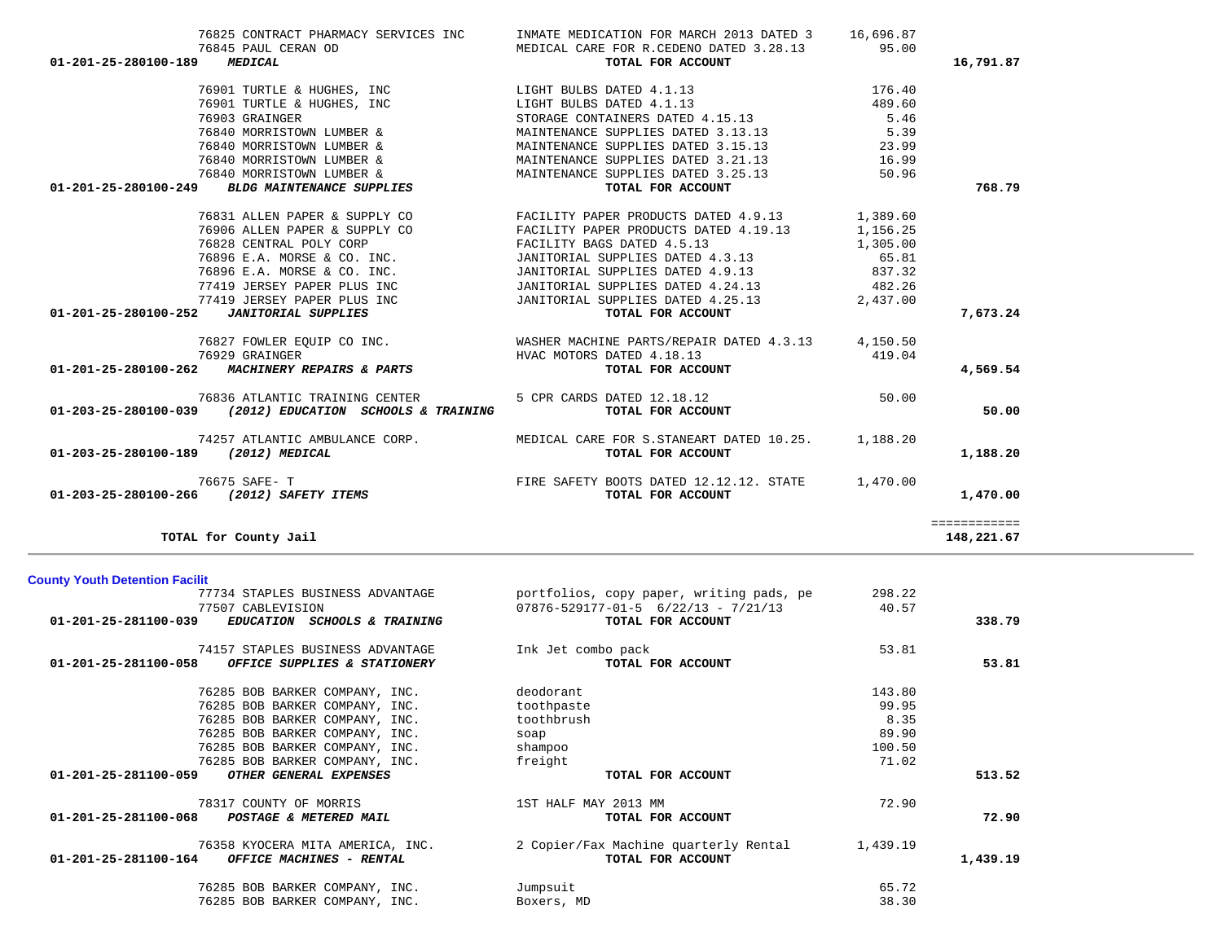| TOTAL for County Jail                                      |                                             |          | 148,221.67 |
|------------------------------------------------------------|---------------------------------------------|----------|------------|
| <b>County Youth Detention Facilit</b>                      |                                             |          |            |
| 77734 STAPLES BUSINESS ADVANTAGE                           | portfolios, copy paper, writing pads, pe    | 298.22   |            |
| 77507 CABLEVISION                                          | $07876 - 529177 - 01 - 5$ 6/22/13 - 7/21/13 | 40.57    |            |
| 01-201-25-281100-039<br>EDUCATION SCHOOLS & TRAINING       | TOTAL FOR ACCOUNT                           |          | 338.79     |
| 74157 STAPLES BUSINESS ADVANTAGE                           | Ink Jet combo pack                          | 53.81    |            |
| 01-201-25-281100-058<br>OFFICE SUPPLIES & STATIONERY       | TOTAL FOR ACCOUNT                           |          | 53.81      |
| 76285 BOB BARKER COMPANY, INC.                             | deodorant                                   | 143.80   |            |
| 76285 BOB BARKER COMPANY, INC.                             | toothpaste                                  | 99.95    |            |
| 76285 BOB BARKER COMPANY, INC.                             | toothbrush                                  | 8.35     |            |
| 76285 BOB BARKER COMPANY, INC.                             | soap                                        | 89.90    |            |
| 76285 BOB BARKER COMPANY, INC.                             | shampoo                                     | 100.50   |            |
| 76285 BOB BARKER COMPANY, INC.                             | freight                                     | 71.02    |            |
| 01-201-25-281100-059<br>OTHER GENERAL EXPENSES             | TOTAL FOR ACCOUNT                           |          | 513.52     |
| 78317 COUNTY OF MORRIS                                     | 1ST HALF MAY 2013 MM                        | 72.90    |            |
| 01-201-25-281100-068<br>POSTAGE & METERED MAIL             | TOTAL FOR ACCOUNT                           |          | 72.90      |
| 76358 KYOCERA MITA AMERICA, INC.                           | 2 Copier/Fax Machine quarterly Rental       | 1,439.19 |            |
| $01 - 201 - 25 - 281100 - 164$<br>OFFICE MACHINES - RENTAL | TOTAL FOR ACCOUNT                           |          | 1,439.19   |
| 76285 BOB BARKER COMPANY, INC.                             | Jumpsuit                                    | 65.72    |            |
| 76285 BOB BARKER COMPANY, INC.                             | Boxers, MD                                  | 38.30    |            |

| 76845 PAUL CERAN OD                                        | 76825 CONTRACT PHARMACY SERVICES INC INMATE MEDICATION FOR MARCH 2013 DATED 3 16,696.87                                                                                                                                                                                                                                                                                                                                      |                   |              |
|------------------------------------------------------------|------------------------------------------------------------------------------------------------------------------------------------------------------------------------------------------------------------------------------------------------------------------------------------------------------------------------------------------------------------------------------------------------------------------------------|-------------------|--------------|
| 01-201-25-280100-189 MEDICAL                               | TOTAL FOR ACCOUNT                                                                                                                                                                                                                                                                                                                                                                                                            |                   | 16,791.87    |
|                                                            | 76901 TURTLE & HUGHES, INC<br>$176.40$<br>$76901$ TURTLE & HUGHES, INC<br>$76901$ TURTLE & HUGHES, INC<br>$176.40$<br>$176.40$<br>$176.40$<br>$176.40$<br>$176.40$<br>$176.40$<br>$176.40$                                                                                                                                                                                                                                   |                   |              |
|                                                            |                                                                                                                                                                                                                                                                                                                                                                                                                              |                   |              |
|                                                            | 19903 GRAINGER<br>TORAGE CONTAINERS DATED 4.15.13<br>76840 MORRISTOWN LUMBER & MAINTENANCE SUPPLIES DATED 3.13.13                                                                                                                                                                                                                                                                                                            | 5.46              |              |
|                                                            |                                                                                                                                                                                                                                                                                                                                                                                                                              | 5.39              |              |
|                                                            | 76840 MORRISTOWN LUMBER &<br>76840 MORRISTOWN LUMBER & MAINTENANCE SUPPLIES DATED 3.21.13<br>76840 MORRISTOWN LUMBER & MAINTENANCE SUPPLIES DATED 3.21.13<br>76840 MORRISTOWN LUMBER & MAINTENANCE SUPPLIES DATED 3.25.13<br>2.25.13<br>                                                                                                                                                                                     | 23.99             |              |
|                                                            |                                                                                                                                                                                                                                                                                                                                                                                                                              | 16.99             |              |
|                                                            |                                                                                                                                                                                                                                                                                                                                                                                                                              | 50.96             |              |
| 01-201-25-280100-249 BLDG MAINTENANCE SUPPLIES             | TOTAL FOR ACCOUNT                                                                                                                                                                                                                                                                                                                                                                                                            |                   | 768.79       |
|                                                            |                                                                                                                                                                                                                                                                                                                                                                                                                              |                   |              |
|                                                            |                                                                                                                                                                                                                                                                                                                                                                                                                              |                   |              |
|                                                            |                                                                                                                                                                                                                                                                                                                                                                                                                              |                   |              |
|                                                            |                                                                                                                                                                                                                                                                                                                                                                                                                              | 1,305.00<br>65.81 |              |
|                                                            |                                                                                                                                                                                                                                                                                                                                                                                                                              |                   |              |
|                                                            |                                                                                                                                                                                                                                                                                                                                                                                                                              |                   |              |
|                                                            |                                                                                                                                                                                                                                                                                                                                                                                                                              |                   |              |
|                                                            | $\begin{array}{ccccccccc} \text{76828} & \text{CENTRAL} & \text{POLY} & \text{CORP} & & & & & & & & & 1,305.00 \\ \text{76896} & \text{E.A.} & \text{MORSE} & \text{C.} & \text{C.} & \text{JANTORIAL} & \text{SUPPLIES} & \text{DATED} & 4.3.13 & & & & & & 65.81 \\ \text{76896} & \text{E.A.} & \text{MORSE} & \text{C.} & \text{JANTORIAL} & \text{SUPPLIES} & \text{DATED} & 4.3.13 & & & & & 65.$<br>TOTAL FOR ACCOUNT |                   | 7,673.24     |
|                                                            |                                                                                                                                                                                                                                                                                                                                                                                                                              |                   |              |
|                                                            | $R$ DAImposed $\frac{1}{2}$                                                                                                                                                                                                                                                                                                                                                                                                  |                   |              |
| 01-201-25-280100-262 MACHINERY REPAIRS & PARTS             | TOTAL FOR ACCOUNT                                                                                                                                                                                                                                                                                                                                                                                                            |                   | 4,569.54     |
|                                                            | 76836 ATLANTIC TRAINING CENTER<br>5 CPR CARDS DATED 12.18.12                                                                                                                                                                                                                                                                                                                                                                 | 50.00             |              |
| $01-203-25-280100-039$ (2012) EDUCATION SCHOOLS & TRAINING | TOTAL FOR ACCOUNT                                                                                                                                                                                                                                                                                                                                                                                                            |                   | 50.00        |
|                                                            | 74257 ATLANTIC AMBULANCE CORP. MEDICAL CARE FOR S.STANEART DATED 10.25. 1,188.20                                                                                                                                                                                                                                                                                                                                             |                   |              |
| 01-203-25-280100-189 (2012) MEDICAL                        | TOTAL FOR ACCOUNT                                                                                                                                                                                                                                                                                                                                                                                                            |                   | 1,188.20     |
| 76675 SAFE- T                                              | FIRE SAFETY BOOTS DATED 12.12.12. STATE 1,470.00<br><b>TOTAL FOR ACCOUNT</b>                                                                                                                                                                                                                                                                                                                                                 |                   |              |
| 01-203-25-280100-266 (2012) SAFETY ITEMS                   |                                                                                                                                                                                                                                                                                                                                                                                                                              |                   | 1,470.00     |
|                                                            |                                                                                                                                                                                                                                                                                                                                                                                                                              |                   | ============ |
| $\blacksquare$                                             |                                                                                                                                                                                                                                                                                                                                                                                                                              |                   | 110.0227     |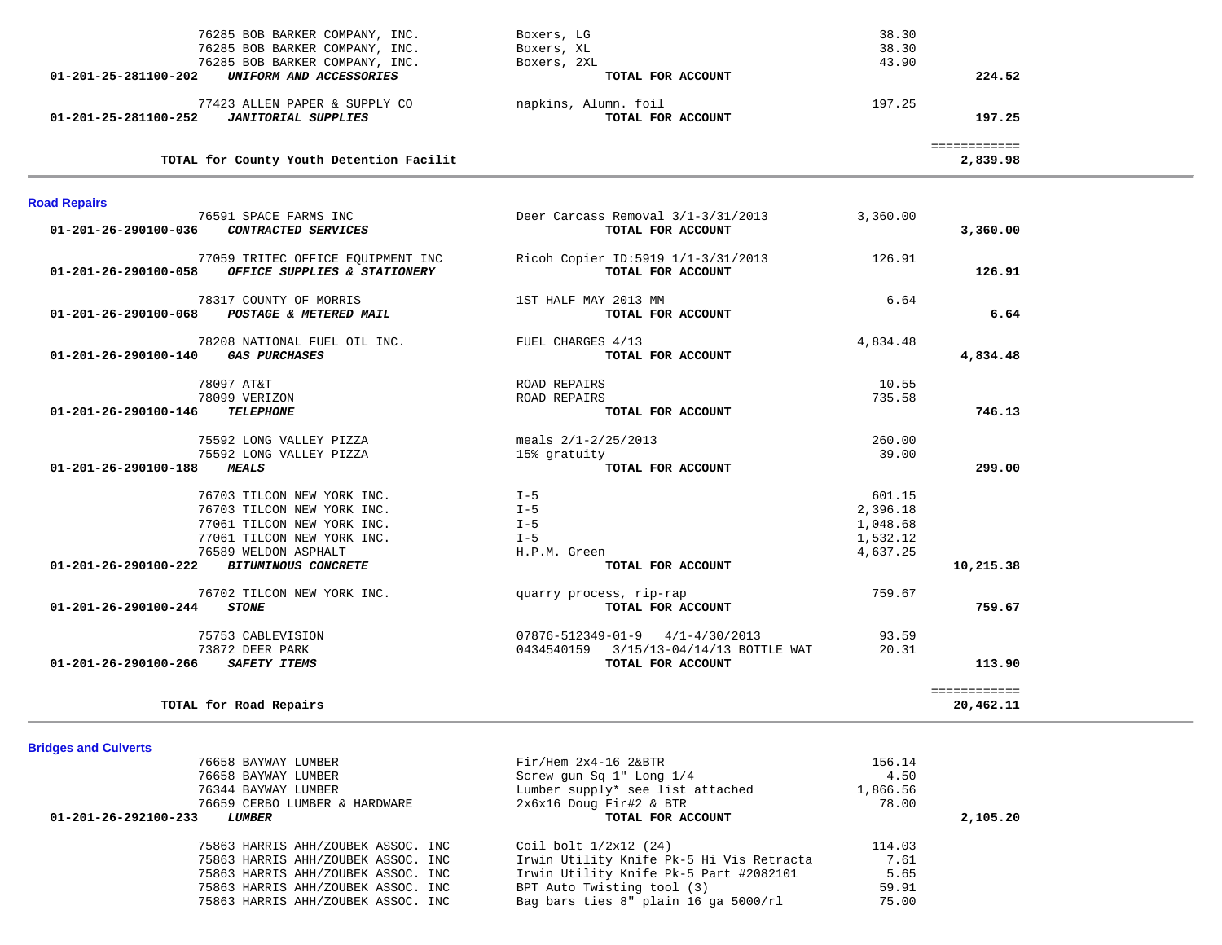| 76285 BOB BARKER COMPANY, INC.                                                            | Boxers, LG                                              | 38.30    |                           |
|-------------------------------------------------------------------------------------------|---------------------------------------------------------|----------|---------------------------|
| 76285 BOB BARKER COMPANY, INC.                                                            | Boxers, XL                                              | 38.30    |                           |
| 76285 BOB BARKER COMPANY, INC.                                                            | Boxers, 2XL                                             | 43.90    |                           |
| 01-201-25-281100-202<br>UNIFORM AND ACCESSORIES                                           | TOTAL FOR ACCOUNT                                       |          | 224.52                    |
| 77423 ALLEN PAPER & SUPPLY CO                                                             | napkins, Alumn. foil                                    | 197.25   |                           |
| 01-201-25-281100-252<br><b>JANITORIAL SUPPLIES</b>                                        | TOTAL FOR ACCOUNT                                       |          | 197.25                    |
|                                                                                           |                                                         |          | ============              |
| TOTAL for County Youth Detention Facilit                                                  |                                                         |          | 2,839.98                  |
| <b>Road Repairs</b>                                                                       |                                                         |          |                           |
| 76591 SPACE FARMS INC<br>CONTRACTED SERVICES<br>01-201-26-290100-036                      | Deer Carcass Removal 3/1-3/31/2013<br>TOTAL FOR ACCOUNT | 3,360.00 | 3,360.00                  |
| 77059 TRITEC OFFICE EQUIPMENT INC<br>OFFICE SUPPLIES & STATIONERY<br>01-201-26-290100-058 | Ricoh Copier ID:5919 1/1-3/31/2013<br>TOTAL FOR ACCOUNT | 126.91   | 126.91                    |
| 78317 COUNTY OF MORRIS<br>01-201-26-290100-068<br>POSTAGE & METERED MAIL                  | 1ST HALF MAY 2013 MM<br>TOTAL FOR ACCOUNT               | 6.64     | 6.64                      |
| 78208 NATIONAL FUEL OIL INC.<br><b>GAS PURCHASES</b><br>01-201-26-290100-140              | FUEL CHARGES 4/13<br>TOTAL FOR ACCOUNT                  | 4,834.48 | 4,834.48                  |
| 78097 AT&T                                                                                | ROAD REPAIRS                                            | 10.55    |                           |
| 78099 VERIZON                                                                             | ROAD REPAIRS                                            | 735.58   |                           |
| 01-201-26-290100-146<br><b>TELEPHONE</b>                                                  | TOTAL FOR ACCOUNT                                       |          | 746.13                    |
| 75592 LONG VALLEY PIZZA                                                                   | meals $2/1 - 2/25/2013$                                 | 260.00   |                           |
| 75592 LONG VALLEY PIZZA                                                                   | 15% gratuity                                            | 39.00    |                           |
| 01-201-26-290100-188<br><b>MEALS</b>                                                      | TOTAL FOR ACCOUNT                                       |          | 299.00                    |
| 76703 TILCON NEW YORK INC.                                                                | $I - 5$                                                 | 601.15   |                           |
| 76703 TILCON NEW YORK INC.                                                                | $I - 5$                                                 | 2,396.18 |                           |
| 77061 TILCON NEW YORK INC.                                                                | $I - 5$                                                 | 1,048.68 |                           |
| 77061 TILCON NEW YORK INC.                                                                | $I - 5$                                                 | 1,532.12 |                           |
| 76589 WELDON ASPHALT                                                                      | H.P.M. Green                                            | 4,637.25 |                           |
| 01-201-26-290100-222<br><b>BITUMINOUS CONCRETE</b>                                        | TOTAL FOR ACCOUNT                                       |          | 10,215.38                 |
| 76702 TILCON NEW YORK INC.                                                                | quarry process, rip-rap                                 | 759.67   |                           |
| 01-201-26-290100-244<br><b>STONE</b>                                                      | TOTAL FOR ACCOUNT                                       |          | 759.67                    |
| 75753 CABLEVISION                                                                         | $07876 - 512349 - 01 - 9$ $4/1 - 4/30/2013$             | 93.59    |                           |
| 73872 DEER PARK                                                                           | 0434540159 3/15/13-04/14/13 BOTTLE WAT                  | 20.31    |                           |
| 01-201-26-290100-266 SAFETY ITEMS                                                         | TOTAL FOR ACCOUNT                                       |          | 113.90                    |
| TOTAL for Road Repairs                                                                    |                                                         |          | ============<br>20,462.11 |
|                                                                                           |                                                         |          |                           |
| <b>Bridges and Culverts</b>                                                               |                                                         |          |                           |
| 76658 BAYWAY LUMBER                                                                       | $Fix/$ Hem $2x4-16$ $2xBTR$                             | 156.14   |                           |

| 2,105.20 |
|----------|
|          |
|          |
|          |
|          |
|          |
|          |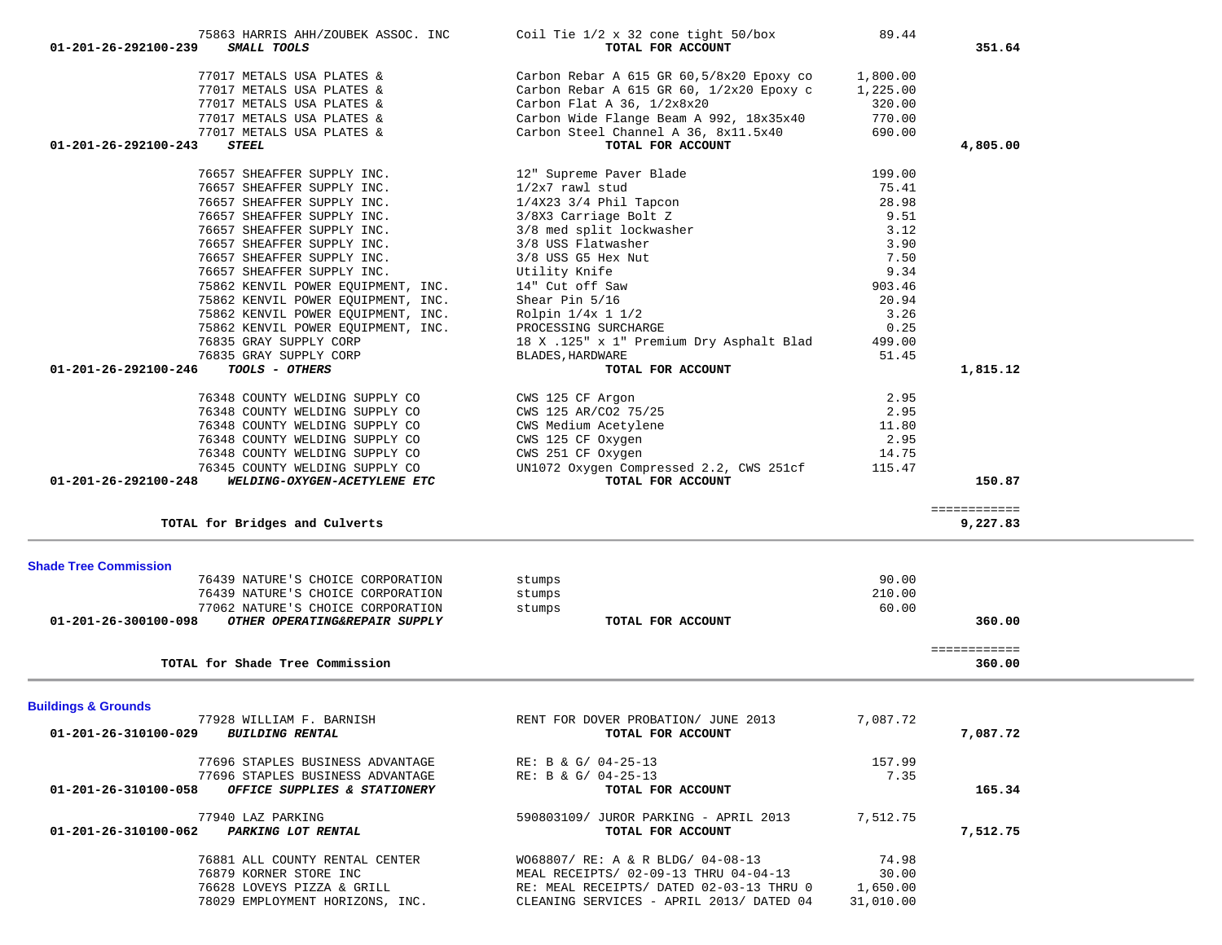| 76879 KORNER STORE INC<br>76628 LOVEYS PIZZA & GRILL<br>78029 EMPLOYMENT HORIZONS, INC.                                                                                                                                                                                                                                                                                                                  | MEAL RECEIPTS/ 02-09-13 THRU 04-04-13<br>RE: MEAL RECEIPTS/ DATED 02-03-13 THRU 0<br>CLEANING SERVICES - APRIL 2013/ DATED 04                                                                                                                                                         | 30.00<br>1,650.00<br>31,010.00                                                             |                          |  |
|----------------------------------------------------------------------------------------------------------------------------------------------------------------------------------------------------------------------------------------------------------------------------------------------------------------------------------------------------------------------------------------------------------|---------------------------------------------------------------------------------------------------------------------------------------------------------------------------------------------------------------------------------------------------------------------------------------|--------------------------------------------------------------------------------------------|--------------------------|--|
| 77940 LAZ PARKING<br>01-201-26-310100-062 PARKING LOT RENTAL<br>76881 ALL COUNTY RENTAL CENTER                                                                                                                                                                                                                                                                                                           | 590803109/ JUROR PARKING - APRIL 2013<br>TOTAL FOR ACCOUNT<br>WO68807/ RE: A & R BLDG/ 04-08-13                                                                                                                                                                                       | 7,512.75<br>74.98                                                                          | 7,512.75                 |  |
| 77696 STAPLES BUSINESS ADVANTAGE<br>77696 STAPLES BUSINESS ADVANTAGE<br>OFFICE SUPPLIES & STATIONERY<br>01-201-26-310100-058                                                                                                                                                                                                                                                                             | RE: B & G/ 04-25-13<br>RE: B & G/ $04-25-13$<br>TOTAL FOR ACCOUNT                                                                                                                                                                                                                     | 157.99<br>7.35                                                                             | 165.34                   |  |
| <b>Buildings &amp; Grounds</b><br>77928 WILLIAM F. BARNISH<br><b>BUILDING RENTAL</b><br>01-201-26-310100-029                                                                                                                                                                                                                                                                                             | RENT FOR DOVER PROBATION/ JUNE 2013<br>TOTAL FOR ACCOUNT                                                                                                                                                                                                                              | 7,087.72                                                                                   | 7,087.72                 |  |
| TOTAL for Shade Tree Commission                                                                                                                                                                                                                                                                                                                                                                          |                                                                                                                                                                                                                                                                                       |                                                                                            | 360.00                   |  |
| <b>Shade Tree Commission</b><br>76439 NATURE'S CHOICE CORPORATION<br>76439 NATURE'S CHOICE CORPORATION<br>77062 NATURE'S CHOICE CORPORATION<br>OTHER OPERATING&REPAIR SUPPLY<br>01-201-26-300100-098                                                                                                                                                                                                     | stumps<br>stumps<br>stumps<br>TOTAL FOR ACCOUNT                                                                                                                                                                                                                                       | 90.00<br>210.00<br>60.00                                                                   | 360.00<br>============   |  |
| TOTAL for Bridges and Culverts                                                                                                                                                                                                                                                                                                                                                                           |                                                                                                                                                                                                                                                                                       |                                                                                            | ============<br>9,227.83 |  |
| 76348 COUNTY WELDING SUPPLY CO<br>76348 COUNTY WELDING SUPPLY CO<br>76348 COUNTY WELDING SUPPLY CO<br>76348 COUNTY WELDING SUPPLY CO<br>76348 COUNTY WELDING SUPPLY CO<br>76345 COUNTY WELDING SUPPLY CO<br>01-201-26-292100-248<br>WELDING-OXYGEN-ACETYLENE ETC                                                                                                                                         | CWS 125 CF Argon<br>CWS 125 AR/CO2 75/25<br>CWS Medium Acetylene<br>CWS 125 CF Oxygen<br>CWS 251 CF Oxygen<br>UN1072 Oxygen Compressed 2.2, CWS 251cf<br>TOTAL FOR ACCOUNT                                                                                                            | 2.95<br>2.95<br>11.80<br>2.95<br>14.75<br>115.47                                           | 150.87                   |  |
| 76657 SHEAFFER SUPPLY INC.<br>76657 SHEAFFER SUPPLY INC.<br>76657 SHEAFFER SUPPLY INC.<br>76657 SHEAFFER SUPPLY INC.<br>76657 SHEAFFER SUPPLY INC.<br>75862 KENVIL POWER EQUIPMENT, INC.<br>75862 KENVIL POWER EQUIPMENT, INC.<br>75862 KENVIL POWER EQUIPMENT, INC.<br>75862 KENVIL POWER EQUIPMENT, INC.<br>76835 GRAY SUPPLY CORP<br>76835 GRAY SUPPLY CORP<br>01-201-26-292100-246<br>TOOLS - OTHERS | 3/8X3 Carriage Bolt Z<br>3/8 med split lockwasher<br>3/8 USS Flatwasher<br>3/8 USS G5 Hex Nut<br>Utility Knife<br>14" Cut off Saw<br>Shear Pin 5/16<br>Rolpin 1/4x 1 1/2<br>PROCESSING SURCHARGE<br>18 X .125" x 1" Premium Dry Asphalt Blad<br>BLADES, HARDWARE<br>TOTAL FOR ACCOUNT | 9.51<br>3.12<br>3.90<br>7.50<br>9.34<br>903.46<br>20.94<br>3.26<br>0.25<br>499.00<br>51.45 | 1,815.12                 |  |
| 77017 METALS USA PLATES &<br>01-201-26-292100-243<br><b>STEEL</b><br>76657 SHEAFFER SUPPLY INC.<br>76657 SHEAFFER SUPPLY INC.<br>76657 SHEAFFER SUPPLY INC.                                                                                                                                                                                                                                              | Carbon Steel Channel A 36, 8x11.5x40<br>TOTAL FOR ACCOUNT<br>12" Supreme Paver Blade<br>$1/2x7$ rawl stud<br>$1/4X23$ $3/4$ Phil Tapcon                                                                                                                                               | 690.00<br>199.00<br>75.41<br>28.98                                                         | 4,805.00                 |  |
| 77017 METALS USA PLATES &<br>77017 METALS USA PLATES &<br>77017 METALS USA PLATES &<br>77017 METALS USA PLATES &                                                                                                                                                                                                                                                                                         | Carbon Rebar A 615 GR 60,5/8x20 Epoxy co<br>Carbon Rebar A 615 GR 60, $1/2x20$ Epoxy c<br>Carbon Flat A $36$ , $1/2x8x20$<br>Carbon Wide Flange Beam A 992, 18x35x40                                                                                                                  | 1,800.00<br>1,225.00<br>320.00<br>770.00                                                   |                          |  |

75863 HARRIS AHH/ZOUBEK ASSOC. INC Coil Tie 1/2 x 32 cone tight 50/box 89.44  **01-201-26-292100-239** *SMALL TOOLS* **TOTAL FOR ACCOUNT 351.64**

351.64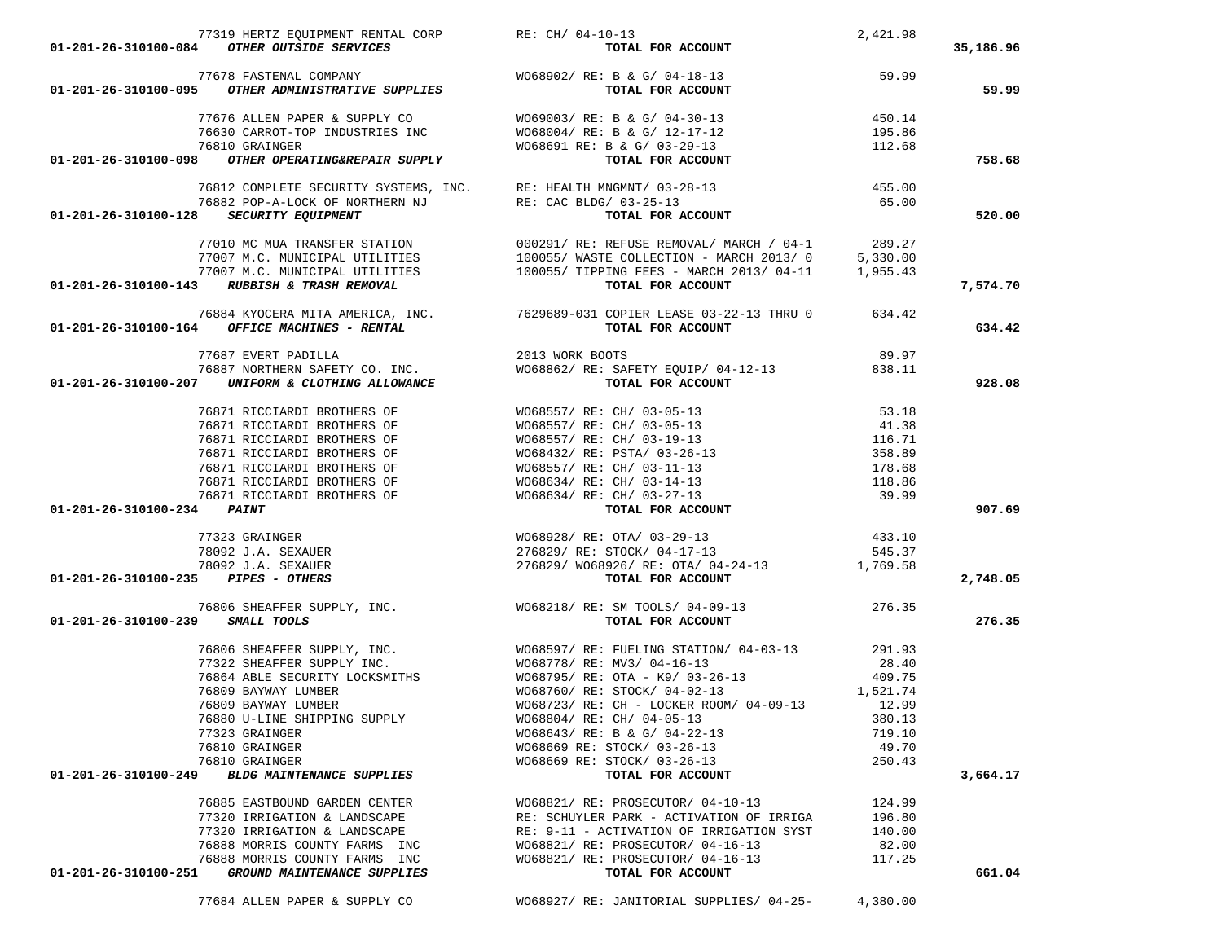77684 ALLEN PAPER & SUPPLY CO WO68927/ RE: JANITORIAL SUPPLIES/ 04-25- 4,380.00

|                                     |                                         | $77319 \text{ HERTZ EQUIPMENT RENTAL CORP} \begin{array}{l} \text{R1-201-26-310100-084} \\ \text{C1-201-26-310100-084} \\ \text{C1-201-26-310100-084} \\ \text{C2} \\ \text{R3} \\ \text{R4} \\ \text{R5} \\ \text{R6} \\ \text{R7} \\ \text{R8} \\ \text{R9} \\ \text{R1} \\ \text{R1} \\ \text{R2} \\ \text{R3} \\ \text{R4} \\ \text{R5} \\ \text{R5} \\ \text{R6} \\ \text{R7$                                                                                                                              | 2,421.98        |           |
|-------------------------------------|-----------------------------------------|-----------------------------------------------------------------------------------------------------------------------------------------------------------------------------------------------------------------------------------------------------------------------------------------------------------------------------------------------------------------------------------------------------------------------------------------------------------------------------------------------------------------|-----------------|-----------|
|                                     |                                         |                                                                                                                                                                                                                                                                                                                                                                                                                                                                                                                 |                 | 35,186.96 |
|                                     |                                         |                                                                                                                                                                                                                                                                                                                                                                                                                                                                                                                 |                 |           |
|                                     |                                         | 77678 FASTENAL COMPANY WO68902/ RE: B & G/ 04-18-13<br><b>01-201-26-310100-095</b> OTHER ADMINISTRATIVE SUPPLIES TOTAL FOR ACCOUNT                                                                                                                                                                                                                                                                                                                                                                              |                 | 59.99     |
|                                     |                                         |                                                                                                                                                                                                                                                                                                                                                                                                                                                                                                                 | 450.14          |           |
|                                     |                                         |                                                                                                                                                                                                                                                                                                                                                                                                                                                                                                                 |                 |           |
|                                     |                                         |                                                                                                                                                                                                                                                                                                                                                                                                                                                                                                                 |                 |           |
|                                     |                                         |                                                                                                                                                                                                                                                                                                                                                                                                                                                                                                                 |                 | 758.68    |
|                                     |                                         | 76812 COMPLETE SECURITY SYSTEMS, INC. RE: HEALTH MNGMNT/ 03-28-13 (455.00)<br>76882 POP-A-LOCK OF NORTHERN NJ RE: CAC BLDG/ 03-25-13 (65.00)<br>28 SECURITY EQUIPMENT                                                                                                                                                                                                                                                                                                                                           |                 |           |
|                                     |                                         |                                                                                                                                                                                                                                                                                                                                                                                                                                                                                                                 |                 |           |
|                                     | 01-201-26-310100-128 SECURITY EQUIPMENT |                                                                                                                                                                                                                                                                                                                                                                                                                                                                                                                 |                 | 520.00    |
|                                     |                                         | $\begin{array}{cccc} \text{77010 MC MUA TRANSFER STATION} \end{array} & \begin{array}{cccc} \text{77010 MC MUA TRANSFER STATION} \end{array} & \begin{array}{cccc} \text{77007 M.C. MUNICIPAL UTILITIES} \end{array} & \begin{array}{cccc} \text{77007 M.C. MUNICIPAL UTILITIES} \end{array} & \begin{array}{cccc} \text{77007 M.C. MUNICIPAL UTILITIES} \end{array} & \begin{array}{cccc} \text{77007 M.C. MUNICIPAL UTILITIES} \end{array} & \begin{array}{cccc} \text{77007 M.C. MUNICIPAL UTILITIES} \end{$ |                 |           |
|                                     |                                         |                                                                                                                                                                                                                                                                                                                                                                                                                                                                                                                 |                 |           |
|                                     |                                         |                                                                                                                                                                                                                                                                                                                                                                                                                                                                                                                 |                 |           |
|                                     |                                         |                                                                                                                                                                                                                                                                                                                                                                                                                                                                                                                 |                 | 7,574.70  |
|                                     |                                         | 76884 KYOCERA MITA AMERICA, INC. 7629689-031 COPIER LEASE 03-22-13 THRU 0 634.42<br>01-201-26-310100-164 OFFICE MACHINES - RENTAL 10 7629689-031 COPIER LEASE 03-22-13 THRU 0 634.42                                                                                                                                                                                                                                                                                                                            |                 |           |
|                                     |                                         |                                                                                                                                                                                                                                                                                                                                                                                                                                                                                                                 |                 | 634.42    |
|                                     |                                         | 77687 EVERT PADILLA 2013 WORK BOOTS 39.97<br>76887 NORTHERN SAFETY CO. INC. WO68862/ RE: SAFETY EQUIP/ 04-12-13 7688-11<br><b>701-201-26-310100-207</b> UNIFORM & CLOTHING ALLOWANCE TOTAL FOR ACCOUNT                                                                                                                                                                                                                                                                                                          |                 |           |
|                                     |                                         |                                                                                                                                                                                                                                                                                                                                                                                                                                                                                                                 |                 |           |
|                                     |                                         |                                                                                                                                                                                                                                                                                                                                                                                                                                                                                                                 |                 | 928.08    |
|                                     |                                         |                                                                                                                                                                                                                                                                                                                                                                                                                                                                                                                 |                 |           |
|                                     |                                         |                                                                                                                                                                                                                                                                                                                                                                                                                                                                                                                 |                 |           |
|                                     |                                         |                                                                                                                                                                                                                                                                                                                                                                                                                                                                                                                 |                 |           |
|                                     |                                         |                                                                                                                                                                                                                                                                                                                                                                                                                                                                                                                 |                 |           |
|                                     |                                         |                                                                                                                                                                                                                                                                                                                                                                                                                                                                                                                 |                 |           |
|                                     |                                         |                                                                                                                                                                                                                                                                                                                                                                                                                                                                                                                 |                 |           |
| 01-201-26-310100-234 PAINT          |                                         |                                                                                                                                                                                                                                                                                                                                                                                                                                                                                                                 |                 | 907.69    |
|                                     |                                         |                                                                                                                                                                                                                                                                                                                                                                                                                                                                                                                 |                 |           |
|                                     |                                         |                                                                                                                                                                                                                                                                                                                                                                                                                                                                                                                 |                 |           |
|                                     |                                         |                                                                                                                                                                                                                                                                                                                                                                                                                                                                                                                 |                 |           |
| 01-201-26-310100-235 PIPES - OTHERS |                                         | 77323 GRAINGER (1999)<br>1980 T.A. SEXAUER (1999) 276829/RE: STOCK/04-17-13 (1999)<br>276829/RE: STOCK/04-17-13 (1999) 545.37<br>276829/M068926/RE: OTA/04-24-13 (1,769.58<br><b>1,769.58</b><br><b>1,769.58</b>                                                                                                                                                                                                                                                                                                |                 | 2,748.05  |
|                                     |                                         |                                                                                                                                                                                                                                                                                                                                                                                                                                                                                                                 |                 |           |
| 01-201-26-310100-239 SMALL TOOLS    |                                         | 76806 SHEAFFER SUPPLY, INC. $\footnotesize\begin{array}{ccc} & & \text{W068218/ RE: SM TOOLS/ 04-09-13} \\ \text{239} & \text{SMALL TOOLS} \end{array}$ 276.35                                                                                                                                                                                                                                                                                                                                                  |                 | 276.35    |
|                                     |                                         |                                                                                                                                                                                                                                                                                                                                                                                                                                                                                                                 |                 |           |
|                                     |                                         | 76806 SHEAFFER SUPPLY, INC.<br>77322 SHEAFFER SUPPLY INC.<br>76864 ABLE SECURITY LOCKSMITHS<br>76809 BAYWAY LUMBER<br>76809 BAYWAY LUMBER<br>76809 BAYWAY LUMBER<br>76809 BAYWAY LUMBER<br>76809 BAYWAY LUMBER<br>76809 BAYWAY LUMBER<br>76809 B                                                                                                                                                                                                                                                                |                 |           |
|                                     |                                         |                                                                                                                                                                                                                                                                                                                                                                                                                                                                                                                 |                 |           |
|                                     |                                         |                                                                                                                                                                                                                                                                                                                                                                                                                                                                                                                 |                 |           |
|                                     |                                         |                                                                                                                                                                                                                                                                                                                                                                                                                                                                                                                 |                 |           |
|                                     |                                         |                                                                                                                                                                                                                                                                                                                                                                                                                                                                                                                 |                 |           |
|                                     | 76880 U-LINE SHIPPING SUPPLY            | WO68804/ RE: CH/ 04-05-13                                                                                                                                                                                                                                                                                                                                                                                                                                                                                       | 380.13          |           |
|                                     | 77323 GRAINGER<br>76810 GRAINGER        | $W068643/RE: B & G/04-22-13$<br>WO68669 RE: STOCK/ 03-26-13                                                                                                                                                                                                                                                                                                                                                                                                                                                     | 719.10<br>49.70 |           |
|                                     | 76810 GRAINGER                          | W068669 RE: STOCK/ 03-26-13                                                                                                                                                                                                                                                                                                                                                                                                                                                                                     | 250.43          |           |
| 01-201-26-310100-249                | <b>BLDG MAINTENANCE SUPPLIES</b>        | TOTAL FOR ACCOUNT                                                                                                                                                                                                                                                                                                                                                                                                                                                                                               |                 | 3,664.17  |
|                                     | 76885 EASTBOUND GARDEN CENTER           | WO68821/ RE: PROSECUTOR/ 04-10-13                                                                                                                                                                                                                                                                                                                                                                                                                                                                               | 124.99          |           |
|                                     | 77320 IRRIGATION & LANDSCAPE            | RE: SCHUYLER PARK - ACTIVATION OF IRRIGA                                                                                                                                                                                                                                                                                                                                                                                                                                                                        | 196.80          |           |
|                                     | 77320 IRRIGATION & LANDSCAPE            | RE: 9-11 - ACTIVATION OF IRRIGATION SYST                                                                                                                                                                                                                                                                                                                                                                                                                                                                        | 140.00          |           |
|                                     | 76888 MORRIS COUNTY FARMS INC           | WO68821/ RE: PROSECUTOR/ 04-16-13                                                                                                                                                                                                                                                                                                                                                                                                                                                                               | 82.00           |           |
|                                     | 76888 MORRIS COUNTY FARMS INC           | WO68821/ RE: PROSECUTOR/ 04-16-13                                                                                                                                                                                                                                                                                                                                                                                                                                                                               | 117.25          |           |
| 01-201-26-310100-251                | GROUND MAINTENANCE SUPPLIES             | TOTAL FOR ACCOUNT                                                                                                                                                                                                                                                                                                                                                                                                                                                                                               |                 | 661.04    |
|                                     |                                         |                                                                                                                                                                                                                                                                                                                                                                                                                                                                                                                 |                 |           |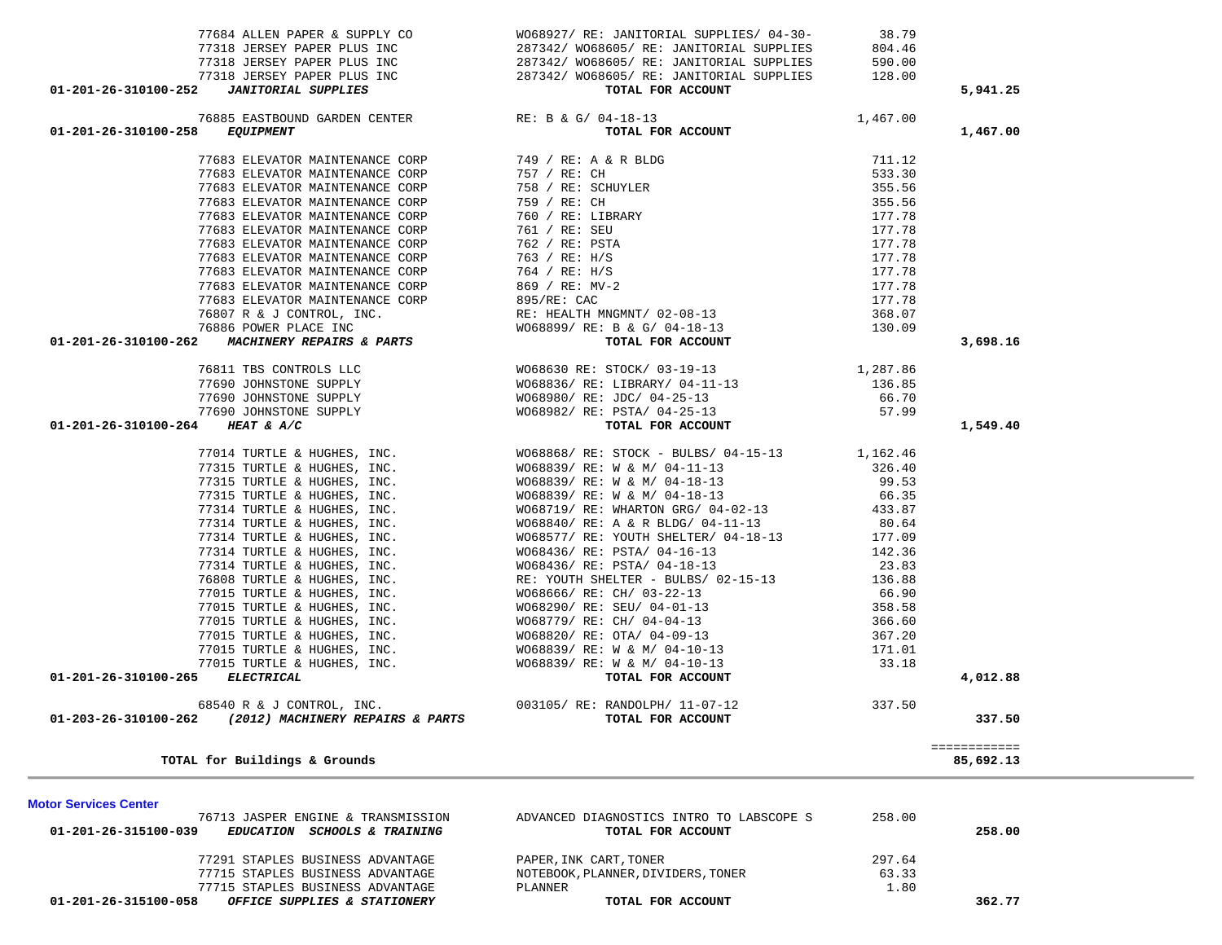| 01-201-26-315100-039 | <i>EDUCATION</i>                 | <i>SCHOOLS &amp; TRAINING</i> | TOTAL FOR ACCOUNT                  |            | 258.00 |
|----------------------|----------------------------------|-------------------------------|------------------------------------|------------|--------|
|                      | 77291 STAPLES BUSINESS ADVANTAGE |                               | PAPER, INK CART, TONER             | 297.64     |        |
|                      | 77715 STAPLES BUSINESS ADVANTAGE |                               | NOTEBOOK, PLANNER, DIVIDERS, TONER | 63.33      |        |
|                      | 77715 STAPLES BUSINESS ADVANTAGE |                               | PLANNER                            | $\pm 0.80$ |        |
| 01-201-26-315100-058 | OFFICE SUPPLIES & STATIONERY     |                               | TOTAL FOR ACCOUNT                  |            | 362.77 |
|                      |                                  |                               |                                    |            |        |

76713 JASPER ENGINE & TRANSMISSION ADVANCED DIAGNOSTICS INTRO TO LABSCOPE S 258.00

============

|                                                                            | WO68630 RE: STOCK/ 03-19-13                                                         | 1,287.86 |          |
|----------------------------------------------------------------------------|-------------------------------------------------------------------------------------|----------|----------|
| 76811 TBS CONTROLS LLC<br>77690 JOHNSTONE SUPPLY<br>77690 JOHNSTONE SUPPLY | WO68836/ RE: LIBRARY/ 04-11-13 136.85                                               |          |          |
|                                                                            | WO68980/ RE: JDC/ 04-25-13 66.70                                                    |          |          |
|                                                                            | WO68982/RE: PSTA/ 04-25-13 57.99                                                    |          |          |
| 77690 JOHNSTONE SUPPLY<br>4 HEAT & A/C<br>01-201-26-310100-264 HEAT & A/C  | TOTAL FOR ACCOUNT                                                                   |          | 1,549.40 |
|                                                                            | 77014 TURTLE & HUGHES, INC. WO68868/ RE: STOCK - BULBS/ 04-15-13 1,162.46           |          |          |
| 77315 TURTLE & HUGHES, INC.                                                | WO68839/ RE: W & M/ 04-11-13 326.40                                                 |          |          |
| 77315 TURTLE & HUGHES, INC.                                                |                                                                                     |          |          |
| 77315 TURTLE & HUGHES, INC.                                                | WO68839/RE: W & M/04-18-13<br>WO68839/RE: W & M/04-18-13 66.35                      |          |          |
| 77314 TURTLE & HUGHES, INC.                                                | WO68719/RE: WHARTON GRG/04-02-13 433.87                                             |          |          |
| 77314 TURTLE & HUGHES, INC.                                                | WO68840/ RE: A & R BLDG/ 04-11-13 80.64                                             |          |          |
| 77314 TURTLE & HUGHES, INC.                                                | WO68577/RE: YOUTH SHELTER/04-18-13                                                  | 177.09   |          |
| 77314 TURTLE & HUGHES, INC.                                                | WO68436/ RE: PSTA/ 04-16-13                                                         | 142.36   |          |
| 77314 TURTLE & HUGHES, INC.                                                | WO68436/RE: PSTA/04-18-13 23.83<br>RE: YOUTH SHELTER - BULBS/02-15-13 136.88        |          |          |
| 76808 TURTLE & HUGHES, INC.                                                |                                                                                     |          |          |
| 77015 TURTLE & HUGHES, INC.                                                | WO68666/RE: CH/ 03-22-13 66.90                                                      |          |          |
| 77015 TURTLE & HUGHES, INC.                                                | WO68290/ RE: SEU/ 04-01-13                                                          | 358.58   |          |
| 77015 TURTLE & HUGHES, INC.                                                | WO68779/ RE: CH/ 04-04-13                                                           | 366.60   |          |
| 77015 TURTLE & HUGHES, INC.                                                | WO68820/ RE: OTA/ 04-09-13                                                          | 367.20   |          |
| 77015 TURTLE & HUGHES, INC.                                                | WO68839/ RE: W & M/ 04-10-13                                                        | 171.01   |          |
|                                                                            | 77015 TURTLE & HUGHES, INC. $W068839/RE: W & M/04-10-13$<br><b>ELECTRICAL</b> 33.18 |          |          |
| 01-201-26-310100-265                                                       |                                                                                     |          | 4,012.88 |
|                                                                            | 68540 R & J CONTROL, INC. 003105/RE: RANDOLPH/ 11-07-12                             | 337.50   |          |
| 01-203-26-310100-262<br>(2012) MACHINERY REPAIRS & PARTS                   | TOTAL FOR ACCOUNT                                                                   |          | 337.50   |

| 77318 JERSEY PAPER PLUS INC<br>01-201-26-310100-252<br><b>JANITORIAL SUPPLIES</b> | 287342/ WO68605/ RE: JANITORIAL SUPPLIES<br>TOTAL FOR ACCOUNT | 128.00   | 5,941.25 |
|-----------------------------------------------------------------------------------|---------------------------------------------------------------|----------|----------|
| 76885 EASTBOUND GARDEN CENTER RE: B & G/ 04-18-13                                 |                                                               | 1,467.00 |          |
| 01-201-26-310100-258<br><i>EQUIPMENT</i>                                          | TOTAL FOR ACCOUNT                                             |          | 1,467.00 |
| 77683 ELEVATOR MAINTENANCE CORP                                                   | 749 / RE: A & R BLDG                                          | 711.12   |          |
| 77683 ELEVATOR MAINTENANCE CORP                                                   | 757 / RE: CH                                                  | 533.30   |          |
| 77683 ELEVATOR MAINTENANCE CORP                                                   | 758 / RE: SCHUYLER                                            | 355.56   |          |
| 77683 ELEVATOR MAINTENANCE CORP                                                   | 759 / RE: CH                                                  | 355.56   |          |
| 77683 ELEVATOR MAINTENANCE CORP                                                   | 760 / RE: LIBRARY                                             | 177.78   |          |
| 77683 ELEVATOR MAINTENANCE CORP                                                   | 761 / RE: SEU                                                 | 177.78   |          |
| 77683 ELEVATOR MAINTENANCE CORP                                                   | 762 / RE: PSTA                                                | 177.78   |          |
| 77683 ELEVATOR MAINTENANCE CORP                                                   | 763 / RE: H/S                                                 | 177.78   |          |
| 77683 ELEVATOR MAINTENANCE CORP                                                   | 764 / RE: H/S                                                 | 177.78   |          |
| 77683 ELEVATOR MAINTENANCE CORP                                                   | 869 / RE: MV-2                                                | 177.78   |          |
| 77683 ELEVATOR MAINTENANCE CORP                                                   | 895/RE: CAC                                                   | 177.78   |          |
|                                                                                   | 76807 R & J CONTROL, INC. THE RE: HEALTH MNGMNT/ 02-08-13     | 368.07   |          |
| 76886 POWER PLACE INC                                                             | WO68899/ RE: B & G/ 04-18-13                                  | 130.09   |          |
| 01-201-26-310100-262<br><b>MACHINERY REPAIRS &amp; PARTS</b>                      | TOTAL FOR ACCOUNT                                             |          | 3,698.16 |
| 76811 TBS CONTROLS LLC                                                            | WO68630 RE: STOCK/ 03-19-13                                   | 1,287.86 |          |
| 77690 JOHNSTONE SUPPLY                                                            | WO68836/ RE: LIBRARY/ 04-11-13                                | 136.85   |          |
|                                                                                   |                                                               |          |          |

TOTAL for Buildings & Grounds

**Motor Services Center** 

 77684 ALLEN PAPER & SUPPLY CO WO68927/ RE: JANITORIAL SUPPLIES/ 04-30- 38.79 77318 JERSEY PAPER PLUS INC 287342/ WO68605/ RE: JANITORIAL SUPPLIES 590.00

AL SUPPLIES 128.00

287342/ WO68605/ RE: JANITORIAL SUPPLIES 804.46

85,692.13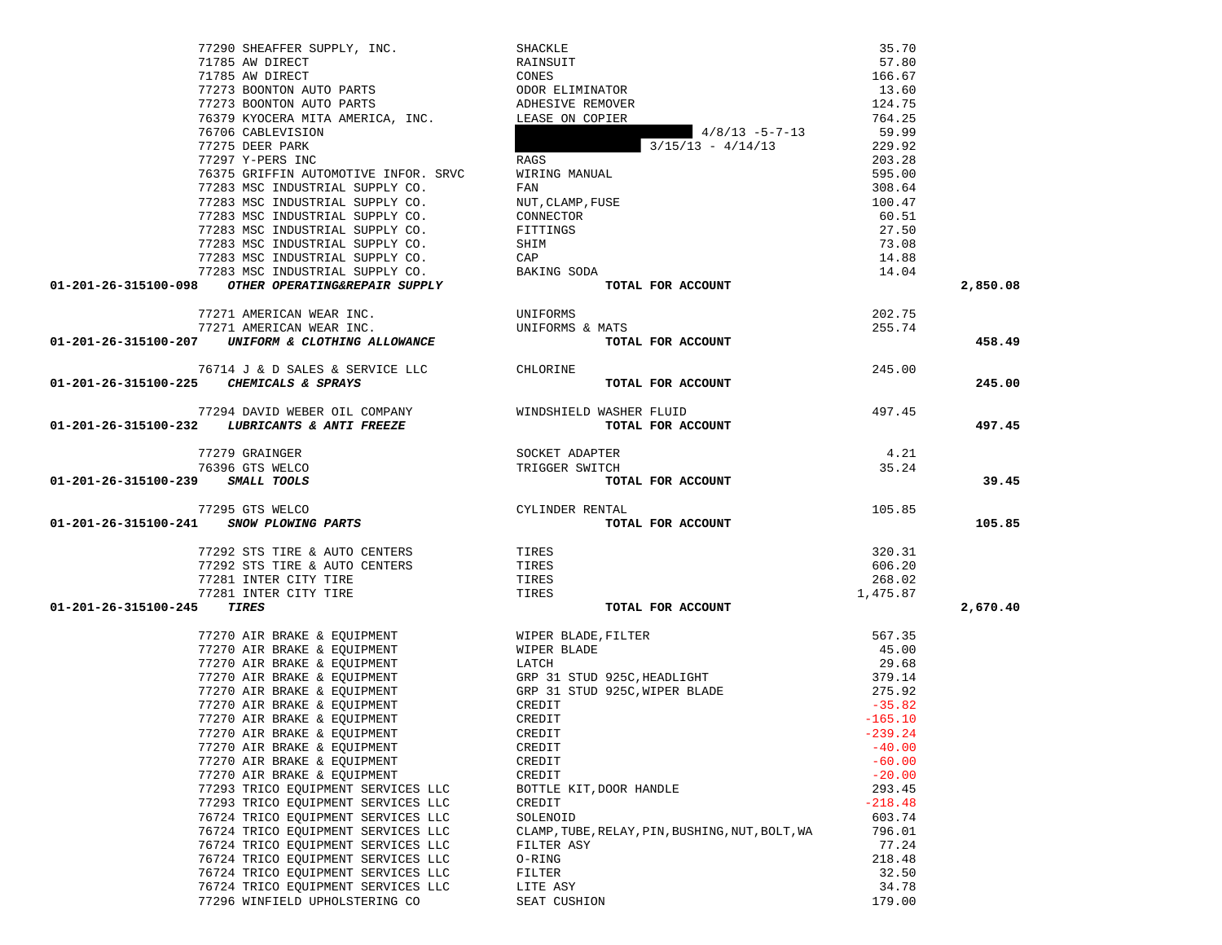|                                  | 77290 SHEAFFER SUPPLY, INC.                                                                                                               | SHACKLE                                         | 35.70     |          |
|----------------------------------|-------------------------------------------------------------------------------------------------------------------------------------------|-------------------------------------------------|-----------|----------|
|                                  | 71785 AW DIRECT                                                                                                                           | RAINSUIT                                        | 57.80     |          |
|                                  | 71785 AW DIRECT                                                                                                                           | CONES                                           | 166.67    |          |
|                                  |                                                                                                                                           |                                                 | 13.60     |          |
|                                  |                                                                                                                                           |                                                 | 124.75    |          |
|                                  | T2273 BOONTON AUTO PARTS ODOR ELIMINATOR<br>T7273 BOONTON AUTO PARTS ADHESIVE REMOVER<br>T6379 KYOCERA MITA AMERICA, INC. LEASE ON COPIER |                                                 | 764.25    |          |
|                                  | 76706 CABLEVISION                                                                                                                         | $4/8/13 - 5-7-13$                               | 59.99     |          |
|                                  | 77275 DEER PARK                                                                                                                           | $3/15/13 - 4/14/13$                             | 229.92    |          |
|                                  | 77297 Y-PERS INC                                                                                                                          | RAGS                                            | 203.28    |          |
|                                  | 76375 GRIFFIN AUTOMOTIVE INFOR. SRVC                                                                                                      | WIRING MANUAL                                   | 595.00    |          |
|                                  | 77283 MSC INDUSTRIAL SUPPLY CO.                                                                                                           | FAN                                             | 308.64    |          |
|                                  | 77283 MSC INDUSTRIAL SUPPLY CO.                                                                                                           | NUT, CLAMP, FUSE                                | 100.47    |          |
|                                  | 77283 MSC INDUSTRIAL SUPPLY CO.                                                                                                           | CONNECTOR                                       | 60.51     |          |
|                                  | 77283 MSC INDUSTRIAL SUPPLY CO.                                                                                                           | FITTINGS                                        | 27.50     |          |
|                                  | 77283 MSC INDUSTRIAL SUPPLY CO.                                                                                                           | SHIM                                            | 73.08     |          |
|                                  | 77283 MSC INDUSTRIAL SUPPLY CO.                                                                                                           | CAP                                             | 14.88     |          |
|                                  | 77283 MSC INDUSTRIAL SUPPLY CO.                                                                                                           | BAKING SODA                                     | 14.04     |          |
|                                  | 01-201-26-315100-098 OTHER OPERATING&REPAIR SUPPLY                                                                                        | TOTAL FOR ACCOUNT                               |           | 2,850.08 |
|                                  |                                                                                                                                           |                                                 |           |          |
|                                  | 77271 AMERICAN WEAR INC.                                                                                                                  | UNIFORMS                                        | 202.75    |          |
|                                  | 77271 AMERICAN WEAR INC.                                                                                                                  | UNIFORMS & MATS                                 | 255.74    |          |
|                                  | 01-201-26-315100-207 UNIFORM & CLOTHING ALLOWANCE                                                                                         | TOTAL FOR ACCOUNT                               |           | 458.49   |
|                                  |                                                                                                                                           |                                                 |           |          |
|                                  | 76714 J & D SALES & SERVICE LLC CHLORINE                                                                                                  |                                                 | 245.00    |          |
|                                  | 01-201-26-315100-225 CHEMICALS & SPRAYS                                                                                                   | TOTAL FOR ACCOUNT                               |           | 245.00   |
|                                  |                                                                                                                                           |                                                 |           |          |
|                                  | 77294 DAVID WEBER OIL COMPANY                                                                                                             | WINDSHIELD WASHER FLUID                         | 497.45    |          |
|                                  | 01-201-26-315100-232 LUBRICANTS & ANTI FREEZE                                                                                             | TOTAL FOR ACCOUNT                               |           | 497.45   |
|                                  |                                                                                                                                           |                                                 |           |          |
|                                  | 77279 GRAINGER                                                                                                                            | SOCKET ADAPTER                                  | 4.21      |          |
|                                  | 76396 GTS WELCO                                                                                                                           | TRIGGER SWITCH                                  | 35.24     |          |
| 01-201-26-315100-239 SMALL TOOLS |                                                                                                                                           | TOTAL FOR ACCOUNT                               |           | 39.45    |
|                                  |                                                                                                                                           |                                                 |           |          |
|                                  | 77295 GTS WELCO                                                                                                                           | CYLINDER RENTAL                                 | 105.85    |          |
|                                  | 01-201-26-315100-241 SNOW PLOWING PARTS                                                                                                   | TOTAL FOR ACCOUNT                               |           | 105.85   |
|                                  |                                                                                                                                           |                                                 |           |          |
|                                  | 77292 STS TIRE & AUTO CENTERS                                                                                                             | TIRES                                           | 320.31    |          |
|                                  | 77292 STS TIRE & AUTO CENTERS                                                                                                             | TIRES                                           | 606.20    |          |
|                                  | 77281 INTER CITY TIRE                                                                                                                     | TIRES                                           | 268.02    |          |
|                                  | 77281 INTER CITY TIRE                                                                                                                     | TIRES                                           | 1,475.87  |          |
| 01-201-26-315100-245             | TIRES                                                                                                                                     | TOTAL FOR ACCOUNT                               |           | 2,670.40 |
|                                  |                                                                                                                                           |                                                 |           |          |
|                                  | 77270 AIR BRAKE & EQUIPMENT                                                                                                               | WIPER BLADE, FILTER                             | 567.35    |          |
|                                  | 77270 AIR BRAKE & EQUIPMENT                                                                                                               | WIPER BLADE                                     | 45.00     |          |
|                                  | 77270 AIR BRAKE & EQUIPMENT                                                                                                               | LATCH                                           | 29.68     |          |
|                                  | 77270 AIR BRAKE & EQUIPMENT                                                                                                               | GRP 31 STUD 925C, HEADLIGHT                     | 379.14    |          |
|                                  | 77270 AIR BRAKE & EQUIPMENT                                                                                                               | GRP 31 STUD 925C, WIPER BLADE                   | 275.92    |          |
|                                  | 77270 AIR BRAKE & EQUIPMENT                                                                                                               | CREDIT                                          | $-35.82$  |          |
|                                  | 77270 AIR BRAKE & EQUIPMENT                                                                                                               | CREDIT                                          | $-165.10$ |          |
|                                  | 77270 AIR BRAKE & EQUIPMENT                                                                                                               | CREDIT                                          | $-239.24$ |          |
|                                  |                                                                                                                                           |                                                 |           |          |
|                                  | 77270 AIR BRAKE & EQUIPMENT                                                                                                               | CREDIT                                          | $-40.00$  |          |
|                                  | 77270 AIR BRAKE & EQUIPMENT                                                                                                               | CREDIT                                          | $-60.00$  |          |
|                                  | 77270 AIR BRAKE & EOUIPMENT                                                                                                               | CREDIT                                          | $-20.00$  |          |
|                                  | 77293 TRICO EQUIPMENT SERVICES LLC                                                                                                        | BOTTLE KIT, DOOR HANDLE                         | 293.45    |          |
|                                  | 77293 TRICO EQUIPMENT SERVICES LLC                                                                                                        | CREDIT                                          | $-218.48$ |          |
|                                  | 76724 TRICO EQUIPMENT SERVICES LLC                                                                                                        | SOLENOID                                        | 603.74    |          |
|                                  | 76724 TRICO EQUIPMENT SERVICES LLC                                                                                                        | CLAMP, TUBE, RELAY, PIN, BUSHING, NUT, BOLT, WA | 796.01    |          |
|                                  | 76724 TRICO EQUIPMENT SERVICES LLC                                                                                                        | FILTER ASY                                      | 77.24     |          |
|                                  | 76724 TRICO EQUIPMENT SERVICES LLC                                                                                                        | O-RING                                          | 218.48    |          |
|                                  |                                                                                                                                           |                                                 |           |          |
|                                  | 76724 TRICO EQUIPMENT SERVICES LLC                                                                                                        | FILTER                                          | 32.50     |          |
|                                  | 76724 TRICO EQUIPMENT SERVICES LLC                                                                                                        | LITE ASY                                        | 34.78     |          |
|                                  | 77296 WINFIELD UPHOLSTERING CO                                                                                                            | SEAT CUSHION                                    | 179.00    |          |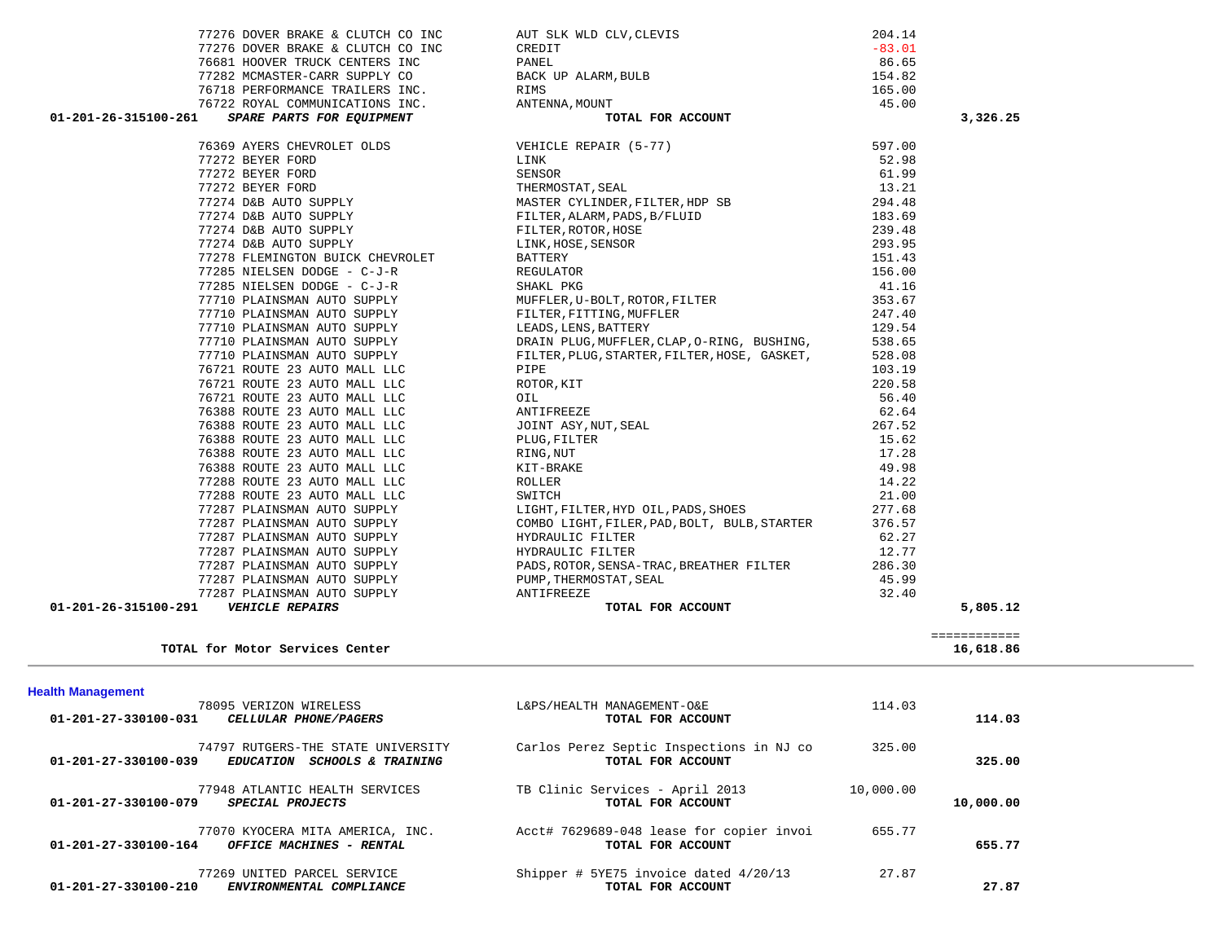| 77282 MCMASTER-CARR SUPPLY CO                        | BACK UP ALARM, BULB                          | 154.82    |              |  |
|------------------------------------------------------|----------------------------------------------|-----------|--------------|--|
| 76718 PERFORMANCE TRAILERS INC.                      | RIMS                                         | 165.00    |              |  |
| 76722 ROYAL COMMUNICATIONS INC.                      | ANTENNA, MOUNT                               | 45.00     |              |  |
| 01-201-26-315100-261<br>SPARE PARTS FOR EQUIPMENT    | TOTAL FOR ACCOUNT                            |           | 3,326.25     |  |
| 76369 AYERS CHEVROLET OLDS                           |                                              | 597.00    |              |  |
|                                                      | VEHICLE REPAIR (5-77)                        |           |              |  |
| 77272 BEYER FORD                                     | LINK                                         | 52.98     |              |  |
| 77272 BEYER FORD                                     | SENSOR                                       | 61.99     |              |  |
| 77272 BEYER FORD                                     | THERMOSTAT, SEAL                             | 13.21     |              |  |
| 77274 D&B AUTO SUPPLY                                | MASTER CYLINDER, FILTER, HDP SB              | 294.48    |              |  |
| 77274 D&B AUTO SUPPLY                                | FILTER, ALARM, PADS, B/FLUID                 | 183.69    |              |  |
| 77274 D&B AUTO SUPPLY                                | FILTER, ROTOR, HOSE                          | 239.48    |              |  |
| 77274 D&B AUTO SUPPLY                                | LINK, HOSE, SENSOR                           | 293.95    |              |  |
| 77278 FLEMINGTON BUICK CHEVROLET                     | BATTERY                                      | 151.43    |              |  |
| 77285 NIELSEN DODGE - C-J-R                          | REGULATOR                                    | 156.00    |              |  |
| 77285 NIELSEN DODGE - C-J-R                          | SHAKL PKG                                    | 41.16     |              |  |
| 77710 PLAINSMAN AUTO SUPPLY                          | MUFFLER, U-BOLT, ROTOR, FILTER               | 353.67    |              |  |
| 77710 PLAINSMAN AUTO SUPPLY                          | FILTER, FITTING, MUFFLER                     | 247.40    |              |  |
| 77710 PLAINSMAN AUTO SUPPLY                          | LEADS, LENS, BATTERY                         | 129.54    |              |  |
| 77710 PLAINSMAN AUTO SUPPLY                          | DRAIN PLUG, MUFFLER, CLAP, O-RING, BUSHING,  | 538.65    |              |  |
| 77710 PLAINSMAN AUTO SUPPLY                          | FILTER, PLUG, STARTER, FILTER, HOSE, GASKET, | 528.08    |              |  |
| 76721 ROUTE 23 AUTO MALL LLC                         | PIPE                                         | 103.19    |              |  |
| 76721 ROUTE 23 AUTO MALL LLC                         | ROTOR, KIT                                   | 220.58    |              |  |
| 76721 ROUTE 23 AUTO MALL LLC                         | OIL                                          | 56.40     |              |  |
| 76388 ROUTE 23 AUTO MALL LLC                         | ANTIFREEZE                                   | 62.64     |              |  |
| 76388 ROUTE 23 AUTO MALL LLC                         | JOINT ASY,NUT,SEAL                           | 267.52    |              |  |
| 76388 ROUTE 23 AUTO MALL LLC                         | PLUG, FILTER                                 | 15.62     |              |  |
| 76388 ROUTE 23 AUTO MALL LLC                         | RING,NUT                                     | 17.28     |              |  |
| 76388 ROUTE 23 AUTO MALL LLC                         | KIT-BRAKE                                    | 49.98     |              |  |
| 77288 ROUTE 23 AUTO MALL LLC                         | ROLLER                                       | 14.22     |              |  |
| 77288 ROUTE 23 AUTO MALL LLC                         | SWITCH                                       | 21.00     |              |  |
| 77287 PLAINSMAN AUTO SUPPLY                          | LIGHT, FILTER, HYD OIL, PADS, SHOES          | 277.68    |              |  |
| 77287 PLAINSMAN AUTO SUPPLY                          | COMBO LIGHT, FILER, PAD, BOLT, BULB, STARTER | 376.57    |              |  |
| 77287 PLAINSMAN AUTO SUPPLY                          | HYDRAULIC FILTER                             | 62.27     |              |  |
| 77287 PLAINSMAN AUTO SUPPLY                          | HYDRAULIC FILTER                             | 12.77     |              |  |
| 77287 PLAINSMAN AUTO SUPPLY                          | PADS, ROTOR, SENSA-TRAC, BREATHER FILTER     | 286.30    |              |  |
| 77287 PLAINSMAN AUTO SUPPLY                          | PUMP, THERMOSTAT, SEAL                       | 45.99     |              |  |
| 77287 PLAINSMAN AUTO SUPPLY                          | ANTIFREEZE                                   | 32.40     |              |  |
| 01-201-26-315100-291<br><b>VEHICLE REPAIRS</b>       | TOTAL FOR ACCOUNT                            |           | 5,805.12     |  |
|                                                      |                                              |           |              |  |
|                                                      |                                              |           | ============ |  |
| TOTAL for Motor Services Center                      |                                              |           | 16,618.86    |  |
|                                                      |                                              |           |              |  |
| <b>Health Management</b>                             |                                              |           |              |  |
| 78095 VERIZON WIRELESS                               | L&PS/HEALTH MANAGEMENT-O&E                   | 114.03    |              |  |
| 01-201-27-330100-031<br><b>CELLULAR PHONE/PAGERS</b> | TOTAL FOR ACCOUNT                            |           | 114.03       |  |
| 74797 RUTGERS-THE STATE UNIVERSITY                   | Carlos Perez Septic Inspections in NJ co     | 325.00    |              |  |
| 01-201-27-330100-039<br>EDUCATION SCHOOLS & TRAINING | TOTAL FOR ACCOUNT                            |           | 325.00       |  |
| 77948 ATLANTIC HEALTH SERVICES                       | TB Clinic Services - April 2013              | 10,000.00 |              |  |
| 01-201-27-330100-079<br>SPECIAL PROJECTS             | TOTAL FOR ACCOUNT                            |           | 10,000.00    |  |
|                                                      |                                              |           |              |  |
| 77070 KYOCERA MITA AMERICA, INC.                     | Acct# 7629689-048 lease for copier invoi     | 655.77    |              |  |
| 01-201-27-330100-164<br>OFFICE MACHINES - RENTAL     | TOTAL FOR ACCOUNT                            |           | 655.77       |  |
| 77269 UNITED PARCEL SERVICE                          | Shipper # 5YE75 invoice dated $4/20/13$      | 27.87     |              |  |
| ENVIRONMENTAL COMPLIANCE<br>01-201-27-330100-210     | TOTAL FOR ACCOUNT                            |           | 27.87        |  |
|                                                      |                                              |           |              |  |

 77276 DOVER BRAKE & CLUTCH CO INC AUT SLK WLD CLV,CLEVIS 204.14 77276 DOVER BRAKE & CLUTCH CO INC CREDIT CONSERVATION CREDIT CONSERVATION OF  $-83.01$ 

76681 HOOVER TRUCK CENTERS INC PANEL

86.65

154.82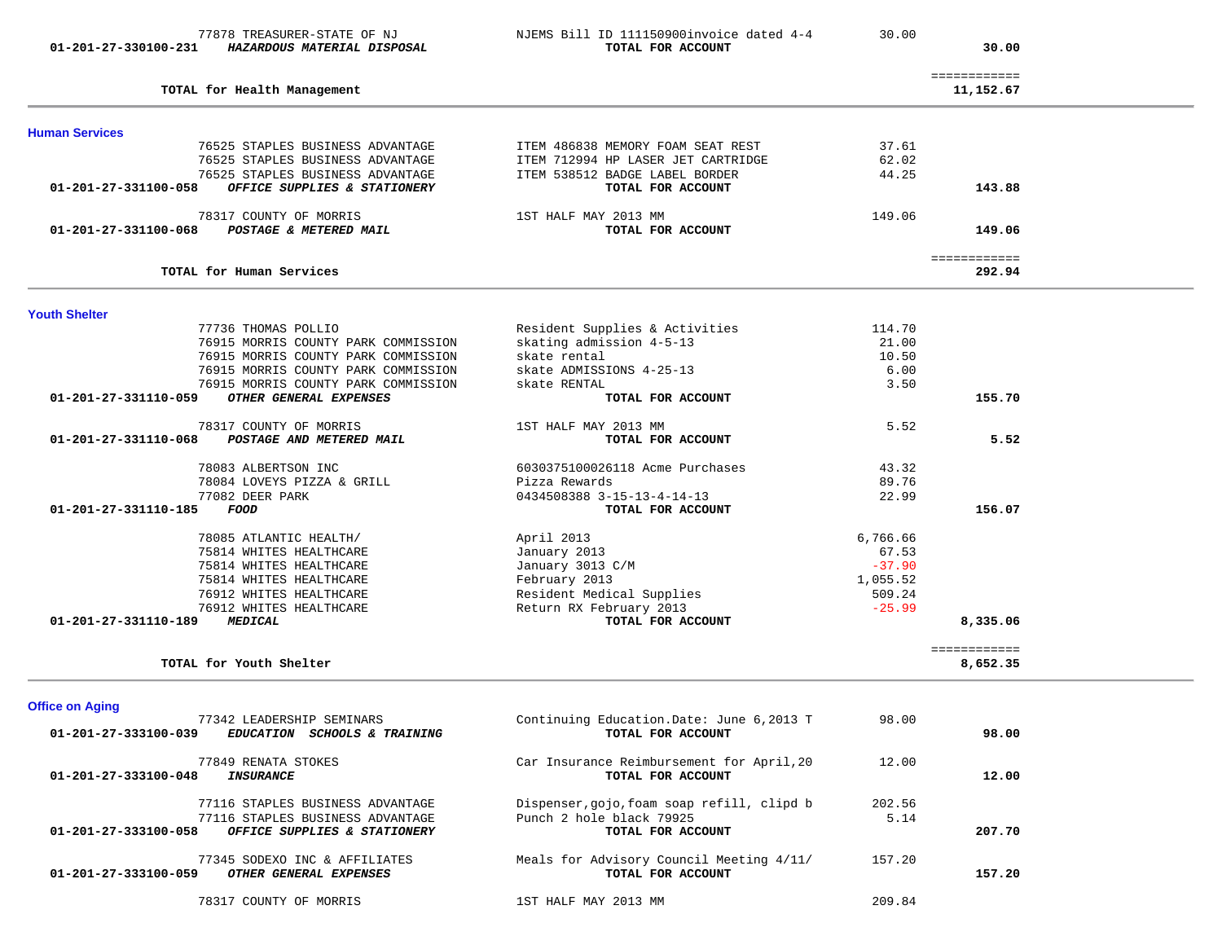|                        | 76525 STAPLES BUSINESS ADVANTAGE    | ITEM 486838 MEMORY FOAM SEAT REST          | 37.61    |              |  |
|------------------------|-------------------------------------|--------------------------------------------|----------|--------------|--|
|                        | 76525 STAPLES BUSINESS ADVANTAGE    | ITEM 712994 HP LASER JET CARTRIDGE         | 62.02    |              |  |
|                        | 76525 STAPLES BUSINESS ADVANTAGE    | ITEM 538512 BADGE LABEL BORDER             | 44.25    |              |  |
| 01-201-27-331100-058   | OFFICE SUPPLIES & STATIONERY        | TOTAL FOR ACCOUNT                          |          | 143.88       |  |
|                        |                                     | 1ST HALF MAY 2013 MM                       |          |              |  |
|                        | 78317 COUNTY OF MORRIS              |                                            | 149.06   |              |  |
| 01-201-27-331100-068   | POSTAGE & METERED MAIL              | TOTAL FOR ACCOUNT                          |          | 149.06       |  |
|                        |                                     |                                            |          | ============ |  |
|                        | TOTAL for Human Services            |                                            |          | 292.94       |  |
| <b>Youth Shelter</b>   |                                     |                                            |          |              |  |
|                        | 77736 THOMAS POLLIO                 | Resident Supplies & Activities             | 114.70   |              |  |
|                        | 76915 MORRIS COUNTY PARK COMMISSION | skating admission 4-5-13                   | 21.00    |              |  |
|                        | 76915 MORRIS COUNTY PARK COMMISSION | skate rental                               | 10.50    |              |  |
|                        |                                     |                                            |          |              |  |
|                        | 76915 MORRIS COUNTY PARK COMMISSION | skate ADMISSIONS 4-25-13                   | 6.00     |              |  |
|                        | 76915 MORRIS COUNTY PARK COMMISSION | skate RENTAL                               | 3.50     |              |  |
| 01-201-27-331110-059   | OTHER GENERAL EXPENSES              | TOTAL FOR ACCOUNT                          |          | 155.70       |  |
|                        | 78317 COUNTY OF MORRIS              | 1ST HALF MAY 2013 MM                       | 5.52     |              |  |
| 01-201-27-331110-068   | POSTAGE AND METERED MAIL            | TOTAL FOR ACCOUNT                          |          | 5.52         |  |
|                        | 78083 ALBERTSON INC                 | 6030375100026118 Acme Purchases            | 43.32    |              |  |
|                        |                                     |                                            |          |              |  |
|                        | 78084 LOVEYS PIZZA & GRILL          | Pizza Rewards                              | 89.76    |              |  |
|                        | 77082 DEER PARK                     | 0434508388 3-15-13-4-14-13                 | 22.99    |              |  |
| 01-201-27-331110-185   | FOOD                                | TOTAL FOR ACCOUNT                          |          | 156.07       |  |
|                        | 78085 ATLANTIC HEALTH/              | April 2013                                 | 6,766.66 |              |  |
|                        | 75814 WHITES HEALTHCARE             | January 2013                               | 67.53    |              |  |
|                        | 75814 WHITES HEALTHCARE             | January 3013 C/M                           | $-37.90$ |              |  |
|                        | 75814 WHITES HEALTHCARE             | February 2013                              | 1,055.52 |              |  |
|                        |                                     |                                            |          |              |  |
|                        | 76912 WHITES HEALTHCARE             | Resident Medical Supplies                  | 509.24   |              |  |
|                        | 76912 WHITES HEALTHCARE             | Return RX February 2013                    | $-25.99$ |              |  |
| 01-201-27-331110-189   | MEDICAL                             | TOTAL FOR ACCOUNT                          |          | 8,335.06     |  |
|                        |                                     |                                            |          | ============ |  |
|                        | TOTAL for Youth Shelter             |                                            |          | 8,652.35     |  |
| <b>Office on Aging</b> |                                     |                                            |          |              |  |
|                        | 77342 LEADERSHIP SEMINARS           | Continuing Education. Date: June 6,2013 T  | 98.00    |              |  |
| 01-201-27-333100-039   | EDUCATION SCHOOLS & TRAINING        | TOTAL FOR ACCOUNT                          |          | 98.00        |  |
|                        | 77849 RENATA STOKES                 | Car Insurance Reimbursement for April, 20  | 12.00    |              |  |
| 01-201-27-333100-048   | <b>INSURANCE</b>                    | TOTAL FOR ACCOUNT                          |          | 12.00        |  |
|                        |                                     |                                            |          |              |  |
|                        | 77116 STAPLES BUSINESS ADVANTAGE    | Dispenser, gojo, foam soap refill, clipd b | 202.56   |              |  |
|                        | 77116 STAPLES BUSINESS ADVANTAGE    | Punch 2 hole black 79925                   | 5.14     |              |  |
| 01-201-27-333100-058   | OFFICE SUPPLIES & STATIONERY        | TOTAL FOR ACCOUNT                          |          | 207.70       |  |
|                        | 77345 SODEXO INC & AFFILIATES       | Meals for Advisory Council Meeting 4/11/   | 157.20   |              |  |
|                        | OTHER GENERAL EXPENSES              | TOTAL FOR ACCOUNT                          |          | 157.20       |  |
| 01-201-27-333100-059   |                                     |                                            |          |              |  |
|                        |                                     |                                            |          |              |  |
|                        | 78317 COUNTY OF MORRIS              | 1ST HALF MAY 2013 MM                       | 209.84   |              |  |
|                        |                                     |                                            |          |              |  |

77878 TREASURER-STATE OF NJ NJEMS Bill ID 111150900invoice dated 4-4 30.00

============

30.00

11,152.67

01-201-27-330100-231 *HAZARDOUS MATERIAL DISPOSAL TOTAL FOR ACCOUNT* 

**TOTAL for Health Management 11,152.67**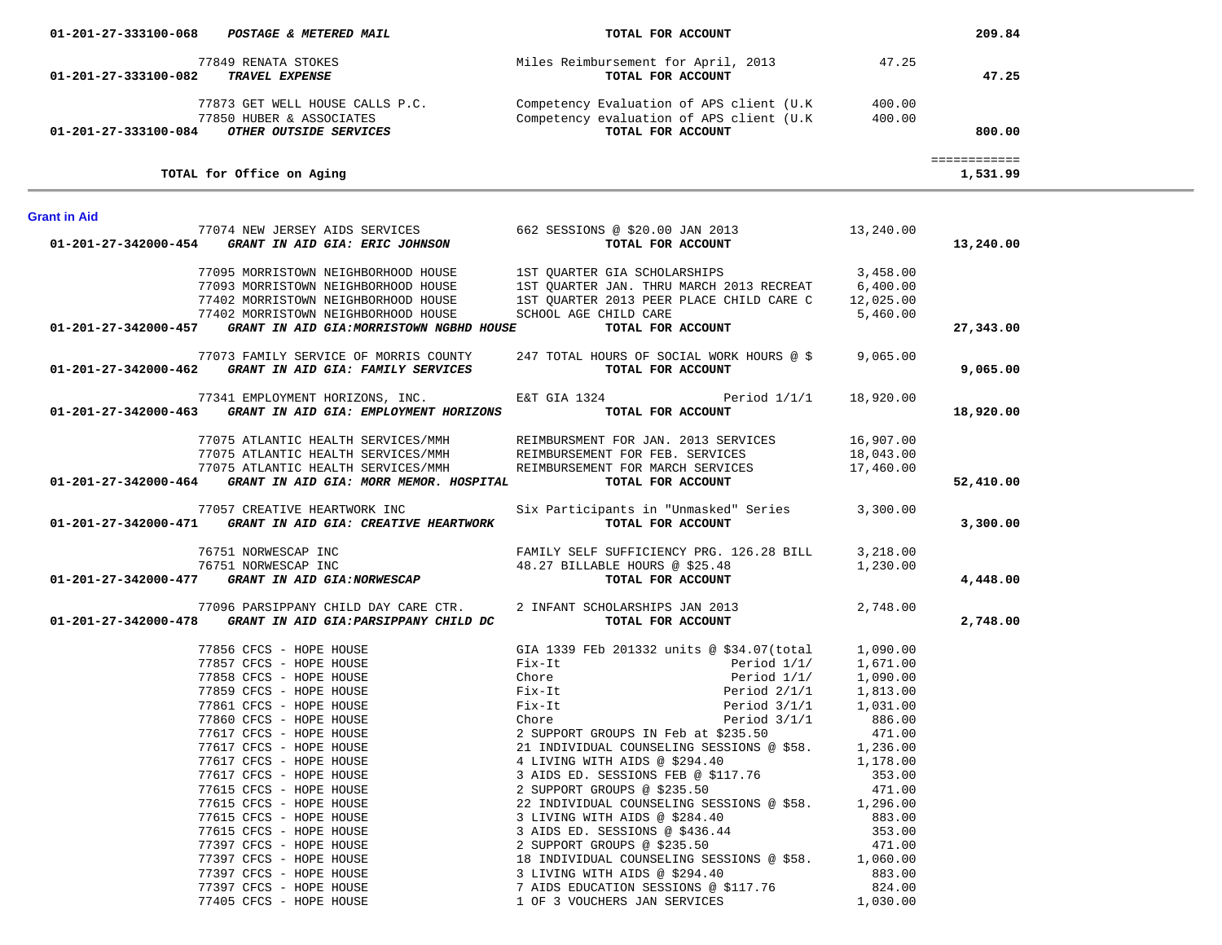| 01-201-27-333100-068 | POSTAGE & METERED MAIL                                                                                                                    | TOTAL FOR ACCOUNT                                                                                                                                                                                                                                                                                                                                                     |           | 209.84                   |  |
|----------------------|-------------------------------------------------------------------------------------------------------------------------------------------|-----------------------------------------------------------------------------------------------------------------------------------------------------------------------------------------------------------------------------------------------------------------------------------------------------------------------------------------------------------------------|-----------|--------------------------|--|
|                      | 77849 RENATA STOKES                                                                                                                       | Miles Reimbursement for April, 2013 47.25                                                                                                                                                                                                                                                                                                                             |           |                          |  |
| 01-201-27-333100-082 | TRAVEL EXPENSE                                                                                                                            | TOTAL FOR ACCOUNT                                                                                                                                                                                                                                                                                                                                                     |           | 47.25                    |  |
|                      | 01-201-27-333100-084 OTHER OUTSIDE SERVICES                                                                                               | 77873 GET WELL HOUSE CALLS P.C. Competency Evaluation of APS client (U.K 400.00<br>77850 HUBER & ASSOCIATES Competency evaluation of APS client (U.K and the metal of APS client (U.K and the metal of $\overline{C}$ and $\overline{C}$ or $\overline{C}$ and $\overline{C}$ and $\overline{C}$ are $\overline{C}$ and $\overline{C}$ and $\overline{C}$ are $\over$ |           | 800.00                   |  |
|                      | TOTAL for Office on Aging                                                                                                                 |                                                                                                                                                                                                                                                                                                                                                                       |           | ============<br>1,531.99 |  |
|                      |                                                                                                                                           |                                                                                                                                                                                                                                                                                                                                                                       |           |                          |  |
| <b>Grant in Aid</b>  |                                                                                                                                           |                                                                                                                                                                                                                                                                                                                                                                       |           |                          |  |
| 01-201-27-342000-454 |                                                                                                                                           | 77074 NEW JERSEY AIDS SERVICES 662 SESSIONS @ \$20.00 JAN 2013<br>4 GRANT IN AID GIA: ERIC JOHNSON TOTAL FOR ACCOUNT                                                                                                                                                                                                                                                  | 13,240.00 | 13,240.00                |  |
|                      | 77095 MORRISTOWN NEIGHBORHOOD HOUSE                                                                                                       | 1ST QUARTER GIA SCHOLARSHIPS 3,458.00                                                                                                                                                                                                                                                                                                                                 |           |                          |  |
|                      | 77093 MORRISTOWN NEIGHBORHOOD HOUSE                                                                                                       | 1ST QUARTER JAN. THRU MARCH 2013 RECREAT 6,400.00                                                                                                                                                                                                                                                                                                                     |           |                          |  |
|                      | 77402 MORRISTOWN NEIGHBORHOOD HOUSE                                                                                                       | 1ST QUARTER 2013 PEER PLACE CHILD CARE C 12,025.00                                                                                                                                                                                                                                                                                                                    |           |                          |  |
|                      | 77402 MORRISTOWN NEIGHBORHOOD HOUSE                                                                                                       | SCHOOL AGE CHILD CARE                                                                                                                                                                                                                                                                                                                                                 | 5,460.00  |                          |  |
|                      | 01-201-27-342000-457 GRANT IN AID GIA:MORRISTOWN NGBHD HOUSE                                                                              | TOTAL FOR ACCOUNT                                                                                                                                                                                                                                                                                                                                                     |           | 27,343.00                |  |
|                      | 77073 FAMILY SERVICE OF MORRIS COUNTY                                                                                                     | 247 TOTAL HOURS OF SOCIAL WORK HOURS @ \$                                                                                                                                                                                                                                                                                                                             | 9,065.00  |                          |  |
|                      | 01-201-27-342000-462 GRANT IN AID GIA: FAMILY SERVICES                                                                                    | TOTAL FOR ACCOUNT                                                                                                                                                                                                                                                                                                                                                     |           | 9,065.00                 |  |
|                      | 77341 EMPLOYMENT HORIZONS, INC.                                                                                                           | E&T GIA 1324 Period 1/1/1                                                                                                                                                                                                                                                                                                                                             | 18,920.00 |                          |  |
|                      | 01-201-27-342000-463 GRANT IN AID GIA: EMPLOYMENT HORIZONS TOTAL FOR ACCOUNT                                                              |                                                                                                                                                                                                                                                                                                                                                                       |           | 18,920.00                |  |
|                      |                                                                                                                                           |                                                                                                                                                                                                                                                                                                                                                                       |           |                          |  |
|                      | 77075 ATLANTIC HEALTH SERVICES/MMH REIMBURSMENT FOR JAN. 2013 SERVICES                                                                    |                                                                                                                                                                                                                                                                                                                                                                       | 16,907.00 |                          |  |
|                      | 77075 ATLANTIC HEALTH SERVICES/MMH REIMBURSEMENT FOR FEB. SERVICES<br>77075 ATLANTIC HEALTH SERVICES/MMH REIMBURSEMENT FOR MARCH SERVICES |                                                                                                                                                                                                                                                                                                                                                                       | 18,043.00 |                          |  |
|                      | 01-201-27-342000-464 GRANT IN AID GIA: MORR MEMOR. HOSPITAL                                                                               | TOTAL FOR ACCOUNT                                                                                                                                                                                                                                                                                                                                                     | 17,460.00 | 52,410.00                |  |
|                      |                                                                                                                                           |                                                                                                                                                                                                                                                                                                                                                                       |           |                          |  |
|                      | 77057 CREATIVE HEARTWORK INC                                                                                                              | Six Participants in "Unmasked" Series 3,300.00                                                                                                                                                                                                                                                                                                                        |           |                          |  |
|                      | 01-201-27-342000-471 GRANT IN AID GIA: CREATIVE HEARTWORK TOTAL FOR ACCOUNT                                                               |                                                                                                                                                                                                                                                                                                                                                                       |           | 3,300.00                 |  |
|                      | 76751 NORWESCAP INC                                                                                                                       | FAMILY SELF SUFFICIENCY PRG. 126.28 BILL 3,218.00                                                                                                                                                                                                                                                                                                                     |           |                          |  |
|                      | 76751 NORWESCAP INC                                                                                                                       | 48.27 BILLABLE HOURS @ \$25.48                                                                                                                                                                                                                                                                                                                                        | 1,230.00  |                          |  |
|                      | $01-201-27-342000-477$ GRANT IN AID GIA:NORWESCAP                                                                                         | TOTAL FOR ACCOUNT                                                                                                                                                                                                                                                                                                                                                     |           | 4,448.00                 |  |
|                      | 77096 PARSIPPANY CHILD DAY CARE CTR.                                                                                                      | 2 INFANT SCHOLARSHIPS JAN 2013                                                                                                                                                                                                                                                                                                                                        | 2,748.00  |                          |  |
| 01-201-27-342000-478 | GRANT IN AID GIA:PARSIPPANY CHILD DC                                                                                                      | TOTAL FOR ACCOUNT                                                                                                                                                                                                                                                                                                                                                     |           | 2,748.00                 |  |
|                      | 77856 CFCS - HOPE HOUSE                                                                                                                   | GIA 1339 FEb 201332 units @ \$34.07(total 1,090.00                                                                                                                                                                                                                                                                                                                    |           |                          |  |
|                      | 77857 CFCS - HOPE HOUSE                                                                                                                   | Period 1/1/<br>Fix-It                                                                                                                                                                                                                                                                                                                                                 | 1,671.00  |                          |  |
|                      | 77858 CFCS - HOPE HOUSE                                                                                                                   | Period 1/1/ 1,090.00<br>Chore                                                                                                                                                                                                                                                                                                                                         |           |                          |  |
|                      | 77859 CFCS - HOPE HOUSE                                                                                                                   | Fix-It<br>Period $2/1/1$                                                                                                                                                                                                                                                                                                                                              | 1,813.00  |                          |  |
|                      | 77861 CFCS - HOPE HOUSE                                                                                                                   | Fix-It<br>Period $3/1/1$                                                                                                                                                                                                                                                                                                                                              | 1,031.00  |                          |  |
|                      | 77860 CFCS - HOPE HOUSE                                                                                                                   | Period $3/1/1$<br><b>Chore</b> the choice of the choice of the choice of the choice of the choice of the choice of the choice of the choice of the choice of the choice of the choice of the choice of the choice of the choice of the choice of the                                                                                                                  | 886.00    |                          |  |
|                      | 77617 CFCS - HOPE HOUSE                                                                                                                   | 2 SUPPORT GROUPS IN Feb at \$235.50                                                                                                                                                                                                                                                                                                                                   | 471.00    |                          |  |
|                      | 77617 CFCS - HOPE HOUSE                                                                                                                   | 21 INDIVIDUAL COUNSELING SESSIONS @ \$58.                                                                                                                                                                                                                                                                                                                             | 1,236.00  |                          |  |
|                      | 77617 CFCS - HOPE HOUSE                                                                                                                   | 4 LIVING WITH AIDS @ \$294.40                                                                                                                                                                                                                                                                                                                                         | 1,178.00  |                          |  |
|                      | 77617 CFCS - HOPE HOUSE                                                                                                                   | 3 AIDS ED. SESSIONS FEB @ \$117.76                                                                                                                                                                                                                                                                                                                                    | 353.00    |                          |  |
|                      | 77615 CFCS - HOPE HOUSE                                                                                                                   | 2 SUPPORT GROUPS @ \$235.50                                                                                                                                                                                                                                                                                                                                           | 471.00    |                          |  |
|                      | 77615 CFCS - HOPE HOUSE                                                                                                                   | 22 INDIVIDUAL COUNSELING SESSIONS @ \$58.                                                                                                                                                                                                                                                                                                                             | 1,296.00  |                          |  |
|                      | 77615 CFCS - HOPE HOUSE                                                                                                                   | 3 LIVING WITH AIDS @ \$284.40                                                                                                                                                                                                                                                                                                                                         | 883.00    |                          |  |
|                      | 77615 CFCS - HOPE HOUSE                                                                                                                   | 3 AIDS ED. SESSIONS @ \$436.44                                                                                                                                                                                                                                                                                                                                        | 353.00    |                          |  |
|                      | 77397 CFCS - HOPE HOUSE                                                                                                                   | 2 SUPPORT GROUPS @ \$235.50                                                                                                                                                                                                                                                                                                                                           | 471.00    |                          |  |
|                      | 77397 CFCS - HOPE HOUSE                                                                                                                   | 18 INDIVIDUAL COUNSELING SESSIONS @ \$58.                                                                                                                                                                                                                                                                                                                             | 1,060.00  |                          |  |
|                      | 77397 CFCS - HOPE HOUSE                                                                                                                   | 3 LIVING WITH AIDS @ \$294.40                                                                                                                                                                                                                                                                                                                                         | 883.00    |                          |  |
|                      | 77397 CFCS - HOPE HOUSE                                                                                                                   | 7 AIDS EDUCATION SESSIONS @ \$117.76                                                                                                                                                                                                                                                                                                                                  | 824.00    |                          |  |
|                      | 77405 CFCS - HOPE HOUSE                                                                                                                   | 1 OF 3 VOUCHERS JAN SERVICES                                                                                                                                                                                                                                                                                                                                          | 1,030.00  |                          |  |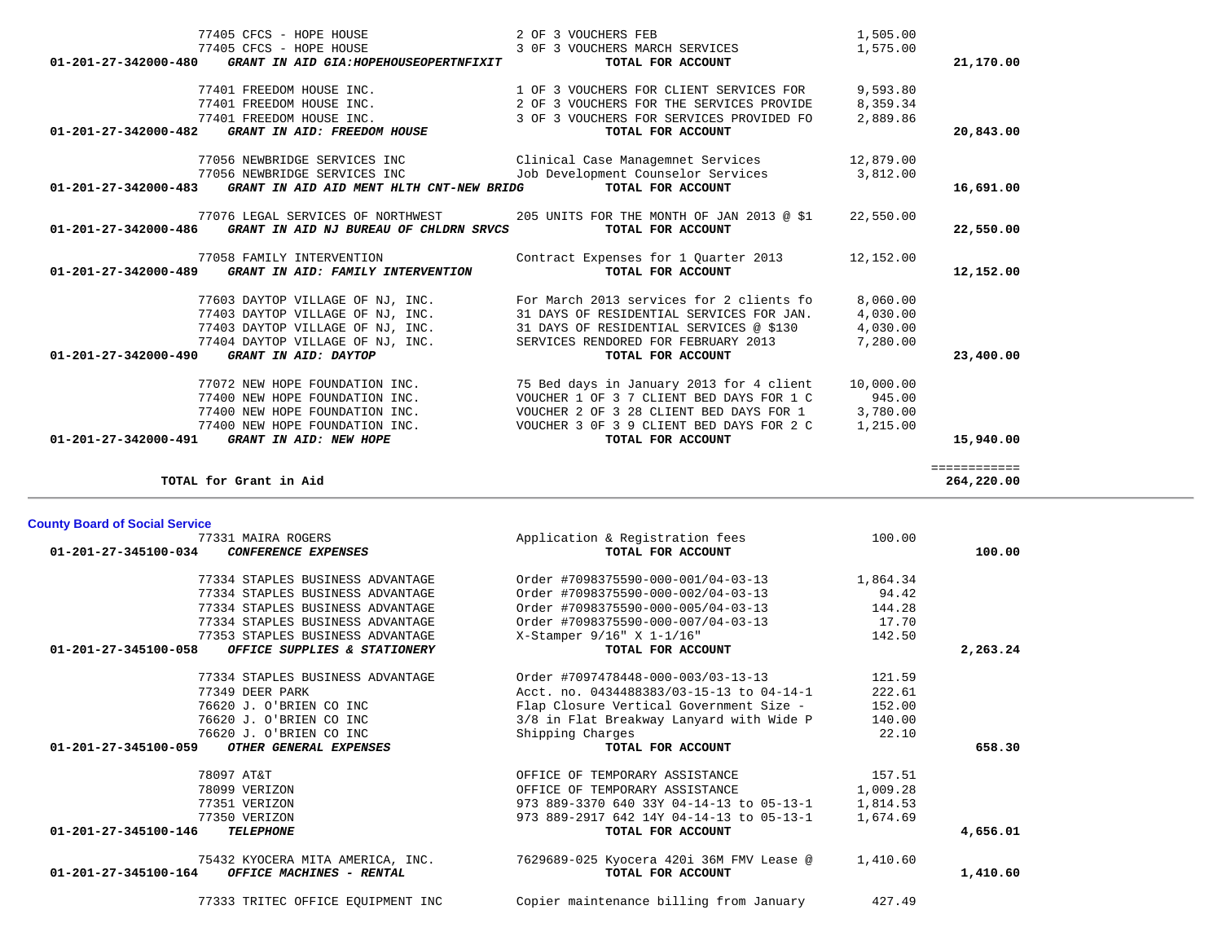|  | 77333 TRITEC OFFICE FOUIDMENT INC |  |
|--|-----------------------------------|--|

**County Board of Social Service**

77333 TRITEC OFFICE EQUIPMENT INC Copier maintenance billing from January 427.49

| 77331 MAIRA ROGERS                                           | Application & Registration fees          | 100.00   |          |
|--------------------------------------------------------------|------------------------------------------|----------|----------|
| $01 - 201 - 27 - 345100 - 034$<br><b>CONFERENCE EXPENSES</b> | TOTAL FOR ACCOUNT                        |          | 100.00   |
| 77334 STAPLES BUSINESS ADVANTAGE                             | Order #7098375590-000-001/04-03-13       | 1,864.34 |          |
| 77334 STAPLES BUSINESS ADVANTAGE                             | Order #7098375590-000-002/04-03-13       | 94.42    |          |
| 77334 STAPLES BUSINESS ADVANTAGE                             | Order #7098375590-000-005/04-03-13       | 144.28   |          |
| 77334 STAPLES BUSINESS ADVANTAGE                             | Order #7098375590-000-007/04-03-13       | 17.70    |          |
| 77353 STAPLES BUSINESS ADVANTAGE                             | X-Stamper 9/16" X 1-1/16"                | 142.50   |          |
| 01-201-27-345100-058<br>OFFICE SUPPLIES & STATIONERY         | TOTAL FOR ACCOUNT                        |          | 2,263.24 |
| 77334 STAPLES BUSINESS ADVANTAGE                             | Order #7097478448-000-003/03-13-13       | 121.59   |          |
| 77349 DEER PARK                                              | Acct. no. 0434488383/03-15-13 to 04-14-1 | 222.61   |          |
| 76620 J. O'BRIEN CO INC                                      | Flap Closure Vertical Government Size -  | 152.00   |          |
| 76620 J. O'BRIEN CO INC                                      | 3/8 in Flat Breakway Lanyard with Wide P | 140.00   |          |
| 76620 J. O'BRIEN CO INC                                      | Shipping Charges                         | 22.10    |          |
| 01-201-27-345100-059<br>OTHER GENERAL EXPENSES               | TOTAL FOR ACCOUNT                        |          | 658.30   |
| 78097 AT&T                                                   | OFFICE OF TEMPORARY ASSISTANCE           | 157.51   |          |
| 78099 VERIZON                                                | OFFICE OF TEMPORARY ASSISTANCE           | 1,009.28 |          |
| 77351 VERIZON                                                | 973 889-3370 640 33Y 04-14-13 to 05-13-1 | 1,814.53 |          |
| 77350 VERIZON                                                | 973 889-2917 642 14Y 04-14-13 to 05-13-1 | 1,674.69 |          |
| 01-201-27-345100-146<br><b>TELEPHONE</b>                     | TOTAL FOR ACCOUNT                        |          | 4,656.01 |
| 75432 KYOCERA MITA AMERICA, INC.                             | 7629689-025 Kyocera 420i 36M FMV Lease @ | 1,410.60 |          |
| 01-201-27-345100-164<br>OFFICE MACHINES - RENTAL             | TOTAL FOR ACCOUNT                        |          | 1,410.60 |
|                                                              |                                          |          |          |

| 01-201-27-342000-482<br>GRANT IN AID: FREEDOM HOUSE              | TOTAL FOR ACCOUNT                                                           |           | 20,843.00    |
|------------------------------------------------------------------|-----------------------------------------------------------------------------|-----------|--------------|
| 77056 NEWBRIDGE SERVICES INC                                     | Clinical Case Managemnet Services 12,879.00                                 |           |              |
| 77056 NEWBRIDGE SERVICES INC                                     | Job Development Counselor Services                                          | 3,812.00  |              |
| 01-201-27-342000-483<br>GRANT IN AID AID MENT HLTH CNT-NEW BRIDG | TOTAL FOR ACCOUNT                                                           |           | 16,691.00    |
|                                                                  | 77076 LEGAL SERVICES OF NORTHWEST 205 UNITS FOR THE MONTH OF JAN 2013 @ \$1 | 22,550.00 |              |
| GRANT IN AID NJ BUREAU OF CHLDRN SRVCS<br>01-201-27-342000-486   | TOTAL FOR ACCOUNT                                                           |           | 22,550.00    |
| 77058 FAMILY INTERVENTION                                        | Contract Expenses for 1 Quarter 2013                                        | 12,152.00 |              |
| 01-201-27-342000-489 GRANT IN AID: FAMILY INTERVENTION           | TOTAL FOR ACCOUNT                                                           |           | 12,152.00    |
| 77603 DAYTOP VILLAGE OF NJ, INC.                                 | For March 2013 services for 2 clients fo                                    | 8,060.00  |              |
| 77403 DAYTOP VILLAGE OF NJ, INC.                                 | 31 DAYS OF RESIDENTIAL SERVICES FOR JAN.                                    | 4,030.00  |              |
| 77403 DAYTOP VILLAGE OF NJ, INC.                                 | 31 DAYS OF RESIDENTIAL SERVICES @ \$130                                     | 4,030.00  |              |
| 77404 DAYTOP VILLAGE OF NJ, INC.                                 | SERVICES RENDORED FOR FEBRUARY 2013                                         | 7,280.00  |              |
| 01-201-27-342000-490<br>GRANT IN AID: DAYTOP                     | TOTAL FOR ACCOUNT                                                           |           | 23,400.00    |
| 77072 NEW HOPE FOUNDATION INC.                                   | 75 Bed days in January 2013 for 4 client                                    | 10,000.00 |              |
| 77400 NEW HOPE FOUNDATION INC.                                   | VOUCHER 1 OF 3 7 CLIENT BED DAYS FOR 1 C                                    | 945.00    |              |
| 77400 NEW HOPE FOUNDATION INC.                                   | VOUCHER 2 OF 3 28 CLIENT BED DAYS FOR 1                                     | 3,780.00  |              |
| 77400 NEW HOPE FOUNDATION INC.                                   | VOUCHER 3 OF 3 9 CLIENT BED DAYS FOR 2 C                                    | 1,215.00  |              |
| 01-201-27-342000-491<br>GRANT IN AID: NEW HOPE                   | TOTAL FOR ACCOUNT                                                           |           | 15,940.00    |
|                                                                  |                                                                             |           | ============ |
| TOTAL for Grant in Aid                                           |                                                                             |           | 264,220.00   |

| 77405 CFCS - HOPE HOUSE                                                                            | 2 OF 3 VOUCHERS FEB                                 | 1,505.00  |           |
|----------------------------------------------------------------------------------------------------|-----------------------------------------------------|-----------|-----------|
| 77405 CFCS - HOPE HOUSE<br>$01 - 201 - 27 - 342000 - 480$<br>GRANT IN AID GIA:HOPEHOUSEOPERTNFIXIT | 3 OF 3 VOUCHERS MARCH SERVICES<br>TOTAL FOR ACCOUNT | 1,575.00  | 21,170.00 |
| 77401 FREEDOM HOUSE INC.                                                                           | 1 OF 3 VOUCHERS FOR CLIENT SERVICES FOR             | 9,593.80  |           |
| 77401 FREEDOM HOUSE INC.                                                                           | 2 OF 3 VOUCHERS FOR THE SERVICES PROVIDE            | 8,359.34  |           |
| 77401 FREEDOM HOUSE INC.                                                                           | 3 OF 3 VOUCHERS FOR SERVICES PROVIDED FO            | 2,889.86  |           |
| $01 - 201 - 27 - 342000 - 482$<br>GRANT IN AID: FREEDOM HOUSE                                      | TOTAL FOR ACCOUNT                                   |           | 20,843.00 |
| 77056 NEWBRIDGE SERVICES INC                                                                       | Clinical Case Managemnet Services                   | 12,879.00 |           |
| 77056 NEWBRIDGE SERVICES INC                                                                       | Job Development Counselor Services                  | 3,812.00  |           |
| 01-201-27-342000-483<br>GRANT IN AID AID MENT HLTH CNT-NEW BRIDG                                   | TOTAL FOR ACCOUNT                                   |           | 16,691.00 |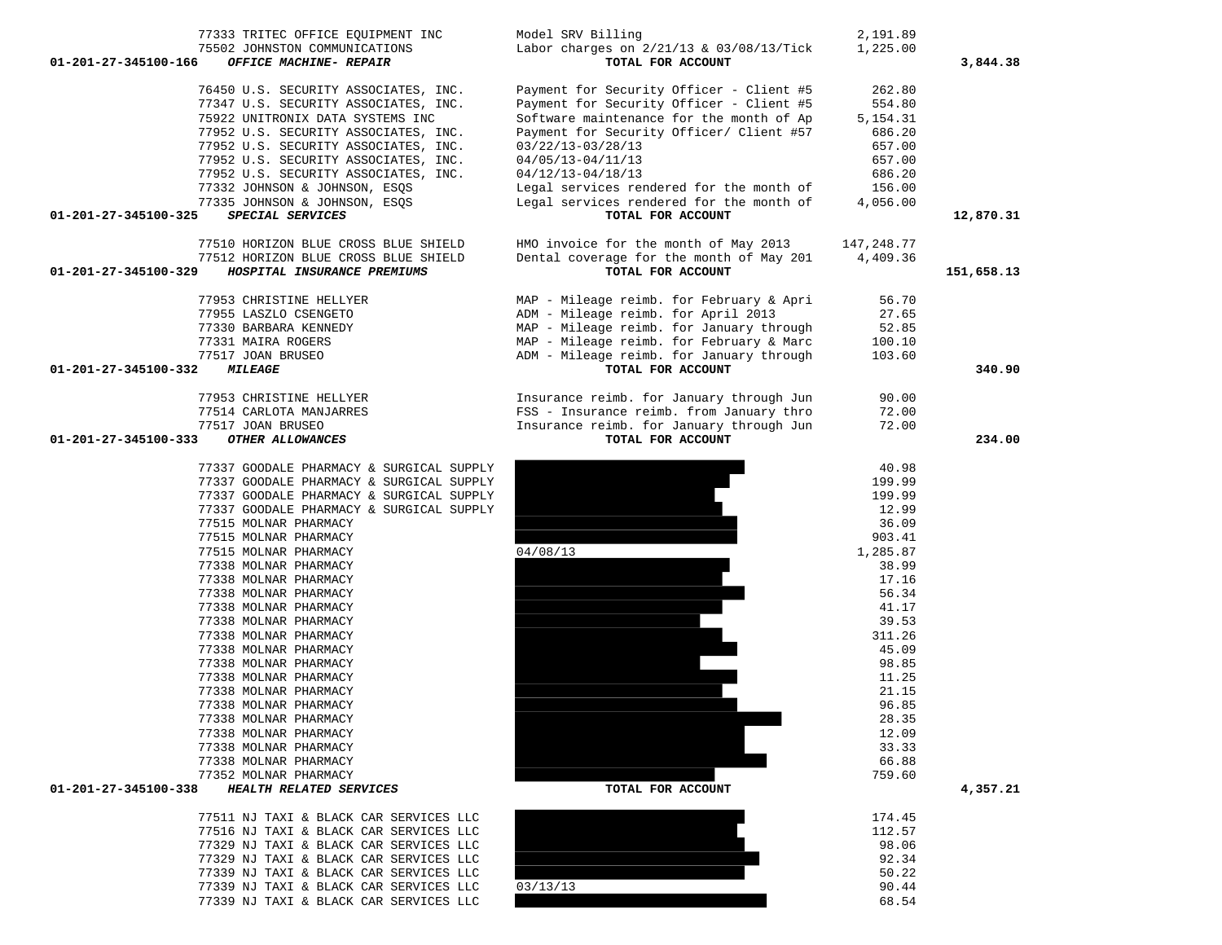| 75502 JOHNSTON COMMUNICATIONS                       | Labor charges on $2/21/13$ & $03/08/13/Tick$ | 1,225.00        |            |
|-----------------------------------------------------|----------------------------------------------|-----------------|------------|
| 01-201-27-345100-166<br>OFFICE MACHINE- REPAIR      | TOTAL FOR ACCOUNT                            |                 | 3,844.38   |
| 76450 U.S. SECURITY ASSOCIATES, INC.                | Payment for Security Officer - Client #5     | 262.80          |            |
| 77347 U.S. SECURITY ASSOCIATES, INC.                | Payment for Security Officer - Client #5     | 554.80          |            |
| 75922 UNITRONIX DATA SYSTEMS INC                    | Software maintenance for the month of Ap     | 5, 154. 31      |            |
| 77952 U.S. SECURITY ASSOCIATES, INC.                | Payment for Security Officer/ Client #57     | 686.20          |            |
| 77952 U.S. SECURITY ASSOCIATES, INC.                | $03/22/13 - 03/28/13$                        | 657.00          |            |
| 77952 U.S. SECURITY ASSOCIATES, INC.                | 04/05/13-04/11/13                            | 657.00          |            |
| 77952 U.S. SECURITY ASSOCIATES, INC.                | $04/12/13 - 04/18/13$                        | 686.20          |            |
| 77332 JOHNSON & JOHNSON, ESQS                       | Legal services rendered for the month of     | 156.00          |            |
| 77335 JOHNSON & JOHNSON, ESQS                       | Legal services rendered for the month of     | 4,056.00        |            |
| 01-201-27-345100-325<br>SPECIAL SERVICES            | TOTAL FOR ACCOUNT                            |                 | 12,870.31  |
| 77510 HORIZON BLUE CROSS BLUE SHIELD                | HMO invoice for the month of May 2013        | 147,248.77      |            |
| 77512 HORIZON BLUE CROSS BLUE SHIELD                | Dental coverage for the month of May 201     | 4,409.36        |            |
| HOSPITAL INSURANCE PREMIUMS<br>01-201-27-345100-329 | TOTAL FOR ACCOUNT                            |                 | 151,658.13 |
|                                                     |                                              |                 |            |
| 77953 CHRISTINE HELLYER                             | MAP - Mileage reimb. for February & Apri     | 56.70           |            |
| 77955 LASZLO CSENGETO                               | ADM - Mileage reimb. for April 2013          | 27.65           |            |
| 77330 BARBARA KENNEDY                               | MAP - Mileage reimb. for January through     | 52.85           |            |
| 77331 MAIRA ROGERS                                  | MAP - Mileage reimb. for February & Marc     | 100.10          |            |
| 77517 JOAN BRUSEO                                   | ADM - Mileage reimb. for January through     | 103.60          |            |
| 01-201-27-345100-332<br><i><b>MILEAGE</b></i>       | TOTAL FOR ACCOUNT                            |                 | 340.90     |
| 77953 CHRISTINE HELLYER                             | Insurance reimb. for January through Jun     | 90.00           |            |
| 77514 CARLOTA MANJARRES                             | FSS - Insurance reimb. from January thro     | 72.00           |            |
| 77517 JOAN BRUSEO                                   | Insurance reimb. for January through Jun     | 72.00           |            |
| $01 - 201 - 27 - 345100 - 333$<br>OTHER ALLOWANCES  | TOTAL FOR ACCOUNT                            |                 | 234.00     |
| 77337 GOODALE PHARMACY & SURGICAL SUPPLY            |                                              | 40.98           |            |
| 77337 GOODALE PHARMACY & SURGICAL SUPPLY            |                                              | 199.99          |            |
| 77337 GOODALE PHARMACY & SURGICAL SUPPLY            |                                              | 199.99          |            |
| 77337 GOODALE PHARMACY & SURGICAL SUPPLY            |                                              | 12.99           |            |
| 77515 MOLNAR PHARMACY                               |                                              | 36.09           |            |
| 77515 MOLNAR PHARMACY                               |                                              | 903.41          |            |
| 77515 MOLNAR PHARMACY                               | 04/08/13                                     | 1,285.87        |            |
| 77338 MOLNAR PHARMACY                               |                                              | 38.99           |            |
| 77338 MOLNAR PHARMACY                               |                                              | 17.16           |            |
| 77338 MOLNAR PHARMACY                               |                                              | 56.34           |            |
| 77338 MOLNAR PHARMACY                               |                                              | 41.17           |            |
| 77338 MOLNAR PHARMACY                               |                                              | 39.53           |            |
| 77338 MOLNAR PHARMACY                               |                                              | 311.26          |            |
| 77338 MOLNAR PHARMACY                               |                                              | 45.09           |            |
| 77338 MOLNAR PHARMACY                               |                                              | 98.85           |            |
| 77338 MOLNAR PHARMACY                               |                                              | 11.25           |            |
| 77338 MOLNAR PHARMACY                               |                                              | 21.15           |            |
| 77338 MOLNAR PHARMACY                               |                                              | 96.85           |            |
| 77338 MOLNAR PHARMACY                               |                                              | 28.35           |            |
| 77338 MOLNAR PHARMACY                               |                                              | 12.09           |            |
| 77338 MOLNAR PHARMACY                               |                                              | 33.33           |            |
| 77338 MOLNAR PHARMACY<br>77352 MOLNAR PHARMACY      |                                              | 66.88<br>759.60 |            |
| HEALTH RELATED SERVICES<br>01-201-27-345100-338     | TOTAL FOR ACCOUNT                            |                 | 4,357.21   |
|                                                     |                                              |                 |            |
| 77511 NJ TAXI & BLACK CAR SERVICES LLC              |                                              | 174.45          |            |
| 77516 NJ TAXI & BLACK CAR SERVICES LLC              |                                              | 112.57          |            |
| 77329 NJ TAXI & BLACK CAR SERVICES LLC              |                                              | 98.06           |            |
| 77329 NJ TAXI & BLACK CAR SERVICES LLC              |                                              | 92.34           |            |
| 77339 NJ TAXI & BLACK CAR SERVICES LLC              |                                              | 50.22           |            |
| 77339 NJ TAXI & BLACK CAR SERVICES LLC              | 03/13/13                                     | 90.44           |            |

90.44 77339 NJ TAXI & BLACK CAR SERVICES LLC 68.54

77333 TRITEC OFFICE EQUIPMENT INC Model SRV Billing 2,191.89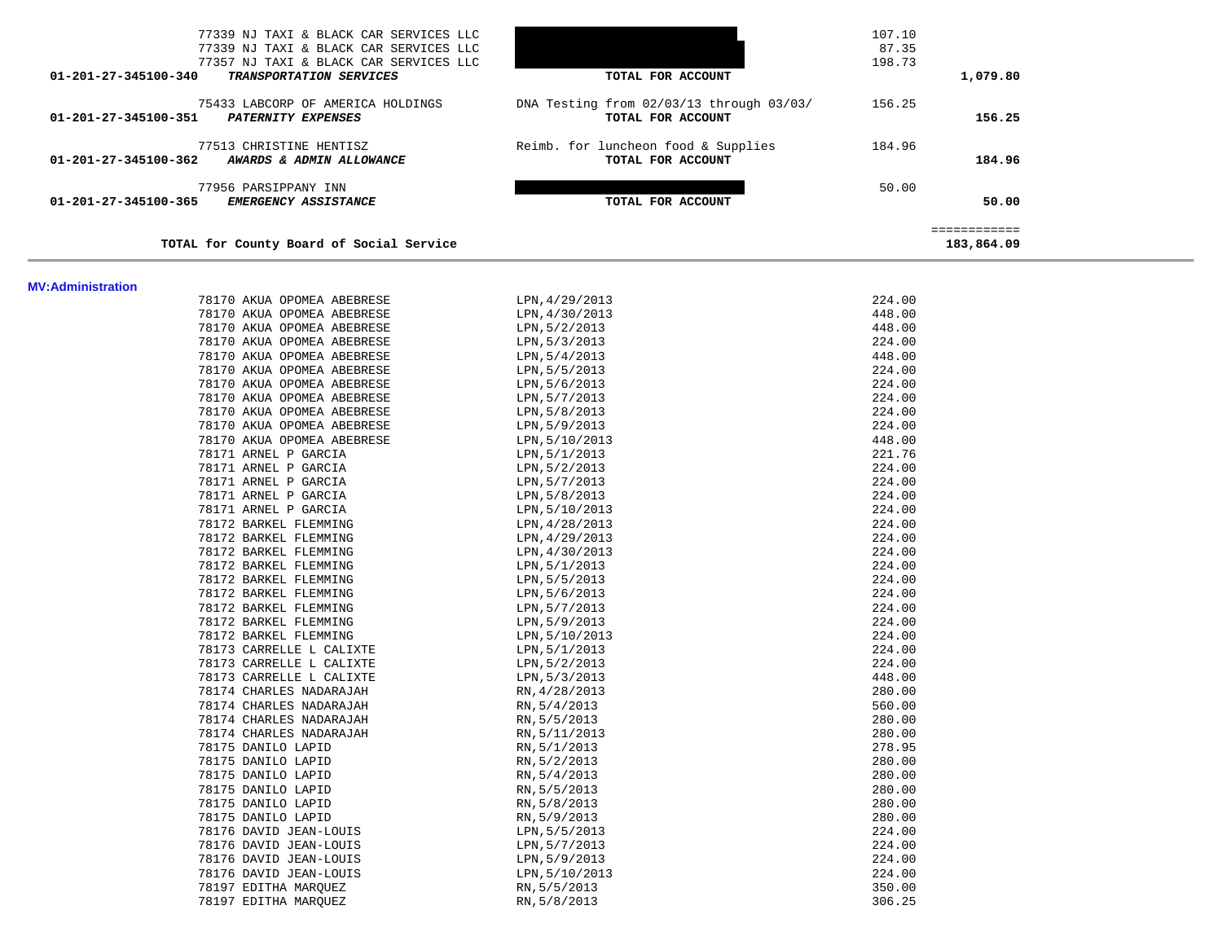| 77339 NJ TAXI & BLACK CAR SERVICES LLC<br>77339 NJ TAXI & BLACK CAR SERVICES LLC<br>77357 NJ TAXI & BLACK CAR SERVICES LLC<br>01-201-27-345100-340<br><b>TRANSPORTATION SERVICES</b> | TOTAL FOR ACCOUNT                                             | 107.10<br>87.35<br>198.73<br>1,079.80 |  |
|--------------------------------------------------------------------------------------------------------------------------------------------------------------------------------------|---------------------------------------------------------------|---------------------------------------|--|
| 75433 LABCORP OF AMERICA HOLDINGS<br>01-201-27-345100-351<br><b>PATERNITY EXPENSES</b>                                                                                               | DNA Testing from 02/03/13 through 03/03/<br>TOTAL FOR ACCOUNT | 156.25<br>156.25                      |  |
| 77513 CHRISTINE HENTISZ<br>01-201-27-345100-362<br>AWARDS & ADMIN ALLOWANCE                                                                                                          | Reimb. for luncheon food & Supplies<br>TOTAL FOR ACCOUNT      | 184.96<br>184.96                      |  |
| 77956 PARSIPPANY INN<br>01-201-27-345100-365<br><i>EMERGENCY ASSISTANCE</i>                                                                                                          | TOTAL FOR ACCOUNT                                             | 50.00<br>50.00                        |  |
| TOTAL for County Board of Social Service                                                                                                                                             |                                                               | ============<br>183,864.09            |  |

#### **MV:Administration**

| 78170 AKUA OPOMEA ABEBRESE | LPN, 4/29/2013 | 224.00 |
|----------------------------|----------------|--------|
| 78170 AKUA OPOMEA ABEBRESE | LPN, 4/30/2013 | 448.00 |
| 78170 AKUA OPOMEA ABEBRESE | LPN, 5/2/2013  | 448.00 |
| 78170 AKUA OPOMEA ABEBRESE | LPN, 5/3/2013  | 224.00 |
| 78170 AKUA OPOMEA ABEBRESE | LPN, 5/4/2013  | 448.00 |
| 78170 AKUA OPOMEA ABEBRESE | LPN, 5/5/2013  | 224.00 |
| 78170 AKUA OPOMEA ABEBRESE | LPN, 5/6/2013  | 224.00 |
| 78170 AKUA OPOMEA ABEBRESE | LPN, 5/7/2013  | 224.00 |
| 78170 AKUA OPOMEA ABEBRESE | LPN,5/8/2013   | 224.00 |
| 78170 AKUA OPOMEA ABEBRESE | LPN, 5/9/2013  | 224.00 |
| 78170 AKUA OPOMEA ABEBRESE | LPN,5/10/2013  | 448.00 |
| 78171 ARNEL P GARCIA       | LPN, 5/1/2013  | 221.76 |
| 78171 ARNEL P GARCIA       | LPN, 5/2/2013  | 224.00 |
| 78171 ARNEL P GARCIA       | LPN, 5/7/2013  | 224.00 |
| 78171 ARNEL P GARCIA       | LPN,5/8/2013   | 224.00 |
| 78171 ARNEL P GARCIA       | LPN, 5/10/2013 | 224.00 |
| 78172 BARKEL FLEMMING      | LPN, 4/28/2013 | 224.00 |
| 78172 BARKEL FLEMMING      | LPN, 4/29/2013 | 224.00 |
| 78172 BARKEL FLEMMING      | LPN, 4/30/2013 | 224.00 |
| 78172 BARKEL FLEMMING      | LPN, 5/1/2013  | 224.00 |
| 78172 BARKEL FLEMMING      | LPN, 5/5/2013  | 224.00 |
| 78172 BARKEL FLEMMING      | LPN, 5/6/2013  | 224.00 |
| 78172 BARKEL FLEMMING      | LPN, 5/7/2013  | 224.00 |
| 78172 BARKEL FLEMMING      | LPN, 5/9/2013  | 224.00 |
| 78172 BARKEL FLEMMING      | LPN, 5/10/2013 | 224.00 |
| 78173 CARRELLE L CALIXTE   | LPN, 5/1/2013  | 224.00 |
| 78173 CARRELLE L CALIXTE   | LPN, 5/2/2013  | 224.00 |
| 78173 CARRELLE L CALIXTE   | LPN, 5/3/2013  | 448.00 |
| 78174 CHARLES NADARAJAH    | RN, 4/28/2013  | 280.00 |
| 78174 CHARLES NADARAJAH    | RN, 5/4/2013   | 560.00 |
| 78174 CHARLES NADARAJAH    | RN, 5/5/2013   | 280.00 |
| 78174 CHARLES NADARAJAH    | RN, 5/11/2013  | 280.00 |
| 78175 DANILO LAPID         | RN, 5/1/2013   | 278.95 |
| 78175 DANILO LAPID         | RN, 5/2/2013   | 280.00 |
| 78175 DANILO LAPID         | RN, 5/4/2013   | 280.00 |
| 78175 DANILO LAPID         | RN, 5/5/2013   | 280.00 |
| 78175 DANILO LAPID         | RN, 5/8/2013   | 280.00 |
| 78175 DANILO LAPID         | RN, 5/9/2013   | 280.00 |
| 78176 DAVID JEAN-LOUIS     | LPN, 5/5/2013  | 224.00 |
| 78176 DAVID JEAN-LOUIS     | LPN, 5/7/2013  | 224.00 |
| 78176 DAVID JEAN-LOUIS     | LPN, 5/9/2013  | 224.00 |
| 78176 DAVID JEAN-LOUIS     | LPN, 5/10/2013 | 224.00 |
| 78197 EDITHA MARQUEZ       | RN, 5/5/2013   | 350.00 |
| 78197 EDITHA MARQUEZ       | RN, 5/8/2013   | 306.25 |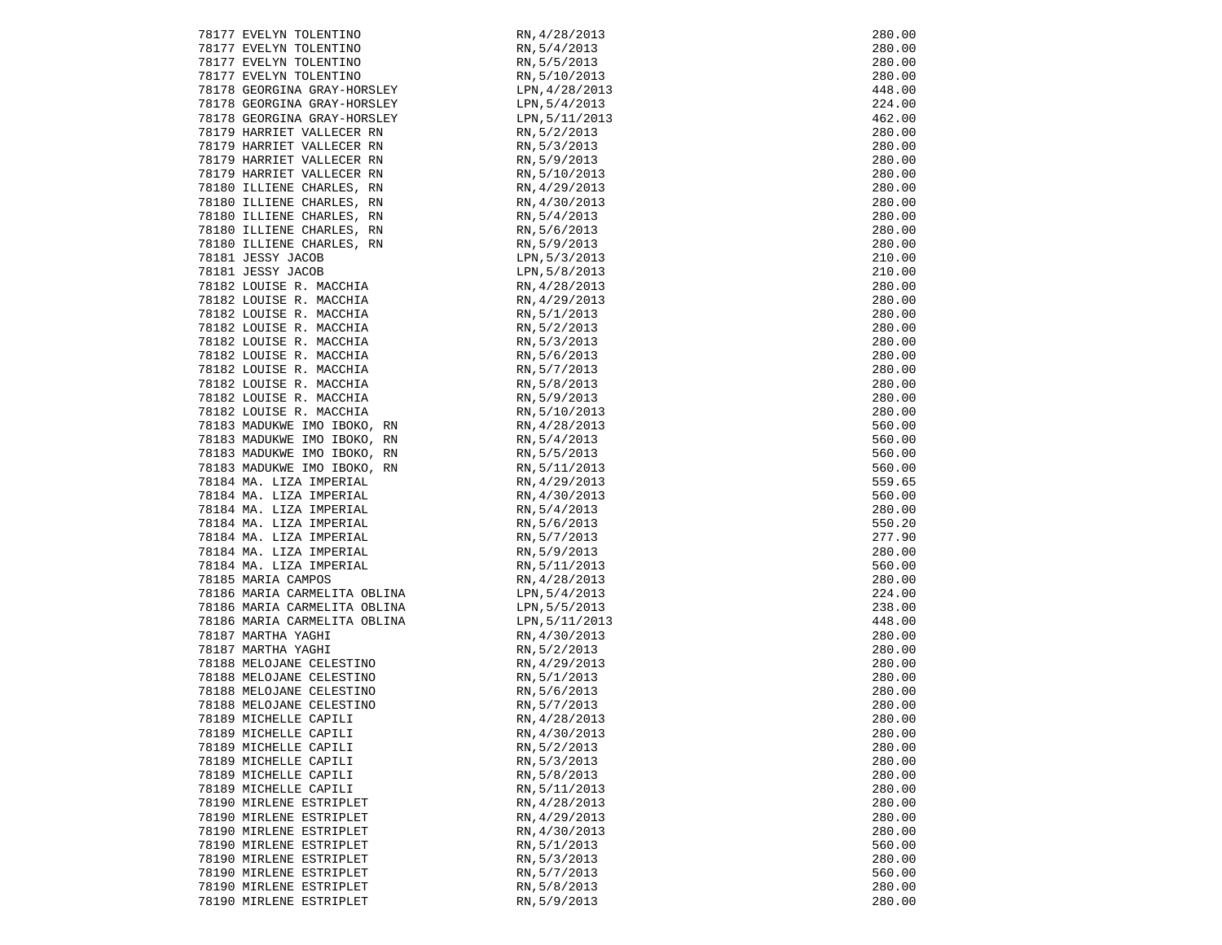| 78177 EVELYN TOLENTINO                                                  | RN, 4/28/2013                                                                                                                                                                                                                                                | 280.00 |
|-------------------------------------------------------------------------|--------------------------------------------------------------------------------------------------------------------------------------------------------------------------------------------------------------------------------------------------------------|--------|
|                                                                         |                                                                                                                                                                                                                                                              |        |
| 78177 EVELYN TOLENTINO                                                  |                                                                                                                                                                                                                                                              | 280.00 |
| 78177 EVELYN TOLENTINO<br>78177 EVELYN TOLENTINO                        |                                                                                                                                                                                                                                                              | 280.00 |
|                                                                         |                                                                                                                                                                                                                                                              | 280.00 |
| 78178 GEORGINA GRAY-HORSLEY                                             |                                                                                                                                                                                                                                                              | 448.00 |
| 78178 GEORGINA GRAY-HORSLEY                                             |                                                                                                                                                                                                                                                              | 224.00 |
| 78178 GEORGINA GRAY-HORSLEY                                             |                                                                                                                                                                                                                                                              | 462.00 |
| 78179 HARRIET VALLECER RN                                               |                                                                                                                                                                                                                                                              | 280.00 |
| 78179 HARRIET VALLECER RN                                               |                                                                                                                                                                                                                                                              | 280.00 |
|                                                                         |                                                                                                                                                                                                                                                              |        |
| 78179 HARRIET VALLECER RN                                               |                                                                                                                                                                                                                                                              | 280.00 |
| 78179 HARRIET VALLECER RN                                               |                                                                                                                                                                                                                                                              | 280.00 |
| 78180 ILLIENE CHARLES, RN                                               |                                                                                                                                                                                                                                                              | 280.00 |
| 78180 ILLIENE CHARLES, RN                                               |                                                                                                                                                                                                                                                              | 280.00 |
| 78180 ILLIENE CHARLES, RN                                               |                                                                                                                                                                                                                                                              | 280.00 |
| 78180 ILLIENE CHARLES, RN                                               |                                                                                                                                                                                                                                                              | 280.00 |
| 78180 ILLIENE CHARLES, RN                                               |                                                                                                                                                                                                                                                              | 280.00 |
| 78181 JESSY JACOB                                                       |                                                                                                                                                                                                                                                              | 210.00 |
| 78181 JESSY JACOB<br>78182 LOUISE R. MACCHIA<br>78182 LOUISE R. MACCHIA | RN, 5/4/2013<br>RN, 5/5/2013<br>RN, 5/5/2013<br>RN, 5/5/2013<br>LPN, 4/28/2013<br>LPN, 5/1/2013<br>LPN, 5/1/2013<br>LPN, 5/1/2013<br>RN, 5/2/2013<br>RN, 5/9/2013<br>RN, 5/10/2013<br>RN, 5/10/2013<br>RN, 5/4/2013<br>RN, 5/4/2013<br>RN, 5/4/2013<br>RN, 5 | 210.00 |
|                                                                         |                                                                                                                                                                                                                                                              |        |
|                                                                         |                                                                                                                                                                                                                                                              | 280.00 |
|                                                                         |                                                                                                                                                                                                                                                              | 280.00 |
| 78182 LOUISE R. MACCHIA                                                 | RN,5/1/2013<br>RN,5/2/2013                                                                                                                                                                                                                                   | 280.00 |
| 78182 LOUISE R. MACCHIA                                                 |                                                                                                                                                                                                                                                              | 280.00 |
| 78182 LOUISE R. MACCHIA                                                 | RN,5/3/2013<br>RN,5/6/2013                                                                                                                                                                                                                                   | 280.00 |
| 78182 LOUISE R. MACCHIA                                                 |                                                                                                                                                                                                                                                              | 280.00 |
| 78182 LOUISE R. MACCHIA                                                 |                                                                                                                                                                                                                                                              | 280.00 |
| 78182 LOUISE R. MACCHIA                                                 | RN,5/7/2013<br>RN,5/8/2013                                                                                                                                                                                                                                   | 280.00 |
|                                                                         |                                                                                                                                                                                                                                                              | 280.00 |
|                                                                         |                                                                                                                                                                                                                                                              | 280.00 |
|                                                                         |                                                                                                                                                                                                                                                              |        |
|                                                                         |                                                                                                                                                                                                                                                              | 560.00 |
|                                                                         |                                                                                                                                                                                                                                                              | 560.00 |
|                                                                         |                                                                                                                                                                                                                                                              | 560.00 |
|                                                                         |                                                                                                                                                                                                                                                              | 560.00 |
|                                                                         |                                                                                                                                                                                                                                                              | 559.65 |
|                                                                         |                                                                                                                                                                                                                                                              | 560.00 |
|                                                                         |                                                                                                                                                                                                                                                              | 280.00 |
|                                                                         |                                                                                                                                                                                                                                                              | 550.20 |
|                                                                         |                                                                                                                                                                                                                                                              |        |
|                                                                         |                                                                                                                                                                                                                                                              | 277.90 |
|                                                                         |                                                                                                                                                                                                                                                              | 280.00 |
|                                                                         |                                                                                                                                                                                                                                                              | 560.00 |
|                                                                         |                                                                                                                                                                                                                                                              | 280.00 |
|                                                                         |                                                                                                                                                                                                                                                              | 224.00 |
|                                                                         |                                                                                                                                                                                                                                                              | 238.00 |
|                                                                         |                                                                                                                                                                                                                                                              | 448.00 |
|                                                                         |                                                                                                                                                                                                                                                              | 280.00 |
|                                                                         |                                                                                                                                                                                                                                                              | 280.00 |
|                                                                         |                                                                                                                                                                                                                                                              | 280.00 |
| 78188 MELOJANE CELESTINO                                                | RN, 5/1/2013                                                                                                                                                                                                                                                 | 280.00 |
|                                                                         |                                                                                                                                                                                                                                                              |        |
| 78188 MELOJANE CELESTINO                                                | RN, 5/6/2013                                                                                                                                                                                                                                                 | 280.00 |
| 78188 MELOJANE CELESTINO                                                | RN, 5/7/2013                                                                                                                                                                                                                                                 | 280.00 |
| 78189 MICHELLE CAPILI                                                   | RN, 4/28/2013                                                                                                                                                                                                                                                | 280.00 |
| 78189 MICHELLE CAPILI                                                   | RN, 4/30/2013                                                                                                                                                                                                                                                | 280.00 |
| 78189 MICHELLE CAPILI                                                   | RN, 5/2/2013                                                                                                                                                                                                                                                 | 280.00 |
| 78189 MICHELLE CAPILI                                                   | RN, 5/3/2013                                                                                                                                                                                                                                                 | 280.00 |
| 78189 MICHELLE CAPILI                                                   | RN, 5/8/2013                                                                                                                                                                                                                                                 | 280.00 |
| 78189 MICHELLE CAPILI                                                   | RN, 5/11/2013                                                                                                                                                                                                                                                | 280.00 |
| 78190 MIRLENE ESTRIPLET                                                 | RN, 4/28/2013                                                                                                                                                                                                                                                | 280.00 |
| 78190 MIRLENE ESTRIPLET                                                 | RN, 4/29/2013                                                                                                                                                                                                                                                | 280.00 |
|                                                                         |                                                                                                                                                                                                                                                              |        |
| 78190 MIRLENE ESTRIPLET                                                 | RN, 4/30/2013                                                                                                                                                                                                                                                | 280.00 |
| 78190 MIRLENE ESTRIPLET                                                 | RN, 5/1/2013                                                                                                                                                                                                                                                 | 560.00 |
| 78190 MIRLENE ESTRIPLET                                                 | RN, 5/3/2013                                                                                                                                                                                                                                                 | 280.00 |
| 78190 MIRLENE ESTRIPLET                                                 | RN, 5/7/2013                                                                                                                                                                                                                                                 | 560.00 |
| 78190 MIRLENE ESTRIPLET                                                 | RN, 5/8/2013                                                                                                                                                                                                                                                 | 280.00 |
| 78190 MIRLENE ESTRIPLET                                                 | RN, 5/9/2013                                                                                                                                                                                                                                                 | 280.00 |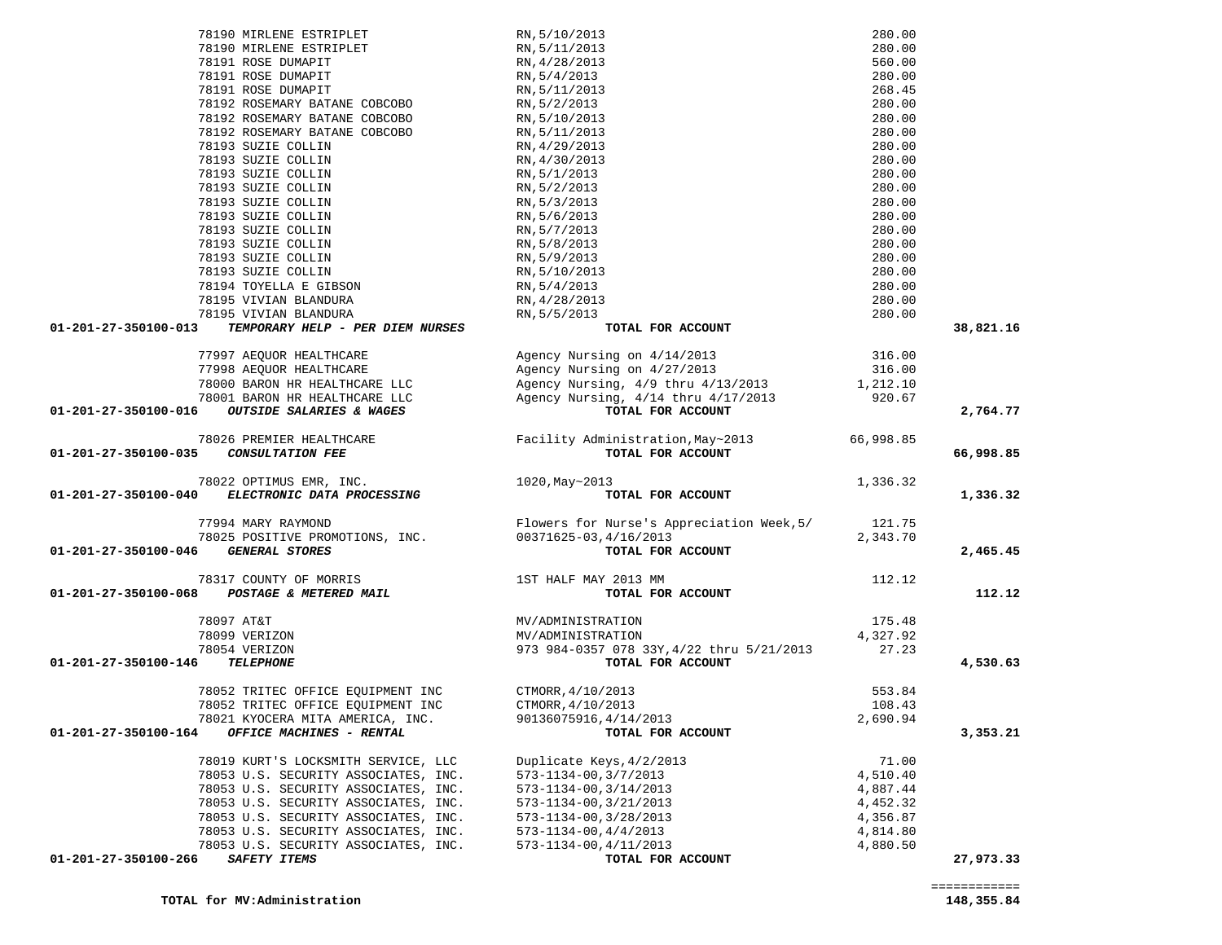|                                       | 78190 MIRLENE ESTRIPLET                                                                           | RN, 5/10/2013                                                                                                                                                               | 280.00            |           |
|---------------------------------------|---------------------------------------------------------------------------------------------------|-----------------------------------------------------------------------------------------------------------------------------------------------------------------------------|-------------------|-----------|
|                                       | 78190 MIRLENE ESTRIPLET                                                                           | RN, 5/11/2013<br>RN, 4/28/2013<br>RN, 5/4/2013<br>RN, 5/11/2013                                                                                                             | 280.00            |           |
|                                       | 78191 ROSE DUMAPIT                                                                                |                                                                                                                                                                             | 560.00            |           |
|                                       | 78191 ROSE DUMAPIT                                                                                |                                                                                                                                                                             | 280.00            |           |
|                                       | 78191 ROSE DUMAPIT                                                                                |                                                                                                                                                                             | 268.45            |           |
|                                       | 78192 ROSEMARY BATANE COBCOBO                                                                     | RN, 5/2/2013                                                                                                                                                                | 280.00            |           |
|                                       | 78192 ROSEMARY BATANE COBCOBO                                                                     | RN, 5/10/2013                                                                                                                                                               | 280.00            |           |
|                                       | 78192 ROSEMARY BATANE COBCOBO                                                                     | RN, 5/11/2013                                                                                                                                                               | 280.00            |           |
|                                       | 78193 SUZIE COLLIN                                                                                | RN, 4/29/2013                                                                                                                                                               | 280.00            |           |
|                                       | 78193 SUZIE COLLIN                                                                                | RN, 4/30/2013                                                                                                                                                               | 280.00            |           |
|                                       | 78193 SUZIE COLLIN                                                                                | RN, 5/1/2013                                                                                                                                                                | 280.00            |           |
|                                       | 78193 SUZIE COLLIN                                                                                | RN, 5/2/2013                                                                                                                                                                | 280.00            |           |
|                                       | 78193 SUZIE COLLIN                                                                                | RN, 5/3/2013                                                                                                                                                                | 280.00            |           |
|                                       | 78193 SUZIE COLLIN                                                                                | RN, 5/6/2013                                                                                                                                                                | 280.00            |           |
|                                       | 78193 SUZIE COLLIN                                                                                | RN, 5/7/2013                                                                                                                                                                | 280.00            |           |
|                                       | 78193 SUZIE COLLIN                                                                                | RN, 5/8/2013                                                                                                                                                                | 280.00            |           |
|                                       | 78193 SUZIE COLLIN                                                                                | RN, 5/9/2013                                                                                                                                                                | 280.00            |           |
|                                       | 78193 SUZIE COLLIN                                                                                | RN, 5/10/2013                                                                                                                                                               | 280.00            |           |
|                                       | 78194 TOYELLA E GIBSON                                                                            | RN, 5/4/2013                                                                                                                                                                | 280.00            |           |
|                                       | 78195 VIVIAN BLANDURA                                                                             | RN, 4/28/2013                                                                                                                                                               | 280.00            |           |
|                                       | 78195 VIVIAN BLANDURA                                                                             | RN, 5/5/2013                                                                                                                                                                | 280.00            |           |
| 01-201-27-350100-013                  | TEMPORARY HELP - PER DIEM NURSES                                                                  | TOTAL FOR ACCOUNT                                                                                                                                                           |                   | 38,821.16 |
|                                       |                                                                                                   |                                                                                                                                                                             |                   |           |
|                                       | 77997 AEQUOR HEALTHCARE                                                                           |                                                                                                                                                                             |                   |           |
|                                       | 77998 AEQUOR HEALTHCARE                                                                           | Agency Nursing on 4/14/2013<br>Agency Nursing on 4/27/2013                                                                                                                  | 316.00<br>316.00  |           |
|                                       | 78000 BARON HR HEALTHCARE LLC                                                                     |                                                                                                                                                                             |                   |           |
|                                       |                                                                                                   |                                                                                                                                                                             |                   |           |
| 01-201-27-350100-016                  | 78001 BARON HR HEALTHCARE LLC<br><b>OUTSIDE SALARIES &amp; WAGES</b>                              | Agency Nursing, 4/9 thru 4/13/2013 1,212.10<br>Agency Nursing, 4/14 thru 4/17/2013 920.67<br><b>TOTAL FOR ACCOUNT</b><br>TOTAL FOR ACCOUNT                                  |                   | 2,764.77  |
|                                       |                                                                                                   |                                                                                                                                                                             |                   |           |
|                                       | 78026 PREMIER HEALTHCARE                                                                          | Facility Administration, May~2013 66, 998.85                                                                                                                                |                   |           |
| 01-201-27-350100-035 CONSULTATION FEE |                                                                                                   | TOTAL FOR ACCOUNT                                                                                                                                                           |                   | 66,998.85 |
|                                       |                                                                                                   |                                                                                                                                                                             |                   |           |
|                                       | 78022 OPTIMUS EMR, INC.<br>01-201-27-350100-040 ELECTRONIC DATA PROCESSING                        | 1020, May~2013                                                                                                                                                              | 1,336.32          |           |
|                                       |                                                                                                   | .3<br>TOTAL FOR ACCOUNT                                                                                                                                                     |                   | 1,336.32  |
|                                       |                                                                                                   |                                                                                                                                                                             |                   |           |
|                                       |                                                                                                   |                                                                                                                                                                             |                   |           |
|                                       |                                                                                                   |                                                                                                                                                                             |                   |           |
| 01-201-27-350100-046                  |                                                                                                   | 77994 MARY RAYMOND<br>78025 POSITIVE PROMOTIONS, INC.<br>78025 POSITIVE PROMOTIONS, INC.<br>78025 POSITIVE PROMOTIONS, INC.<br>700371625-03,4/16/2013<br>7007AL FOR ACCOUNT |                   | 2,465.45  |
|                                       |                                                                                                   |                                                                                                                                                                             |                   |           |
|                                       |                                                                                                   |                                                                                                                                                                             | 112.12            |           |
|                                       | $78317 \text{ COUNTY OF MORRIS}$ $01-201-27-350100-068 \text{ POSTAGE & METERED MALL}$ TOTAL FORE | TOTAL FOR ACCOUNT                                                                                                                                                           |                   | 112.12    |
|                                       |                                                                                                   |                                                                                                                                                                             |                   |           |
|                                       | 78097 AT&T                                                                                        | MV/ADMINISTRATION                                                                                                                                                           | 175.48            |           |
|                                       | 78099 VERIZON                                                                                     | MV/ADMINISTRATION                                                                                                                                                           | 4,327.92<br>27.23 |           |
| 01-201-27-350100-146                  | 78054 VERIZON<br><b>TELEPHONE</b>                                                                 | 973 984-0357 078 33Y, 4/22 thru 5/21/2013<br>TOTAL FOR ACCOUNT                                                                                                              |                   | 4,530.63  |
|                                       |                                                                                                   |                                                                                                                                                                             |                   |           |
|                                       | 78052 TRITEC OFFICE EOUIPMENT INC                                                                 | CTMORR, 4/10/2013                                                                                                                                                           | 553.84            |           |
|                                       | 78052 TRITEC OFFICE EQUIPMENT INC                                                                 | CTMORR, 4/10/2013                                                                                                                                                           | 108.43            |           |
|                                       | 78021 KYOCERA MITA AMERICA, INC.                                                                  | 90136075916,4/14/2013                                                                                                                                                       | 2,690.94          |           |
| 01-201-27-350100-164                  | <b>OFFICE MACHINES - RENTAL</b>                                                                   | TOTAL FOR ACCOUNT                                                                                                                                                           |                   | 3,353.21  |
|                                       |                                                                                                   |                                                                                                                                                                             |                   |           |
|                                       | 78019 KURT'S LOCKSMITH SERVICE, LLC                                                               | Duplicate Keys, 4/2/2013                                                                                                                                                    | 71.00             |           |
|                                       | 78053 U.S. SECURITY ASSOCIATES, INC.                                                              | 573-1134-00, 3/7/2013                                                                                                                                                       | 4,510.40          |           |
|                                       | 78053 U.S. SECURITY ASSOCIATES, INC.                                                              | 573-1134-00, 3/14/2013                                                                                                                                                      | 4,887.44          |           |
|                                       | 78053 U.S. SECURITY ASSOCIATES, INC.                                                              | 573-1134-00, 3/21/2013                                                                                                                                                      | 4,452.32          |           |
|                                       | 78053 U.S. SECURITY ASSOCIATES, INC.                                                              | 573-1134-00, 3/28/2013                                                                                                                                                      | 4,356.87          |           |
|                                       | 78053 U.S. SECURITY ASSOCIATES, INC.                                                              | $573 - 1134 - 00, 4/4/2013$                                                                                                                                                 | 4,814.80          |           |
|                                       | 78053 U.S. SECURITY ASSOCIATES, INC.                                                              | 573-1134-00, 4/11/2013                                                                                                                                                      | 4,880.50          |           |
| 01-201-27-350100-266                  | SAFETY ITEMS                                                                                      | TOTAL FOR ACCOUNT                                                                                                                                                           |                   | 27,973.33 |
|                                       |                                                                                                   |                                                                                                                                                                             |                   |           |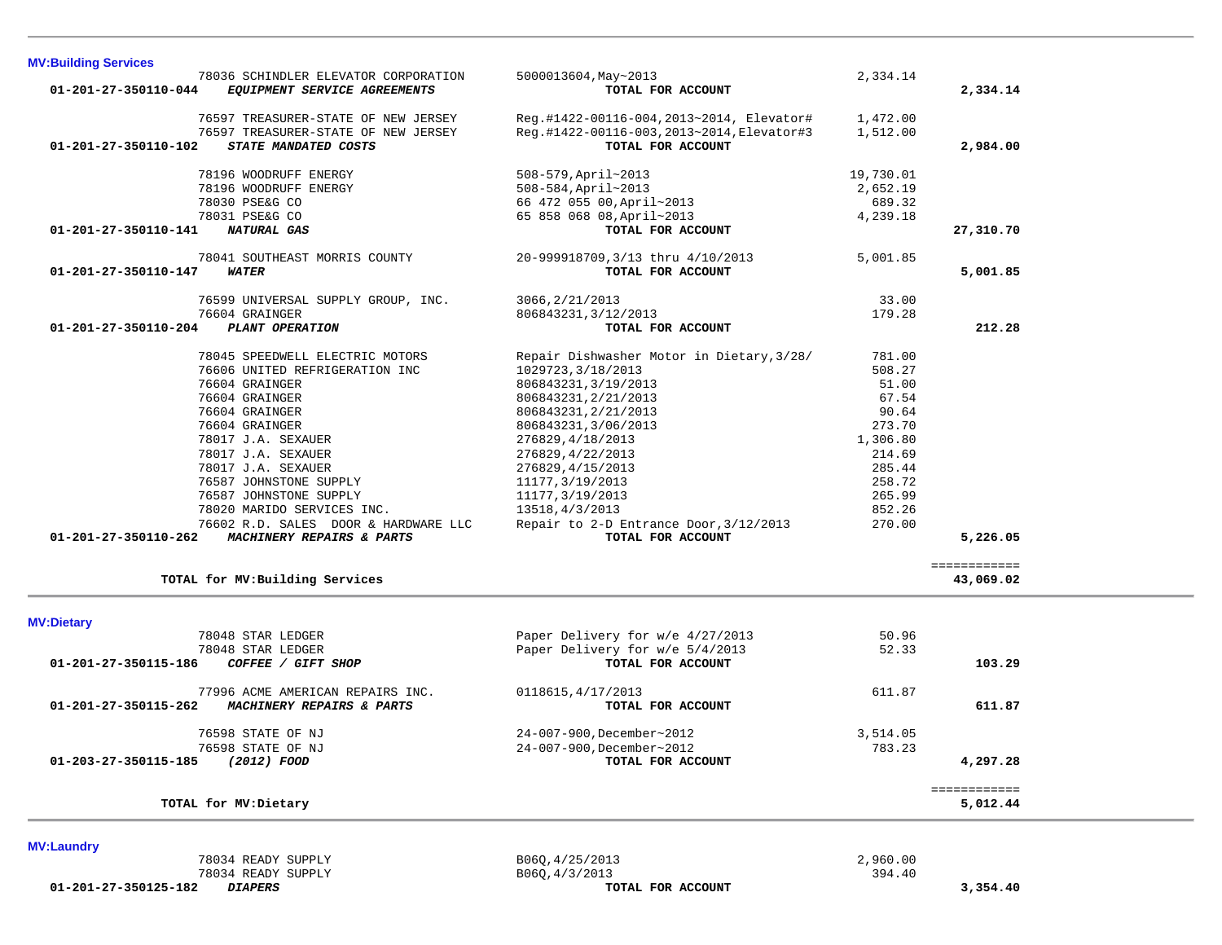| <b>MV:Building Services</b> |                                      |                                           |           |              |  |
|-----------------------------|--------------------------------------|-------------------------------------------|-----------|--------------|--|
|                             | 78036 SCHINDLER ELEVATOR CORPORATION | 5000013604, May~2013                      | 2,334.14  |              |  |
| 01-201-27-350110-044        | EQUIPMENT SERVICE AGREEMENTS         | TOTAL FOR ACCOUNT                         |           | 2,334.14     |  |
|                             |                                      |                                           |           |              |  |
|                             | 76597 TREASURER-STATE OF NEW JERSEY  | Reg.#1422-00116-004,2013~2014, Elevator#  | 1,472.00  |              |  |
|                             | 76597 TREASURER-STATE OF NEW JERSEY  | Reg.#1422-00116-003,2013~2014,Elevator#3  | 1,512.00  |              |  |
| 01-201-27-350110-102        | STATE MANDATED COSTS                 | TOTAL FOR ACCOUNT                         |           | 2,984.00     |  |
|                             | 78196 WOODRUFF ENERGY                | 508-579, April~2013                       | 19,730.01 |              |  |
|                             | 78196 WOODRUFF ENERGY                | 508-584, April~2013                       | 2,652.19  |              |  |
|                             | 78030 PSE&G CO                       | 66 472 055 00, April~2013                 | 689.32    |              |  |
|                             | 78031 PSE&G CO                       | 65 858 068 08, April~2013                 | 4,239.18  |              |  |
| 01-201-27-350110-141        | <b>NATURAL GAS</b>                   | TOTAL FOR ACCOUNT                         |           | 27,310.70    |  |
|                             |                                      |                                           |           |              |  |
|                             | 78041 SOUTHEAST MORRIS COUNTY        | 20-999918709,3/13 thru 4/10/2013          | 5,001.85  |              |  |
| 01-201-27-350110-147        | <i><b>WATER</b></i>                  | TOTAL FOR ACCOUNT                         |           | 5,001.85     |  |
|                             |                                      |                                           |           |              |  |
|                             | 76599 UNIVERSAL SUPPLY GROUP, INC.   | 3066, 2/21/2013                           | 33.00     |              |  |
|                             | 76604 GRAINGER                       | 806843231, 3/12/2013                      | 179.28    |              |  |
| 01-201-27-350110-204        | PLANT OPERATION                      | TOTAL FOR ACCOUNT                         |           | 212.28       |  |
|                             | 78045 SPEEDWELL ELECTRIC MOTORS      | Repair Dishwasher Motor in Dietary, 3/28/ | 781.00    |              |  |
|                             | 76606 UNITED REFRIGERATION INC       | 1029723, 3/18/2013                        | 508.27    |              |  |
|                             | 76604 GRAINGER                       | 806843231, 3/19/2013                      | 51.00     |              |  |
|                             | 76604 GRAINGER                       | 806843231, 2/21/2013                      | 67.54     |              |  |
|                             | 76604 GRAINGER                       | 806843231, 2/21/2013                      | 90.64     |              |  |
|                             | 76604 GRAINGER                       | 806843231,3/06/2013                       | 273.70    |              |  |
|                             | 78017 J.A. SEXAUER                   | 276829, 4/18/2013                         | 1,306.80  |              |  |
|                             | 78017 J.A. SEXAUER                   | 276829, 4/22/2013                         | 214.69    |              |  |
|                             | 78017 J.A. SEXAUER                   | 276829, 4/15/2013                         | 285.44    |              |  |
|                             | 76587 JOHNSTONE SUPPLY               | 11177, 3/19/2013                          | 258.72    |              |  |
|                             | 76587 JOHNSTONE SUPPLY               | 11177, 3/19/2013                          | 265.99    |              |  |
|                             | 78020 MARIDO SERVICES INC.           | 13518, 4/3/2013                           | 852.26    |              |  |
|                             | 76602 R.D. SALES DOOR & HARDWARE LLC | Repair to 2-D Entrance Door, 3/12/2013    | 270.00    |              |  |
| 01-201-27-350110-262        | MACHINERY REPAIRS & PARTS            | TOTAL FOR ACCOUNT                         |           | 5,226.05     |  |
|                             |                                      |                                           |           |              |  |
|                             |                                      |                                           |           | ============ |  |
|                             | TOTAL for MV: Building Services      |                                           |           | 43,069.02    |  |
|                             |                                      |                                           |           |              |  |
| <b>MV:Dietary</b>           |                                      |                                           |           |              |  |
|                             | 78048 STAR LEDGER                    | Paper Delivery for w/e 4/27/2013          | 50.96     |              |  |
|                             | 78048 STAR LEDGER                    | Paper Delivery for w/e 5/4/2013           | 52.33     |              |  |
| 01-201-27-350115-186        | COFFEE / GIFT SHOP                   | TOTAL FOR ACCOUNT                         |           | 103.29       |  |
|                             | 77996 ACME AMERICAN REPAIRS INC.     |                                           | 611.87    |              |  |
| 01-201-27-350115-262        | MACHINERY REPAIRS & PARTS            | 0118615, 4/17/2013<br>TOTAL FOR ACCOUNT   |           | 611.87       |  |
|                             |                                      |                                           |           |              |  |
|                             | 76598 STATE OF NJ                    | 24-007-900, December~2012                 | 3,514.05  |              |  |
|                             | 76598 STATE OF NJ                    | 24-007-900, December~2012                 | 783.23    |              |  |
| 01-203-27-350115-185        | (2012) FOOD                          | TOTAL FOR ACCOUNT                         |           | 4,297.28     |  |
|                             |                                      |                                           |           |              |  |
|                             |                                      |                                           |           | ============ |  |
|                             | TOTAL for MV: Dietary                |                                           |           | 5,012.44     |  |
|                             |                                      |                                           |           |              |  |
| <b>MV:Laundry</b>           |                                      |                                           |           |              |  |
|                             | 78034 READY SUPPLY                   | B060, 4/25/2013                           | 2,960.00  |              |  |

 **01-201-27-350125-182** *DIAPERS* **TOTAL FOR ACCOUNT 3,354.40**

 $78034$  READY SUPPLY<br>  $78034$  READY SUPPLY  $78034$  READY SUPPLY  $394.40$ <br>  $2.990.00$ <br>  $78034$  READY SUPPLY  $394.40$ <br>  $T$ OTAL FOR ACCOUNT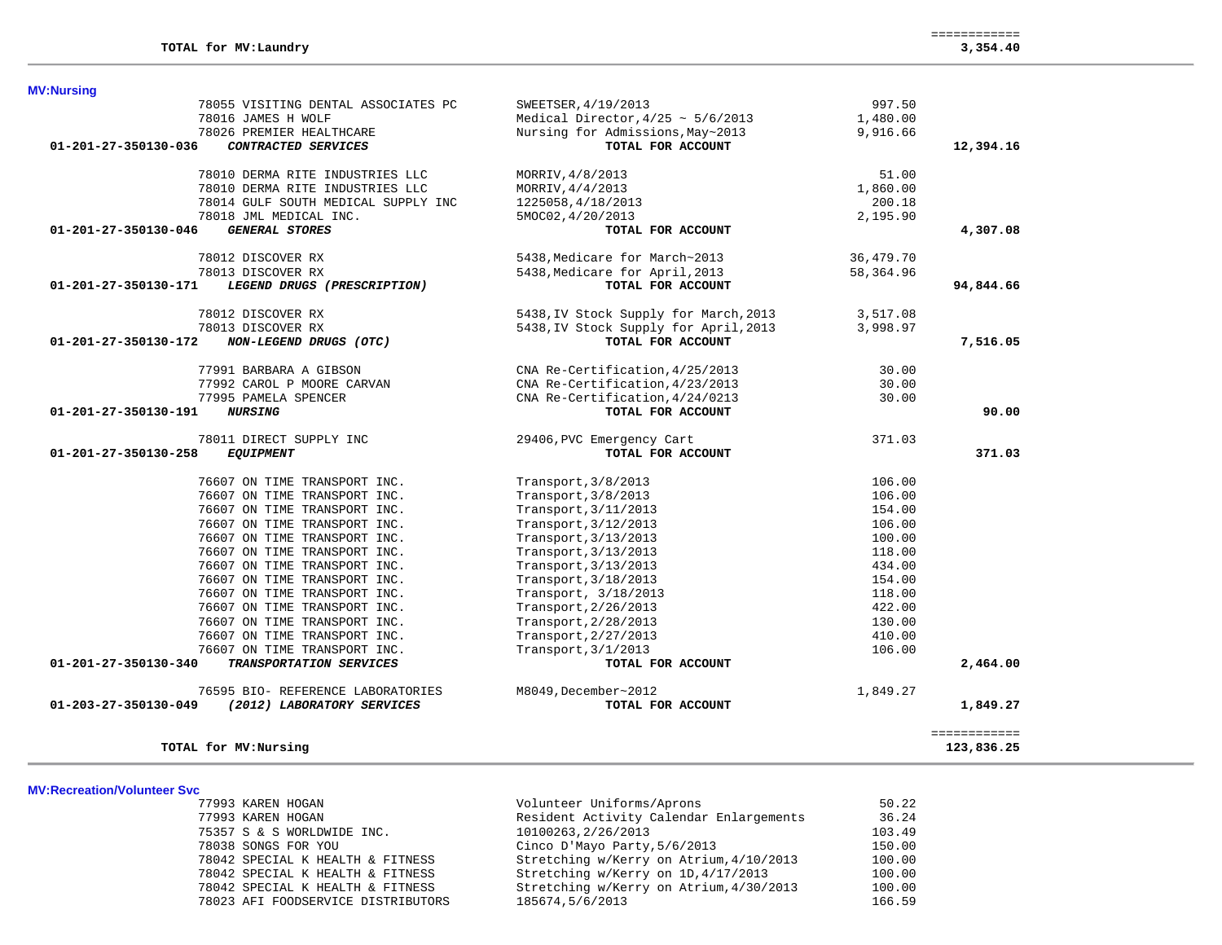| <b>MV:Nursing</b>                                   |                                        |           |              |
|-----------------------------------------------------|----------------------------------------|-----------|--------------|
| 78055 VISITING DENTAL ASSOCIATES PC                 | SWEETSER, 4/19/2013                    | 997.50    |              |
| 78016 JAMES H WOLF                                  | Medical Director, $4/25 \sim 5/6/2013$ | 1,480.00  |              |
| 78026 PREMIER HEALTHCARE                            | Nursing for Admissions, May~2013       | 9,916.66  |              |
| 01-201-27-350130-036<br>CONTRACTED SERVICES         | TOTAL FOR ACCOUNT                      |           | 12,394.16    |
| 78010 DERMA RITE INDUSTRIES LLC                     | MORRIV, 4/8/2013                       | 51.00     |              |
| 78010 DERMA RITE INDUSTRIES LLC                     | MORRIV, 4/4/2013                       | 1,860.00  |              |
| 78014 GULF SOUTH MEDICAL SUPPLY INC                 | 1225058, 4/18/2013                     | 200.18    |              |
| 78018 JML MEDICAL INC.                              | 5MOC02, 4/20/2013                      | 2,195.90  |              |
| <b>GENERAL STORES</b><br>01-201-27-350130-046       | TOTAL FOR ACCOUNT                      |           | 4,307.08     |
| 78012 DISCOVER RX                                   | 5438, Medicare for March~2013          | 36,479.70 |              |
| 78013 DISCOVER RX                                   | 5438, Medicare for April, 2013         | 58,364.96 |              |
| 01-201-27-350130-171<br>LEGEND DRUGS (PRESCRIPTION) | TOTAL FOR ACCOUNT                      |           | 94,844.66    |
| 78012 DISCOVER RX                                   | 5438, IV Stock Supply for March, 2013  | 3,517.08  |              |
| 78013 DISCOVER RX                                   | 5438, IV Stock Supply for April, 2013  | 3,998.97  |              |
| 01-201-27-350130-172<br>NON-LEGEND DRUGS (OTC)      | TOTAL FOR ACCOUNT                      |           | 7,516.05     |
| 77991 BARBARA A GIBSON                              | CNA Re-Certification, 4/25/2013        | 30.00     |              |
| 77992 CAROL P MOORE CARVAN                          | CNA Re-Certification, 4/23/2013        | 30.00     |              |
| 77995 PAMELA SPENCER                                | CNA Re-Certification, 4/24/0213        | 30.00     |              |
| <b>NURSING</b><br>01-201-27-350130-191              | TOTAL FOR ACCOUNT                      |           | 90.00        |
| 78011 DIRECT SUPPLY INC                             | 29406, PVC Emergency Cart              | 371.03    |              |
| 01-201-27-350130-258<br><b>EQUIPMENT</b>            | TOTAL FOR ACCOUNT                      |           | 371.03       |
| 76607 ON TIME TRANSPORT INC.                        | Transport, 3/8/2013                    | 106.00    |              |
| 76607 ON TIME TRANSPORT INC.                        | Transport, 3/8/2013                    | 106.00    |              |
| 76607 ON TIME TRANSPORT INC.                        | Transport, 3/11/2013                   | 154.00    |              |
| 76607 ON TIME TRANSPORT INC.                        | Transport, 3/12/2013                   | 106.00    |              |
| 76607 ON TIME TRANSPORT INC.                        | Transport, 3/13/2013                   | 100.00    |              |
| 76607 ON TIME TRANSPORT INC.                        | Transport, 3/13/2013                   | 118.00    |              |
| 76607 ON TIME TRANSPORT INC.                        | Transport, 3/13/2013                   | 434.00    |              |
| 76607 ON TIME TRANSPORT INC.                        | Transport, 3/18/2013                   | 154.00    |              |
| 76607 ON TIME TRANSPORT INC.                        | Transport, 3/18/2013                   | 118.00    |              |
| 76607 ON TIME TRANSPORT INC.                        | Transport, 2/26/2013                   | 422.00    |              |
| 76607 ON TIME TRANSPORT INC.                        | Transport, 2/28/2013                   | 130.00    |              |
| 76607 ON TIME TRANSPORT INC.                        | Transport, 2/27/2013                   | 410.00    |              |
| 76607 ON TIME TRANSPORT INC.                        | Transport, 3/1/2013                    | 106.00    |              |
| 01-201-27-350130-340<br>TRANSPORTATION SERVICES     | TOTAL FOR ACCOUNT                      |           | 2,464.00     |
| 76595 BIO- REFERENCE LABORATORIES                   | M8049, December~2012                   | 1,849.27  |              |
| 01-203-27-350130-049<br>(2012) LABORATORY SERVICES  | TOTAL FOR ACCOUNT                      |           | 1,849.27     |
|                                                     |                                        |           | ============ |
| TOTAL for MV: Nursing                               |                                        |           | 123,836.25   |

#### **MV:Recreation/Volunteer Svc**

| 77993 KAREN HOGAN                  | Volunteer Uniforms/Aprons               | 50.22  |
|------------------------------------|-----------------------------------------|--------|
| 77993 KAREN HOGAN                  | Resident Activity Calendar Enlargements | 36.24  |
| 75357 S & S WORLDWIDE INC.         | 10100263, 2/26/2013                     | 103.49 |
| 78038 SONGS FOR YOU                | Cinco D'Mayo Party, 5/6/2013            | 150.00 |
| 78042 SPECIAL K HEALTH & FITNESS   | Stretching w/Kerry on Atrium, 4/10/2013 | 100.00 |
| 78042 SPECIAL K HEALTH & FITNESS   | Stretching w/Kerry on 1D, 4/17/2013     | 100.00 |
| 78042 SPECIAL K HEALTH & FITNESS   | Stretching w/Kerry on Atrium, 4/30/2013 | 100.00 |
| 78023 AFI FOODSERVICE DISTRIBUTORS | 185674,5/6/2013                         | 166.59 |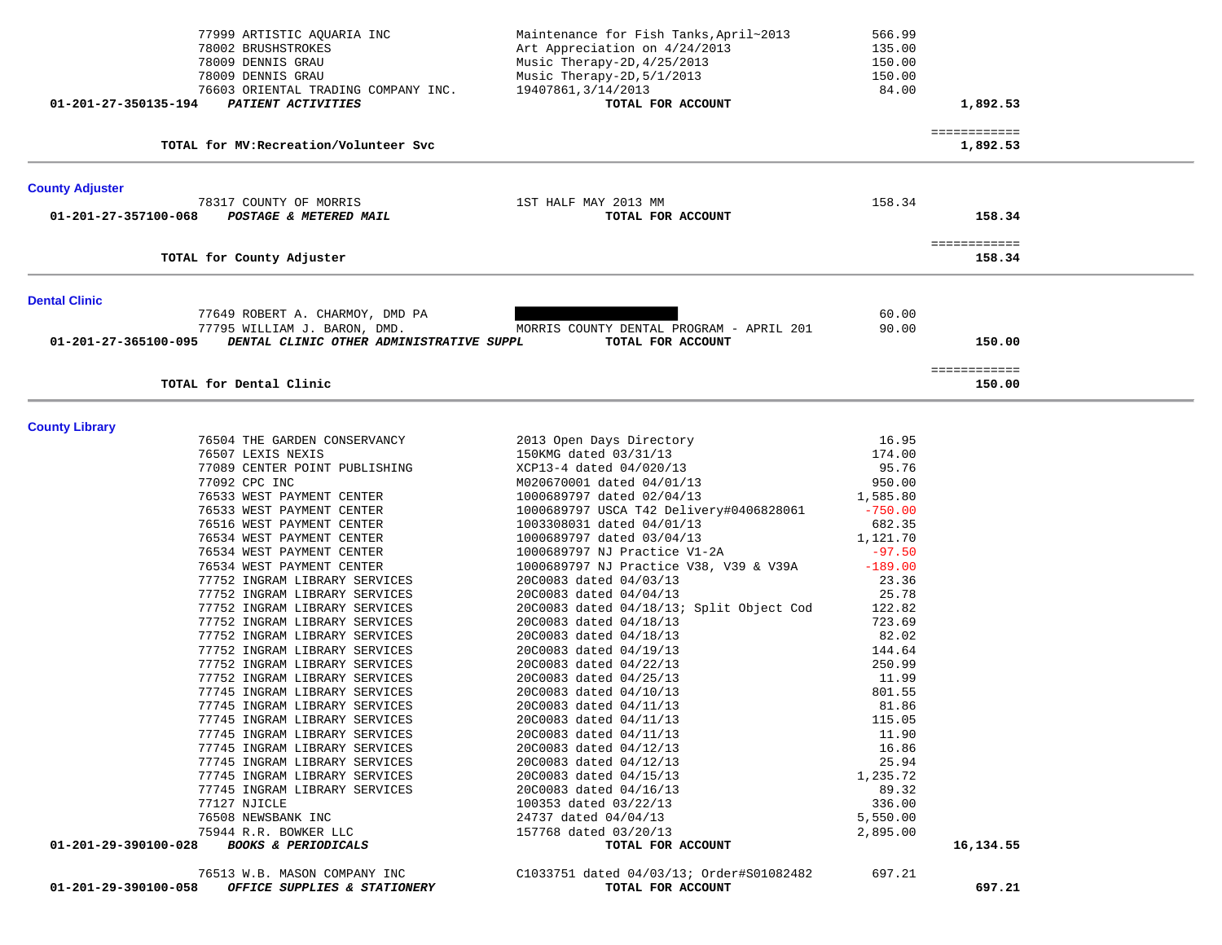|                        | 77999 ARTISTIC AQUARIA INC<br>78002 BRUSHSTROKES<br>78009 DENNIS GRAU<br>78009 DENNIS GRAU | Maintenance for Fish Tanks, April~2013<br>Art Appreciation on 4/24/2013<br>Music Therapy-2D, 4/25/2013<br>Music Therapy-2D, 5/1/2013 | 566.99<br>135.00<br>150.00<br>150.00 |                        |  |
|------------------------|--------------------------------------------------------------------------------------------|--------------------------------------------------------------------------------------------------------------------------------------|--------------------------------------|------------------------|--|
| 01-201-27-350135-194   | 76603 ORIENTAL TRADING COMPANY INC.<br>PATIENT ACTIVITIES                                  | 19407861, 3/14/2013<br>TOTAL FOR ACCOUNT                                                                                             | 84.00                                | 1,892.53               |  |
|                        |                                                                                            |                                                                                                                                      |                                      | ============           |  |
|                        | TOTAL for MV: Recreation/Volunteer Svc                                                     |                                                                                                                                      |                                      | 1,892.53               |  |
| <b>County Adjuster</b> |                                                                                            |                                                                                                                                      |                                      |                        |  |
| 01-201-27-357100-068   | 78317 COUNTY OF MORRIS<br>POSTAGE & METERED MAIL                                           | 1ST HALF MAY 2013 MM<br>TOTAL FOR ACCOUNT                                                                                            | 158.34                               | 158.34                 |  |
|                        | TOTAL for County Adjuster                                                                  |                                                                                                                                      |                                      | ============<br>158.34 |  |
| <b>Dental Clinic</b>   |                                                                                            |                                                                                                                                      |                                      |                        |  |
|                        | 77649 ROBERT A. CHARMOY, DMD PA                                                            |                                                                                                                                      | 60.00                                |                        |  |
|                        | 77795 WILLIAM J. BARON, DMD.                                                               | MORRIS COUNTY DENTAL PROGRAM - APRIL 201                                                                                             | 90.00                                |                        |  |
| 01-201-27-365100-095   | DENTAL CLINIC OTHER ADMINISTRATIVE SUPPL                                                   | TOTAL FOR ACCOUNT                                                                                                                    |                                      | 150.00                 |  |
|                        |                                                                                            |                                                                                                                                      |                                      | ============           |  |
|                        | TOTAL for Dental Clinic                                                                    |                                                                                                                                      |                                      | 150.00                 |  |
| <b>County Library</b>  |                                                                                            |                                                                                                                                      |                                      |                        |  |
|                        | 76504 THE GARDEN CONSERVANCY                                                               | 2013 Open Days Directory                                                                                                             | 16.95                                |                        |  |
|                        | 76507 LEXIS NEXIS                                                                          | 150KMG dated 03/31/13                                                                                                                | 174.00                               |                        |  |
|                        | 77089 CENTER POINT PUBLISHING                                                              | XCP13-4 dated 04/020/13                                                                                                              | 95.76                                |                        |  |
|                        | 77092 CPC INC                                                                              | M020670001 dated 04/01/13                                                                                                            | 950.00                               |                        |  |
|                        | 76533 WEST PAYMENT CENTER<br>76533 WEST PAYMENT CENTER                                     | 1000689797 dated 02/04/13                                                                                                            | 1,585.80                             |                        |  |
|                        | 76516 WEST PAYMENT CENTER                                                                  | 1000689797 USCA T42 Delivery#0406828061<br>1003308031 dated 04/01/13                                                                 | $-750.00$<br>682.35                  |                        |  |
|                        | 76534 WEST PAYMENT CENTER                                                                  | 1000689797 dated 03/04/13                                                                                                            | 1,121.70                             |                        |  |
|                        | 76534 WEST PAYMENT CENTER                                                                  | 1000689797 NJ Practice V1-2A                                                                                                         | $-97.50$                             |                        |  |
|                        | 76534 WEST PAYMENT CENTER                                                                  | 1000689797 NJ Practice V38, V39 & V39A                                                                                               | $-189.00$                            |                        |  |
|                        | 77752 INGRAM LIBRARY SERVICES                                                              | 20C0083 dated 04/03/13                                                                                                               | 23.36                                |                        |  |
|                        | 77752 INGRAM LIBRARY SERVICES                                                              | 20C0083 dated 04/04/13                                                                                                               | 25.78                                |                        |  |
|                        | 77752 INGRAM LIBRARY SERVICES                                                              | 20C0083 dated 04/18/13; Split Object Cod                                                                                             | 122.82                               |                        |  |
|                        | 77752 INGRAM LIBRARY SERVICES                                                              | 20C0083 dated 04/18/13                                                                                                               | 723.69                               |                        |  |
|                        | 77752 INGRAM LIBRARY SERVICES                                                              | 20C0083 dated 04/18/13                                                                                                               | 82.02                                |                        |  |
|                        | 77752 INGRAM LIBRARY SERVICES                                                              | 20C0083 dated 04/19/13                                                                                                               | 144.64                               |                        |  |
|                        | 77752 INGRAM LIBRARY SERVICES<br>77752 INGRAM LIBRARY SERVICES                             | 20C0083 dated 04/22/13<br>20C0083 dated 04/25/13                                                                                     | 250.99<br>11.99                      |                        |  |
|                        | 77745 INGRAM LIBRARY SERVICES                                                              | 20C0083 dated 04/10/13                                                                                                               | 801.55                               |                        |  |
|                        | 77745 INGRAM LIBRARY SERVICES                                                              | 20C0083 dated 04/11/13                                                                                                               | 81.86                                |                        |  |
|                        | 77745 INGRAM LIBRARY SERVICES                                                              | 20C0083 dated 04/11/13                                                                                                               | 115.05                               |                        |  |
|                        | 77745 INGRAM LIBRARY SERVICES                                                              | 20C0083 dated 04/11/13                                                                                                               | 11.90                                |                        |  |
|                        | 77745 INGRAM LIBRARY SERVICES                                                              | 20C0083 dated 04/12/13                                                                                                               | 16.86                                |                        |  |
|                        | 77745 INGRAM LIBRARY SERVICES                                                              | 20C0083 dated 04/12/13                                                                                                               | 25.94                                |                        |  |
|                        | 77745 INGRAM LIBRARY SERVICES                                                              | 20C0083 dated 04/15/13                                                                                                               | 1,235.72                             |                        |  |
|                        | 77745 INGRAM LIBRARY SERVICES                                                              | 20C0083 dated 04/16/13                                                                                                               | 89.32                                |                        |  |
|                        | 77127 NJICLE                                                                               | 100353 dated 03/22/13                                                                                                                | 336.00                               |                        |  |
|                        | 76508 NEWSBANK INC<br>75944 R.R. BOWKER LLC                                                | 24737 dated 04/04/13<br>157768 dated 03/20/13                                                                                        | 5,550.00<br>2,895.00                 |                        |  |
| 01-201-29-390100-028   | <b>BOOKS &amp; PERIODICALS</b>                                                             | TOTAL FOR ACCOUNT                                                                                                                    |                                      | 16,134.55              |  |
|                        | 76513 W.B. MASON COMPANY INC                                                               | C1033751 dated 04/03/13; Order#S01082482                                                                                             | 697.21                               |                        |  |
|                        | 01-201-29-390100-058 OFFICE SUPPLIES & STATIONERY                                          | TOTAL FOR ACCOUNT                                                                                                                    |                                      | 697.21                 |  |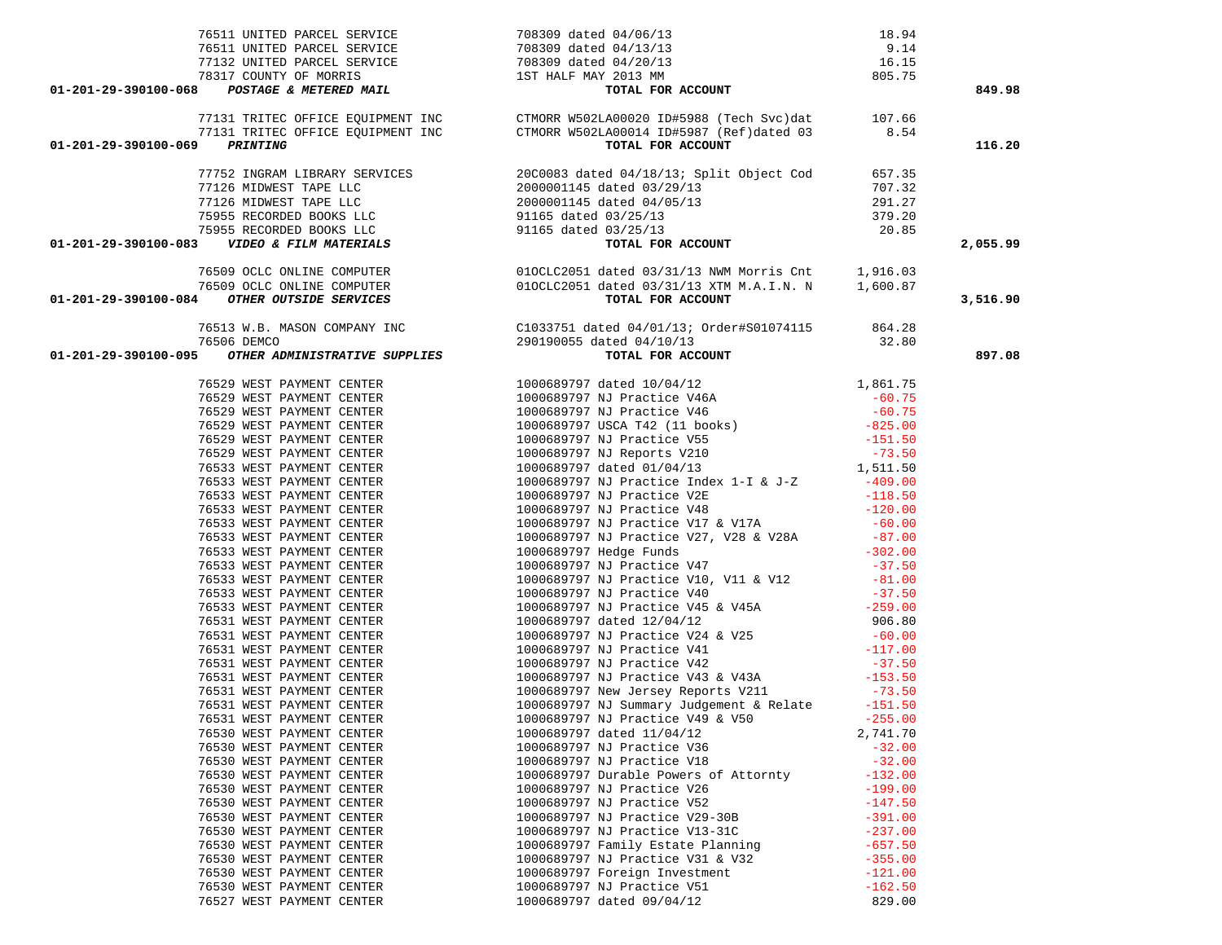| 76511 UNITED PARCEL SERVICE 708309 dated 04/06/13<br>76511 UNITED PARCEL SERVICE 708309 dated 04/13/13<br>77132 UNITED PARCEL SERVICE 708309 dated 04/13/13<br>77132 UNITED PARCEL SERVICE 708309 dated 04/20/13<br>78317 COUNTY OF MO |                                                                                                                                              |                        | 849.98   |
|----------------------------------------------------------------------------------------------------------------------------------------------------------------------------------------------------------------------------------------|----------------------------------------------------------------------------------------------------------------------------------------------|------------------------|----------|
|                                                                                                                                                                                                                                        | 77131 TRITEC OFFICE EQUIPMENT INC<br>77131 TRITEC OFFICE EQUIPMENT INC CTMORR W502LA00014 ID#5987 (Ref)dated 03 8.54<br>2. PRINTING PRINTING |                        |          |
|                                                                                                                                                                                                                                        |                                                                                                                                              |                        |          |
| 01-201-29-390100-069 PRINTING                                                                                                                                                                                                          | TOTAL FOR ACCOUNT                                                                                                                            |                        | 116.20   |
|                                                                                                                                                                                                                                        |                                                                                                                                              |                        |          |
|                                                                                                                                                                                                                                        |                                                                                                                                              |                        |          |
|                                                                                                                                                                                                                                        |                                                                                                                                              |                        |          |
|                                                                                                                                                                                                                                        |                                                                                                                                              |                        |          |
|                                                                                                                                                                                                                                        |                                                                                                                                              |                        |          |
|                                                                                                                                                                                                                                        |                                                                                                                                              |                        |          |
|                                                                                                                                                                                                                                        |                                                                                                                                              |                        | 2,055.99 |
|                                                                                                                                                                                                                                        |                                                                                                                                              |                        |          |
|                                                                                                                                                                                                                                        |                                                                                                                                              |                        |          |
|                                                                                                                                                                                                                                        |                                                                                                                                              |                        | 3,516.90 |
|                                                                                                                                                                                                                                        |                                                                                                                                              |                        |          |
|                                                                                                                                                                                                                                        |                                                                                                                                              |                        |          |
|                                                                                                                                                                                                                                        |                                                                                                                                              |                        | 897.08   |
|                                                                                                                                                                                                                                        |                                                                                                                                              |                        |          |
|                                                                                                                                                                                                                                        |                                                                                                                                              |                        |          |
|                                                                                                                                                                                                                                        |                                                                                                                                              |                        |          |
|                                                                                                                                                                                                                                        |                                                                                                                                              |                        |          |
|                                                                                                                                                                                                                                        |                                                                                                                                              |                        |          |
|                                                                                                                                                                                                                                        |                                                                                                                                              |                        |          |
|                                                                                                                                                                                                                                        |                                                                                                                                              |                        |          |
|                                                                                                                                                                                                                                        |                                                                                                                                              |                        |          |
|                                                                                                                                                                                                                                        |                                                                                                                                              |                        |          |
|                                                                                                                                                                                                                                        |                                                                                                                                              |                        |          |
|                                                                                                                                                                                                                                        |                                                                                                                                              |                        |          |
|                                                                                                                                                                                                                                        |                                                                                                                                              |                        |          |
|                                                                                                                                                                                                                                        |                                                                                                                                              |                        |          |
|                                                                                                                                                                                                                                        |                                                                                                                                              |                        |          |
|                                                                                                                                                                                                                                        |                                                                                                                                              |                        |          |
|                                                                                                                                                                                                                                        |                                                                                                                                              |                        |          |
|                                                                                                                                                                                                                                        |                                                                                                                                              |                        |          |
|                                                                                                                                                                                                                                        |                                                                                                                                              |                        |          |
|                                                                                                                                                                                                                                        |                                                                                                                                              |                        |          |
|                                                                                                                                                                                                                                        |                                                                                                                                              |                        |          |
|                                                                                                                                                                                                                                        |                                                                                                                                              |                        |          |
|                                                                                                                                                                                                                                        |                                                                                                                                              |                        |          |
|                                                                                                                                                                                                                                        |                                                                                                                                              |                        |          |
|                                                                                                                                                                                                                                        |                                                                                                                                              |                        |          |
|                                                                                                                                                                                                                                        |                                                                                                                                              |                        |          |
| 76530 WEST PAYMENT CENTER                                                                                                                                                                                                              | 1000689797 dated 11/04/12<br>1000689797 NJ Practice V36<br>1000689797 NJ Practice V18                                                        | 2,741.70               |          |
| 76530 WEST PAYMENT CENTER                                                                                                                                                                                                              |                                                                                                                                              | $-32.00$               |          |
| 76530 WEST PAYMENT CENTER                                                                                                                                                                                                              |                                                                                                                                              | $-32.00$               |          |
| 76530 WEST PAYMENT CENTER                                                                                                                                                                                                              | 1000689797 Durable Powers of Attornty                                                                                                        | $-132.00$              |          |
| 76530 WEST PAYMENT CENTER                                                                                                                                                                                                              | 1000689797 NJ Practice V26                                                                                                                   | $-199.00$              |          |
| 76530 WEST PAYMENT CENTER                                                                                                                                                                                                              | 1000689797 NJ Practice V52                                                                                                                   | $-147.50$              |          |
| 76530 WEST PAYMENT CENTER                                                                                                                                                                                                              | 1000689797 NJ Practice V29-30B<br>1000689797 NJ Practice V13-31C                                                                             | $-391.00$<br>$-237.00$ |          |
| 76530 WEST PAYMENT CENTER<br>76530 WEST PAYMENT CENTER                                                                                                                                                                                 | 1000689797 Family Estate Planning                                                                                                            |                        |          |
| 76530 WEST PAYMENT CENTER                                                                                                                                                                                                              | 1000689797 NJ Practice V31 & V32                                                                                                             | $-657.50$<br>$-355.00$ |          |
| 76530 WEST PAYMENT CENTER                                                                                                                                                                                                              | 1000689797 Foreign Investment                                                                                                                | $-121.00$              |          |
| 76530 WEST PAYMENT CENTER                                                                                                                                                                                                              | 1000689797 NJ Practice V51                                                                                                                   | $-162.50$              |          |
|                                                                                                                                                                                                                                        |                                                                                                                                              |                        |          |

76527 WEST PAYMENT CENTER 1000689797 dated 09/04/12 829.00

829.00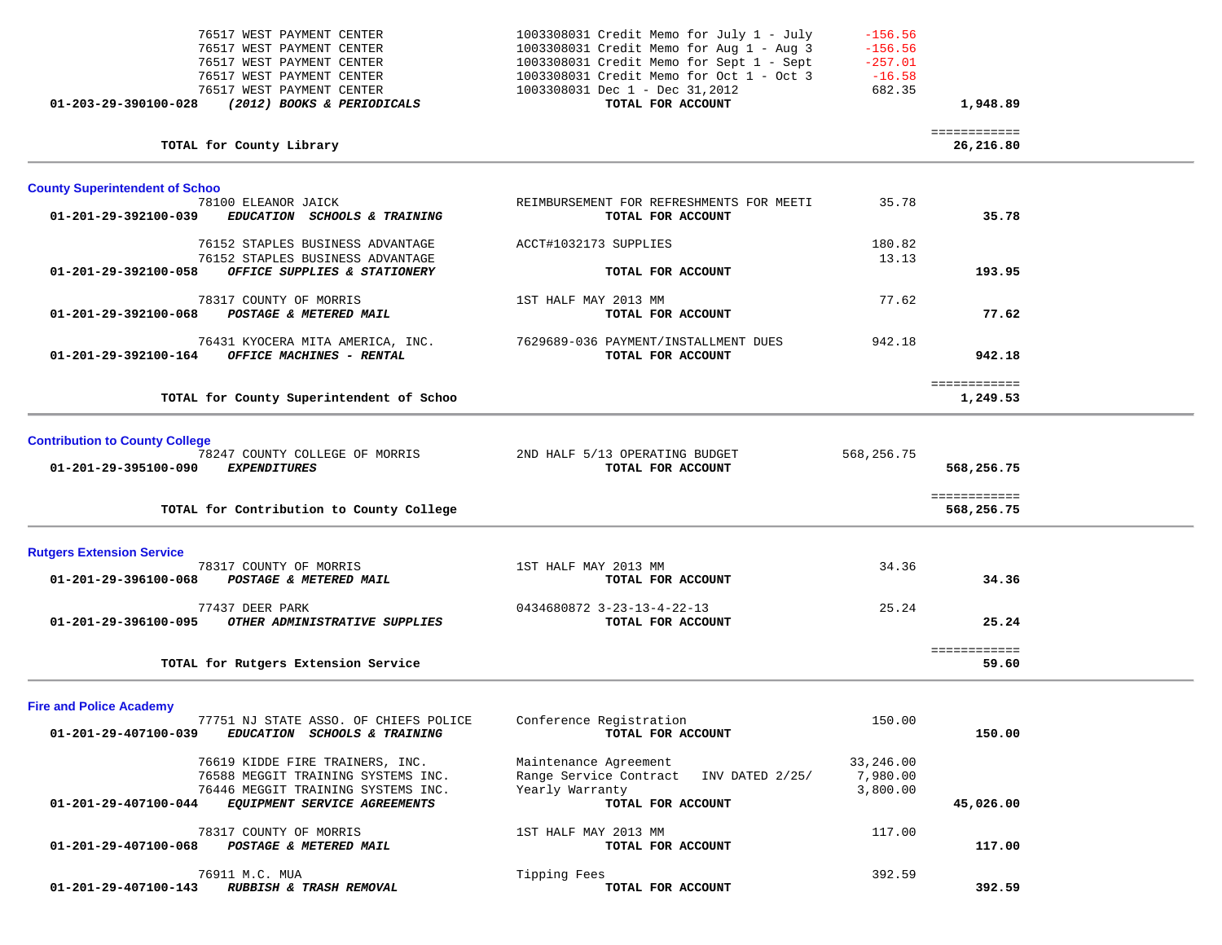| 76517 WEST PAYMENT CENTER<br>76517 WEST PAYMENT CENTER<br>76517 WEST PAYMENT CENTER<br>76517 WEST PAYMENT CENTER<br>76517 WEST PAYMENT CENTER<br>$01 - 203 - 29 - 390100 - 028$ | (2012) BOOKS & PERIODICALS                                            | 1003308031 Credit Memo for July 1 - July<br>1003308031 Credit Memo for Aug 1 - Aug 3<br>1003308031 Credit Memo for Sept 1 - Sept<br>1003308031 Credit Memo for Oct 1 - Oct 3<br>1003308031 Dec 1 - Dec 31,2012<br>TOTAL FOR ACCOUNT | $-156.56$<br>$-156.56$<br>$-257.01$<br>$-16.58$<br>682.35 | 1,948.89                   |  |
|---------------------------------------------------------------------------------------------------------------------------------------------------------------------------------|-----------------------------------------------------------------------|-------------------------------------------------------------------------------------------------------------------------------------------------------------------------------------------------------------------------------------|-----------------------------------------------------------|----------------------------|--|
| TOTAL for County Library                                                                                                                                                        |                                                                       |                                                                                                                                                                                                                                     |                                                           | ============<br>26,216.80  |  |
| <b>County Superintendent of Schoo</b>                                                                                                                                           |                                                                       |                                                                                                                                                                                                                                     |                                                           |                            |  |
| 78100 ELEANOR JAICK<br>01-201-29-392100-039                                                                                                                                     | EDUCATION SCHOOLS & TRAINING                                          | REIMBURSEMENT FOR REFRESHMENTS FOR MEETI<br>TOTAL FOR ACCOUNT                                                                                                                                                                       | 35.78                                                     | 35.78                      |  |
|                                                                                                                                                                                 | 76152 STAPLES BUSINESS ADVANTAGE<br>76152 STAPLES BUSINESS ADVANTAGE  | ACCT#1032173 SUPPLIES                                                                                                                                                                                                               | 180.82<br>13.13                                           |                            |  |
| 01-201-29-392100-058                                                                                                                                                            | OFFICE SUPPLIES & STATIONERY                                          | TOTAL FOR ACCOUNT                                                                                                                                                                                                                   |                                                           | 193.95                     |  |
| 78317 COUNTY OF MORRIS<br>01-201-29-392100-068                                                                                                                                  | POSTAGE & METERED MAIL                                                | 1ST HALF MAY 2013 MM<br>TOTAL FOR ACCOUNT                                                                                                                                                                                           | 77.62                                                     | 77.62                      |  |
| 01-201-29-392100-164                                                                                                                                                            | 76431 KYOCERA MITA AMERICA, INC.<br>OFFICE MACHINES - RENTAL          | 7629689-036 PAYMENT/INSTALLMENT DUES<br>TOTAL FOR ACCOUNT                                                                                                                                                                           | 942.18                                                    | 942.18                     |  |
|                                                                                                                                                                                 | TOTAL for County Superintendent of Schoo                              |                                                                                                                                                                                                                                     |                                                           | ============<br>1,249.53   |  |
| <b>Contribution to County College</b><br>01-201-29-395100-090<br><b>EXPENDITURES</b>                                                                                            | 78247 COUNTY COLLEGE OF MORRIS                                        | 2ND HALF 5/13 OPERATING BUDGET<br>TOTAL FOR ACCOUNT                                                                                                                                                                                 | 568,256.75                                                | 568,256.75                 |  |
|                                                                                                                                                                                 | TOTAL for Contribution to County College                              |                                                                                                                                                                                                                                     |                                                           | ============<br>568,256.75 |  |
| <b>Rutgers Extension Service</b>                                                                                                                                                |                                                                       |                                                                                                                                                                                                                                     |                                                           |                            |  |
| 78317 COUNTY OF MORRIS<br>01-201-29-396100-068                                                                                                                                  | POSTAGE & METERED MAIL                                                | 1ST HALF MAY 2013 MM<br>TOTAL FOR ACCOUNT                                                                                                                                                                                           | 34.36                                                     | 34.36                      |  |
| 77437 DEER PARK<br>01-201-29-396100-095                                                                                                                                         | OTHER ADMINISTRATIVE SUPPLIES                                         | 0434680872 3-23-13-4-22-13<br>TOTAL FOR ACCOUNT                                                                                                                                                                                     | 25.24                                                     | 25.24                      |  |
| TOTAL for Rutgers Extension Service                                                                                                                                             |                                                                       |                                                                                                                                                                                                                                     |                                                           | ============<br>59.60      |  |
| <b>Fire and Police Academy</b>                                                                                                                                                  |                                                                       |                                                                                                                                                                                                                                     |                                                           |                            |  |
| 01-201-29-407100-039                                                                                                                                                            | 77751 NJ STATE ASSO. OF CHIEFS POLICE<br>EDUCATION SCHOOLS & TRAINING | Conference Registration<br>TOTAL FOR ACCOUNT                                                                                                                                                                                        | 150.00                                                    | 150.00                     |  |
|                                                                                                                                                                                 | 76619 KIDDE FIRE TRAINERS, INC.<br>76588 MEGGIT TRAINING SYSTEMS INC. | Maintenance Agreement<br>Range Service Contract<br>INV DATED 2/25/                                                                                                                                                                  | 33,246.00<br>7,980.00                                     |                            |  |
| 01-201-29-407100-044                                                                                                                                                            | 76446 MEGGIT TRAINING SYSTEMS INC.<br>EQUIPMENT SERVICE AGREEMENTS    | Yearly Warranty<br>TOTAL FOR ACCOUNT                                                                                                                                                                                                | 3,800.00                                                  | 45,026.00                  |  |
| 78317 COUNTY OF MORRIS<br>$01.201.20.407100.000$ $0.00$ $0.000300$ $0.000000$ $0.000000$                                                                                        |                                                                       | 1ST HALF MAY 2013 MM<br><b>MORAT ROD ACCOUNT</b>                                                                                                                                                                                    | 117.00                                                    | 117700                     |  |

01-201-29-407100-068 *POSTAGE & METERED MAIL TOTAL FOR ACCOUNT* 117.00 76911 M.C. MUA Tipping Fees 392.59  **01-201-29-407100-143** *RUBBISH & TRASH REMOVAL* **TOTAL FOR ACCOUNT 392.59**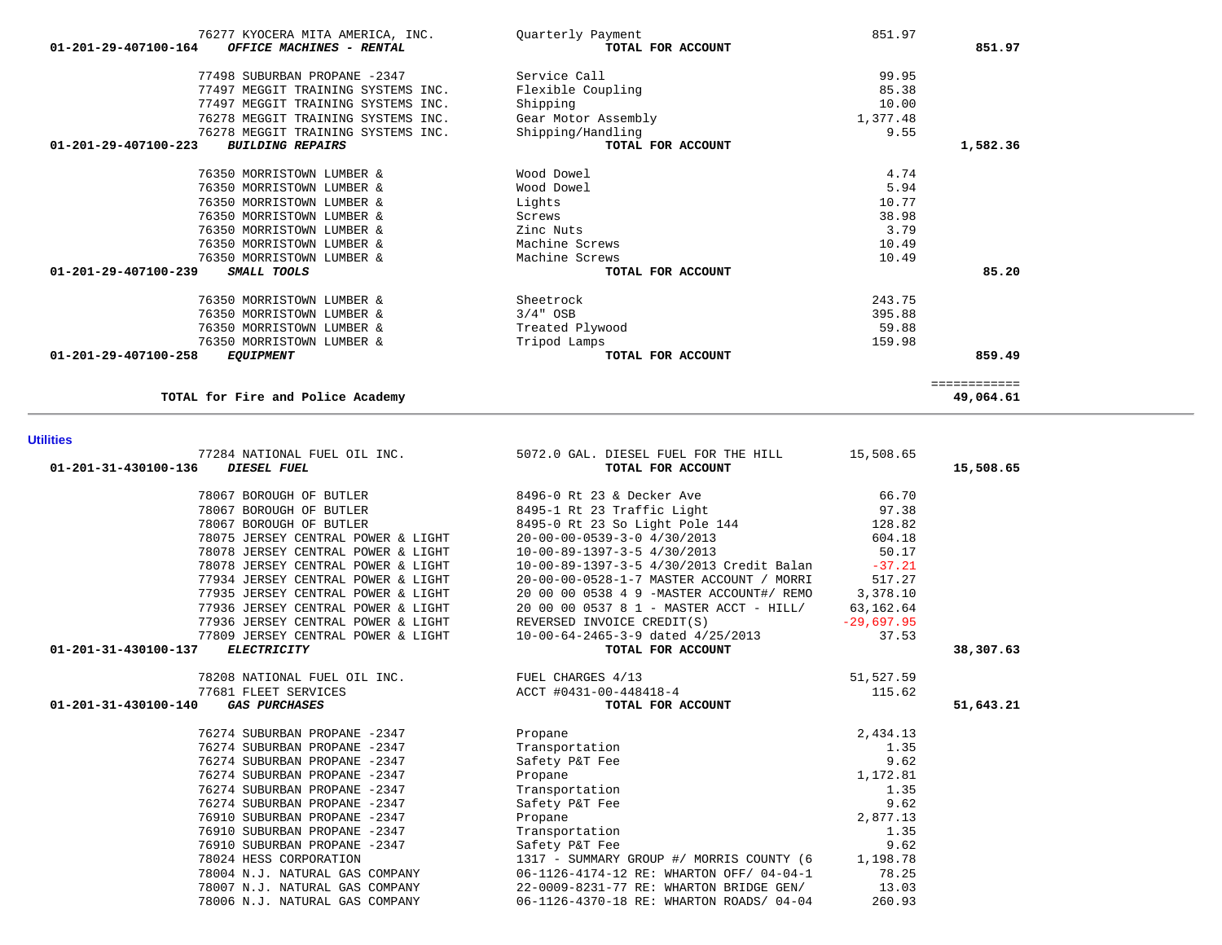| 01-201-31-430100-136 DIESEL FUEL   | 77284 NATIONAL FUEL OIL INC. 5072.0 GAL. DIESEL FUEL FOR THE HILL 5,508.65<br>TOTAL FOR ACCOUNT                                                                                                                                                      |           | 15,508.65 |
|------------------------------------|------------------------------------------------------------------------------------------------------------------------------------------------------------------------------------------------------------------------------------------------------|-----------|-----------|
|                                    | 78067 BOROUGH OF BUTLER 66.70 8496-0 Rt 23 & Decker Ave 66.70                                                                                                                                                                                        |           |           |
|                                    | 1999 BOROUGH OF BUTLER<br>1996 TRESPORT SON STATE STATE STATE STATE STATE STATE STATE STATE STATE STATE STATE STATE STATE STATE STATE S<br>1998 TRESPORT SON STATE STATE STATE STATE STATE STATE STATE STATE STATE STATE STATE STA                   |           |           |
|                                    |                                                                                                                                                                                                                                                      |           |           |
|                                    | 604.18<br>78075 JERSEY CENTRAL POWER & LIGHT 20-00-00-0539-3-0 4/30/2013                                                                                                                                                                             |           |           |
|                                    | 78078 JERSEY CENTRAL POWER & LIGHT 10-00-89-1397-3-5 4/30/2013                                                                                                                                                                                       | 50.17     |           |
|                                    | 78078 JERSEY CENTRAL POWER & LIGHT 10-00-89-1397-3-5 4/30/2013 Credit Balan -37.21                                                                                                                                                                   |           |           |
| 77934 JERSEY CENTRAL POWER & LIGHT | 20-00-00-0528-1-7 MASTER ACCOUNT / MORRI                                                                                                                                                                                                             | 517.27    |           |
| 77935 JERSEY CENTRAL POWER & LIGHT | 20 00 00 0538 4 9 - MASTER ACCOUNT# / REMO 3,378.10                                                                                                                                                                                                  |           |           |
| 77936 JERSEY CENTRAL POWER & LIGHT | 20 00 00 0537 8 1 - MASTER ACCT - HILL/ 63,162.64                                                                                                                                                                                                    |           |           |
|                                    | 77936 JERSEY CENTRAL POWER & LIGHT REVERSED INVOICE CREDIT(S)<br>$-29,697.95$                                                                                                                                                                        |           |           |
|                                    |                                                                                                                                                                                                                                                      |           |           |
| 01-201-31-430100-137               | 77809 JERSEY CENTRAL POWER & LIGHT<br>77809 JERSEY CENTRAL POWER & LIGHT<br><b>TOTAL FOR ACCOUNT</b>                                                                                                                                                 |           | 38,307.63 |
|                                    |                                                                                                                                                                                                                                                      | 51,527.59 |           |
|                                    |                                                                                                                                                                                                                                                      | 115.62    |           |
| 01-201-31-430100-140               | TOTAL FOR ACCOUNT<br>Propane<br>Transportation<br>The Section<br>Transportation<br>The Contraction<br>The Section<br>The Section<br>The Section<br>The Section<br>The Section<br>The Section<br>The Section<br>The Section<br>The Section<br>The Sec |           | 51,643.21 |
| 76274 SUBURBAN PROPANE -2347       |                                                                                                                                                                                                                                                      | 2,434.13  |           |
| 76274 SUBURBAN PROPANE -2347       |                                                                                                                                                                                                                                                      | 1.35      |           |
| 76274 SUBURBAN PROPANE -2347       |                                                                                                                                                                                                                                                      | 9.62      |           |
| 76274 SUBURBAN PROPANE -2347       |                                                                                                                                                                                                                                                      | 1,172.81  |           |
| 76274 SUBURBAN PROPANE -2347       |                                                                                                                                                                                                                                                      | 1.35      |           |
| 76274 SUBURBAN PROPANE -2347       |                                                                                                                                                                                                                                                      | 9.62      |           |
| 76910 SUBURBAN PROPANE -2347       |                                                                                                                                                                                                                                                      | 2,877.13  |           |
| 76910 SUBURBAN PROPANE -2347       |                                                                                                                                                                                                                                                      | 1.35      |           |
| 76910 SUBURBAN PROPANE -2347       |                                                                                                                                                                                                                                                      | 9.62      |           |
| 78024 HESS CORPORATION             | 1317 - SUMMARY GROUP #/ MORRIS COUNTY (6 1,198.78                                                                                                                                                                                                    |           |           |
|                                    | 78004 N.J. NATURAL GAS COMPANY 06-1126-4174-12 RE: WHARTON OFF/04-04-1                                                                                                                                                                               | 78.25     |           |
| 78007 N.J. NATURAL GAS COMPANY     | 22-0009-8231-77 RE: WHARTON BRIDGE GEN/                                                                                                                                                                                                              | 13.03     |           |
| 78006 N.J. NATURAL GAS COMPANY     | 06-1126-4370-18 RE: WHARTON ROADS/ 04-04                                                                                                                                                                                                             | 260.93    |           |

### **Utilities**

| 76277 KYOCERA MITA AMERICA, INC.                           | Ouarterly Payment   | 851.97   |              |
|------------------------------------------------------------|---------------------|----------|--------------|
| $01 - 201 - 29 - 407100 - 164$<br>OFFICE MACHINES - RENTAL | TOTAL FOR ACCOUNT   |          | 851.97       |
| 77498 SUBURBAN PROPANE -2347                               | Service Call        | 99.95    |              |
| 77497 MEGGIT TRAINING SYSTEMS INC.                         | Flexible Coupling   | 85.38    |              |
| 77497 MEGGIT TRAINING SYSTEMS INC.                         | Shipping            | 10.00    |              |
| 76278 MEGGIT TRAINING SYSTEMS INC.                         | Gear Motor Assembly | 1,377.48 |              |
| 76278 MEGGIT TRAINING SYSTEMS INC.                         | Shipping/Handling   | 9.55     |              |
| $01 - 201 - 29 - 407100 - 223$<br><b>BUILDING REPAIRS</b>  | TOTAL FOR ACCOUNT   |          | 1,582.36     |
| 76350 MORRISTOWN LUMBER &                                  | Wood Dowel          | 4.74     |              |
| 76350 MORRISTOWN LUMBER &                                  | Wood Dowel          | 5.94     |              |
| 76350 MORRISTOWN LUMBER &                                  | Lights              | 10.77    |              |
| 76350 MORRISTOWN LUMBER &                                  | Screws              | 38.98    |              |
| 76350 MORRISTOWN LUMBER &                                  | Zinc Nuts           | 3.79     |              |
| 76350 MORRISTOWN LUMBER &                                  | Machine Screws      | 10.49    |              |
| 76350 MORRISTOWN LUMBER &                                  | Machine Screws      | 10.49    |              |
| 01-201-29-407100-239<br>SMALL TOOLS                        | TOTAL FOR ACCOUNT   |          | 85.20        |
| 76350 MORRISTOWN LUMBER &                                  | Sheetrock           | 243.75   |              |
| 76350 MORRISTOWN LUMBER &                                  | $3/4"$ OSB          | 395.88   |              |
| 76350 MORRISTOWN LUMBER &                                  | Treated Plywood     | 59.88    |              |
| 76350 MORRISTOWN LUMBER &                                  | Tripod Lamps        | 159.98   |              |
| $01 - 201 - 29 - 407100 - 258$<br><i>EQUIPMENT</i>         | TOTAL FOR ACCOUNT   |          | 859.49       |
|                                                            |                     |          | ============ |
| TOTAL for Fire and Police Academy                          |                     |          | 49,064.61    |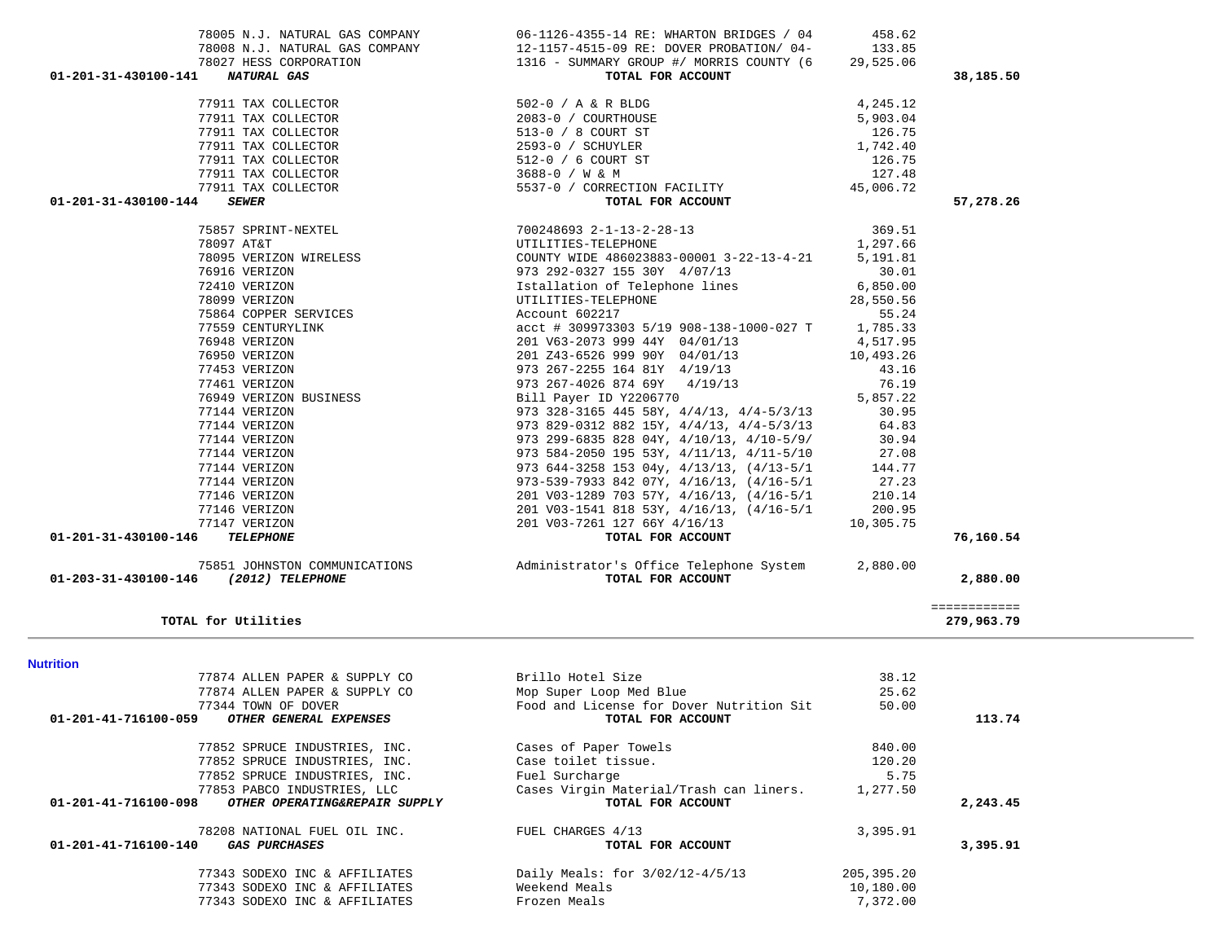| <b>Nutrition</b>                                              |                                          |            |          |
|---------------------------------------------------------------|------------------------------------------|------------|----------|
| 77874 ALLEN PAPER & SUPPLY CO                                 | Brillo Hotel Size                        | 38.12      |          |
| 77874 ALLEN PAPER & SUPPLY CO                                 | Mop Super Loop Med Blue                  | 25.62      |          |
| 77344 TOWN OF DOVER                                           | Food and License for Dover Nutrition Sit | 50.00      |          |
| 01-201-41-716100-059<br>OTHER GENERAL EXPENSES                | TOTAL FOR ACCOUNT                        |            | 113.74   |
| 77852 SPRUCE INDUSTRIES, INC.                                 | Cases of Paper Towels                    | 840.00     |          |
| 77852 SPRUCE INDUSTRIES, INC.                                 | Case toilet tissue.                      | 120.20     |          |
| 77852 SPRUCE INDUSTRIES, INC.                                 | Fuel Surcharge                           | 5.75       |          |
| 77853 PABCO INDUSTRIES, LLC                                   | Cases Virgin Material/Trash can liners.  | 1,277.50   |          |
| 01-201-41-716100-098<br>OTHER OPERATING&REPAIR SUPPLY         | TOTAL FOR ACCOUNT                        |            | 2,243.45 |
| 78208 NATIONAL FUEL OIL INC.                                  | FUEL CHARGES 4/13                        | 3,395.91   |          |
| $01 - 201 - 41 - 716100 - 140$<br><i><b>GAS PURCHASES</b></i> | TOTAL FOR ACCOUNT                        |            | 3,395.91 |
| 77343 SODEXO INC & AFFILIATES                                 | Daily Meals: for $3/02/12-4/5/13$        | 205,395.20 |          |
| 77343 SODEXO INC & AFFILIATES                                 | Weekend Meals                            | 10,180.00  |          |
| 77343 SODEXO INC & AFFILIATES                                 | Frozen Meals                             | 7,372.00   |          |
|                                                               |                                          |            |          |

| 78027 HESS CORPORATION                     | 1316 - SUMMARY GROUP #/ MORRIS COUNTY (6                                                                                                                                                                                                                                                                                                                                                                      | 29,525.06 |                            |
|--------------------------------------------|---------------------------------------------------------------------------------------------------------------------------------------------------------------------------------------------------------------------------------------------------------------------------------------------------------------------------------------------------------------------------------------------------------------|-----------|----------------------------|
| 01-201-31-430100-141<br><b>NATURAL GAS</b> | TOTAL FOR ACCOUNT                                                                                                                                                                                                                                                                                                                                                                                             |           | 38,185.50                  |
|                                            | $\begin{array}{lllllllllllllllllllllll} \text{77911 TAX COLLECTOR} & & & & & & 502-0 & / \text{ A & \& \text{R} \text{ BLDG} & & & & 4,245.12 \\ \text{77911 TAX COLLECTOR} & & & & & & 2083-0 & / \text{ COURTHOUSE} & & & & 5,903.04 \\ \text{77911 TAX COLLECTOR} & & & & & & 513-0 & / \text{ 8} \text{ COURT ST} & & & 126.75 \\ \text{77911 TAX COLLECTOR} & & & & & & 2593-0 & / \text{ SCHUVLER} & &$ |           |                            |
|                                            |                                                                                                                                                                                                                                                                                                                                                                                                               |           |                            |
|                                            |                                                                                                                                                                                                                                                                                                                                                                                                               |           |                            |
|                                            |                                                                                                                                                                                                                                                                                                                                                                                                               |           |                            |
|                                            |                                                                                                                                                                                                                                                                                                                                                                                                               |           |                            |
|                                            |                                                                                                                                                                                                                                                                                                                                                                                                               |           |                            |
| 77911 TAX COLLECTOR                        |                                                                                                                                                                                                                                                                                                                                                                                                               | 45,006.72 |                            |
| 01-201-31-430100-144<br><b>SEWER</b>       | 2593-0 / SCHUYLER<br>512-0 / 6 COURT ST<br>3688-0 / W & M<br>5537-0 / CORRECTION FACILITY<br>TOTAL FOR ACCOUNT<br>TOTAL FOR ACCOUNT                                                                                                                                                                                                                                                                           |           | 57,278.26                  |
|                                            |                                                                                                                                                                                                                                                                                                                                                                                                               | 369.51    |                            |
|                                            |                                                                                                                                                                                                                                                                                                                                                                                                               | 1,297.66  |                            |
|                                            | COUNTY WIDE 486023883-00001 3-22-13-4-21 5,191.81                                                                                                                                                                                                                                                                                                                                                             |           |                            |
|                                            |                                                                                                                                                                                                                                                                                                                                                                                                               |           |                            |
|                                            | 973 292-0327 155 30Y 4/07/13 30.01<br>Istallation of Telephone lines 6,850.00                                                                                                                                                                                                                                                                                                                                 |           |                            |
|                                            | $28,550.56$<br>55.24                                                                                                                                                                                                                                                                                                                                                                                          |           |                            |
|                                            |                                                                                                                                                                                                                                                                                                                                                                                                               | 55.24     |                            |
|                                            | $\text{acct}$ # 309973303 5/19 908-138-1000-027 T 1,785.33                                                                                                                                                                                                                                                                                                                                                    |           |                            |
|                                            | 201 V63-2073 999 44Y 04/01/13 4,517.95                                                                                                                                                                                                                                                                                                                                                                        |           |                            |
|                                            |                                                                                                                                                                                                                                                                                                                                                                                                               | 10,493.26 |                            |
|                                            |                                                                                                                                                                                                                                                                                                                                                                                                               |           |                            |
|                                            |                                                                                                                                                                                                                                                                                                                                                                                                               |           |                            |
|                                            | 973 267-2255 164 81Y 4/19/13<br>973 267-4026 874 69Y 4/19/13<br>Bill Payer ID Y2206770<br>973 328-3165 445 58Y, 4/4/13, 4/4-5/3/13<br>30.95                                                                                                                                                                                                                                                                   |           |                            |
|                                            |                                                                                                                                                                                                                                                                                                                                                                                                               |           |                            |
|                                            | 973 829-0312 882 15Y, $4/4/13$ , $4/4-5/3/13$ 64.83                                                                                                                                                                                                                                                                                                                                                           |           |                            |
|                                            |                                                                                                                                                                                                                                                                                                                                                                                                               |           |                            |
|                                            |                                                                                                                                                                                                                                                                                                                                                                                                               |           |                            |
|                                            | 973 299-6835 828 04Y, 4/10/13, 4/10-5/9/ 30.94<br>973 584-2050 195 53Y, 4/11/13, 4/11-5/10 27.08<br>973 644-3258 153 04y, 4/13/13, (4/13-5/1 144.77                                                                                                                                                                                                                                                           |           |                            |
|                                            | 973-539-7933 842 07Y, $4/16/13$ , $(4/16-5/1$ 27.23                                                                                                                                                                                                                                                                                                                                                           |           |                            |
|                                            | 201 V03-1289 703 57Y, 4/16/13, (4/16-5/1                                                                                                                                                                                                                                                                                                                                                                      | 210.14    |                            |
|                                            |                                                                                                                                                                                                                                                                                                                                                                                                               |           |                            |
|                                            | $\begin{array}{cccc} 201 & \texttt{V03--1541} & 818 & 53\texttt{Y}, & 4/16/13\,, & (4/16-5/1 & 200.95 \\ 201 & \texttt{V03--7261} & 127 & 66\texttt{Y} & 4/16/13 & 10\,, 305\,.75 \end{array}$                                                                                                                                                                                                                |           |                            |
| 01-201-31-430100-146<br><b>TELEPHONE</b>   | 201 V03-7261 127 66Y 4/16/13<br><b>TOTAL FOR ACCOUNT</b>                                                                                                                                                                                                                                                                                                                                                      |           | 76,160.54                  |
|                                            | 75851 JOHNSTON COMMUNICATIONS Administrator's Office Telephone System 2,880.00                                                                                                                                                                                                                                                                                                                                |           |                            |
| 01-203-31-430100-146 (2012) TELEPHONE      | TOTAL FOR ACCOUNT                                                                                                                                                                                                                                                                                                                                                                                             |           | 2,880.00                   |
| TOTAL for Utilities                        |                                                                                                                                                                                                                                                                                                                                                                                                               |           | ============<br>279,963.79 |

78005 N.J. NATURAL GAS COMPANY 06-1126-4355-14 RE: WHARTON BRIDGES / 04 458.62

78008 N.J. NATURAL GAS COMPANY 12-1157-4515-09 RE: DOVER PROBATION/ 04-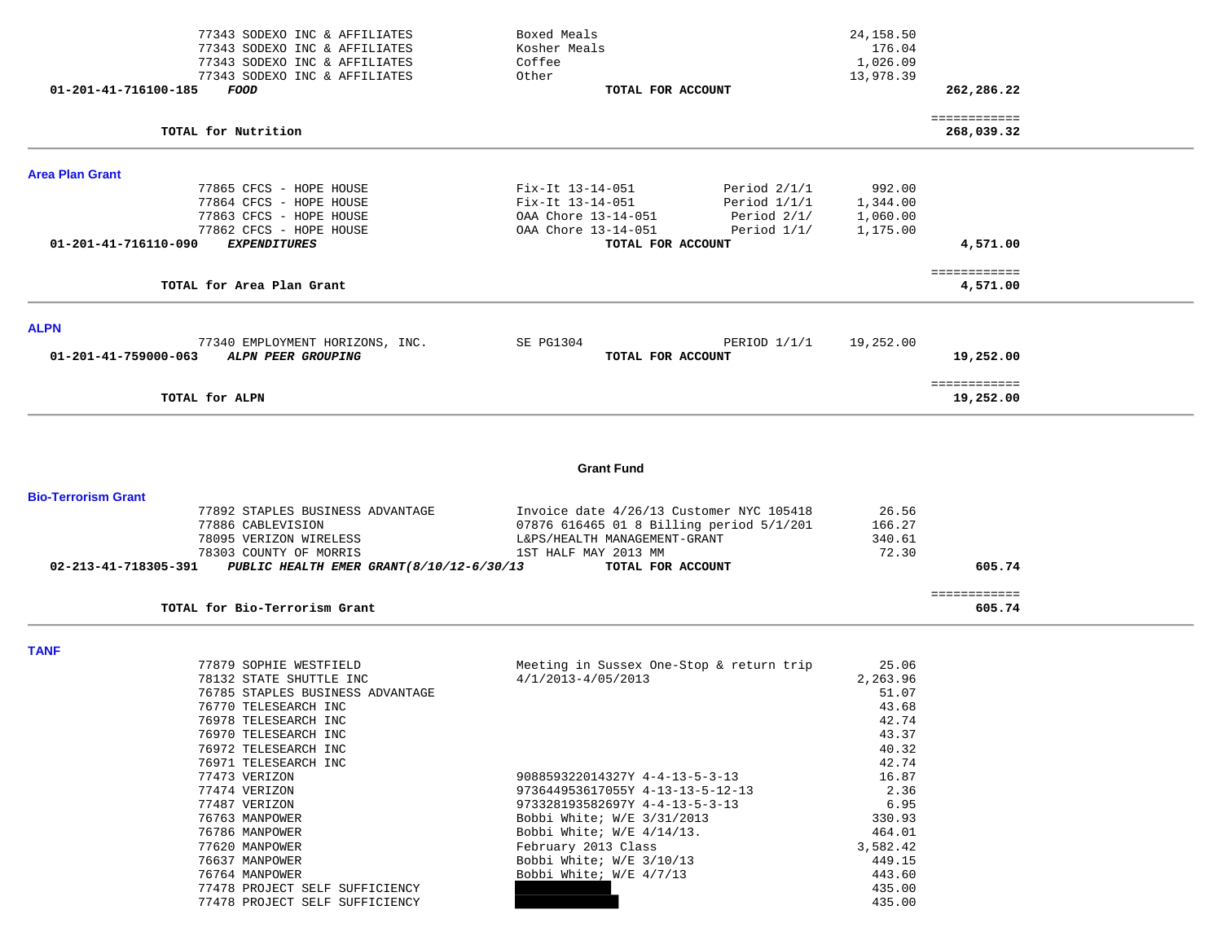| 01-201-41-716100-185       | 77343 SODEXO INC & AFFILIATES<br>77343 SODEXO INC & AFFILIATES<br>77343 SODEXO INC & AFFILIATES<br>77343 SODEXO INC & AFFILIATES<br>FOOD | Boxed Meals<br>Kosher Meals<br>Coffee<br>Other<br>TOTAL FOR ACCOUNT |                | 24, 158.50<br>176.04<br>1,026.09<br>13,978.39 | 262,286.22             |  |
|----------------------------|------------------------------------------------------------------------------------------------------------------------------------------|---------------------------------------------------------------------|----------------|-----------------------------------------------|------------------------|--|
|                            |                                                                                                                                          |                                                                     |                |                                               | ============           |  |
|                            | TOTAL for Nutrition                                                                                                                      |                                                                     |                |                                               | 268,039.32             |  |
| <b>Area Plan Grant</b>     |                                                                                                                                          |                                                                     |                |                                               |                        |  |
|                            | 77865 CFCS - HOPE HOUSE                                                                                                                  | Fix-It 13-14-051                                                    | Period $2/1/1$ | 992.00                                        |                        |  |
|                            | 77864 CFCS - HOPE HOUSE                                                                                                                  | Fix-It 13-14-051                                                    | Period $1/1/1$ | 1,344.00                                      |                        |  |
|                            | 77863 CFCS - HOPE HOUSE                                                                                                                  | OAA Chore 13-14-051                                                 | Period 2/1/    | 1,060.00                                      |                        |  |
|                            | 77862 CFCS - HOPE HOUSE                                                                                                                  | OAA Chore 13-14-051                                                 | Period $1/1/$  | 1,175.00                                      |                        |  |
| 01-201-41-716110-090       | <b>EXPENDITURES</b>                                                                                                                      | TOTAL FOR ACCOUNT                                                   |                |                                               | 4,571.00               |  |
|                            |                                                                                                                                          |                                                                     |                |                                               | ============           |  |
|                            | TOTAL for Area Plan Grant                                                                                                                |                                                                     |                |                                               | 4,571.00               |  |
| <b>ALPN</b>                |                                                                                                                                          |                                                                     |                |                                               |                        |  |
|                            | 77340 EMPLOYMENT HORIZONS, INC.                                                                                                          | SE PG1304                                                           | PERIOD $1/1/1$ | 19,252.00                                     |                        |  |
| 01-201-41-759000-063       | ALPN PEER GROUPING                                                                                                                       | TOTAL FOR ACCOUNT                                                   |                |                                               | 19,252.00              |  |
|                            |                                                                                                                                          |                                                                     |                |                                               | ============           |  |
|                            | TOTAL for ALPN                                                                                                                           |                                                                     |                |                                               | 19,252.00              |  |
|                            |                                                                                                                                          | <b>Grant Fund</b>                                                   |                |                                               |                        |  |
| <b>Bio-Terrorism Grant</b> |                                                                                                                                          |                                                                     |                |                                               |                        |  |
|                            | 77892 STAPLES BUSINESS ADVANTAGE                                                                                                         | Invoice date 4/26/13 Customer NYC 105418                            |                | 26.56                                         |                        |  |
|                            | 77886 CABLEVISION                                                                                                                        | 07876 616465 01 8 Billing period 5/1/201                            |                | 166.27                                        |                        |  |
|                            | 78095 VERIZON WIRELESS                                                                                                                   | L&PS/HEALTH MANAGEMENT-GRANT                                        |                | 340.61                                        |                        |  |
|                            | 78303 COUNTY OF MORRIS                                                                                                                   | 1ST HALF MAY 2013 MM                                                |                | 72.30                                         |                        |  |
| 02-213-41-718305-391       | PUBLIC HEALTH EMER GRANT (8/10/12-6/30/13                                                                                                | TOTAL FOR ACCOUNT                                                   |                |                                               | 605.74                 |  |
|                            | TOTAL for Bio-Terrorism Grant                                                                                                            |                                                                     |                |                                               | ============<br>605.74 |  |
|                            |                                                                                                                                          |                                                                     |                |                                               |                        |  |
| <b>TANF</b>                |                                                                                                                                          |                                                                     |                |                                               |                        |  |
|                            | 77879 SOPHIE WESTFIELD                                                                                                                   | Meeting in Sussex One-Stop & return trip                            |                | 25.06                                         |                        |  |
|                            | 78132 STATE SHUTTLE INC                                                                                                                  | $4/1/2013 - 4/05/2013$                                              |                | 2,263.96                                      |                        |  |
|                            | 76785 STAPLES BUSINESS ADVANTAGE<br>76770 TELECEADOU INC                                                                                 |                                                                     |                | 51.07<br>4268                                 |                        |  |
|                            |                                                                                                                                          |                                                                     |                |                                               |                        |  |

| 76770 TELESEARCH INC           |                                  | 43.68    |
|--------------------------------|----------------------------------|----------|
| 76978 TELESEARCH INC           |                                  | 42.74    |
| 76970 TELESEARCH INC           |                                  | 43.37    |
| 76972 TELESEARCH INC           |                                  | 40.32    |
| 76971 TELESEARCH INC           |                                  | 42.74    |
| 77473 VERIZON                  | 908859322014327Y 4-4-13-5-3-13   | 16.87    |
| 77474 VERIZON                  | 973644953617055Y 4-13-13-5-12-13 | 2.36     |
| 77487 VERIZON                  | 973328193582697Y 4-4-13-5-3-13   | 6.95     |
| 76763 MANPOWER                 | Bobbi White; W/E 3/31/2013       | 330.93   |
| 76786 MANPOWER                 | Bobbi White; $W/E = 4/14/13$ .   | 464.01   |
| 77620 MANPOWER                 | February 2013 Class              | 3,582.42 |
| 76637 MANPOWER                 | Bobbi White; W/E 3/10/13         | 449.15   |
| 76764 MANPOWER                 | Bobbi White; W/E 4/7/13          | 443.60   |
| 77478 PROJECT SELF SUFFICIENCY |                                  | 435.00   |
| 77478 PROJECT SELF SUFFICIENCY |                                  | 435.00   |
|                                |                                  |          |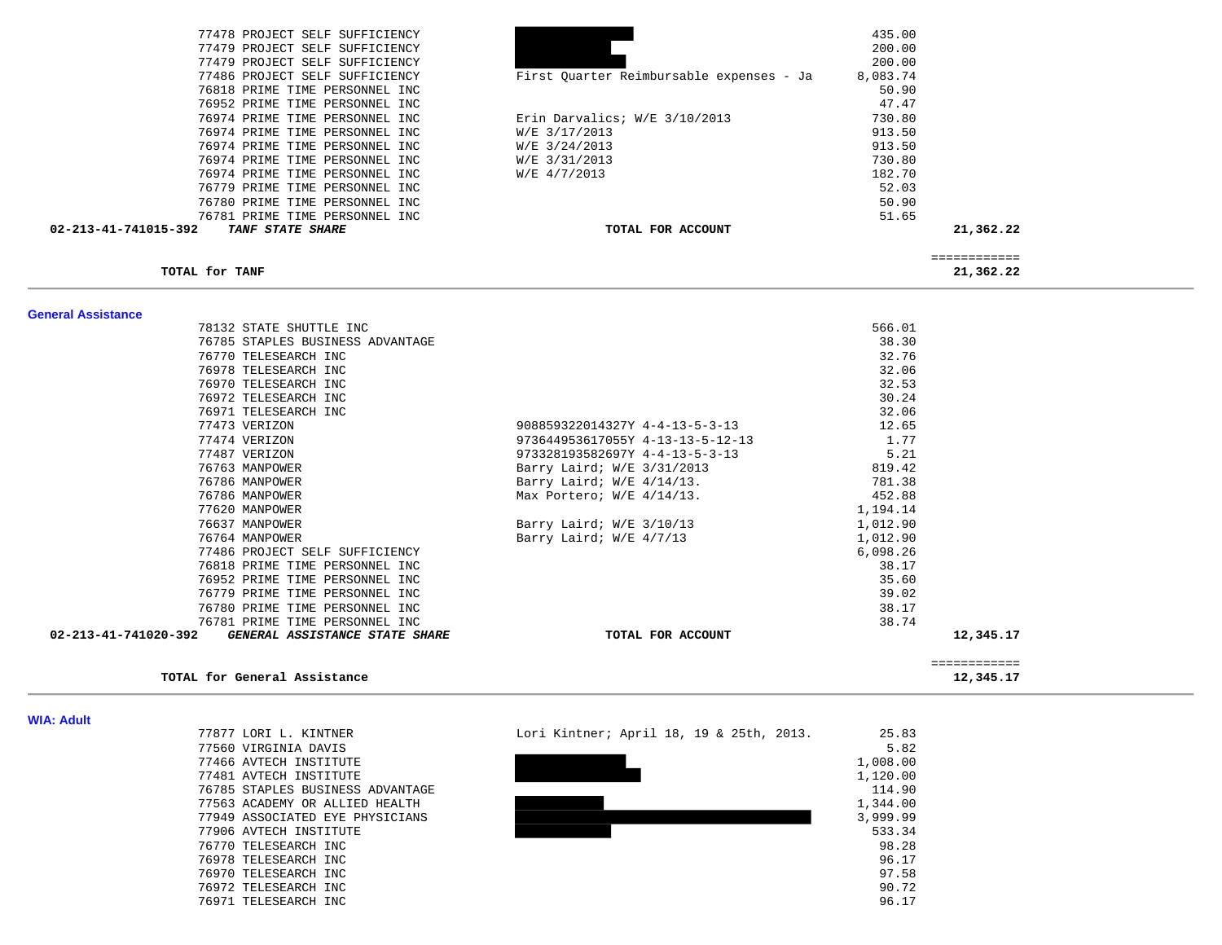| 77478 PROJECT SELF SUFFICIENCY                  |                                          | 435.00    |  |
|-------------------------------------------------|------------------------------------------|-----------|--|
| 77479 PROJECT SELF SUFFICIENCY                  |                                          | 200.00    |  |
| 77479 PROJECT SELF SUFFICIENCY                  |                                          | 200.00    |  |
| 77486 PROJECT SELF SUFFICIENCY                  | First Quarter Reimbursable expenses - Ja | 8,083.74  |  |
| 76818 PRIME TIME PERSONNEL INC                  |                                          | 50.90     |  |
| 76952 PRIME TIME PERSONNEL INC                  |                                          | 47.47     |  |
| 76974 PRIME TIME PERSONNEL INC                  | Erin Darvalics; W/E 3/10/2013            | 730.80    |  |
| 76974 PRIME TIME PERSONNEL INC                  | W/E 3/17/2013                            | 913.50    |  |
| 76974 PRIME TIME PERSONNEL INC                  | W/E 3/24/2013                            | 913.50    |  |
| 76974 PRIME TIME PERSONNEL INC                  | W/E 3/31/2013                            | 730.80    |  |
| 76974 PRIME TIME PERSONNEL INC                  | W/E 4/7/2013                             | 182.70    |  |
| 76779 PRIME TIME PERSONNEL INC                  |                                          | 52.03     |  |
| 76780 PRIME TIME PERSONNEL INC                  |                                          | 50.90     |  |
| 76781 PRIME TIME PERSONNEL INC                  |                                          | 51.65     |  |
| 02-213-41-741015-392<br><b>TANF STATE SHARE</b> | TOTAL FOR ACCOUNT                        | 21,362.22 |  |
|                                                 |                                          |           |  |

============

TOTAL for TANF

21,362.22

| <b>General Assistance</b>                           |                                  |          |              |
|-----------------------------------------------------|----------------------------------|----------|--------------|
| 78132 STATE SHUTTLE INC                             |                                  | 566.01   |              |
| 76785 STAPLES BUSINESS ADVANTAGE                    |                                  | 38.30    |              |
| 76770 TELESEARCH INC                                |                                  | 32.76    |              |
| 76978 TELESEARCH INC                                |                                  | 32.06    |              |
| 76970 TELESEARCH INC                                |                                  | 32.53    |              |
| 76972 TELESEARCH INC                                |                                  | 30.24    |              |
| 76971 TELESEARCH INC                                |                                  | 32.06    |              |
| 77473 VERIZON                                       | 908859322014327Y 4-4-13-5-3-13   | 12.65    |              |
| 77474 VERIZON                                       | 973644953617055Y 4-13-13-5-12-13 | 1.77     |              |
| 77487 VERIZON                                       | 973328193582697Y 4-4-13-5-3-13   | 5.21     |              |
| 76763 MANPOWER                                      | Barry Laird; W/E 3/31/2013       | 819.42   |              |
| 76786 MANPOWER                                      | Barry Laird; W/E 4/14/13.        | 781.38   |              |
| 76786 MANPOWER                                      | Max Portero; $W/E$ 4/14/13.      | 452.88   |              |
| 77620 MANPOWER                                      |                                  | 1,194.14 |              |
| 76637 MANPOWER                                      | Barry Laird; W/E 3/10/13         | 1,012.90 |              |
| 76764 MANPOWER                                      | Barry Laird; W/E 4/7/13          | 1,012.90 |              |
| 77486 PROJECT SELF SUFFICIENCY                      |                                  | 6,098.26 |              |
| 76818 PRIME TIME PERSONNEL INC                      |                                  | 38.17    |              |
| 76952 PRIME TIME PERSONNEL INC                      |                                  | 35.60    |              |
| 76779 PRIME TIME PERSONNEL INC                      |                                  | 39.02    |              |
| 76780 PRIME TIME PERSONNEL INC                      |                                  | 38.17    |              |
| 76781 PRIME TIME PERSONNEL INC                      |                                  | 38.74    |              |
| 02-213-41-741020-392 GENERAL ASSISTANCE STATE SHARE | TOTAL FOR ACCOUNT                |          | 12,345.17    |
|                                                     |                                  |          | ============ |
| TOTAL for General Assistance                        |                                  |          | 12,345.17    |

#### **WIA: Adult**

| 77877 LORI L. KINTNER            |
|----------------------------------|
| 77560 VIRGINIA DAVIS             |
| 77466 AVTECH INSTITUTE           |
| 77481 AVTECH INSTITUTE           |
| 76785 STAPLES BUSINESS ADVANTAGE |
| 77563 ACADEMY OR ALLIED HEALTH   |
| 77949 ASSOCIATED EYE PHYSICIANS  |
| 77906 AVTECH INSTITUTE           |
| 76770 TELESEARCH INC             |
| 76978 TELESEARCH INC             |
| 76970 TELESEARCH INC             |
| 76972 TELESEARCH INC             |
| 76971 TELESEARCH INC             |

| 77877 LORI L. KINTNER            | Lori Kintner; April 18, 19 & 25th, 2013. | 25.83    |
|----------------------------------|------------------------------------------|----------|
| 77560 VIRGINIA DAVIS             |                                          | 5.82     |
| 77466 AVTECH INSTITUTE           |                                          | 1,008.00 |
| 77481 AVTECH INSTITUTE           |                                          | 1,120.00 |
| 76785 STAPLES BUSINESS ADVANTAGE |                                          | 114.90   |
| 77563 ACADEMY OR ALLIED HEALTH   |                                          | 1,344.00 |
| 77949 ASSOCIATED EYE PHYSICIANS  |                                          | 3,999.99 |
| 77906 AVTECH INSTITUTE           |                                          | 533.34   |
| 76770 TELESEARCH INC             |                                          | 98.28    |
| 76978 TELESEARCH INC             |                                          | 96.17    |
| 76970 TELESEARCH INC             |                                          | 97.58    |
| 76972 TELESEARCH INC             |                                          | 90.72    |
| 76971 TELESEARCH INC             |                                          | 96.17    |
|                                  |                                          |          |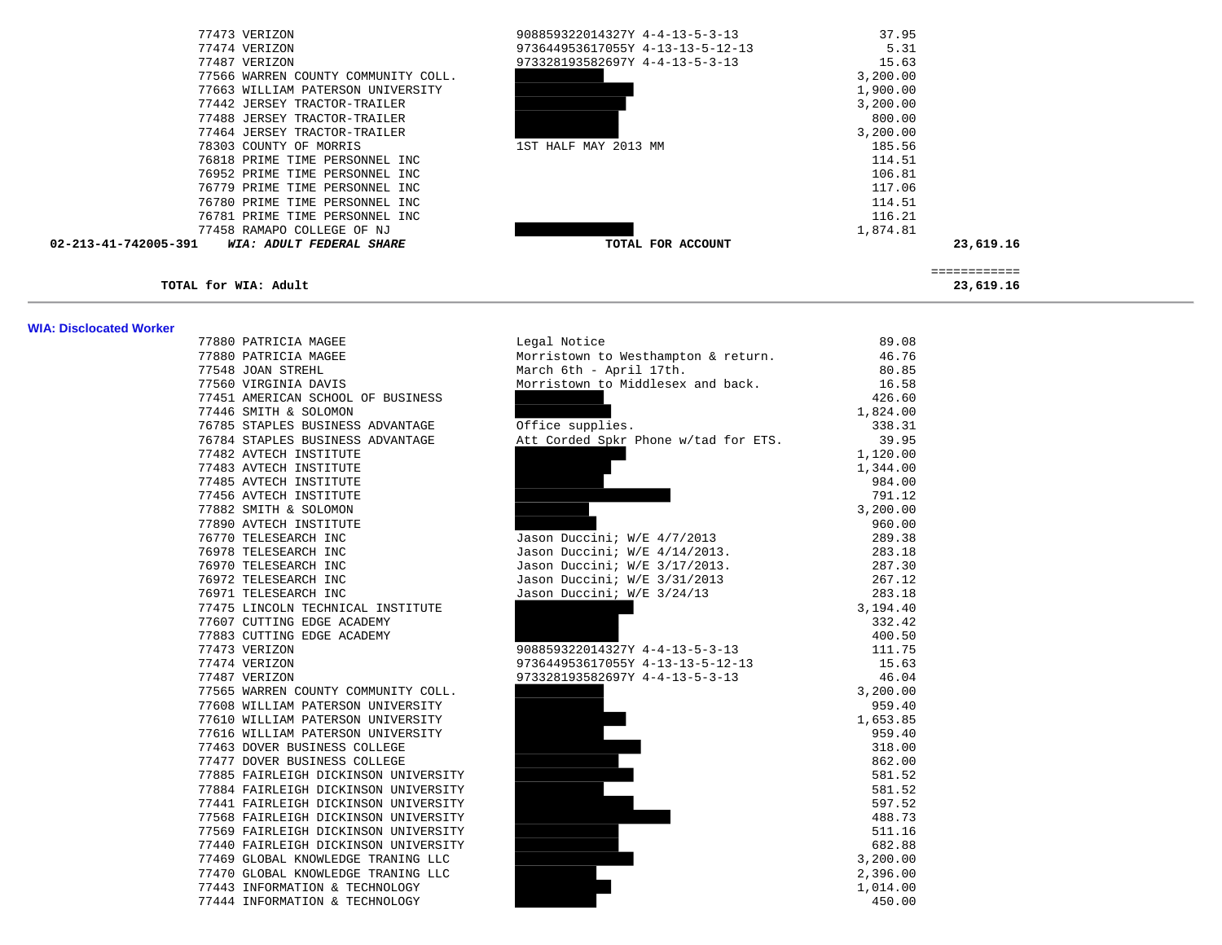| 77473 VERIZON                                    | 908859322014327Y 4-4-13-5-3-13   | 37.95        |  |
|--------------------------------------------------|----------------------------------|--------------|--|
| 77474 VERIZON                                    | 973644953617055Y 4-13-13-5-12-13 | 5.31         |  |
| 77487 VERIZON                                    | 973328193582697Y 4-4-13-5-3-13   | 15.63        |  |
| 77566 WARREN COUNTY COMMUNITY COLL.              |                                  | 3,200.00     |  |
| 77663 WILLIAM PATERSON UNIVERSITY                |                                  | 1,900.00     |  |
| 77442 JERSEY TRACTOR-TRAILER                     |                                  | 3,200.00     |  |
| 77488 JERSEY TRACTOR-TRAILER                     |                                  | 800.00       |  |
| 77464 JERSEY TRACTOR-TRAILER                     |                                  | 3,200.00     |  |
| 78303 COUNTY OF MORRIS                           | 1ST HALF MAY 2013 MM             | 185.56       |  |
| 76818 PRIME TIME PERSONNEL INC                   |                                  | 114.51       |  |
| 76952 PRIME TIME PERSONNEL INC                   |                                  | 106.81       |  |
| 76779 PRIME TIME PERSONNEL INC                   |                                  | 117.06       |  |
| 76780 PRIME TIME PERSONNEL INC                   |                                  | 114.51       |  |
| 76781 PRIME TIME PERSONNEL INC                   |                                  | 116.21       |  |
| 77458 RAMAPO COLLEGE OF NJ                       |                                  | 1,874.81     |  |
| 02-213-41-742005-391<br>WIA: ADULT FEDERAL SHARE | TOTAL FOR ACCOUNT                | 23,619.16    |  |
|                                                  |                                  | ============ |  |
| TOTAL for WIA: Adult                             |                                  | 23,619.16    |  |

#### **WIA: Disclocated Worker**

| 77880 PATRICIA MAGEE                 | Morristown to Westhampton & return.  | 46.76    |
|--------------------------------------|--------------------------------------|----------|
| 77548 JOAN STREHL                    | March 6th - April 17th.              | 80.85    |
| 77560 VIRGINIA DAVIS                 | Morristown to Middlesex and back.    | 16.58    |
| 77451 AMERICAN SCHOOL OF BUSINESS    |                                      | 426.60   |
| 77446 SMITH & SOLOMON                |                                      | 1,824.00 |
| 76785 STAPLES BUSINESS ADVANTAGE     | Office supplies.                     | 338.31   |
| 76784 STAPLES BUSINESS ADVANTAGE     | Att Corded Spkr Phone w/tad for ETS. | 39.95    |
| 77482 AVTECH INSTITUTE               |                                      | 1,120.00 |
| 77483 AVTECH INSTITUTE               |                                      | 1,344.00 |
| 77485 AVTECH INSTITUTE               |                                      | 984.00   |
| 77456 AVTECH INSTITUTE               |                                      | 791.12   |
| 77882 SMITH & SOLOMON                |                                      | 3,200.00 |
| 77890 AVTECH INSTITUTE               |                                      | 960.00   |
| 76770 TELESEARCH INC                 | Jason Duccini; W/E 4/7/2013          | 289.38   |
| 76978 TELESEARCH INC                 | Jason Duccini; W/E 4/14/2013.        | 283.18   |
| 76970 TELESEARCH INC                 | Jason Duccini; W/E 3/17/2013.        | 287.30   |
| 76972 TELESEARCH INC                 | Jason Duccini; W/E 3/31/2013         | 267.12   |
| 76971 TELESEARCH INC                 | Jason Duccini; W/E 3/24/13           | 283.18   |
| 77475 LINCOLN TECHNICAL INSTITUTE    |                                      | 3,194.40 |
| 77607 CUTTING EDGE ACADEMY           |                                      | 332.42   |
| 77883 CUTTING EDGE ACADEMY           |                                      | 400.50   |
| 77473 VERIZON                        | 908859322014327Y 4-4-13-5-3-13       | 111.75   |
| 77474 VERIZON                        | 973644953617055Y 4-13-13-5-12-13     | 15.63    |
| 77487 VERIZON                        | 973328193582697Y 4-4-13-5-3-13       | 46.04    |
| 77565 WARREN COUNTY COMMUNITY COLL.  |                                      | 3,200.00 |
| 77608 WILLIAM PATERSON UNIVERSITY    |                                      | 959.40   |
| 77610 WILLIAM PATERSON UNIVERSITY    |                                      | 1,653.85 |
| 77616 WILLIAM PATERSON UNIVERSITY    |                                      | 959.40   |
| 77463 DOVER BUSINESS COLLEGE         |                                      | 318.00   |
| 77477 DOVER BUSINESS COLLEGE         |                                      | 862.00   |
| 77885 FAIRLEIGH DICKINSON UNIVERSITY |                                      | 581.52   |
| 77884 FAIRLEIGH DICKINSON UNIVERSITY |                                      | 581.52   |
| 77441 FAIRLEIGH DICKINSON UNIVERSITY |                                      | 597.52   |
| 77568 FAIRLEIGH DICKINSON UNIVERSITY |                                      | 488.73   |
| 77569 FAIRLEIGH DICKINSON UNIVERSITY |                                      | 511.16   |
| 77440 FAIRLEIGH DICKINSON UNIVERSITY |                                      | 682.88   |
| 77469 GLOBAL KNOWLEDGE TRANING LLC   |                                      | 3,200.00 |
| 77470 GLOBAL KNOWLEDGE TRANING LLC   |                                      | 2,396.00 |
| 77443 INFORMATION & TECHNOLOGY       |                                      | 1,014.00 |
| 77444 INFORMATION & TECHNOLOGY       |                                      | 450.00   |

| <b>THA: DISCIDEDICA TTOIRE!</b> |                                      |                                           |          |
|---------------------------------|--------------------------------------|-------------------------------------------|----------|
|                                 | 77880 PATRICIA MAGEE                 | Legal Notice                              | 89.08    |
|                                 | 77880 PATRICIA MAGEE                 | Morristown to Westhampton & return. 46.76 |          |
|                                 | 77548 JOAN STREHL                    | March 6th - April 17th.                   | 80.85    |
|                                 | 77560 VIRGINIA DAVIS                 | Morristown to Middlesex and back.         | 16.58    |
|                                 | 77451 AMERICAN SCHOOL OF BUSINESS    |                                           | 426.60   |
|                                 | 77446 SMITH & SOLOMON                |                                           | 1,824.00 |
|                                 | 76785 STAPLES BUSINESS ADVANTAGE     | Office supplies.                          | 338.31   |
|                                 | 76784 STAPLES BUSINESS ADVANTAGE     | Att Corded Spkr Phone w/tad for ETS.      | 39.95    |
|                                 | 77482 AVTECH INSTITUTE               |                                           | 1,120.00 |
|                                 | 77483 AVTECH INSTITUTE               |                                           | 1,344.00 |
|                                 | 77485 AVTECH INSTITUTE               |                                           | 984.00   |
|                                 | 77456 AVTECH INSTITUTE               |                                           | 791.12   |
|                                 | 77882 SMITH & SOLOMON                |                                           | 3,200.00 |
|                                 | 77890 AVTECH INSTITUTE               |                                           | 960.00   |
|                                 | 76770 TELESEARCH INC                 | Jason Duccini; W/E 4/7/2013               | 289.38   |
|                                 | 76978 TELESEARCH INC                 | Jason Duccini; W/E 4/14/2013.             | 283.18   |
|                                 | 76970 TELESEARCH INC                 | Jason Duccini; W/E 3/17/2013.             | 287.30   |
|                                 | 76972 TELESEARCH INC                 | Jason Duccini; W/E 3/31/2013              | 267.12   |
|                                 | 76971 TELESEARCH INC                 | Jason Duccini; W/E 3/24/13                | 283.18   |
|                                 | 77475 LINCOLN TECHNICAL INSTITUTE    |                                           | 3,194.40 |
|                                 | 77607 CUTTING EDGE ACADEMY           |                                           | 332.42   |
|                                 | 77883 CUTTING EDGE ACADEMY           |                                           | 400.50   |
|                                 | 77473 VERIZON                        | 908859322014327Y 4-4-13-5-3-13            | 111.75   |
|                                 | 77474 VERIZON                        | 973644953617055Y 4-13-13-5-12-13          | 15.63    |
|                                 | 77487 VERIZON                        | 973328193582697Y 4-4-13-5-3-13            | 46.04    |
|                                 | 77565 WARREN COUNTY COMMUNITY COLL.  |                                           | 3,200.00 |
|                                 | 77608 WILLIAM PATERSON UNIVERSITY    |                                           | 959.40   |
|                                 | 77610 WILLIAM PATERSON UNIVERSITY    |                                           | 1,653.85 |
|                                 | 77616 WILLIAM PATERSON UNIVERSITY    |                                           | 959.40   |
|                                 | 77463 DOVER BUSINESS COLLEGE         |                                           | 318.00   |
|                                 | 77477 DOVER BUSINESS COLLEGE         |                                           | 862.00   |
|                                 | 77885 FAIRLEIGH DICKINSON UNIVERSITY |                                           | 581.52   |
|                                 | 77884 FAIRLEIGH DICKINSON UNIVERSITY |                                           | 581.52   |
|                                 | 77441 FAIRLEIGH DICKINSON UNIVERSITY |                                           | 597.52   |
|                                 | 77568 FAIRLEIGH DICKINSON UNIVERSITY |                                           | 488.73   |
|                                 | 77569 FAIRLEIGH DICKINSON UNIVERSITY |                                           | 511.16   |
|                                 | 77440 FAIRLEIGH DICKINSON UNIVERSITY |                                           | 682.88   |
|                                 | 77469 GLOBAL KNOWLEDGE TRANING LLC   |                                           | 3,200.00 |
|                                 | 77470 GLOBAL KNOWLEDGE TRANING LLC   |                                           | 2,396.00 |
|                                 | 77443 INFORMATION & TECHNOLOGY       |                                           | 1,014.00 |
|                                 |                                      |                                           |          |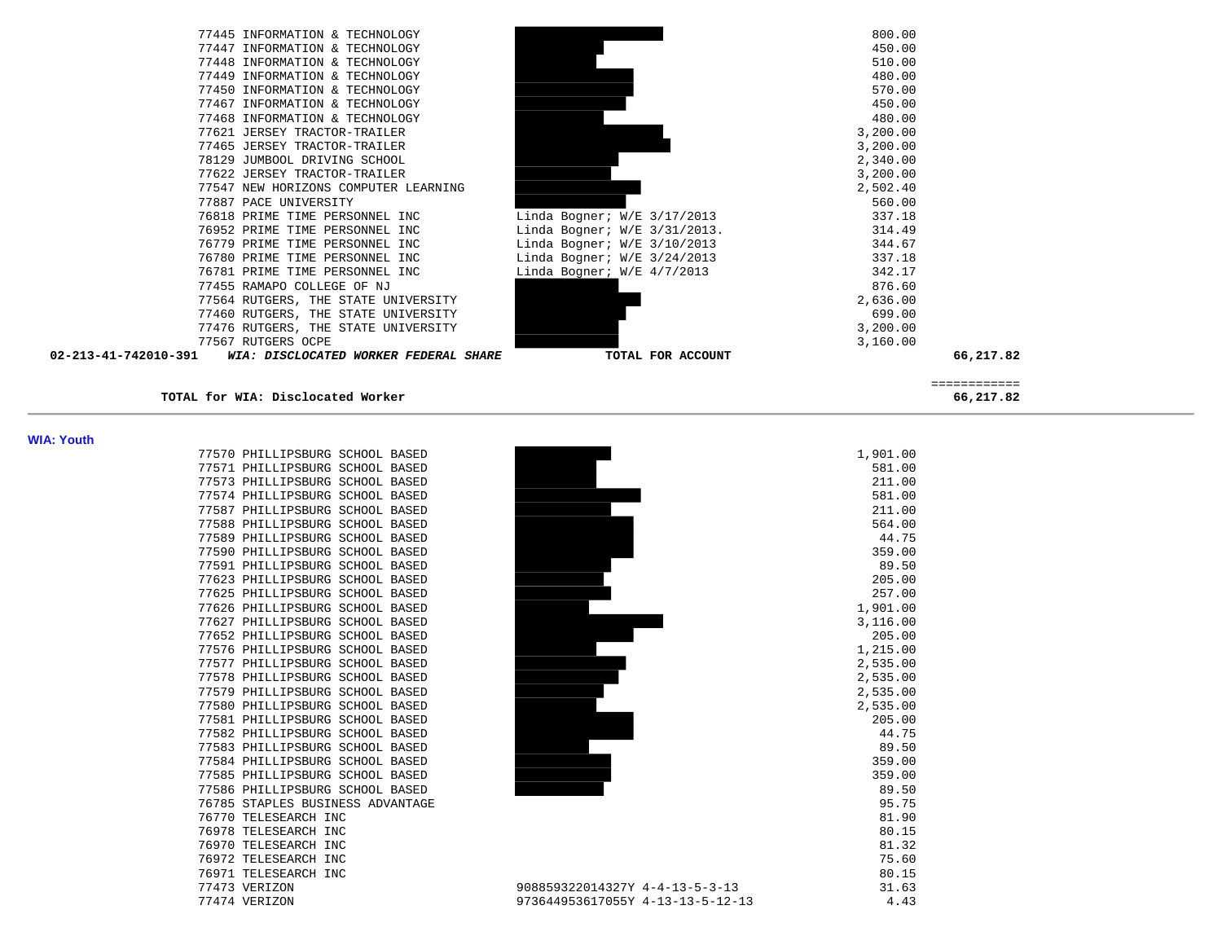| 02-213-41-742010-391<br>WIA: DISCLOCATED WORKER FEDERAL SHARE |                               | TOTAL FOR ACCOUNT                      | 66,217.82 |
|---------------------------------------------------------------|-------------------------------|----------------------------------------|-----------|
| 77567 RUTGERS OCPE                                            |                               | 3,160.00                               |           |
| 77476 RUTGERS, THE STATE UNIVERSITY                           |                               | 3,200.00                               |           |
| 77460 RUTGERS, THE STATE UNIVERSITY                           |                               | 699.00                                 |           |
| 77564 RUTGERS, THE STATE UNIVERSITY                           |                               | 2,636.00                               |           |
| 77455 RAMAPO COLLEGE OF NJ                                    |                               | 876.60                                 |           |
| 76781 PRIME TIME PERSONNEL INC                                | Linda Bogner; $W/E$ 4/7/2013  | 342.17                                 |           |
| 76780 PRIME TIME PERSONNEL INC                                | Linda Bogner; $W/E$ 3/24/2013 | 337.18                                 |           |
| 76779 PRIME TIME PERSONNEL INC                                | Linda Bogner; $W/E$ 3/10/2013 | 344.67                                 |           |
| 76952 PRIME TIME PERSONNEL INC                                |                               | 314.49<br>Linda Bogner; W/E 3/31/2013. |           |
| 76818 PRIME TIME PERSONNEL INC                                | Linda Bogner; $W/E$ 3/17/2013 | 337.18                                 |           |
| 77887 PACE UNIVERSITY                                         |                               | 560.00                                 |           |
| 77547 NEW HORIZONS COMPUTER LEARNING                          |                               | 2,502.40                               |           |
| 77622 JERSEY TRACTOR-TRAILER                                  |                               | 3,200.00                               |           |
| 78129 JUMBOOL DRIVING SCHOOL                                  |                               | 2,340.00                               |           |
| 77465 JERSEY TRACTOR-TRAILER                                  |                               | 3,200.00                               |           |
| 77621 JERSEY TRACTOR-TRAILER                                  |                               | 3,200.00                               |           |
| 77468 INFORMATION & TECHNOLOGY                                |                               | 480.00                                 |           |
| 77467 INFORMATION & TECHNOLOGY                                |                               | 450.00                                 |           |
| 77450 INFORMATION & TECHNOLOGY                                |                               | 570.00                                 |           |
| 77449 INFORMATION & TECHNOLOGY                                |                               | 480.00                                 |           |
| 77448 INFORMATION & TECHNOLOGY                                |                               | 510.00                                 |           |
| 77447 INFORMATION & TECHNOLOGY                                |                               | 450.00                                 |           |
| 77445 INFORMATION & TECHNOLOGY                                |                               | 800.00                                 |           |

============

**TOTAL for WIA: Disclocated Worker 66,217.82**

**WIA: Youth** 

| 77570 | PHILLIPSBURG      | SCHOOL                    | <b>BASED</b> |
|-------|-------------------|---------------------------|--------------|
| 77571 | PHILLIPSBURG      | SCHOOL                    | <b>BASED</b> |
| 77573 | PHILLIPSBURG      | SCHOOL                    | <b>BASED</b> |
| 77574 | PHILLIPSBURG      | SCHOOL                    | <b>BASED</b> |
| 77587 | PHILLIPSBURG      | SCHOOL                    | <b>BASED</b> |
| 77588 | PHILLIPSBURG      | SCHOOL                    | <b>BASED</b> |
| 77589 | PHILLIPSBURG      | SCHOOL                    | <b>BASED</b> |
| 77590 | PHILLIPSBURG      | SCHOOL                    | <b>BASED</b> |
| 77591 | PHILLIPSBURG      | SCHOOL                    | <b>BASED</b> |
| 77623 | PHILLIPSBURG      | SCHOOL                    | <b>BASED</b> |
| 77625 | PHILLIPSBURG      | SCHOOL                    | <b>BASED</b> |
| 77626 | PHILLIPSBURG      | SCHOOL                    | <b>BASED</b> |
| 77627 | PHILLIPSBURG      | SCHOOL                    | <b>BASED</b> |
| 77652 | PHILLIPSBURG      | SCHOOL                    | <b>BASED</b> |
| 77576 | PHILLIPSBURG      | SCHOOL                    | <b>BASED</b> |
| 77577 | PHILLIPSBURG      | SCHOOL                    | <b>BASED</b> |
| 77578 | PHILLIPSBURG      | SCHOOL                    | <b>BASED</b> |
| 77579 | PHILLIPSBURG      | SCHOOL                    | <b>BASED</b> |
| 77580 | PHILLIPSBURG      | SCHOOL                    | <b>BASED</b> |
| 77581 | PHILLIPSBURG      | SCHOOL                    | <b>BASED</b> |
| 77582 | PHILLIPSBURG      | SCHOOL                    | <b>BASED</b> |
| 77583 | PHILLIPSBURG      | SCHOOL                    | <b>BASED</b> |
| 77584 | PHILLIPSBURG      | SCHOOL                    | <b>BASED</b> |
| 77585 | PHILLIPSBURG      | SCHOOL                    | <b>BASED</b> |
| 77586 | PHILLIPSBURG      | SCHOOL                    | <b>BASED</b> |
| 76785 | STAPLES           | <b>BUSINESS ADVANTAGE</b> |              |
| 76770 | TELESEARCH        | INC                       |              |
| 76978 | TELESEARCH        | <b>INC</b>                |              |
| 76970 | TELESEARCH        | <b>INC</b>                |              |
| 76972 | TELESEARCH<br>INC |                           |              |
| 76971 | TELESEARCH        | <b>INC</b>                |              |
| 77473 | VERIZON           |                           |              |
| 77474 | VERIZON           |                           |              |

| WIA: Youth |                                  |                                  |          |
|------------|----------------------------------|----------------------------------|----------|
|            | 77570 PHILLIPSBURG SCHOOL BASED  |                                  | 1,901.00 |
|            | 77571 PHILLIPSBURG SCHOOL BASED  |                                  | 581.00   |
|            | 77573 PHILLIPSBURG SCHOOL BASED  |                                  | 211.00   |
|            | 77574 PHILLIPSBURG SCHOOL BASED  |                                  | 581.00   |
|            | 77587 PHILLIPSBURG SCHOOL BASED  |                                  | 211.00   |
|            | 77588 PHILLIPSBURG SCHOOL BASED  |                                  | 564.00   |
|            | 77589 PHILLIPSBURG SCHOOL BASED  |                                  | 44.75    |
|            | 77590 PHILLIPSBURG SCHOOL BASED  |                                  | 359.00   |
|            | 77591 PHILLIPSBURG SCHOOL BASED  |                                  | 89.50    |
|            | 77623 PHILLIPSBURG SCHOOL BASED  |                                  | 205.00   |
|            | 77625 PHILLIPSBURG SCHOOL BASED  |                                  | 257.00   |
|            | 77626 PHILLIPSBURG SCHOOL BASED  |                                  | 1,901.00 |
|            | 77627 PHILLIPSBURG SCHOOL BASED  |                                  | 3,116.00 |
|            | 77652 PHILLIPSBURG SCHOOL BASED  |                                  | 205.00   |
|            | 77576 PHILLIPSBURG SCHOOL BASED  |                                  | 1,215.00 |
|            | 77577 PHILLIPSBURG SCHOOL BASED  |                                  | 2,535.00 |
|            | 77578 PHILLIPSBURG SCHOOL BASED  |                                  | 2,535.00 |
|            | 77579 PHILLIPSBURG SCHOOL BASED  |                                  | 2,535.00 |
|            | 77580 PHILLIPSBURG SCHOOL BASED  |                                  | 2,535.00 |
|            | 77581 PHILLIPSBURG SCHOOL BASED  |                                  | 205.00   |
|            | 77582 PHILLIPSBURG SCHOOL BASED  |                                  | 44.75    |
|            | 77583 PHILLIPSBURG SCHOOL BASED  |                                  | 89.50    |
|            | 77584 PHILLIPSBURG SCHOOL BASED  |                                  | 359.00   |
|            | 77585 PHILLIPSBURG SCHOOL BASED  |                                  | 359.00   |
|            | 77586 PHILLIPSBURG SCHOOL BASED  |                                  | 89.50    |
|            | 76785 STAPLES BUSINESS ADVANTAGE |                                  | 95.75    |
|            | 76770 TELESEARCH INC             |                                  | 81.90    |
|            | 76978 TELESEARCH INC             |                                  | 80.15    |
|            | 76970 TELESEARCH INC             |                                  | 81.32    |
|            | 76972 TELESEARCH INC             |                                  | 75.60    |
|            | 76971 TELESEARCH INC             |                                  | 80.15    |
|            | 77473 VERIZON                    | 908859322014327Y 4-4-13-5-3-13   | 31.63    |
|            | 77474 VERIZON                    | 973644953617055Y 4-13-13-5-12-13 | 4.43     |

66,217.82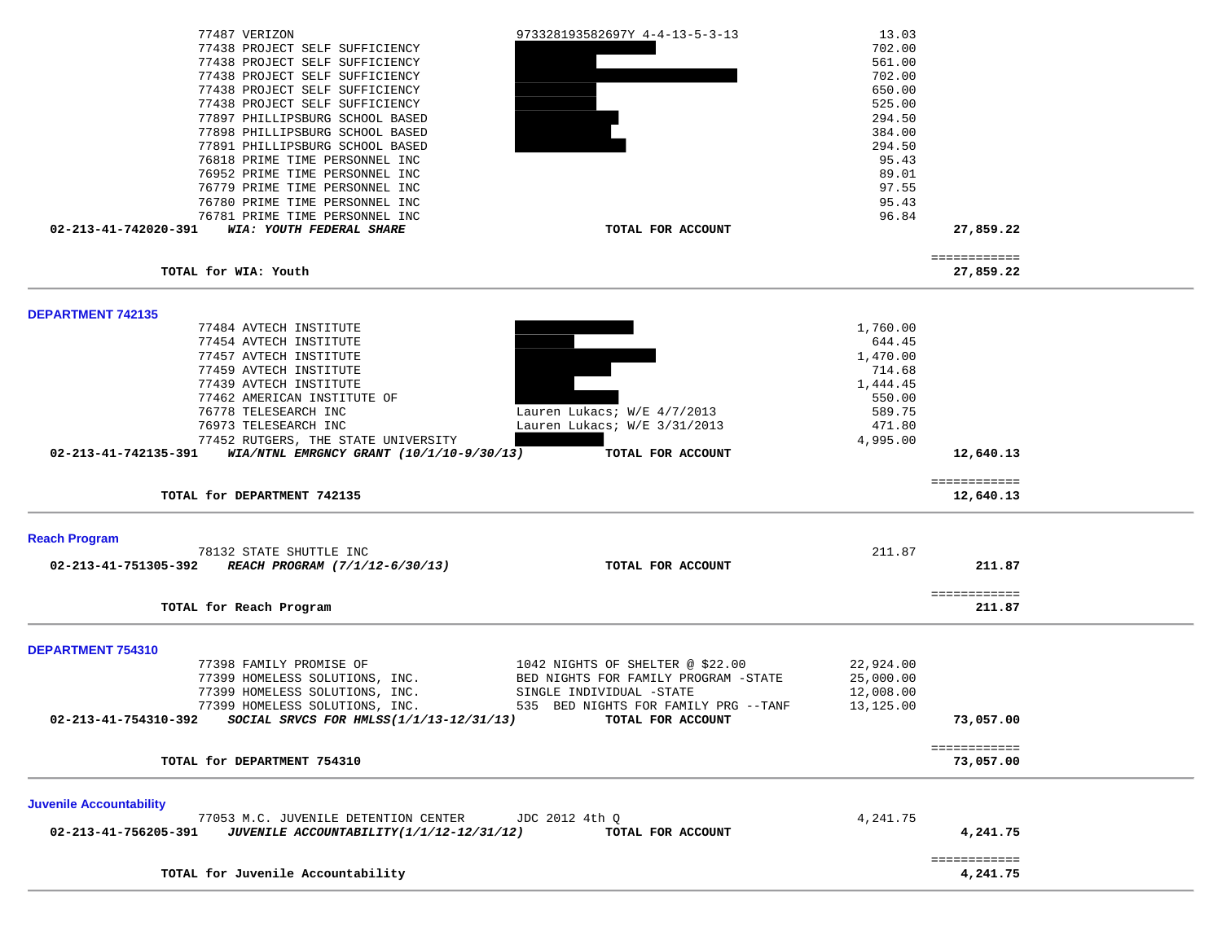| 77487 VERIZON                                                      | 973328193582697Y 4-4-13-5-3-13       | 13.03     |                          |  |
|--------------------------------------------------------------------|--------------------------------------|-----------|--------------------------|--|
| 77438 PROJECT SELF SUFFICIENCY                                     |                                      | 702.00    |                          |  |
| 77438 PROJECT SELF SUFFICIENCY                                     |                                      | 561.00    |                          |  |
| 77438 PROJECT SELF SUFFICIENCY                                     |                                      | 702.00    |                          |  |
| 77438 PROJECT SELF SUFFICIENCY                                     |                                      | 650.00    |                          |  |
| 77438 PROJECT SELF SUFFICIENCY                                     |                                      | 525.00    |                          |  |
| 77897 PHILLIPSBURG SCHOOL BASED                                    |                                      | 294.50    |                          |  |
| 77898 PHILLIPSBURG SCHOOL BASED                                    |                                      | 384.00    |                          |  |
| 77891 PHILLIPSBURG SCHOOL BASED                                    |                                      | 294.50    |                          |  |
| 76818 PRIME TIME PERSONNEL INC                                     |                                      | 95.43     |                          |  |
| 76952 PRIME TIME PERSONNEL INC                                     |                                      | 89.01     |                          |  |
| 76779 PRIME TIME PERSONNEL INC                                     |                                      | 97.55     |                          |  |
| 76780 PRIME TIME PERSONNEL INC                                     |                                      | 95.43     |                          |  |
| 76781 PRIME TIME PERSONNEL INC                                     |                                      | 96.84     |                          |  |
| 02-213-41-742020-391<br>WIA: YOUTH FEDERAL SHARE                   | TOTAL FOR ACCOUNT                    |           | 27,859.22                |  |
|                                                                    |                                      |           | ============             |  |
| TOTAL for WIA: Youth                                               |                                      |           | 27,859.22                |  |
|                                                                    |                                      |           |                          |  |
| <b>DEPARTMENT 742135</b><br>77484 AVTECH INSTITUTE                 |                                      | 1,760.00  |                          |  |
| 77454 AVTECH INSTITUTE                                             |                                      | 644.45    |                          |  |
| 77457 AVTECH INSTITUTE                                             |                                      | 1,470.00  |                          |  |
| 77459 AVTECH INSTITUTE                                             |                                      | 714.68    |                          |  |
| 77439 AVTECH INSTITUTE                                             |                                      | 1,444.45  |                          |  |
| 77462 AMERICAN INSTITUTE OF                                        |                                      | 550.00    |                          |  |
| 76778 TELESEARCH INC                                               | Lauren Lukacs; W/E 4/7/2013          | 589.75    |                          |  |
| 76973 TELESEARCH INC                                               | Lauren Lukacs; W/E 3/31/2013         | 471.80    |                          |  |
| 77452 RUTGERS, THE STATE UNIVERSITY                                |                                      | 4,995.00  |                          |  |
| 02-213-41-742135-391<br>WIA/NTNL EMRGNCY GRANT $(10/1/10-9/30/13)$ | TOTAL FOR ACCOUNT                    |           | 12,640.13                |  |
| TOTAL for DEPARTMENT 742135                                        |                                      |           | ============             |  |
|                                                                    |                                      |           | 12,640.13                |  |
| <b>Reach Program</b>                                               |                                      |           |                          |  |
| 78132 STATE SHUTTLE INC                                            |                                      | 211.87    |                          |  |
| 02-213-41-751305-392<br>REACH PROGRAM (7/1/12-6/30/13)             | TOTAL FOR ACCOUNT                    |           | 211.87                   |  |
|                                                                    |                                      |           |                          |  |
| TOTAL for Reach Program                                            |                                      |           | ============<br>211.87   |  |
|                                                                    |                                      |           |                          |  |
| DEPARTMENT 754310                                                  |                                      |           |                          |  |
| 77398 FAMILY PROMISE OF                                            | 1042 NIGHTS OF SHELTER @ \$22.00     | 22,924.00 |                          |  |
| 77399 HOMELESS SOLUTIONS, INC.                                     | BED NIGHTS FOR FAMILY PROGRAM -STATE | 25,000.00 |                          |  |
| 77399 HOMELESS SOLUTIONS, INC.                                     | SINGLE INDIVIDUAL -STATE             | 12,008.00 |                          |  |
| 77399 HOMELESS SOLUTIONS, INC.                                     | 535 BED NIGHTS FOR FAMILY PRG --TANF | 13,125.00 |                          |  |
| 02-213-41-754310-392<br>SOCIAL SRVCS FOR HMLSS(1/1/13-12/31/13)    | TOTAL FOR ACCOUNT                    |           | 73,057.00                |  |
|                                                                    |                                      |           |                          |  |
|                                                                    |                                      |           | ============             |  |
| TOTAL for DEPARTMENT 754310                                        |                                      |           | 73,057.00                |  |
|                                                                    |                                      |           |                          |  |
| <b>Juvenile Accountability</b>                                     |                                      | 4,241.75  |                          |  |
| 77053 M.C. JUVENILE DETENTION CENTER                               | JDC 2012 4th Q                       |           | 4,241.75                 |  |
| 02-213-41-756205-391<br>JUVENILE ACCOUNTABILITY (1/1/12-12/31/12)  | TOTAL FOR ACCOUNT                    |           |                          |  |
| TOTAL for Juvenile Accountability                                  |                                      |           | ============<br>4,241.75 |  |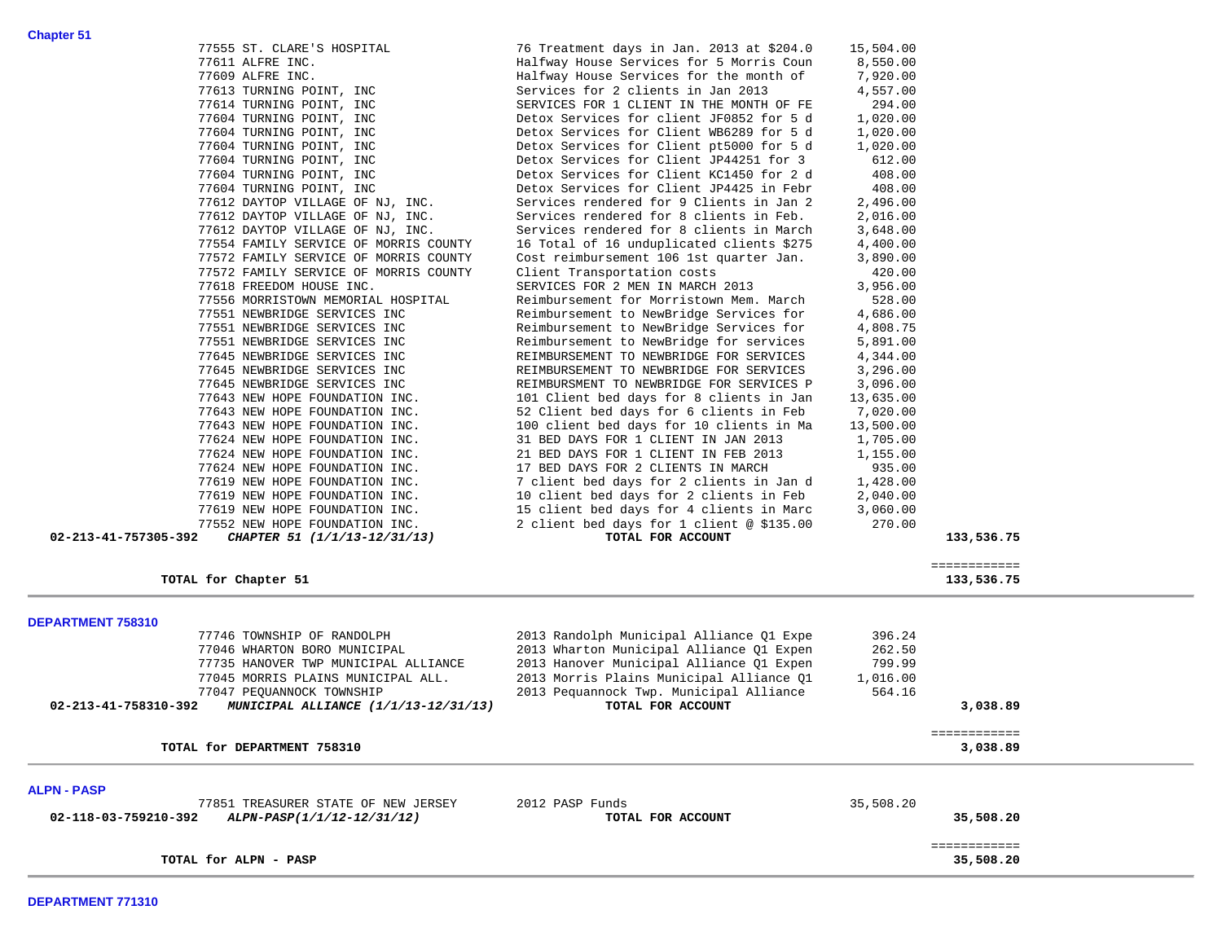| TOTAL for ALPN - PASP                                                                                                                                                   |                                                                                                                                                      |                              | 35,508.20                  |  |
|-------------------------------------------------------------------------------------------------------------------------------------------------------------------------|------------------------------------------------------------------------------------------------------------------------------------------------------|------------------------------|----------------------------|--|
| <b>ALPN - PASP</b><br>77851 TREASURER STATE OF NEW JERSEY<br>02-118-03-759210-392<br>ALPN-PASP(1/1/12-12/31/12)                                                         | 2012 PASP Funds<br>TOTAL FOR ACCOUNT                                                                                                                 | 35,508.20                    | 35,508.20<br>============  |  |
| TOTAL for DEPARTMENT 758310                                                                                                                                             |                                                                                                                                                      |                              | ============<br>3,038.89   |  |
| 77735 HANOVER TWP MUNICIPAL ALLIANCE<br>77045 MORRIS PLAINS MUNICIPAL ALL.<br>77047 PEQUANNOCK TOWNSHIP<br>02-213-41-758310-392<br>MUNICIPAL ALLIANCE (1/1/13-12/31/13) | 2013 Hanover Municipal Alliance Q1 Expen<br>2013 Morris Plains Municipal Alliance Q1<br>2013 Pequannock Twp. Municipal Alliance<br>TOTAL FOR ACCOUNT | 799.99<br>1,016.00<br>564.16 | 3,038.89                   |  |
| DEPARTMENT 758310<br>77746 TOWNSHIP OF RANDOLPH<br>77046 WHARTON BORO MUNICIPAL                                                                                         | 2013 Randolph Municipal Alliance Q1 Expe<br>2013 Wharton Municipal Alliance Q1 Expen                                                                 | 396.24<br>262.50             |                            |  |
| TOTAL for Chapter 51                                                                                                                                                    |                                                                                                                                                      |                              | ============<br>133,536.75 |  |
| 77552 NEW HOPE FOUNDATION INC.<br>02-213-41-757305-392<br>CHAPTER 51 (1/1/13-12/31/13)                                                                                  | 2 client bed days for 1 client @ \$135.00<br>TOTAL FOR ACCOUNT                                                                                       | 270.00                       | 133,536.75                 |  |
| 77619 NEW HOPE FOUNDATION INC.                                                                                                                                          | 15 client bed days for 4 clients in Marc                                                                                                             | 3,060.00                     |                            |  |
| 77619 NEW HOPE FOUNDATION INC.<br>77619 NEW HOPE FOUNDATION INC.                                                                                                        | 7 client bed days for 2 clients in Jan d<br>10 client bed days for 2 clients in Feb                                                                  | 1,428.00<br>2,040.00         |                            |  |
| 77624 NEW HOPE FOUNDATION INC.                                                                                                                                          | 17 BED DAYS FOR 2 CLIENTS IN MARCH                                                                                                                   | 935.00                       |                            |  |
| 77624 NEW HOPE FOUNDATION INC.                                                                                                                                          | 21 BED DAYS FOR 1 CLIENT IN FEB 2013                                                                                                                 | 1,155.00                     |                            |  |
| 77624 NEW HOPE FOUNDATION INC.                                                                                                                                          | 31 BED DAYS FOR 1 CLIENT IN JAN 2013                                                                                                                 | 1,705.00                     |                            |  |
| 77643 NEW HOPE FOUNDATION INC.                                                                                                                                          | 100 client bed days for 10 clients in Ma                                                                                                             | 13,500.00                    |                            |  |
| 77643 NEW HOPE FOUNDATION INC.                                                                                                                                          | 52 Client bed days for 6 clients in Feb                                                                                                              | 7,020.00                     |                            |  |
| 77645 NEWBRIDGE SERVICES INC<br>77643 NEW HOPE FOUNDATION INC.                                                                                                          | REIMBURSMENT TO NEWBRIDGE FOR SERVICES P<br>101 Client bed days for 8 clients in Jan                                                                 | 3,096.00<br>13,635.00        |                            |  |
| 77645 NEWBRIDGE SERVICES INC                                                                                                                                            | REIMBURSEMENT TO NEWBRIDGE FOR SERVICES                                                                                                              | 3,296.00                     |                            |  |
| 77645 NEWBRIDGE SERVICES INC                                                                                                                                            | REIMBURSEMENT TO NEWBRIDGE FOR SERVICES                                                                                                              | 4,344.00                     |                            |  |
| 77551 NEWBRIDGE SERVICES INC                                                                                                                                            | Reimbursement to NewBridge for services                                                                                                              | 5,891.00                     |                            |  |
| 77551 NEWBRIDGE SERVICES INC                                                                                                                                            | Reimbursement to NewBridge Services for                                                                                                              | 4,808.75                     |                            |  |
| 77551 NEWBRIDGE SERVICES INC                                                                                                                                            | Reimbursement to NewBridge Services for                                                                                                              | 4,686.00                     |                            |  |
| 77556 MORRISTOWN MEMORIAL HOSPITAL                                                                                                                                      | Reimbursement for Morristown Mem. March                                                                                                              | 528.00                       |                            |  |
| 77618 FREEDOM HOUSE INC.                                                                                                                                                | SERVICES FOR 2 MEN IN MARCH 2013                                                                                                                     | 3,956.00                     |                            |  |
| 77572 FAMILY SERVICE OF MORRIS COUNTY                                                                                                                                   | Client Transportation costs                                                                                                                          | 3,890.00<br>420.00           |                            |  |
| 77554 FAMILY SERVICE OF MORRIS COUNTY<br>77572 FAMILY SERVICE OF MORRIS COUNTY                                                                                          | 16 Total of 16 unduplicated clients \$275<br>Cost reimbursement 106 1st quarter Jan.                                                                 | 4,400.00                     |                            |  |
| 77612 DAYTOP VILLAGE OF NJ, INC.                                                                                                                                        | Services rendered for 8 clients in March                                                                                                             | 3,648.00                     |                            |  |
| 77612 DAYTOP VILLAGE OF NJ, INC.                                                                                                                                        | Services rendered for 8 clients in Feb.                                                                                                              | 2,016.00                     |                            |  |
| 77612 DAYTOP VILLAGE OF NJ, INC.                                                                                                                                        | Services rendered for 9 Clients in Jan 2                                                                                                             | 2,496.00                     |                            |  |
| 77604 TURNING POINT, INC                                                                                                                                                | Detox Services for Client JP4425 in Febr                                                                                                             | 408.00                       |                            |  |
| 77604 TURNING POINT, INC                                                                                                                                                | Detox Services for Client KC1450 for 2 d                                                                                                             | 408.00                       |                            |  |
| 77604 TURNING POINT, INC                                                                                                                                                | Detox Services for Client JP44251 for 3                                                                                                              | 612.00                       |                            |  |
| 77604 TURNING POINT, INC<br>77604 TURNING POINT, INC                                                                                                                    | Detox Services for Client WB6289 for 5 d<br>Detox Services for Client pt5000 for 5 d                                                                 | 1,020.00<br>1,020.00         |                            |  |
| 77604 TURNING POINT, INC                                                                                                                                                | Detox Services for client JF0852 for 5 d                                                                                                             | 1,020.00                     |                            |  |
| 77614 TURNING POINT, INC                                                                                                                                                | SERVICES FOR 1 CLIENT IN THE MONTH OF FE                                                                                                             | 294.00                       |                            |  |
| 77613 TURNING POINT, INC                                                                                                                                                | Services for 2 clients in Jan 2013                                                                                                                   | 4,557.00                     |                            |  |

77555 ST. CLARE'S HOSPITAL 76 Treatment days in Jan. 2013 at \$204.0 15,504.00<br>77611 ALFRE INC. The Treatment days House Services for 5 Morris Coun 8,550.00

77611 ALFRE INC. The Services for 5 Morris Coun

77609 ALFRE INC. Halfway House Services for the month of 7,920.00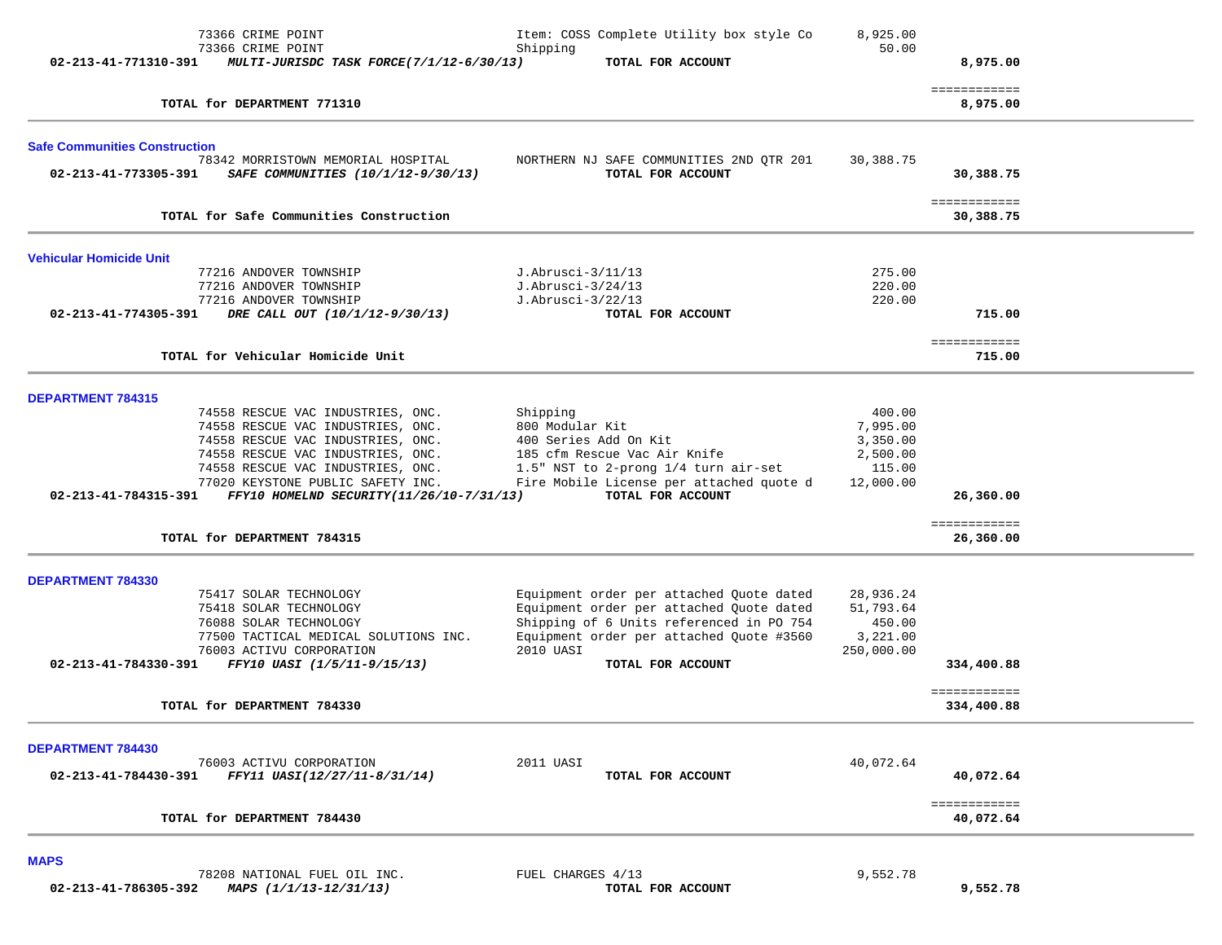|                                      | 73366 CRIME POINT<br>73366 CRIME POINT                                   | Item: COSS Complete Utility box style Co<br>Shipping          | 8,925.00<br>50.00 |                           |  |
|--------------------------------------|--------------------------------------------------------------------------|---------------------------------------------------------------|-------------------|---------------------------|--|
| 02-213-41-771310-391                 | MULTI-JURISDC TASK FORCE(7/1/12-6/30/13)                                 | TOTAL FOR ACCOUNT                                             |                   | 8,975.00                  |  |
|                                      | TOTAL for DEPARTMENT 771310                                              |                                                               |                   | ============<br>8,975.00  |  |
|                                      |                                                                          |                                                               |                   |                           |  |
| <b>Safe Communities Construction</b> |                                                                          |                                                               |                   |                           |  |
| 02-213-41-773305-391                 | 78342 MORRISTOWN MEMORIAL HOSPITAL<br>SAFE COMMUNITIES (10/1/12-9/30/13) | NORTHERN NJ SAFE COMMUNITIES 2ND QTR 201<br>TOTAL FOR ACCOUNT | 30,388.75         | 30,388.75                 |  |
|                                      | TOTAL for Safe Communities Construction                                  |                                                               |                   | ============<br>30,388.75 |  |
| Vehicular Homicide Unit              |                                                                          |                                                               |                   |                           |  |
|                                      | 77216 ANDOVER TOWNSHIP                                                   | J.Abrusci-3/11/13                                             | 275.00            |                           |  |
|                                      | 77216 ANDOVER TOWNSHIP                                                   | J.Abrusci-3/24/13                                             | 220.00            |                           |  |
|                                      | 77216 ANDOVER TOWNSHIP                                                   | J.Abrusci-3/22/13                                             | 220.00            |                           |  |
| 02-213-41-774305-391                 | DRE CALL OUT (10/1/12-9/30/13)                                           | TOTAL FOR ACCOUNT                                             |                   | 715.00                    |  |
|                                      |                                                                          |                                                               |                   | ============              |  |
|                                      | TOTAL for Vehicular Homicide Unit                                        |                                                               |                   | 715.00                    |  |
| <b>DEPARTMENT 784315</b>             |                                                                          |                                                               |                   |                           |  |
|                                      | 74558 RESCUE VAC INDUSTRIES, ONC.                                        | Shipping                                                      | 400.00            |                           |  |
|                                      | 74558 RESCUE VAC INDUSTRIES, ONC.                                        | 800 Modular Kit                                               | 7,995.00          |                           |  |
|                                      | 74558 RESCUE VAC INDUSTRIES, ONC.                                        | 400 Series Add On Kit                                         | 3,350.00          |                           |  |
|                                      | 74558 RESCUE VAC INDUSTRIES, ONC.                                        | 185 cfm Rescue Vac Air Knife                                  | 2,500.00          |                           |  |
|                                      | 74558 RESCUE VAC INDUSTRIES, ONC.                                        | 1.5" NST to 2-prong 1/4 turn air-set                          | 115.00            |                           |  |
|                                      | 77020 KEYSTONE PUBLIC SAFETY INC.                                        | Fire Mobile License per attached quote d                      | 12,000.00         |                           |  |
| 02-213-41-784315-391                 | FFY10 HOMELND SECURITY(11/26/10-7/31/13)                                 | TOTAL FOR ACCOUNT                                             |                   | 26,360.00                 |  |
|                                      |                                                                          |                                                               |                   | ============              |  |
|                                      | TOTAL for DEPARTMENT 784315                                              |                                                               |                   | 26,360.00                 |  |
| <b>DEPARTMENT 784330</b>             |                                                                          |                                                               |                   |                           |  |
|                                      | 75417 SOLAR TECHNOLOGY                                                   | Equipment order per attached Quote dated                      | 28,936.24         |                           |  |
|                                      | 75418 SOLAR TECHNOLOGY                                                   | Equipment order per attached Quote dated                      | 51,793.64         |                           |  |
|                                      | 76088 SOLAR TECHNOLOGY                                                   | Shipping of 6 Units referenced in PO 754                      | 450.00            |                           |  |
|                                      | 77500 TACTICAL MEDICAL SOLUTIONS INC.                                    | Equipment order per attached Ouote #3560                      | 3,221.00          |                           |  |
|                                      | 76003 ACTIVU CORPORATION                                                 | 2010 UASI                                                     | 250,000.00        |                           |  |
| 02-213-41-784330-391                 | FFY10 UASI (1/5/11-9/15/13)                                              | TOTAL FOR ACCOUNT                                             |                   | 334,400.88                |  |
|                                      |                                                                          |                                                               |                   | ============              |  |
|                                      | TOTAL for DEPARTMENT 784330                                              |                                                               |                   | 334,400.88                |  |
| DEPARTMENT 784430                    |                                                                          |                                                               |                   |                           |  |
|                                      | 76003 ACTIVU CORPORATION                                                 | 2011 UASI                                                     | 40,072.64         |                           |  |
| 02-213-41-784430-391                 | FFY11 UASI(12/27/11-8/31/14)                                             | TOTAL FOR ACCOUNT                                             |                   | 40,072.64                 |  |
|                                      | TOTAL for DEPARTMENT 784430                                              |                                                               |                   | ============<br>40,072.64 |  |
|                                      |                                                                          |                                                               |                   |                           |  |
| <b>MAPS</b>                          |                                                                          |                                                               |                   |                           |  |
|                                      | 78208 NATIONAL FUEL OIL INC.                                             | FUEL CHARGES 4/13                                             | 9,552.78          |                           |  |

 **02-213-41-786305-392** *MAPS (1/1/13-12/31/13)* **TOTAL FOR ACCOUNT 9,552.78**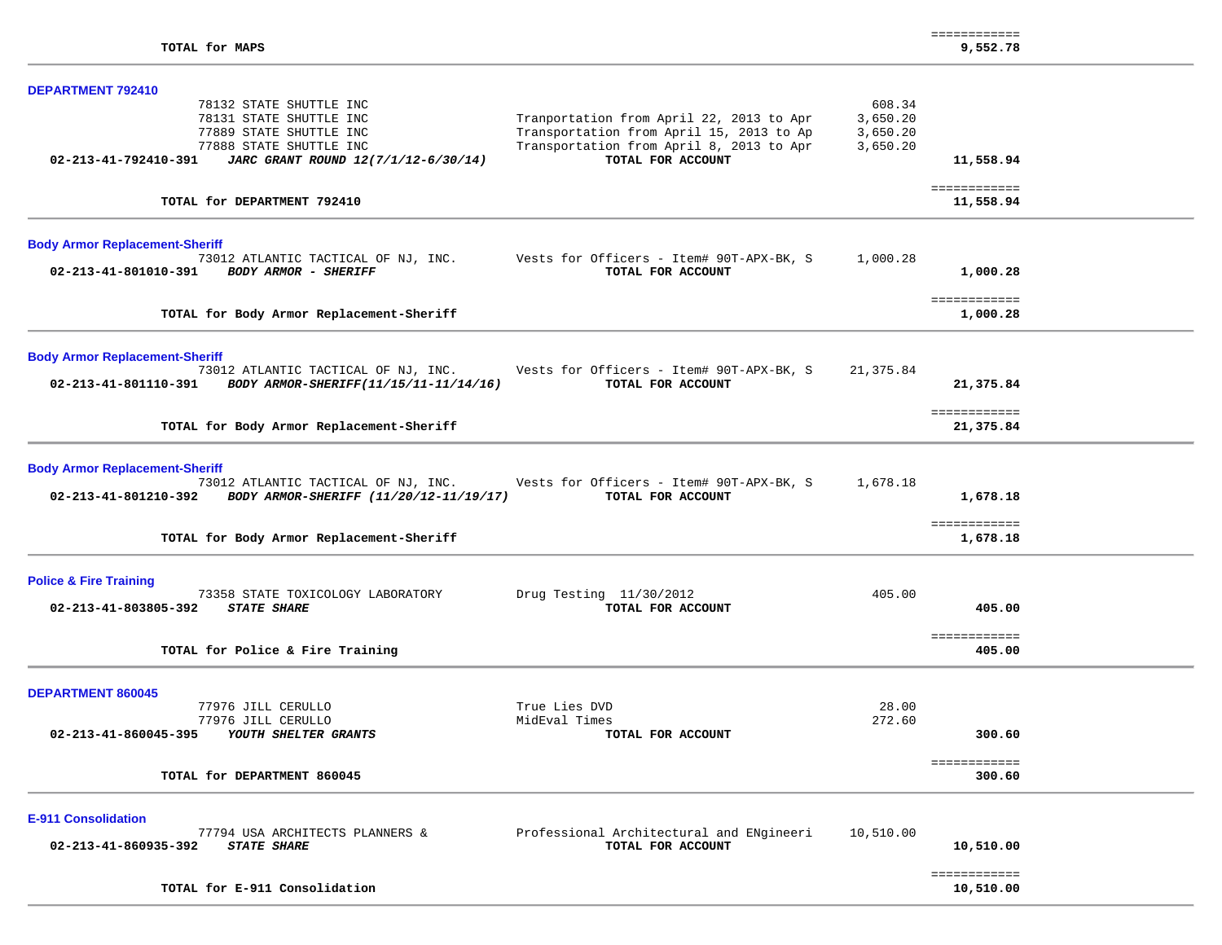| <b>DEPARTMENT 792410</b>                                                                                 |                                                                                                                                  |                                            |                           |  |
|----------------------------------------------------------------------------------------------------------|----------------------------------------------------------------------------------------------------------------------------------|--------------------------------------------|---------------------------|--|
| 78132 STATE SHUTTLE INC<br>78131 STATE SHUTTLE INC<br>77889 STATE SHUTTLE INC<br>77888 STATE SHUTTLE INC | Tranportation from April 22, 2013 to Apr<br>Transportation from April 15, 2013 to Ap<br>Transportation from April 8, 2013 to Apr | 608.34<br>3,650.20<br>3,650.20<br>3,650.20 |                           |  |
| 02-213-41-792410-391<br>JARC GRANT ROUND 12(7/1/12-6/30/14)                                              | TOTAL FOR ACCOUNT                                                                                                                |                                            | 11,558.94                 |  |
| TOTAL for DEPARTMENT 792410                                                                              |                                                                                                                                  |                                            | ============<br>11,558.94 |  |
| <b>Body Armor Replacement-Sheriff</b>                                                                    |                                                                                                                                  |                                            |                           |  |
| 73012 ATLANTIC TACTICAL OF NJ, INC.<br><b>BODY ARMOR - SHERIFF</b><br>02-213-41-801010-391               | Vests for Officers - Item# 90T-APX-BK, S<br>TOTAL FOR ACCOUNT                                                                    | 1,000.28                                   | 1,000.28                  |  |
| TOTAL for Body Armor Replacement-Sheriff                                                                 |                                                                                                                                  |                                            | ============<br>1,000.28  |  |
| <b>Body Armor Replacement-Sheriff</b>                                                                    |                                                                                                                                  |                                            |                           |  |
| 73012 ATLANTIC TACTICAL OF NJ, INC.<br>02-213-41-801110-391 BODY ARMOR-SHERIFF(11/15/11-11/14/16)        | Vests for Officers - Item# 90T-APX-BK, S<br>TOTAL FOR ACCOUNT                                                                    | 21,375.84                                  | 21,375.84                 |  |
| TOTAL for Body Armor Replacement-Sheriff                                                                 |                                                                                                                                  |                                            | ============<br>21,375.84 |  |
| <b>Body Armor Replacement-Sheriff</b>                                                                    |                                                                                                                                  |                                            |                           |  |
| 02-213-41-801210-392 BODY ARMOR-SHERIFF (11/20/12-11/19/17)                                              | 73012 ATLANTIC TACTICAL OF NJ, INC. Vests for Officers - Item# 90T-APX-BK, S<br>TOTAL FOR ACCOUNT                                | 1,678.18                                   | 1,678.18                  |  |
| TOTAL for Body Armor Replacement-Sheriff                                                                 |                                                                                                                                  |                                            | ============<br>1,678.18  |  |
| <b>Police &amp; Fire Training</b>                                                                        |                                                                                                                                  |                                            |                           |  |
| 73358 STATE TOXICOLOGY LABORATORY<br>02-213-41-803805-392<br><b>STATE SHARE</b>                          | Drug Testing $11/30/2012$<br>TOTAL FOR ACCOUNT                                                                                   | 405.00                                     | 405.00                    |  |
| TOTAL for Police & Fire Training                                                                         |                                                                                                                                  |                                            | ============<br>405.00    |  |
| <b>DEPARTMENT 860045</b>                                                                                 |                                                                                                                                  |                                            |                           |  |
| 77976 JILL CERULLO                                                                                       | True Lies DVD                                                                                                                    | 28.00                                      |                           |  |
| 77976 JILL CERULLO<br>02-213-41-860045-395 YOUTH SHELTER GRANTS                                          | MidEval Times<br>TOTAL FOR ACCOUNT                                                                                               | 272.60                                     | 300.60                    |  |
| TOTAL for DEPARTMENT 860045                                                                              |                                                                                                                                  |                                            | ============<br>300.60    |  |
| <b>E-911 Consolidation</b>                                                                               |                                                                                                                                  |                                            |                           |  |
| 77794 USA ARCHITECTS PLANNERS &<br>02-213-41-860935-392<br><b>STATE SHARE</b>                            | Professional Architectural and ENgineeri<br>TOTAL FOR ACCOUNT                                                                    | 10,510.00                                  | 10,510.00                 |  |
| TOTAL for E-911 Consolidation                                                                            |                                                                                                                                  |                                            | ============<br>10,510.00 |  |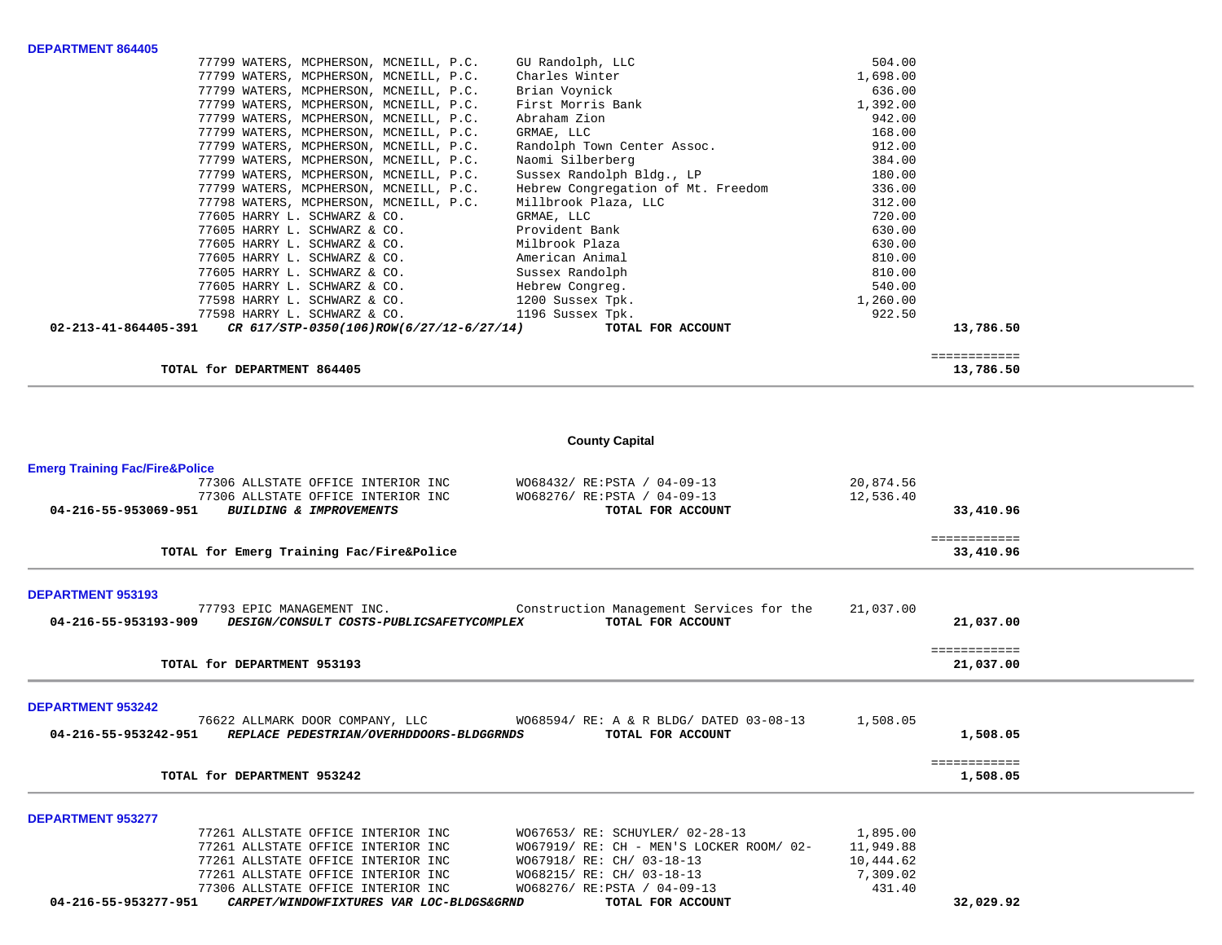| <b>DEPARTMENT 864405</b>                                         |                                    |          |              |
|------------------------------------------------------------------|------------------------------------|----------|--------------|
| 77799 WATERS, MCPHERSON, MCNEILL, P.C.                           | GU Randolph, LLC                   | 504.00   |              |
| 77799 WATERS, MCPHERSON, MCNEILL, P.C.                           | Charles Winter                     | 1,698.00 |              |
| 77799 WATERS, MCPHERSON, MCNEILL, P.C.                           | Brian Voynick                      | 636.00   |              |
| 77799 WATERS, MCPHERSON, MCNEILL, P.C.                           | First Morris Bank                  | 1,392.00 |              |
| 77799 WATERS, MCPHERSON, MCNEILL, P.C.                           | Abraham Zion                       | 942.00   |              |
| 77799 WATERS, MCPHERSON, MCNEILL, P.C.                           | GRMAE, LLC                         | 168.00   |              |
| 77799 WATERS, MCPHERSON, MCNEILL, P.C.                           | Randolph Town Center Assoc.        | 912.00   |              |
| 77799 WATERS, MCPHERSON, MCNEILL, P.C.                           | Naomi Silberberg                   | 384.00   |              |
| 77799 WATERS, MCPHERSON, MCNEILL, P.C.                           | Sussex Randolph Bldg., LP          | 180.00   |              |
| 77799 WATERS, MCPHERSON, MCNEILL, P.C.                           | Hebrew Congregation of Mt. Freedom | 336.00   |              |
| 77798 WATERS, MCPHERSON, MCNEILL, P.C.                           | Millbrook Plaza, LLC               | 312.00   |              |
| 77605 HARRY L. SCHWARZ & CO.                                     | GRMAE, LLC                         | 720.00   |              |
| 77605 HARRY L. SCHWARZ & CO.                                     | Provident Bank                     | 630.00   |              |
| 77605 HARRY L. SCHWARZ & CO.                                     | Milbrook Plaza                     | 630.00   |              |
| 77605 HARRY L. SCHWARZ & CO.                                     | American Animal                    | 810.00   |              |
| 77605 HARRY L. SCHWARZ & CO.                                     | Sussex Randolph                    | 810.00   |              |
| 77605 HARRY L. SCHWARZ & CO.                                     | Hebrew Congreg.                    | 540.00   |              |
| 77598 HARRY L. SCHWARZ & CO.                                     | 1200 Sussex Tpk.                   | 1,260.00 |              |
| 77598 HARRY L. SCHWARZ & CO.                                     | 1196 Sussex Tpk.                   | 922.50   |              |
| 02-213-41-864405-391<br>CR 617/STP-0350(106)ROW(6/27/12-6/27/14) | TOTAL FOR ACCOUNT                  |          | 13,786.50    |
|                                                                  |                                    |          |              |
|                                                                  |                                    |          | ============ |
| TOTAL for DEPARTMENT 864405                                      |                                    |          | 13,786.50    |

# **County Capital**

 $\sim$ 

 $\sim$ 

 $\sim$ 

| 77306 ALLSTATE OFFICE INTERIOR INC                                                           | W068276/ RE: PSTA / 04-09-13                                                                 | 431.40                |                           |  |
|----------------------------------------------------------------------------------------------|----------------------------------------------------------------------------------------------|-----------------------|---------------------------|--|
| 77261 ALLSTATE OFFICE INTERIOR INC<br>77261 ALLSTATE OFFICE INTERIOR INC                     | WO67918/ RE: CH/ 03-18-13<br>WO68215/ RE: CH/ 03-18-13                                       | 10,444.62<br>7,309.02 |                           |  |
| 77261 ALLSTATE OFFICE INTERIOR INC                                                           | WO67919/ RE: CH - MEN'S LOCKER ROOM/ 02-                                                     | 11,949.88             |                           |  |
| 77261 ALLSTATE OFFICE INTERIOR INC                                                           | W067653/ RE: SCHUYLER/ 02-28-13                                                              | 1,895.00              |                           |  |
| <b>DEPARTMENT 953277</b>                                                                     |                                                                                              |                       |                           |  |
| TOTAL for DEPARTMENT 953242                                                                  |                                                                                              |                       | 1,508.05                  |  |
|                                                                                              |                                                                                              |                       | ============              |  |
| <b>DEPARTMENT 953242</b><br>REPLACE PEDESTRIAN/OVERHDDOORS-BLDGGRNDS<br>04-216-55-953242-951 | 76622 ALLMARK DOOR COMPANY, LLC WO68594/ RE: A & R BLDG/ DATED 03-08-13<br>TOTAL FOR ACCOUNT | 1,508.05              | 1,508.05                  |  |
| TOTAL for DEPARTMENT 953193                                                                  |                                                                                              |                       | ============<br>21,037.00 |  |
| 04-216-55-953193-909<br>DESIGN/CONSULT COSTS-PUBLICSAFETYCOMPLEX                             | TOTAL FOR ACCOUNT                                                                            |                       | 21,037.00                 |  |
| <b>DEPARTMENT 953193</b><br>77793 EPIC MANAGEMENT INC.                                       | Construction Management Services for the                                                     | 21,037.00             |                           |  |
| TOTAL for Emerg Training Fac/Fire&Police                                                     |                                                                                              |                       | 33,410.96                 |  |
|                                                                                              |                                                                                              |                       | ============              |  |
| 77306 ALLSTATE OFFICE INTERIOR INC<br>BUILDING & IMPROVEMENTS<br>04-216-55-953069-951        | W068276/ RE: PSTA / 04-09-13<br>TOTAL FOR ACCOUNT                                            | 12,536.40             | 33,410.96                 |  |
| 77306 ALLSTATE OFFICE INTERIOR INC                                                           | W068432/ RE: PSTA / 04-09-13                                                                 | 20,874.56             |                           |  |
| <b>Emerg Training Fac/Fire&amp;Police</b>                                                    |                                                                                              |                       |                           |  |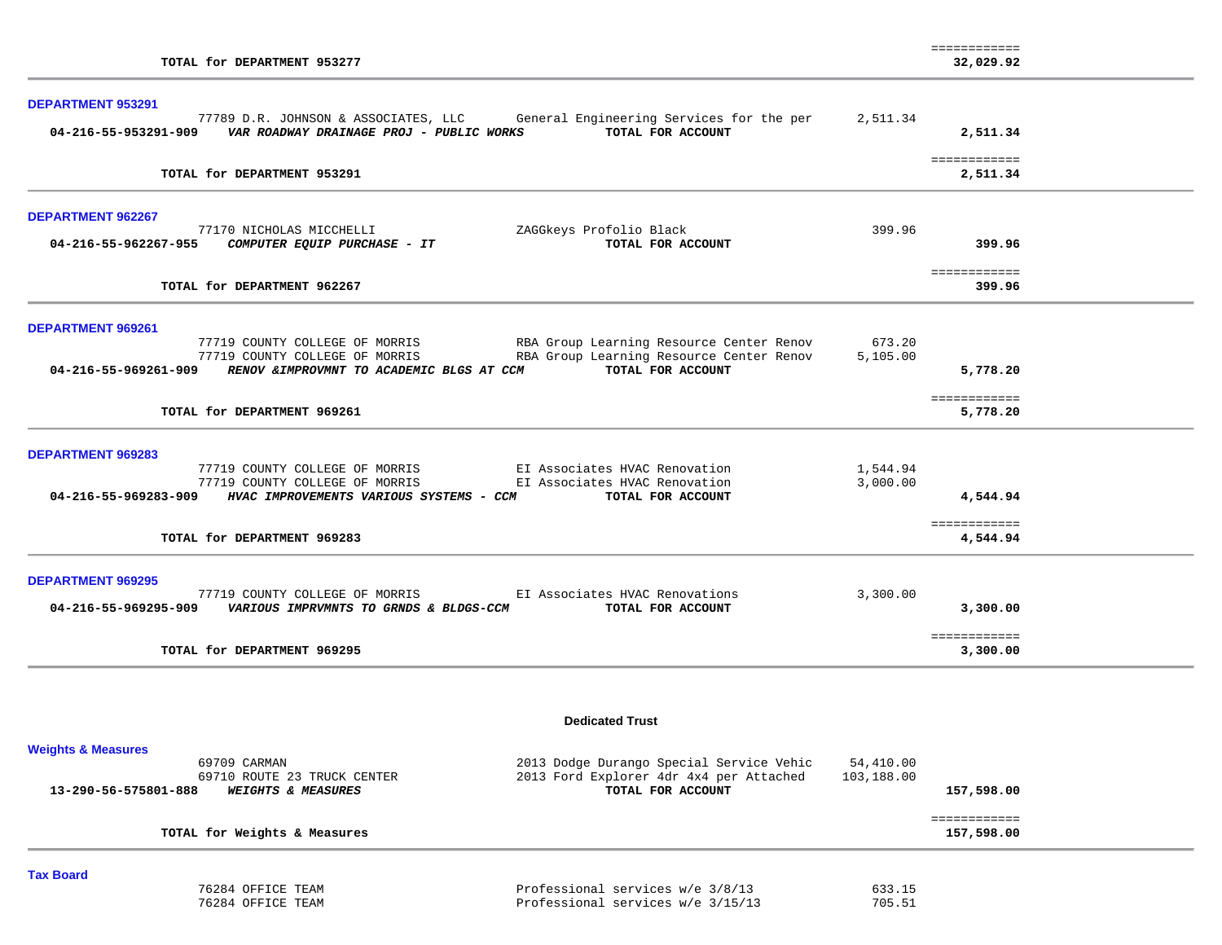| TOTAL for DEPARTMENT 953277                                                                                                                                                                                                                                                     |                         | ============<br>32,029.92            |  |
|---------------------------------------------------------------------------------------------------------------------------------------------------------------------------------------------------------------------------------------------------------------------------------|-------------------------|--------------------------------------|--|
| <b>DEPARTMENT 953291</b><br>77789 D.R. JOHNSON & ASSOCIATES, LLC General Engineering Services for the per<br>TOTAL FOR ACCOUNT<br>04-216-55-953291-909    VAR ROADWAY DRAINAGE PROJ - PUBLIC WORKS                                                                              | 2,511.34                | 2,511.34                             |  |
| TOTAL for DEPARTMENT 953291                                                                                                                                                                                                                                                     |                         | ============<br>2,511.34             |  |
| <b>DEPARTMENT 962267</b><br>77170 NICHOLAS MICCHELLI<br>ZAGGkeys Profolio Black<br>04-216-55-962267-955 COMPUTER EQUIP PURCHASE - IT<br>TOTAL FOR ACCOUNT                                                                                                                       | 399.96                  | 399.96                               |  |
| TOTAL for DEPARTMENT 962267                                                                                                                                                                                                                                                     |                         | ============<br>399.96               |  |
| DEPARTMENT 969261<br>RBA Group Learning Resource Center Renov 673.20<br>77719 COUNTY COLLEGE OF MORRIS<br>RBA Group Learning Resource Center Renov<br>77719 COUNTY COLLEGE OF MORRIS<br>04-216-55-969261-909 RENOV & IMPROVMNT TO ACADEMIC BLGS AT CCM<br>TOTAL FOR ACCOUNT     | 5,105.00                | 5,778.20                             |  |
| TOTAL for DEPARTMENT 969261                                                                                                                                                                                                                                                     |                         | ============<br>5,778.20             |  |
| <b>DEPARTMENT 969283</b><br>77719 COUNTY COLLEGE OF MORRIS EI Associates HVAC Renovation<br>EI Associates HVAC Renovation<br>77719 COUNTY COLLEGE OF MORRIS<br>04-216-55-969283-909 HVAC IMPROVEMENTS VARIOUS SYSTEMS - CCM<br>TOTAL FOR ACCOUNT<br>TOTAL for DEPARTMENT 969283 | 1,544.94<br>3,000.00    | 4,544.94<br>============<br>4,544.94 |  |
| <b>DEPARTMENT 969295</b><br>EI Associates HVAC Renovations<br>77719 COUNTY COLLEGE OF MORRIS<br>04-216-55-969295-909 VARIOUS IMPRVMNTS TO GRNDS & BLDGS-CCM<br>TOTAL FOR ACCOUNT<br>TOTAL for DEPARTMENT 969295                                                                 | 3,300.00                | 3,300.00<br>============<br>3,300.00 |  |
| <b>Dedicated Trust</b>                                                                                                                                                                                                                                                          |                         |                                      |  |
| <b>Weights &amp; Measures</b><br>69709 CARMAN<br>2013 Dodge Durango Special Service Vehic<br>2013 Ford Explorer 4dr 4x4 per Attached<br>69710 ROUTE 23 TRUCK CENTER<br>TOTAL FOR ACCOUNT<br><b>WEIGHTS &amp; MEASURES</b><br>13-290-56-575801-888                               | 54,410.00<br>103,188.00 | 157,598.00<br>============           |  |
| TOTAL for Weights & Measures                                                                                                                                                                                                                                                    |                         | 157,598.00                           |  |

| Tax Board         |                                   |        |
|-------------------|-----------------------------------|--------|
| 76284 OFFICE TEAM | Professional services w/e 3/8/13  | 633.15 |
| 76284 OFFICE TEAM | Professional services w/e 3/15/13 | 705.51 |